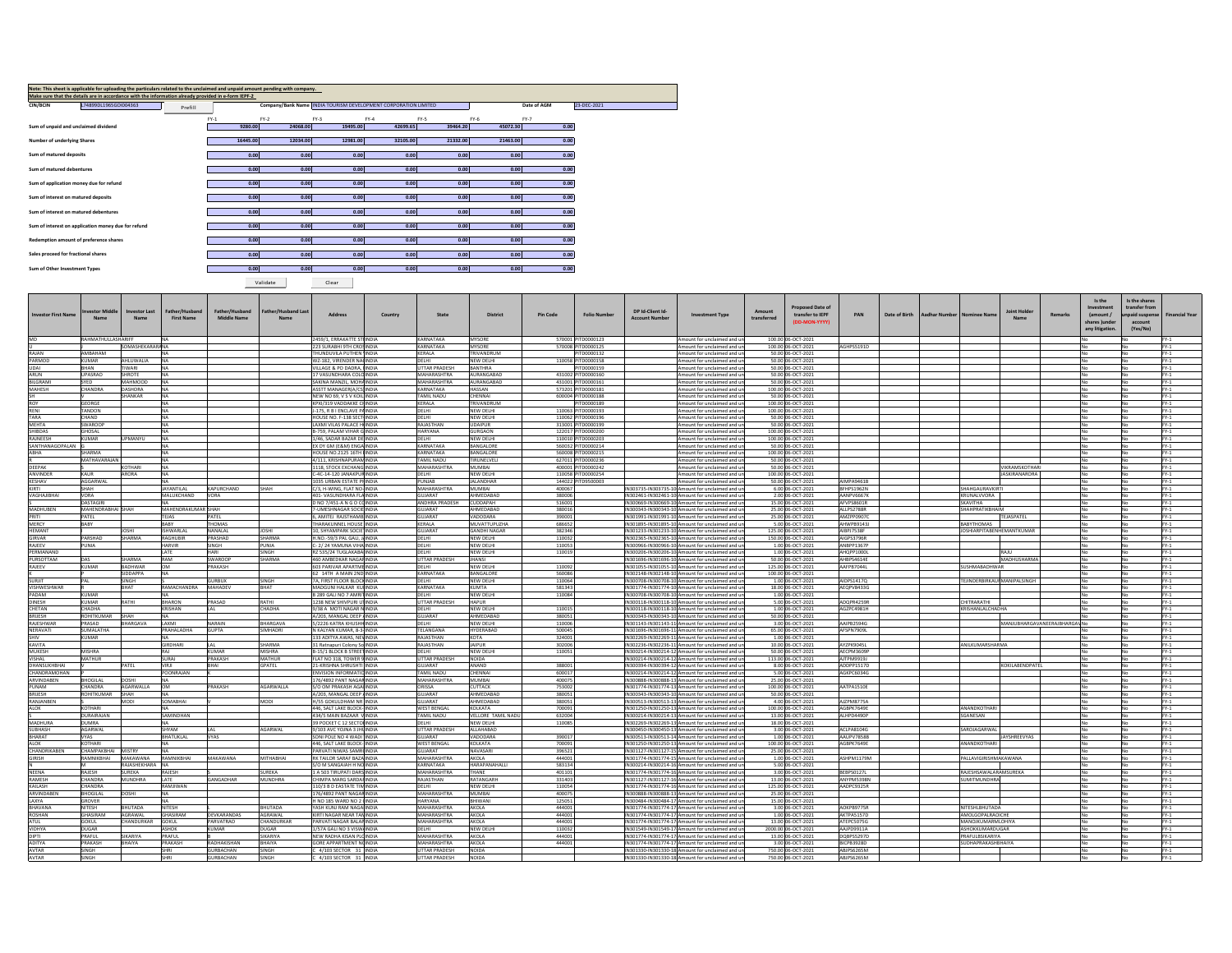| Note: This sheet is applicable for uploading the particulars related to the unclaimed and unpaid amount pending with company.<br>Make sure that the details are in accordance with the information already provided in e-form IEPF-2 |          |                                                                 |          |          |          |          |             |             |
|--------------------------------------------------------------------------------------------------------------------------------------------------------------------------------------------------------------------------------------|----------|-----------------------------------------------------------------|----------|----------|----------|----------|-------------|-------------|
| <b>CIN/BCIN</b><br>L74899DL1965GOI004363<br>Prefill                                                                                                                                                                                  |          | Company/Bank Name INDIA TOURISM DEVELOPMENT CORPORATION LIMITED |          |          |          |          | Date of AGM | 23-DEC-2021 |
|                                                                                                                                                                                                                                      | $FY-1$   | $FY-2$                                                          | $FY-3$   | $FY-4$   | FY-5     | $FY-6$   | $FY-7$      |             |
| Sum of unpaid and unclaimed dividend                                                                                                                                                                                                 | 9280.00  | 24068.00                                                        | 19495.00 | 42699.65 | 39464.20 | 45072.30 | 0.00        |             |
| Number of underlying Shares                                                                                                                                                                                                          | 16445.00 | 12034.00                                                        | 12981.00 | 32105.00 | 21332.00 | 21463.00 | 0.00        |             |
| Sum of matured deposits                                                                                                                                                                                                              | 0.00     | 0.00                                                            | 0.00     | 0.00     | 0.00     | 0.00     | 0.00        |             |
| Sum of matured debentures                                                                                                                                                                                                            | 0.00     | 0.00                                                            | 0.00     | 0.00     | 0.00     | 0.00     | 0.00        |             |
| Sum of application money due for refund                                                                                                                                                                                              | 0.00     | 0.00                                                            | 0.00     | 0.00     | 0.00     | 0.00     | 0.00        |             |
| Sum of interest on matured deposits                                                                                                                                                                                                  | 0.00     | 0.00                                                            | 0.00     | 0.00     | 0.00     | 0.00     | 0.00        |             |
| Sum of interest on matured debentures                                                                                                                                                                                                | 0.00     | 0.00                                                            | 0.00     | 0.00     | 0.00     | 0.00     | 0.00        |             |
| Sum of interest on application money due for refund                                                                                                                                                                                  | 0.00     | 0.00                                                            | 0.00     | 0.00     | 0.00     | 0.00     | 0.00        |             |
| Redemption amount of preference shares                                                                                                                                                                                               | 0.00     | 0.00                                                            | 0.00     | 0.00     | 0.00     | 0.00     | 0.00        |             |
| Sales proceed for fractional shares                                                                                                                                                                                                  | 0.00     | 0.00                                                            | 0.00     | 0.00     | 0.00     | 0.00     | 0.00        |             |
| Sum of Other Investment Types                                                                                                                                                                                                        | 0.00     | 0.00                                                            | 0.00     | 0.00     | 0.00     | 0.00     | 0.00        |             |

Validate Clear

| <b>Investor First Nam</b>        | westor Middle                   | nvestor last                     | Father/Husbang<br><b>First Name</b> | Father/Husband<br><b>Middle Name</b> | ther/Husband Last                  | Address                                                        | Country       | State                               | <b>District</b>              | Pin Code         | <b>Folio Number</b>                      | DP Id-Client Id-<br><b>Account Number</b> | <b>Investment Type</b>                                                                               | Amount<br>transferred | <b>Proposed Date of</b><br>transfer to IEPF | PAN                      | Date of Birth | <b>Aadhar Number</b> |                                      | loint Holde                                       | Remarks                             | Is the<br>Investment<br>(amount /<br>shares Junde<br>any litigation. | Is the share:<br>transfer from<br>unpaid susper<br>account<br>(Yes/No) | <b>Financial Yea</b> |
|----------------------------------|---------------------------------|----------------------------------|-------------------------------------|--------------------------------------|------------------------------------|----------------------------------------------------------------|---------------|-------------------------------------|------------------------------|------------------|------------------------------------------|-------------------------------------------|------------------------------------------------------------------------------------------------------|-----------------------|---------------------------------------------|--------------------------|---------------|----------------------|--------------------------------------|---------------------------------------------------|-------------------------------------|----------------------------------------------------------------------|------------------------------------------------------------------------|----------------------|
|                                  | RAHMATHULLASHARIFF              | SOMASHEKARARANA                  |                                     |                                      |                                    | 2459/1, ERRAKATTE STIINDIA<br><b>223 SURABHI QTH CROSINDIA</b> |               | KARNATAKA<br>KARNATAKA              | MYSORE<br>MYSORE             |                  | 570001 PITD0000123<br>570008 PITD0000125 |                                           | nount for unclaimed and ur<br>mount for unclaimed and un                                             |                       | 100.00 06-OCT-2021<br>100.00 06-OCT-2021    | AGHPS5191D               |               |                      |                                      |                                                   |                                     |                                                                      | N/A                                                                    | $FY-1$               |
| <b>RAIAN</b>                     | <b>AMRAHAM</b>                  |                                  | <b>INA</b>                          |                                      |                                    | THUNDUVILA PUTHEN UNDIA                                        |               | <b>KFRALA</b>                       | <b>TRIVANDRUM</b>            |                  | PITD0000132                              |                                           | mount for unclaimed and un                                                                           |                       | 50.00 06-OCT-2021                           |                          |               |                      |                                      |                                                   |                                     |                                                                      | No                                                                     | $FY-1$               |
| PARMOD                           | KUMAR                           | AHI I IWAI IA                    | <b>INA</b>                          |                                      |                                    | W7-182 VIRENDER NAUNDIA                                        |               | DEIHI                               | NFW DFI HI                   |                  | 110058 PITD0000158                       |                                           | mount for unclaimed and u                                                                            |                       | 50.00 06-007-2021                           |                          |               |                      |                                      |                                                   |                                     |                                                                      |                                                                        | $FY-1$               |
| <b>UDAI</b>                      | BHAN                            | <b>IWARI</b>                     | <b>NA</b>                           |                                      |                                    | VILLAGE & PO DADRA. IINDIA                                     |               | <b>UTTAR PRADESH</b>                | BANTHRA                      |                  | PITD0000159                              |                                           | ount for unclaimed and un                                                                            |                       | 50.00 06-OCT-2021                           |                          |               |                      |                                      |                                                   |                                     |                                                                      |                                                                        | $FY-1$               |
| ARLIN                            | <b>HPASPAOL</b>                 | SHROTE                           | T <sub>NA</sub>                     |                                      |                                    | 17 VASUNDHARA COLOINDIA                                        |               | <b>MAHARASHTRA</b>                  | <b>AURANGARAD</b>            |                  | 431002 PITD0000160                       |                                           | Amount for unclaimed and ur                                                                          |                       | 50.00.06-0CT-2021                           |                          |               |                      |                                      |                                                   |                                     |                                                                      | No.                                                                    | $FY-1$               |
| <b>BILGRAMI</b><br>MAHESH        | <b>SYED</b><br>CHANDRA          | <b>MAHMOOD</b><br><b>DASHORA</b> | <b>NA</b><br><b>NA</b>              |                                      |                                    | SAKINA MANZIL MOHAINDIA<br>ASSTT MANAGER(A/CS INDIA            |               | <b>MAHARASHTRA</b><br>ΚΑΡΝΑΤΑΚΑ     | AURANGABAD<br>HASSAN         |                  | 431001 PITD0000161<br>573201 PITD0000181 |                                           | Amount for unclaimed and ur<br>mount for unclaimed and ur                                            |                       | 50.00 06-OCT-2021<br>100.00 06-OCT-2021     |                          |               |                      |                                      |                                                   |                                     |                                                                      | No.<br>No.                                                             | $FY-1$<br>$FY-1$     |
|                                  |                                 | SHANKAR                          | NA.                                 |                                      |                                    | NEW NO 69 V S V KOIL INDIA                                     |               | TAMIL NADLL                         | CHENNAL                      |                  | 600004 PITD0000188                       |                                           | mount for unclaimed and u                                                                            |                       | 50.00 06-007-2021                           |                          |               |                      |                                      |                                                   |                                     |                                                                      | No.                                                                    | $FY-1$               |
| ROY                              | GEORGE                          |                                  | NA.                                 |                                      |                                    | KPXI/319 VADDAKKE CHINDIA                                      |               | KERALA                              | <b>TRIVANDRUM</b>            |                  | PITD0000189                              |                                           | Amount for unclaimed and un                                                                          |                       | 100.00 06-OCT-2021                          |                          |               |                      |                                      |                                                   |                                     |                                                                      | No.                                                                    | FY-1                 |
| RFNI                             | <b>TANDON</b>                   |                                  | <b>NA</b>                           |                                      |                                    | <b>I-175 R R I FNCLAVE PAINDIA</b>                             |               | DELHI                               | NFW DFI HI                   |                  | 110063 PITD0000193                       |                                           | mount for unclaimed and u                                                                            |                       | 100.00 06-OCT-2021                          |                          |               |                      |                                      |                                                   |                                     |                                                                      |                                                                        | $FY-1$               |
| TARA                             | CHAND                           |                                  | <b>NA</b>                           |                                      |                                    | HOUSE NO. F-138 SECT INDIA                                     |               | DELHI                               | NEW DELHI                    |                  | 110062 PITD0000196                       |                                           | mount for unclaimed and u                                                                            |                       | 50.00 06-OCT-2021                           |                          |               |                      |                                      |                                                   |                                     |                                                                      |                                                                        | $FY-1$               |
| <b>MEHTA</b><br><b>SHIRDAS</b>   | <b>SWAROOF</b><br><b>GHOSAL</b> |                                  | <b>NA</b><br><b>NA</b>              |                                      |                                    | LAXMI VILAS PALACE HIINDIA<br>R-759 PALAM VIHAR GINDIA         |               | RAJASTHAN<br>HARYANA                | <b>UDAIPUR</b><br>GURGAON    |                  | 313001 PITD0000199<br>122017 PITD0000200 |                                           | mount for unclaimed and ur<br>Amount for unclaimed and u                                             |                       | 50.00 06-OCT-2021<br>100.00 06-OCT-2021     |                          |               |                      |                                      |                                                   |                                     |                                                                      | No<br>No.                                                              | $FY-1$<br>$FY-1$     |
| <b>RAINFFSH</b>                  | KUMAR                           | <b>LIPMANYLE</b>                 | NA.                                 |                                      |                                    | 1/46 SADAR BAZAR DEUNDIA                                       |               | DEIHI                               | NFW DFI HI                   |                  | 110010 PITD0000203                       |                                           | mount for unclaimed and u                                                                            |                       | 100.00 06-OCT-2021                          |                          |               |                      |                                      |                                                   |                                     |                                                                      |                                                                        | $FY-1$               |
| SANTHANAGOPALAN                  |                                 |                                  | <b>NA</b>                           |                                      |                                    | EX DY GM (E&M) ENGAINDIA                                       |               | <b>KARNATAKA</b>                    | BANGALORI                    |                  | 560032 PITD0000214                       |                                           | Amount for unclaimed and u                                                                           |                       | 50.00 06-OCT-2023                           |                          |               |                      |                                      |                                                   |                                     |                                                                      |                                                                        | $FY-1$               |
| ABHA                             | SHARMA                          |                                  | <b>NA</b>                           |                                      |                                    | HOUSE NO.2125 16TH BINDIA                                      |               | KARNATAKA                           | BANGALORE                    |                  | 560008 PITD0000215                       |                                           | mount for unclaimed and un                                                                           |                       | 100.00 06-OCT-2021                          |                          |               |                      |                                      |                                                   |                                     |                                                                      | <b>No</b>                                                              | $FY-1$               |
|                                  | MATHAVARAIAN                    |                                  | <b>NA</b>                           |                                      |                                    | 4/111. KRISHNAPURAMINDIA                                       |               | <b>TAMIL NADLL</b>                  | <b>TIRLINEI VELI</b>         |                  | 627011 PITD0000236                       |                                           | Amount for unclaimed and un                                                                          |                       | 50.00 06-OCT-2021                           |                          |               |                      |                                      |                                                   |                                     |                                                                      | <b>No</b>                                                              | $FY-1$               |
| <b>DEEPAK</b><br>ANVINDER        | KALIR                           | <b>KOTHAR</b><br>ARORA           | <b>NA</b><br><b>NA</b>              |                                      |                                    | <b>1118 STOCK EXCHANG INDIA</b><br>C-4C-14-120 JANAKPURINDIA   |               | MAHARASHTRA<br>DELHI                | MUMRAI<br><b>NEW DELHI</b>   |                  | 400001 PITD0000242<br>110058 PITD0000254 |                                           | Amount for unclaimed and u<br>mount for unclaimed and ur                                             |                       | 50.00.06-007-2021<br>100.00 06-OCT-2021     |                          |               |                      |                                      | <b>/IKRAMSKOTHAR</b><br><b><i>SKIRANARORA</i></b> |                                     |                                                                      | No.<br>No.                                                             | $FY-1$<br>$FY-1$     |
| KESHAV                           | AGGARWA                         |                                  | NA                                  |                                      |                                    | 1035 URBAN ESTATE PHINDIA                                      |               | PUNJAB                              | <b>JALANDHAR</b>             |                  | 144022 PITD9500003                       |                                           | mount for unclaimed and u                                                                            |                       | 50.00 06-OCT-2021                           | <b>AIMPA9461B</b>        |               |                      |                                      |                                                   |                                     |                                                                      |                                                                        | $FY-1$               |
| KIRTI                            | <b>SHAH</b>                     |                                  | <b>JAYANTILAI</b>                   | <b>KADUPCHAND</b>                    |                                    | C/3. H-WING, FLAT NO-INDIA                                     |               | <b>MAHARASHTRA</b>                  | MUMBAL                       | 400067           |                                          |                                           | IN303735-IN303735-10 Amount for unclaimed and u                                                      |                       | 6.00 06-OCT-2021                            | <b>REHPS1962N</b>        |               |                      | CHAHGALIPAVKIPT                      |                                                   |                                     |                                                                      | No.                                                                    | $FY-1$               |
| VAGHAIIRHA                       | VORA                            |                                  | <b>MALLIKCHAND</b>                  | VORA                                 |                                    | 401- VASLINDHARA FLAINDIA                                      |               | GUIARAT                             | AHMEDARAE                    | 380006           |                                          |                                           | IN302461-IN302461-10 Amount for unclaimed and u                                                      |                       | 2.00 06-OCT-2021                            | AANPV6667K               |               |                      | KRIJNAJ VVORA                        |                                                   |                                     |                                                                      | No.                                                                    | FY-1                 |
|                                  | DASTAGIRI                       |                                  | <b>NA</b>                           |                                      |                                    | D NO 7/451-A N G O COINDIA                                     |               | <b>ANDHRA PRADESH</b>               | CUDDAPAH                     | 516001           |                                          |                                           | IN300669-IN300669-10 Amount for unclaimed and un                                                     |                       | 15.00 06-OCT-2021                           | AFVPS8601R               |               |                      | SKAVITHA                             |                                                   |                                     |                                                                      | No.                                                                    | $FY-1$               |
| <b>MADHUBEN</b><br>PRITI         | MAHENDRARHAI SHAH<br>PATFI      |                                  | MAHENDRAKUMAR SHAH<br><b>TFIAS</b>  | PATFI                                |                                    | 7-UMESHNAGAR SOCIE INDIA<br>6 AMITEL RAISTHAMRINDIA            |               | <b>SUJARAT</b><br><b>GUIARAT</b>    | <b>AHMEDARAD</b><br>VADODARA | 380016<br>390001 |                                          |                                           | IN300343-IN300343-10 Amount for unclaimed and ur<br>IN301991-IN301991-10 Amount for unclaimed and ur |                       | 25.00 06-OCT-202:<br>25.00 06-OCT-2021      | ALLPS2788R<br>AM7PP0907C |               |                      | <b>SHAHPRATIKRHAIM</b>               | TEIASPATEL                                        |                                     |                                                                      | No<br>No.                                                              | $FY-1$<br>$FY-1$     |
| MERCY                            | RARY                            |                                  | BABY                                | THOMAS                               |                                    | <b>THARAKUNNEL HOUSE INDIA</b>                                 |               | KERALA                              | MUVATTUPUZHA                 | 686652           |                                          |                                           | IN301895-IN301895-10 Amount for unclaimed and ur                                                     |                       | 5.00 06-OCT-2021                            | AHWPB9143J               |               |                      | ABYTHOMAS                            |                                                   |                                     |                                                                      | No                                                                     | $FY-1$               |
| HEMANT                           |                                 | OSHI                             | <b>SHWARLAL</b>                     | NANALAL                              | <b>IHZO</b>                        | 10. SHYAMPARK SOCIE                                            | <b>TINDIA</b> | SUJARAT                             | <b>SANDHI NAGAR</b>          | 382346           |                                          |                                           | IN301233-IN301233-10 Amount for unclaimed and u                                                      |                       | 125.00 06-OCT-2021                          | AIBPJ7538F               |               |                      |                                      | <b>OSHIARPITABENHEMANTKUMAR</b>                   |                                     |                                                                      |                                                                        | $FY-1$               |
| GIRVAR                           | PARSHAD                         | SHARMA                           | RAGHUBIR                            | PRASHAD                              | HARMA                              | H.NO.-59/3 PAL GALI, J                                         | <b>INDIA</b>  | DELHI                               | NEW DELHI                    | 110032           |                                          |                                           | IN302365-IN302365-10 Amount for unclaimed and ur                                                     |                       | 150.00 06-OCT-2021                          | AIGPS3796R               |               |                      |                                      |                                                   |                                     |                                                                      |                                                                        | $FY-1$               |
| RAJEEV                           | DI INIA                         |                                  | HAPVIR                              | <b>SINGH</b>                         | PLINIA                             | <b>C-2/24 YAMUNA VIHAINDIA</b>                                 |               | DEIHL                               | NEW DELHI                    | 110053           |                                          |                                           | IN300966-IN300966-10 Amount for unclaimed and ur                                                     |                       | 1.00 06-OCT-2021                            | ANRPP1367P               |               |                      |                                      |                                                   |                                     |                                                                      | No.                                                                    | $FY-1$               |
| PERMANANE<br>PURSOTTAM           | DAS                             | SHARMA                           | <b>LATE</b><br>RAM                  | HARI<br><b>SWAROOF</b>               | <b>SINGH</b><br>SHARMA             | RZ 535/24 TUGLAKARA INDIA<br>460 AMBEDKAR NAGARINDIA           |               | DEIHL<br><b>UTTAR PRADESH</b>       | NFW DFI HI<br><b>JHANSI</b>  | 110019           |                                          |                                           | IN300206-IN300206-10 Amount for unclaimed and u<br>IN301696-IN301696-10 Amount for unclaimed and ur  |                       | 1.00 06-OCT-2021<br>50.00 06-OCT-2023       | AHOPP1000L<br>AHBPS4614E |               |                      |                                      | RAILL<br><b>MADHUSHARMA</b>                       |                                     |                                                                      | No                                                                     | FY-1<br>$FY-1$       |
| RAJEEV                           | KUMAR                           | RADHWAR                          | <b>OM</b>                           | PRAKASH                              |                                    | 603 PARIVAR APARTMEINDIA                                       |               | DELHI                               | <b>NEW DELHI</b>             | 110092           |                                          |                                           | IN301055-IN301055-10 Amount for unclaimed and ur                                                     |                       | 125.00 06-OCT-2021                          | AAFPB7044L               |               |                      | <b>JISHMARADHWAR</b>                 |                                                   |                                     |                                                                      | No                                                                     | $FY-1$               |
|                                  |                                 | SIDDAPPA                         | <b>NA</b>                           |                                      |                                    | 62 14TH A MAIN 2ND INDIA                                       |               | KARNATAKA                           | BANGALORE                    | 560086           |                                          |                                           | IN302148-IN302148-10 Amount for unclaimed and ur                                                     |                       | 100.00 06-OCT-2021                          |                          |               |                      |                                      |                                                   |                                     |                                                                      | <b>No</b>                                                              | $FY-1$               |
| SURIIT                           | DAI                             | SINGH                            |                                     | GURRUX                               | SINGH                              | <b>74 FIRST FLOOR BLOCKINDIA</b>                               |               | DEIHL                               | NFW DFI HI                   | 110064           |                                          |                                           | IN300708-IN300708-10 Amount for unclaimed and up                                                     |                       | 1.00 06-OCT-2021                            | AIDPS14170               |               |                      |                                      | FUNDERBIRKAURMANIPALSINGH                         |                                     |                                                                      | No                                                                     | $FY-1$               |
| VISHWESHWAR                      |                                 | <b>HAT</b>                       | RAMACHANDRA                         | MAHADEV                              | <b>TAHA</b>                        | MADGUNI HALKAR KULINDIA                                        |               | KARNATAKA                           | KUMTA                        | 581343           |                                          |                                           | IN301774-IN301774-10 Amount for unclaimed and ur                                                     |                       | 18.00 06-OCT-2021                           | AEQPV8433G               |               |                      |                                      |                                                   |                                     |                                                                      |                                                                        | $FY-1$               |
| PADAM<br><b>DINESH</b>           | KUMAR<br>KUMAR                  | RATHI                            | <b>NA</b><br><b>RHARON</b>          | PRASAD                               | RATHI                              | R 289 GALLNO Z AMRITINDIA<br>1238 NEW SHIVPLIRI LITINDIA       |               | DEIHI<br><b>LITTAR PRADESH</b>      | NEW DELHI<br>HAPLIR          | 110084           |                                          |                                           | IN300708-IN300708-10 Amount for unclaimed and ur<br>IN300118-IN300118-10 Amount for unclaimed and ur |                       | 1.00.06-0CT-2021<br>5.00 06-OCT-2021        | ADOPR4259R               |               |                      | <b>HITRARATHI</b>                    |                                                   |                                     |                                                                      | No.<br>No.                                                             | $FY-1$<br>$FY-1$     |
| CHETAN                           | CHADHA                          |                                  | <b>KRISHAN</b>                      | <b>LAL</b>                           | CHADHA                             | 9/38 A MOTI NAGAR NINDIA                                       |               | DELHI                               | <b>NEW DELH</b>              | 110015           |                                          |                                           | IN300118-IN300118-10 Amount for unclaimed and un                                                     |                       | 1.00 06-OCT-2021                            | AGZPC4981H               |               |                      | KRISHANLALCHADHA                     |                                                   |                                     |                                                                      | <b>No</b>                                                              | $FY-1$               |
| BRUESH                           | ROHITKUMAR                      | SHAH                             | NA                                  |                                      |                                    | A/203, MANGAL DEEP AINDIA                                      |               | GUJARAT                             | AHMEDARAE                    | 380051           |                                          |                                           | IN300343-IN300343-10 Amount for unclaimed and ur                                                     |                       | 50.00 06-OCT-2021                           |                          |               |                      |                                      |                                                   |                                     |                                                                      | No.                                                                    | $FY-1$               |
| RAJESHWAR                        | PRASAD                          | BHARGAVA                         | LAXMI                               | NARAIN                               | BHARGAVA                           | 5/2226 KATRA KHUSHHINDIA                                       |               | DELHI                               | NEW DELHI                    | 110006           |                                          |                                           | IN301143-IN301143-11 Amount for unclaimed and u                                                      |                       | 3.00 06-OCT-202:                            | AAIPB2594G               |               |                      |                                      |                                                   | <b>AANJUBHARGAVANEERAJBHARGAVNO</b> |                                                                      |                                                                        | $FY-1$               |
| NFRAVATI                         | <b>CLIMALATHA</b>               |                                  | <b>PRAHALADHA</b>                   | <b>GUPTA</b>                         | <b>IMAHADRI</b>                    | N KAI YAN KUMAR 8-3-UNDIA                                      |               | <b>FELANGANA</b>                    | HYDERARAD                    | 500045           |                                          |                                           | IN301696-IN301696-11 Amount for unclaimed and ur                                                     |                       | 65.00 06-OCT-202                            | AFSPN7909L               |               |                      |                                      |                                                   |                                     |                                                                      |                                                                        | $FY-1$               |
| SHIV<br>KAVITA                   | KUMAR                           |                                  | <b>NA</b><br><b>GIRDHARI</b>        | LAL                                  | <b>HARMA</b>                       | 133 ADITYA AWAS NEVINDIA<br>31 Ratnapuri Colony So INDIA       |               | RAIASTHAN<br>RAJASTHAN              | KOTA<br><b>JAIPUR</b>        | 324001<br>302006 |                                          |                                           | IN302269-IN302269-11 Amount for unclaimed and u<br>IN302236-IN302236-11 Amount for unclaimed and ur  |                       | 1.00 06-OCT-2021<br>10.00 06-OCT-2021       | AYZPK9045L               |               |                      | NILKUMARSHARMA                       |                                                   |                                     |                                                                      | No                                                                     | $FY-1$<br>$FY-1$     |
| <b>MUKESH</b>                    | <b>MISHDA</b>                   |                                  | RAI                                 | KLIMAG                               | <b>MISHRA</b>                      | <b>B-15/1 BLOCK B STREETINDIA</b>                              |               | DELHI                               | <b>NEW DELH</b>              | 110051           |                                          |                                           | IN300214-IN300214-12 Amount for unclaimed and ur                                                     |                       | 50.00 06-OCT-2021                           | AFCRM26000               |               |                      |                                      |                                                   |                                     |                                                                      |                                                                        | $FY-1$               |
| <b>VISHAL</b>                    | MATHUR                          |                                  | <b>SLIRAL</b>                       | PRAKASH                              | <b>MATHUR</b>                      | FLAT NO 318 TOWER SINDIA                                       |               | <b>UTTAR PRADESH</b>                | <b>NOIDA</b>                 |                  |                                          |                                           | IN300214-IN300214-12LAmount for unclaimed and un                                                     |                       | 113.00.06-OCT-2021                          | <b>AITPM99191</b>        |               |                      |                                      |                                                   |                                     |                                                                      | No.                                                                    | $FY-1$               |
| DHANSUKHRHA                      |                                 | <b>PATFI</b>                     | VIRIL                               | RHAI                                 | <b>GPATEL</b>                      | 21-KRISHNA SHRUSHTI INDIA                                      |               | GUIARAT                             | <b>ANAND</b>                 | 388001           |                                          |                                           | IN300394-IN300394-12 Amount for unclaimed and ur                                                     |                       | 8.00 06-007-2021                            | ADDPP1517D               |               |                      |                                      | <b>COKILARENDPATE</b>                             |                                     |                                                                      | No.                                                                    | $FY-1$               |
| CHANDRAMOHAN                     |                                 |                                  | POONRAIAN                           |                                      |                                    | <b>ENVISION INFORMATIO INDIA</b>                               |               | TAMIL NADLI                         | CHENNAL                      | 600017           |                                          |                                           | IN300214-IN300214-12 Amount for unclaimed and ur                                                     |                       | 5.00 06-OCT-2021                            | AGKPC6034G               |               |                      |                                      |                                                   |                                     |                                                                      | No.                                                                    | $FY-1$               |
| ARVINDAREN<br>PLINAM             | <b>BHOGILAL</b><br>CHANDRA      | DOSHI<br><b>AGARWALLA</b>        | <b>NA</b><br><b>OM</b>              | PRAKASH                              | <b>AGARWALLA</b>                   | 176/4892 PANT NAGARINDIA<br>S/O OM PRAKASH AGAIINDIA           |               | <b>MAHARASHTRA</b><br><b>A22IRO</b> | MUMRAL<br><b>LITTACK</b>     | 400075<br>753002 |                                          |                                           | IN300888-IN300888-13 Amount for unclaimed and un<br>IN301774-IN301774-13 Amount for unclaimed and u  |                       | 25.00 06-OCT-2021<br>100.00 06-OCT-2023     | AATPA1510F               |               |                      |                                      |                                                   |                                     |                                                                      | <b>No</b><br>No                                                        | $FY-1$<br>$FY-1$     |
| BRIJESH                          | ROHITKUMAR                      | <b>SHAH</b>                      | <b>NA</b>                           |                                      |                                    | A/203, MANGAL DEEP AINDIA                                      |               | SUIARAT                             | AHMEDABAD                    | 380051           |                                          |                                           | IN300343-IN300343-10 Amount for unclaimed and ur                                                     |                       | 50.00 06-OCT-2021                           |                          |               |                      |                                      |                                                   |                                     |                                                                      |                                                                        | $FY-1$               |
| RANJANBEN                        |                                 | MODI                             | SOMABHA                             |                                      | MODI                               | H/55 GOKULDHAM NR INDIA                                        |               | <b>HILARAT</b>                      | AHMEDABAE                    | 380051           |                                          |                                           | IN300513-IN300513-13 Amount for unclaimed and u                                                      |                       | 4.00 06-OCT-2023                            | AJZPM8775A               |               |                      |                                      |                                                   |                                     |                                                                      |                                                                        | $FY-1$               |
| <b>ALOK</b>                      | <b>KOTHARL</b>                  |                                  | <b>NA</b>                           |                                      |                                    | 446, SALT LAKE BLOCK-INDIA                                     |               | WEST RENGA                          | KOLKATA                      | 700091           |                                          |                                           | IN301250-IN301250-13 Amount for unclaimed and ur                                                     |                       | 100.00 06-OCT-2021                          | AGRDK7649E               |               |                      | <b>ANANDKOTHARI</b>                  |                                                   |                                     |                                                                      | N/A                                                                    | FY-1                 |
|                                  | DURAIRAIAN                      |                                  | <b>SAMINDHAN</b>                    |                                      |                                    | 434/5 MAIN RAZAAR VIINDIA                                      |               | TAMIL NADLI                         | VELLORE TAMIL NAD            | 632004           |                                          |                                           | IN300214-IN300214-13 Amount for unclaimed and u                                                      |                       | 13.00.06-007-2021                           | ALHPD4490P               |               |                      | <b>SGANESAN</b>                      |                                                   |                                     |                                                                      | No.                                                                    | FY-1                 |
| <b>MADHURA</b><br><b>SUBHASH</b> | <b>DUMRA</b><br>AGARWAI         |                                  | NA                                  |                                      | <b>GARWAI</b>                      | 39 POCKET C 12 SECTORINDIA<br>9/103 AVC YOJNA 3 JHUINDIA       |               | DEIHI<br><b>UTTAR PRADESH</b>       | NEW DELHI<br>ALLAHABAD       | 110085           |                                          |                                           | IN302269-IN302269-13 Amount for unclaimed and ur                                                     |                       | 18.00 06-OCT-2021                           | ACLPA8104G               |               |                      |                                      |                                                   |                                     |                                                                      | No                                                                     | $FY-1$<br>$FY-1$     |
| RHARAT                           | <b>PAVV</b>                     |                                  | SHYAM<br><b>BHATHKLAL</b>           | VYAS                                 |                                    | SONI POLE NO 4 WADI TINDIA                                     |               | <b>GUIARAT</b>                      | VADODARA                     | 390017           |                                          |                                           | IN300450-IN300450-13 Amount for unclaimed and ur<br>IN300513-IN300513-14 Amount for unclaimed and un |                       | 3.00 06-OCT-202:<br>1.00 06-OCT-2021        | AAUPV7858B               |               |                      | AROJAGARWAL                          | AYSHREEVYAS                                       |                                     |                                                                      | <b>No</b>                                                              | $FY-1$               |
| <b>ALOK</b>                      | KOTHARI                         |                                  | <b>NA</b>                           |                                      |                                    | 446 SALT LAKE BLOCK-UNDIA                                      |               | <b>WEST RENGAL</b>                  | ΚΟΙΚΑΤΑ                      | 700091           |                                          |                                           | IN301250-IN301250-13 Amount for unclaimed and un                                                     |                       | 100.00.06-0CT-2021                          | AGRPK7649F               |               |                      | <b>ANANDKOTHAR</b>                   |                                                   |                                     |                                                                      | No                                                                     | <b>FY-1</b>          |
| CHANDRIKAREI                     | CHAMPAKRHAI MISTRY              |                                  | MA.                                 |                                      |                                    | PARVATI NIWAS SAMRONDIA                                        |               | SUIARAT                             | NAVASARI                     | 396521           |                                          |                                           | IN301127-IN301127-15 Amount for unclaimed and u                                                      |                       | 25.00 06-OCT-2021                           |                          |               |                      |                                      |                                                   |                                     |                                                                      |                                                                        | $FY-1$               |
| GIRISH                           | <b>AMNIKRHAI</b>                | MAKAWANA                         | RAMNIKRHAI                          | MAKAWANA                             | <b>AITHARHAI</b>                   | RK TAILOR SARAF BAZA INDIA                                     |               | <b>AAHARASHTRA</b>                  | AKOLA                        | 444001           |                                          |                                           | IN301774-IN301774-15 Amount for unclaimed and ur                                                     |                       | 1.00 06-OCT-2021                            | ASHPM1179M               |               |                      | <b>ALLAVIGIRISHMAKAWANA</b>          |                                                   |                                     |                                                                      |                                                                        | $FY-1$               |
| <b>NFFNA</b>                     | <b>RAIFSH</b>                   | RAJASHEKHARA<br><b>SURFKA</b>    | <b>RAIFSH</b>                       |                                      | <b>SURFKA</b>                      | S/O M SANGAIAH H NOINDIA<br>1 A 503 TIRUPATI DARSINDIA         |               | KARNATAKA<br>MAHARASHTRA            | HARAPANAHAII<br>THANF        | 583134<br>401101 |                                          |                                           | IN300214-IN300214-16 Amount for unclaimed and ur<br>IN301774-IN301774-16 Amount for unclaimed and u  |                       | 5.00 06-OCT-2021<br>3.00 06-OCT-2021        | RFRPS0127L               |               |                      | RAIFSHSAWAI ARAMSURFKA               |                                                   |                                     |                                                                      | No<br>No.                                                              | $FY-1$<br>FY-1       |
| RAMESH                           | CHANDRA                         | <b>MUNDHRA</b>                   | LATE                                | GANGADHAR                            | MUNDHRA                            | CHIMPA MARG SARDAFINDIA                                        |               | RAIASTHAN                           | RATANGARH                    | 331403           |                                          |                                           | IN301127-IN301127-16 Amount for unclaimed and ur                                                     |                       | 13.00 06-OCT-2021                           | ANYPMS398N               |               |                      | <b>SUMITMUNDHR</b>                   |                                                   |                                     |                                                                      | No.                                                                    | $FY-1$               |
| KAILASH                          | CHANDRA                         |                                  | RAMJIWAN                            |                                      |                                    | 110/3 B D EASTATE TIMINDIA                                     |               | DELHI                               | <b>NEW DELHI</b>             | 110054           |                                          |                                           | IN301774-IN301774-16 Amount for unclaimed and ur                                                     |                       | 125.00 06-OCT-2021                          | AADPC9325R               |               |                      |                                      |                                                   |                                     |                                                                      | <b>No</b>                                                              | $FY-1$               |
| <b>ARVINDAREN</b>                | <b>BHOGILAL</b>                 | DOSHI                            | <b>NA</b>                           |                                      |                                    | 176/4892 PANT NAGARINDIA                                       |               | <b>MAHARASHTRA</b>                  | MUMRAI                       | 400075           |                                          |                                           | IN300888-IN300888-13 Amount for unclaimed and ur                                                     |                       | 25.00 06-OCT-2021                           |                          |               |                      |                                      |                                                   |                                     |                                                                      | <b>No</b>                                                              | $FY-1$               |
| <b>AXYA</b>                      | GROVER                          |                                  | <b>NA</b>                           |                                      |                                    | H NO 185 WARD NO 2 (INDIA)                                     |               | HARYANA                             | <b>IMAWIH</b>                | 125051           |                                          |                                           | IN300484-IN300484-17 Amount for unclaimed and u                                                      |                       | 15.00 06-OCT-2021                           |                          |               |                      |                                      |                                                   |                                     |                                                                      | No.                                                                    | $FY-1$               |
| <b>BHAVANA</b>                   | NITESH                          | <b>BHUTADA</b>                   | <b>NITESH</b>                       |                                      | HUTADA                             | YASH KUNJ RAM NAGAHNDIA                                        |               | MAHARASHTRA                         | AKOLA                        | 444001           |                                          |                                           | IN301774-IN301774-17 Amount for unclaimed and ur                                                     |                       | 3.00 06-OCT-2021                            | AOKPB9775R               |               |                      | VITESHLBHUTADA                       |                                                   |                                     |                                                                      |                                                                        | $FY-1$               |
| ROSHAN<br>ATUL                   | <b>SHASIRAM</b><br>GOKUL        | AGRAWAI<br>CHANDURKAR            | GHASIRAM<br><b>GOKUL</b>            | DEVKARANDAS<br><b>DARVATRAO</b>      | <b>AGRAWAI</b><br><b>HANDURKAR</b> | KIRTI NAGAR NEAR TANINDIA<br>PARVATI NAGAR RAI APINDIA         |               | <b>MAHARASHTRA</b><br>MAHARASHTRA   | AKOLA<br><b>AKOLA</b>        | 444001<br>444001 |                                          |                                           | IN301774-IN301774-17 Amount for unclaimed and ur<br>IN301774-IN301774-17 Amount for unclaimed and ur |                       | 1.00 06-OCT-202:<br>13.00 06-OCT-2021       | AKTPA5157D<br>ATEPC5075G |               |                      | MOLGOPALRADICH<br>MANOIKUMARMI OHIYA |                                                   |                                     |                                                                      | N/A                                                                    | $FY-1$<br>$FY-1$     |
| <b>VIDHYA</b>                    | <b>DUGAR</b>                    |                                  | ASHOK                               | KUMAR                                | <b>DUGAR</b>                       | 1/57A GALLNO 3 VISWAINDIA                                      |               | DEIHI                               | NFW DFI H                    | 110032           |                                          |                                           | IN301549-IN301549-17 Amount for unclaimed and un                                                     |                       | 2000.00.06-0CT-2021                         | ΔΔΙΡΩ9911Δ               |               |                      | ASHOKKUMARDUGAR                      |                                                   |                                     |                                                                      | No.                                                                    | $FY-1$               |
| <b>DIPTI</b>                     | PRAFUL                          | SIKARIYA                         | PRAFUL                              |                                      | <b>SIKARIYA</b>                    | NEW RADHA KISAN PLOINDIA                                       |               | <b>MAHARASHTRA</b>                  | AKOLA                        | 444001           |                                          |                                           | IN301774-IN301774-17 Amount for unclaimed and ur                                                     |                       | 13.00 06-OCT-202                            | DOBPS5297D               |               |                      | PRAFULBSIKARIYA                      |                                                   |                                     |                                                                      | <b>No</b>                                                              | $FY-1$               |
| ADITYA                           | PRAKASH                         | <b>BHAIYA</b>                    | <b>PRAKASH</b>                      | RADHAKISHAN                          | <b>SHAIYA</b>                      | <b>GORE APPARTMENT NOINDIA</b>                                 |               | <b>MAHARASHTRA</b>                  | AKOLA                        | 444001           |                                          |                                           | IN301774-IN301774-17 Amount for unclaimed and ur                                                     |                       | 3.00 06-OCT-202:                            | BICPB3928D               |               |                      | <b>JDHAPRAKASHBHAIYA</b>             |                                                   |                                     |                                                                      |                                                                        | $FY-1$               |
| AVTAR                            | SINGH                           |                                  | SHRI                                | GURRACHAN                            | <b>SINGH</b>                       | C 4/103 SECTOR 31 INDIA                                        |               | <b>UTTAR PRADESH</b>                | NOIDA                        |                  |                                          |                                           | IN301330-IN301330-18 Amount for unclaimed and ur                                                     |                       | 750.00 06-OCT-2021                          | ABJPS6265M               |               |                      |                                      |                                                   |                                     |                                                                      |                                                                        | $FY-1$               |
| <b>AVTAR</b>                     | <b>SINGH</b>                    |                                  | SHRI                                | GURRACHAN                            | SINGH                              | 4/103 SECTOR 31 INDIA                                          |               | <b>LITTAR PRADESH</b>               | NOIDA                        |                  |                                          |                                           | IN301330-IN301330-18LAmount for unclaimed and un                                                     |                       | 750.00 06-OCT-2021                          | ARIPS6265M               |               |                      |                                      |                                                   |                                     |                                                                      |                                                                        | $FY-1$               |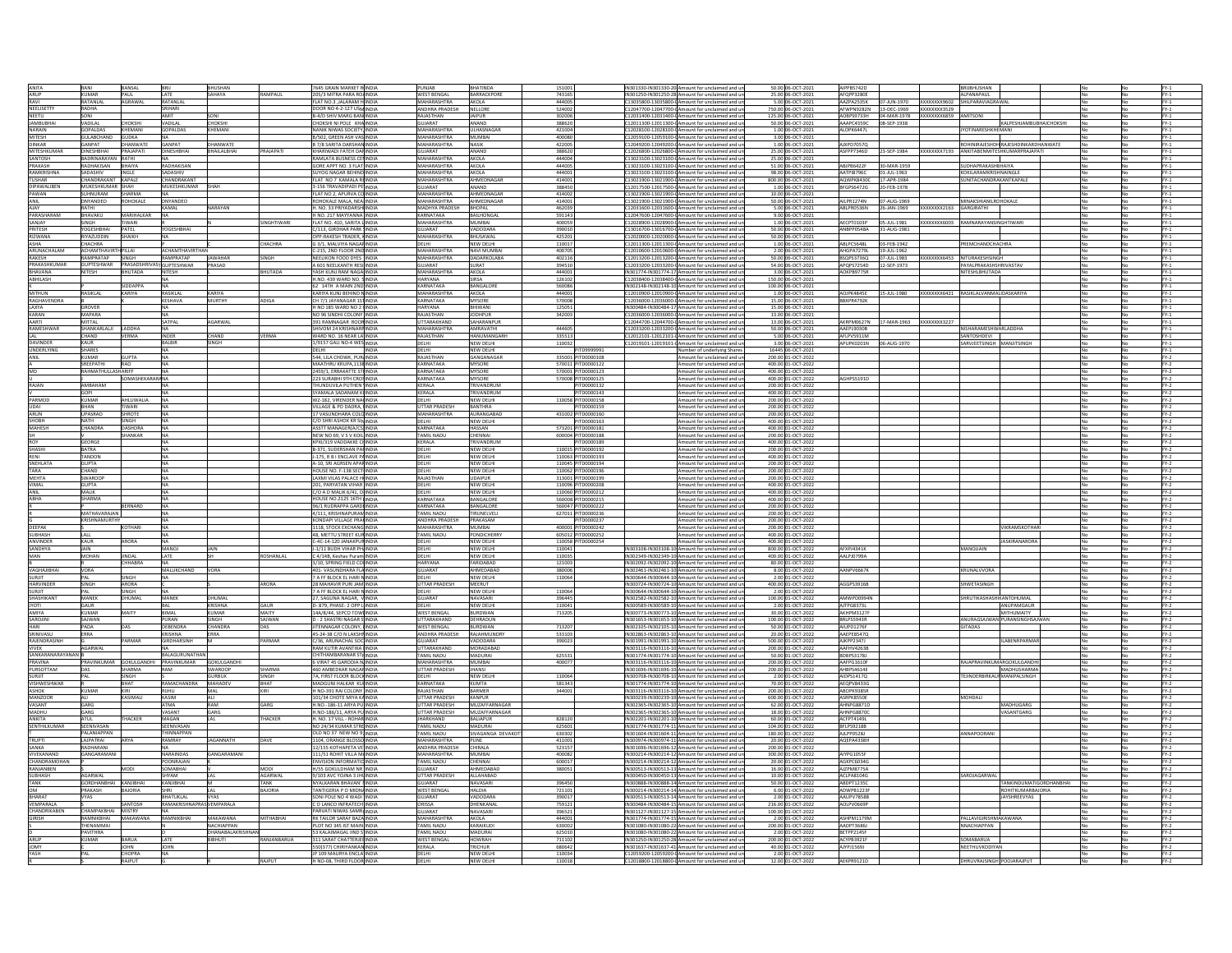| ANITA<br>ARUP       |                                 | BANSAI                           |                          |                   |                  |                                                              |               |                                 |                         | 151001                            | IN301330-IN301330-20 Amount for unclaimed and un                                                 |                                          |                                 |                         |                                                |                                           |                                   |                 |
|---------------------|---------------------------------|----------------------------------|--------------------------|-------------------|------------------|--------------------------------------------------------------|---------------|---------------------------------|-------------------------|-----------------------------------|--------------------------------------------------------------------------------------------------|------------------------------------------|---------------------------------|-------------------------|------------------------------------------------|-------------------------------------------|-----------------------------------|-----------------|
|                     | <b>INAS</b><br><b>KIIMAR</b>    |                                  | LATE                     | BHUSHAN<br>SAHAVA |                  | 7645 GRAIN MARKET RUNDIA<br>205/3 MITRA PARA ROAINDIA        |               | PUNJAB<br><b>WEST BENGAL</b>    | BHATINDA<br>BARRACKPOR  | 743165                            |                                                                                                  | 50.00 06-OCT-2021                        | AIPPB5742D<br>AFQPP3280E        |                         |                                                | RIJBHUSHAN<br><b>ALPANAPAUL</b>           |                                   | $FY-1$          |
| RAVI                | RATANLAL                        | AGRAWAL                          | RATANLAI                 |                   |                  | FLAT NO.3 JALARAM HIINDIA                                    |               | <b>MAHARASHTRA</b>              | AKOLA                   | 444005                            | IN301250-IN301250-28 Amount for unclaimed and<br>C13035800-13035800-CAmount for unclaimed and un | 25.00 06-OCT-202<br>5.00 06-OCT-2021     | AAZPA2535K                      | 07-JUN-1970             | XXXXXXXX9602 SHILPARAVIAGRAWA                  |                                           |                                   | $FY-1$          |
|                     |                                 |                                  |                          |                   |                  |                                                              |               |                                 |                         |                                   |                                                                                                  |                                          |                                 |                         |                                                |                                           |                                   |                 |
| NEELISETTY          | AHOAS                           |                                  | SRIHARI                  |                   |                  | DOOR NO 4-2-127 USM INDIA                                    |               | <b>ANDHRA PRADESH</b>           | NELLORE                 | 524002                            | C12047700-12047700-CAmount for unclaimed and un                                                  | 750.00 06-OCT-2021                       | AFWPN9282N                      | 13-DEC-1969             | XXXXXXXX3529                                   |                                           |                                   | $FY-1$          |
|                     |                                 |                                  | <b>SAIT</b>              |                   |                  | <b>B-4/D SHIV MARG BAI</b>                                   |               | RAIASTHAN                       |                         | 30200                             | 12031400-12031400-0A<br>mount for unclaimed and u                                                | 125.00 06-OCT-202                        | HFFFP29ROA                      | 04-MAR-1978 XXXXXXX6859 |                                                | <b>MITSON</b>                             |                                   | $FY-1$          |
| <b>JAMBUBHA</b>     | <b>ADILAL</b>                   | <b>HOKSHI</b>                    | VADILAL                  | <b>HOKSHI</b>     |                  | CHOKSHI NI POLE KHAINDIA                                     |               | <b>GUJARAT</b>                  | ANAND                   | 388620                            | C12011300-12011300-C Amount for unclaimed and un                                                 | 50.00 06-OCT-2023                        | AAAPC4359C                      | 08-SEP-1938             |                                                |                                           | KALPESHJAMBUBHAICHOKSH            | $FY-1$          |
| <b>NARAIN</b>       | <b>OPALDAS</b>                  | CHEMANI                          | SOPALDAS                 | KHEMANI           |                  | NANIK NIWAS SOCIETY                                          | <b>JINDIA</b> | <b>MAHARASHTRA</b>              | <b>JLHASNAGAI</b>       | 421004                            | C12028100-12028100-CAmount for unclaimed and ur                                                  | 1.00 06-OCT-2023                         | ALOPK6447L                      |                         |                                                | YOTINARESHKHEMANI                         |                                   | $FY-1$          |
| MITESH              | <b>IULABCHAND</b>               | iudka                            |                          |                   |                  | B/502, GREEN ASH VASINDIA                                    |               | MAHARASHTRA                     | MUMBAI                  | 400080                            | C12059100-12059100-0 Amount for unclaimed and un                                                 | 3.00 06-OCT-2021                         |                                 |                         |                                                |                                           |                                   | $FY-1$          |
| <b>DINKAR</b>       | ANDAT                           | ANMAT                            | SANPAT                   | HANMATE           |                  | <b>B 7/8 SARITA DARSHA</b>                                   |               | <b>MAHARASHTRA</b>              | NASIK                   | 422005                            | 12049200-12049200-CAmount for unclaimed and un                                                   | 1.00 06-OCT-202                          | JXPD7057Q                       |                         |                                                |                                           | HINIRAJESHDH RAJESHDINKARDHANWATI | $FY-1$          |
| MITESHKUMAR         | INESHBHAI                       | PRAJAPATI                        | <b>DINESHBHA</b>         | <b>HAILALBHAI</b> | PRAJAPATI        | KHARIWADI FATEH DARINDIA                                     |               | GUJARAT                         | ANAND                   | 388620                            | C12026800-12026800-0 Amount for unclaimed and ur                                                 | 25.00 06-OCT-202:                        | ASFPP7346D                      | 3-SEP-1984              | XXXXXXXX7193                                   |                                           | ANKITABENMITESHKUMARPRAJAPATI     | $FY-1$          |
| SANTOSH             | ADRINARAYAN                     |                                  |                          |                   |                  | RAMLATA BUSNESS CENINDIA                                     |               | <b>MAHARASHTRA</b>              | AKOLA                   | 444004                            | C13023100-13023100-CAmount for unclaimed and un                                                  | 25.00 06-OCT-202:                        |                                 |                         |                                                |                                           |                                   | $FY-1$          |
| PRAKASH             | ADHAKISAN                       | <b>HAIVA</b>                     | RADHAKISAN               |                   |                  | GORE APPT NO. 3 FLAT INDIA                                   |               | <b>MAHARASHTRA</b>              | AKOLA                   | 444005                            | C13023100-13023100-CAmount for unclaimed and u                                                   | 51.00 06-OCT-2021                        | ARIPR6422F                      | -MAR-1959               |                                                | <b>DHAPPAKAS</b>                          |                                   | FY-1            |
|                     |                                 |                                  |                          |                   |                  |                                                              |               |                                 |                         |                                   |                                                                                                  |                                          |                                 |                         |                                                |                                           |                                   |                 |
| <b>RAMKRISHN</b>    | SADASHIV                        | NGI F                            | SADASHIV                 |                   |                  | SUYOG NAGAR BEHIND                                           | INDIA         | <b>MAHARASHTRA</b>              | AKOLA                   | 444001                            | C13023100-13023100-C Amount for unclaimed and ur                                                 | 98.00 06-OCT-202:                        | AATPI8796C                      | -JUL-1963               |                                                | OKILARAMKRISHNAINGI F                     |                                   | $FY-1$          |
| <b>TUSHAR</b>       | HANDRAKANT KAPALE               |                                  | CHANDRAKANT              |                   |                  | FLAT NO 7 KAMALA REINDIA                                     |               | <b>MAHARASHTRA</b>              | AHMEDNAGAR              | 414001                            | C13021900-13021900-CAmount for unclaimed and un                                                  | 800.00 06-OCT-2021                       | AQWPK8430C                      | 17-APR-1984             |                                                | SUNITACHANDRAKANTKAPALE                   |                                   | $FY-1$          |
| DIPAWALIBEI         | MUKESHKUMAR SI                  |                                  | MUKESHKUMAR              |                   |                  | 3-156 TRAVADIPADI PE INDIA                                   |               | GUJARAT                         | ANAND                   | 388450                            | C12017500-12017500-0Amount for unclaimed and un                                                  | 1.00 06-OCT-2021                         | BFGPS6472G                      | 20-FEB-1978             |                                                |                                           |                                   | $FY-1$          |
| PAWAN               | <b>I IHNI IDAM</b>              | SHAPMA                           |                          |                   |                  | FLAT NO 2, APURVA COINDIA                                    |               | <b>MAHARASHTRA</b>              | <b>AHMEDNAGAR</b>       | 414002                            | C13021900-13021900-C Amount for unclaimed and u                                                  | 10.00 06-OCT-2021                        |                                 |                         |                                                |                                           |                                   | $FY-1$          |
| ANIL                | DNYANDEO                        | ROHOKALE                         | <b>DNYANDEO</b>          |                   |                  | ROHOKALE MALA, NEATINDIA                                     |               | <b>MAHARASHTRA</b>              | AHMEDNAGAR              | 414001                            | C13021900-13021900-CAmount for unclaimed and ur                                                  | 50.00 06-OCT-2023                        | AILPR1274N                      | 07-AUG-1969             |                                                | <b><i>MINAKSHIANILROHOKALE</i></b>        |                                   | $FY-1$          |
|                     |                                 |                                  | CAMAL                    | NARAYAN           |                  | H. NO. 33 PRIYADARSHIINDIA                                   |               | <b>MADHYA PRADESH</b>           | BHOPAL                  | 462039                            | C12031600-12031600-CAmount for unclaimed and un                                                  | 5.00 06-OCT-2023                         | ABLPR0536N                      |                         | 26-JAN-1969 XXXXXXXX2163 GARGIRATHI            |                                           |                                   | $FY-1$          |
| PARASHARA           | <b>BHAVAKU</b>                  | RIHALKAF                         |                          |                   |                  | I NO. 217 MAYYANNA                                           | INDIA         | KARNATAKA                       | BAILHONGA               | 591143                            | C12047600-12047600-CAmount for unclaimed and un                                                  | 9.00 06-OCT-202:                         |                                 |                         |                                                |                                           |                                   | $FY-1$          |
| SANJAY              | <b>HOMI</b>                     | <b>TIWARI</b>                    |                          |                   | <b>INGHTIMAR</b> | FLAT NO. 410, SARITA LINDIA                                  |               | <b>MAHARASHTRA</b>              | <b>MUMBAL</b>           | 400059                            | C12028900-12028900-C Amount for unclaimed and u                                                  | 1.00 06-OCT-202                          | AECPT0103P                      | 5-JUL-1981              | VYYYYYYK6003                                   | <b><i><u>PAMMARAYANSINGHTIMAR</u></i></b> |                                   | $FY-1$          |
| PRITESH             | YOGESHBHAI                      | PATEL                            | YOGESHBHAI               |                   |                  | C/113. GIRDHAR PARK INDIA                                    |               | GUJARAT                         | VADODARA                | 390010                            | C13016700-13016700-CAmount for unclaimed and ur                                                  | 50.00 06-OCT-2023                        | ANBPP0548A                      | 31-AUG-1981             |                                                |                                           |                                   | $FY-1$          |
|                     |                                 |                                  |                          |                   |                  |                                                              |               |                                 |                         |                                   |                                                                                                  |                                          |                                 |                         |                                                |                                           |                                   |                 |
| RIZWANA             | <b>RIYAZUDDIN</b>               | HAIKH                            |                          |                   |                  | OPP-RAKESH TRADER, HINDIA                                    |               | <b>MAHARASHTRA</b>              | BHUSAWAL                | 425201                            | C12020000-12020000-C Amount for unclaimed and ur                                                 | 50.00 06-OCT-2023                        |                                 |                         |                                                |                                           |                                   | $FY-1$          |
|                     | HACHRA                          |                                  |                          |                   | <b>HACHRA</b>    | 3/1, MALVIYA NAGAFINDIA                                      |               |                                 | <b>VEW DELH</b>         | 110017                            | 12011300-12011300-0<br>mount for unclaimed and u                                                 | 1.00 06-OCT-20                           | ABLPC56481                      | 3-FEB-1942              |                                                | REMCHANDCHACHR/                           |                                   | $FY-1$          |
| ARUNACHALAN         | <b>ACHAMTHAVIRTH</b>            |                                  | <b>ACHAMTHAVIRTH</b>     |                   |                  | C-215, 2ND FLOOR 2NDINDIA                                    |               | <b>MAHARASHTRA</b>              | NAVI MUMBA              | 400705                            | C12010600-12010600-C Amount for unclaimed and un                                                 | 2.00 06-OCT-2023                         | AHGPA7279L                      | 19-JUL-1962             |                                                |                                           |                                   | $FY-1$          |
| RAKESH              | AMPRATAP                        | <b>SINGH</b>                     | RAMPRATAP                | <b>JAWAHAR</b>    |                  | NEELIKON FOOD DYES INDIA                                     |               | <b>MAHARASHTRA</b>              | <b>DADARKOLAB</b>       | 402116                            | C12013200-12013200-C Amount for unclaimed and un                                                 | 50.00 06-OCT-202:                        | BSQPS3736Q                      | 7-JUL-1983              | XXXXXXXX6453                                   | NITURAKESHSINGH                           |                                   | $FY-1$          |
| PRAKASHKUMA         | <b>GUPTESHWAR</b>               | <b>PRASADSHRIVAST GUPTESHWAR</b> |                          | PRASAD            |                  | A 601 NEELKANTH RESI INDIA                                   |               | GUJARAT                         | SURAT                   | 394510                            | C12033200-12033200-CAmount for unclaimed and ur                                                  | 54.00 06-OCT-2021                        | APQPS7254D                      | 12-SEP-1973             |                                                | AYALPRAKASHSHRIVASTAV                     |                                   | $FY-1$          |
| BHAVANA             |                                 | <b>HUTADA</b>                    | NITESH                   |                   | HUTAD/           | YASH KUNJ RAM NAG                                            | <b>INDIA</b>  | MAHARASHTF                      | KOLA                    | 44400                             | IN301774-IN301774-17 Amount for unclaimed and ur                                                 | 3.00 06-OCT-202                          | <b>AOKPB9775R</b>               |                         |                                                | TESHLBHUTAD.                              |                                   | $FY-1$          |
| ABHILASH            |                                 |                                  |                          |                   |                  | H.NO. 439 WARD NO. SINDIA                                    |               | HARYANA                         | SIRSA                   | 126102                            | C12038400-12038400-0 Amount for unclaimed and ur                                                 | 150.00 06-OCT-202:                       |                                 |                         |                                                |                                           |                                   | $FY-1$          |
|                     |                                 | <b>IDDAPPA</b>                   | <b>NA</b>                |                   |                  | 62 14TH A MAIN 2ND INDIA                                     |               | <b>KARNATAKA</b>                | BANGALOR                | 560086                            | IN302148-IN302148-10 Amount for unclaimed and un                                                 | 100.00 06-OCT-202:                       |                                 |                         |                                                |                                           |                                   | $FY-1$          |
| MITHUN              | rasiklal                        | <b>ARIYA</b>                     | RASIKLAL                 | KARIYA            |                  | KARIYA KUNJ BEHIND NINDIA                                    |               | <b>MAHARASHTR</b>               | AKOLA                   | 444001                            | C12010900-12010900-CAmount for uncla                                                             | 1.00 06-OCT-202:                         | AOJPK4845E                      |                         | -JUL-1980 XXXXXXX6421 RASIKLALVANMALIDASKARIYA |                                           |                                   | $FY-1$          |
| <b>RAGHAVENDR</b>   |                                 |                                  | KESHAVA                  | <b>MURTHY</b>     |                  | CH 7/1 JAYANAGAR 1STINDIA                                    |               | KARNATAKA                       | MYSORE                  | 570008                            | 12036000-12036000-CAmount for unclaimed and u                                                    | 15.00 06-OCT-202                         | BBXPR4792K                      |                         |                                                |                                           |                                   | $FY-1$          |
|                     |                                 |                                  |                          |                   |                  |                                                              |               |                                 |                         |                                   |                                                                                                  |                                          |                                 |                         |                                                |                                           |                                   |                 |
| LAXYA               | GROVER                          |                                  |                          |                   |                  | H NO 185 WARD NO 2 0NDIA                                     |               | <b>HARYANA</b>                  | BHIWANI                 | 125051                            | IN300484-IN300484-17 Amount for unclaimed and un                                                 | 15.00 06-OCT-2023                        |                                 |                         |                                                |                                           |                                   | $FY-1$          |
| KARAN               | MAPARA                          |                                  |                          |                   |                  | NO 96 SINDHI COLONY INDIA                                    |               | RAJASTHAN                       | <b>JODHPUR</b>          | 342003                            | C12036000-12036000-0 Amount for unclaimed and un                                                 | 13.00 06-OCT-202:                        |                                 |                         |                                                |                                           |                                   | $FY-1$          |
| <b>AAPTI</b>        | <b>AITTAI</b>                   |                                  | CATDAL                   | <b>GARWAL</b>     |                  | 391 RAMNAGAR ROOBINDIA                                       |               | <b>UTTARAKHAND</b>              | <b>IGIADANAN</b>        |                                   | 212044700-12044700-0 Amount for unclaimed and u                                                  | 13.00 06-OCT-202                         | AKRPM0627N                      | -MAR-1963 XXXXXXXX3227  |                                                |                                           |                                   | $FY-1$          |
| RAMESHWAR           | SHANKARLALII                    | LADDHA                           | <b>NA</b>                |                   |                  | SHIVOM 24 KRISHNARPINDIA                                     |               | <b>MAHARASHTRA</b>              | AMRAVATHI               | 444605                            | C12033200-12033200-CAmount for unclaimed and un                                                  | 50.00 06-OCT-2023                        | AAEPL9030B                      |                         |                                                | <b>ISHARAMESHWARLADDHA</b>                |                                   | $FY-1$          |
|                     | <b>HAND</b>                     | <b>VERMA</b>                     | <b>INDER</b>             | CHAND             | <b>VERMA</b>     | WARD NO. 16 NEAR LA INDIA                                    |               | RAJASTHAN                       | HANUMANGAR              | 335513                            | C12012101-12012101-CAmount for unclaimed and un                                                  | 5.00 06-OCT-2021                         | AFLPV5911M                      |                         |                                                | SANTOSHDEVI                               |                                   | $FY-1$          |
| <b>DAVINDER</b>     | KAUR                            |                                  | BALBIR                   |                   |                  | 1/9157 GALI NO-4 WES INDIA                                   |               | DELHI                           | NEW DELHI               | 11003                             | 12019101-12019101<br>mount for unclaimed and u                                                   | 3.00 06-OCT-202                          | APUPK0201N                      | <b>AUG-1970</b>         |                                                | SARVJEETSINGH                             |                                   | $FY-1$          |
| UNDERLYING          | <b>SHARES</b>                   |                                  |                          |                   |                  | DELHI                                                        | INDIA         | DELHI                           | NEW DELHI               |                                   | Number of underlying Share:                                                                      | 16445 06-OCT-2021                        |                                 |                         |                                                |                                           |                                   | $FY-1$          |
| ANIL                | KUMAR                           | SUPTA                            |                          |                   |                  | 544. LILA CHOWK, PURINDIA                                    |               | RAJASTHAN                       | GANGANAGAF              | 335001 PITD0000108                | Amount for unclaimed and ur                                                                      | 200.00 01-OCT-2022                       |                                 |                         |                                                |                                           |                                   | $FY-2$          |
|                     | SREEPATHI                       | RAO                              |                          |                   |                  | MAATHRU KRUPA, 1138 INDIA                                    |               | KARNATAKA                       | MYSORE                  | 570011 PITD0000122                | Amount for unclaimed and ur                                                                      | 400.00 01-OCT-2022                       |                                 |                         |                                                |                                           |                                   | $FY-2$          |
|                     | <b>AHAAATH</b>                  |                                  |                          |                   |                  | 2459/1, ERRAKATTE S                                          | INDIA         | <b>KARNATAKA</b>                | MYSORE                  | 570001 PITD0000123                | mount for unclaimed and ur                                                                       | 400.00 01-OCT-202                        |                                 |                         |                                                |                                           |                                   | $FY-2$          |
|                     |                                 |                                  |                          |                   |                  | 223 SURABHI 9TH CROSINDIA                                    |               | KARNATAKA                       | MYSORE                  | 570008 PITD0000125                |                                                                                                  | 400.00 01-OCT-2022                       | AGHPS5191D                      |                         |                                                |                                           |                                   | $FY-2$          |
|                     |                                 | <b>SOMASHEKARA</b>               |                          |                   |                  |                                                              |               |                                 |                         |                                   | mount for unclaimed and u                                                                        |                                          |                                 |                         |                                                |                                           |                                   |                 |
| RAJAN               | AMBAHAM                         |                                  |                          |                   |                  | THUNDUVILA PUTHEN                                            | <b>INDIA</b>  | KERALA                          | <b>RIVANDRUI</b>        | PITD0000132                       | hount for unclaimed and ur                                                                       | 200.00 01-OCT-2022                       |                                 |                         |                                                |                                           |                                   | $FY-2$          |
|                     | GOPI                            |                                  |                          |                   |                  | SYAMALA SADANAM KOINDIA                                      |               | KERALA                          | TRIVANDRUM              | PITD0000143                       | Amount for unclaimed and u                                                                       | 400.00 01-OCT-2022                       |                                 |                         |                                                |                                           |                                   | $FY-2$          |
| PARMOD              | <b>CUMAR</b>                    | HLUWALIA                         |                          |                   |                  | WZ-182, VIRENDER NAOINDIA                                    |               | DELHI                           | <b>NEW DELHI</b>        | 110058 PITD0000158                | mount for unclaimed and u                                                                        | 200.00 01-OCT-202                        |                                 |                         |                                                |                                           |                                   | FY-2            |
| <b>UDAI</b>         | BHAN                            | <b>IWARI</b>                     |                          |                   |                  | VILLAGE & PO DADRA. IINDIA                                   |               | <b>UTTAR PRADESH</b>            | <b>BANTHRA</b>          | PITD0000159                       | Amount for unclaimed and un                                                                      | 200.00 01-OCT-2022                       |                                 |                         |                                                |                                           |                                   | $FY-2$          |
| ARUN                | <b>UPASRAO</b>                  | HROTE                            |                          |                   |                  | 17 VASUNDHARA COLOINDIA                                      |               | <b>MAHARASHTRA</b>              | AURANGABAD              | 431002 PITD0000160                | Amount for unclaimed and un                                                                      | 200.00 01-OCT-2022                       |                                 |                         |                                                |                                           |                                   | $FY-2$          |
| SHOBH               | <b>NATH</b>                     | <b>NGH</b>                       |                          |                   |                  | :<br>C/O SHRI ASHOK KR SININDIA                              |               | DELHI                           | <b>NEW DELH</b>         | PITD0000163                       | mount for unclaimed and u                                                                        | 400.00 01-OCT-2022                       |                                 |                         |                                                |                                           |                                   | $FY-2$          |
| <b>MAHESH</b>       | CHANDRA                         | <b>DASHORA</b>                   | N <sub>A</sub>           |                   |                  | ASSTT MANAGERIA/CS INDIA                                     |               | KARNATAKA                       | HASSAN                  | 573201 PITD0000181                | Amount for unclaimed and u                                                                       | 400.00 01-OCT-2022                       |                                 |                         |                                                |                                           |                                   | $FY-2$          |
|                     |                                 | ANKAR                            |                          |                   |                  | NEW NO 69, V S V KOIL INDIA                                  |               | <b>TAMIL NADU</b>               | CHENNAI                 | 600004 PITD0000188                | ount for unclaimed and un                                                                        | 200.00 01-OCT-2022                       |                                 |                         |                                                |                                           |                                   | $FY-2$          |
|                     | GEORGE                          |                                  |                          |                   |                  |                                                              |               | KERALA                          | TRIVANDRU               |                                   |                                                                                                  | 400.00 01-OCT-2022                       |                                 |                         |                                                |                                           |                                   |                 |
|                     | RATRA                           |                                  |                          |                   |                  | KPXI/319 VADDAKKE CHINDIA                                    |               |                                 |                         | PITD0000189                       | Amount for unclaimed and un                                                                      |                                          |                                 |                         |                                                |                                           |                                   | $FY-2$          |
| SHASHI              |                                 |                                  |                          |                   |                  | <b>B-371 SUDERSHAN PARINDIA</b>                              |               | <b>DETHI</b>                    | <b>NEW DELH</b>         | 110015 PITD0000192                | Amount for unclaimed and u                                                                       | 200.00 01-OCT-202                        |                                 |                         |                                                |                                           |                                   | FY-2            |
| <b>RENI</b>         | TANDON                          |                                  |                          |                   |                  | J-175. R B I ENCLAVE PAINDIA                                 |               | DELHI                           | NEW DELHI               | 110063 PITD0000193                | Amount for unclaimed and un                                                                      | 400.00 01-OCT-2022                       |                                 |                         |                                                |                                           |                                   | $FY-2$          |
| SNEHLATA            | <b>GUPTA</b>                    |                                  |                          |                   |                  | A-10, SRI AGRSEN APARINDIA                                   |               | DELHI                           | NEW DELHI               | 110045 PITD0000194                | Amount for unclaimed and un                                                                      | 200.00 01-OCT-2022                       |                                 |                         |                                                |                                           |                                   | $FY-2$          |
|                     | HAND                            |                                  |                          |                   |                  | HOUSE NO. F-138 SEC                                          |               | DELHI                           | NEW DELH                | 110062 PITD000019                 | bunt for unclaimed and u                                                                         | 200.00 01-OCT-202                        |                                 |                         |                                                |                                           |                                   | $FY-2$          |
| <b>MEHTA</b>        | <b>WAROOP</b>                   |                                  |                          |                   |                  | LAXMI VILAS PALACE HIINDIA                                   |               | RAJASTHAN                       | <b>UDAIPUR</b>          | 313001 PITD0000199                | Amount for unclaimed and ur                                                                      | 200.00 01-OCT-2022                       |                                 |                         |                                                |                                           |                                   | $FY-2$          |
| VIMAL               | <b>SUPTA</b>                    |                                  |                          |                   |                  | 201. PARYATAN VIHAR INDIA                                    |               | DELHI                           | NEW DELHI               | 110096 PITD0000208                | Amount for unclaimed and un                                                                      | 400.00 01-OCT-2022                       |                                 |                         |                                                |                                           |                                   | $FY-2$          |
|                     | MALIK                           |                                  |                          |                   |                  | C/O A D MALIK 6/41, OUNDIA                                   |               | DELHI                           | NEW DELHI               | 110060 PITD0000212                | Amount for unclaimed and ur                                                                      | 400.00 01-OCT-2022                       |                                 |                         |                                                |                                           |                                   | $FY-2$          |
| ANIL<br>ABHA        | <b>HARMA</b>                    |                                  |                          |                   |                  | HOUSE NO.2125 16TH                                           |               | KARNATAKA                       | <b>JANGALOR</b>         | 560008 PITD000021                 | ount for unclaimed and u                                                                         | 400.00 01-OCT-2022                       |                                 |                         |                                                |                                           |                                   | $FY-2$          |
|                     |                                 | <b>NARD</b>                      |                          |                   |                  | 96/1 RUDRAPPA GARDEINDIA                                     |               | KARNATAKA                       | BANGALORE               | 560047 PITD0000222                |                                                                                                  | 200.00 01-OCT-2022                       |                                 |                         |                                                |                                           |                                   | $FY-2$          |
|                     | MATHAVARAJAN                    |                                  |                          |                   |                  |                                                              |               |                                 |                         |                                   | Amount for unclaimed and un                                                                      |                                          |                                 |                         |                                                |                                           |                                   | $FY-2$          |
|                     |                                 |                                  |                          |                   |                  | 4/111, KRISHNAPURAMINDIA<br><b>KONDAPI VILLAGE PRANINDIA</b> |               | TAMIL NADU                      | TIRUNELVELI<br>PRAKASAM | 627011 PITD0000236<br>PITD0000237 | Amount for unclaimed and un                                                                      | 200.00 01-OCT-2022<br>200.00 01-OCT-2022 |                                 |                         |                                                |                                           |                                   |                 |
|                     | KRISHNAMURT                     |                                  |                          |                   |                  |                                                              |               | <b>ANDHRA PRADE</b>             |                         |                                   | Amount for unclaimed and u                                                                       |                                          |                                 |                         |                                                |                                           |                                   | $FY-2$          |
| DEEPAK              |                                 |                                  |                          |                   |                  | 1118, STOCK EXCHANG                                          | INDIA         | <b>MAHARASHTRA</b>              | MUMBAI                  | 400001 PITD0000242                | Amount for unclaimed and u                                                                       | 200.00 01-OCT-202                        |                                 |                         |                                                |                                           | <b>IKRAMSKOTH</b>                 | $FY-2$          |
| SUBHASH             | ALL                             |                                  |                          |                   |                  | 48. METTU STREET KURINDIA                                    |               | TAMIL NADU                      | ONDICHERR'              | 605012 PITD0000252                | Amount for unclaimed and ur                                                                      | 400.00 01-OCT-2022                       |                                 |                         |                                                |                                           |                                   | $FY-2$          |
| <b>ANVINDER</b>     | KAUR                            | ARORA                            |                          |                   |                  | C-4C-14-120 JANAKPURINDIA                                    |               | DELHI                           | NEW DELHI               | 110058 PITD0000254                | Amount for unclaimed and un                                                                      | 400.00 01-OCT-2022                       |                                 |                         |                                                |                                           | JASKIRANARORA                     | $FY-2$          |
| SANDHYA             | <b>IAIN</b>                     |                                  | <b>MANO</b>              |                   |                  | -1/11 BUDH VIHAR PHINDIA                                     |               | <b>DETHI</b>                    | NEW DELH                | 110041                            | N303108-IN303108-10 Amount for unclaimed and u                                                   | 800.00 01-OCT-2022                       | AFXPJ4341K                      |                         |                                                | <b>ANNOTAIN</b>                           |                                   | $FY-2$          |
| MAN                 | MOHAN                           | NDAI                             | LATE                     |                   | <b>COSHANLAL</b> | C 4/14B. Keshav Puram INDIA                                  |               | DELHI                           | NEW DELHI               | 110035                            | IN302349-IN302349-10 Amount for unclaimed and ur                                                 | 400.00 01-OCT-2022                       | AALPJ0799A                      |                         |                                                |                                           |                                   | $FY-2$          |
|                     |                                 |                                  |                          |                   |                  | 3/10, SPRING FIELD CONNDIA                                   |               | <b>HARYANA</b>                  | FARIDABA                | 121003                            |                                                                                                  |                                          |                                 |                         |                                                |                                           |                                   | $FY-2$          |
| VAGHAJIB            | /ORA                            |                                  | MALUKCHAND               | VORA              |                  |                                                              | LAINDIA       |                                 |                         |                                   | IN302092-IN302092-10 Amount for unclaimed and un                                                 | 80.00 01-OCT-2022                        |                                 |                         |                                                |                                           |                                   | $FY-2$          |
| <b>SURJIT</b>       |                                 | <b>NGH</b>                       |                          |                   |                  |                                                              |               |                                 | AHMEDABAI               |                                   |                                                                                                  |                                          |                                 |                         |                                                |                                           |                                   |                 |
| <b>HARVINDER</b>    | SINGH                           | ARORA                            |                          |                   |                  | 401- VASUNDHARA F                                            |               | <b>GUJARAT</b>                  |                         | 38000                             | IN302461-IN302461-10 Amount for unclaimed and un                                                 | 8.00 01-OCT-202                          | AANPV6667K                      |                         |                                                | <b>IUNALVVORA</b>                         |                                   |                 |
| SURJIT              |                                 |                                  |                          |                   |                  | 7 A FF BLOCK EL HARI NINDIA                                  |               | DELHI                           | <b>NEW DELHI</b>        | 110064                            | IN300644-IN300644-10 Amount for unclaimed and u                                                  | 2.00 01-OCT-2022                         |                                 |                         |                                                |                                           |                                   | $FY-2$          |
|                     |                                 |                                  |                          |                   | ARORA            | 28 MAHAVIR PURI JAMIINDIA                                    |               | <b>UTTAR PRADESH</b>            | MEERUT                  |                                   | IN300724-IN300724-10 Amount for unclaimed and un                                                 | 400.00 01-OCT-2022                       | AGGPS3916B                      |                         |                                                | SHWETASINGH                               |                                   | $FY-2$          |
|                     |                                 | INGH                             |                          |                   |                  | <b>7 A FF BLOCK EL HARI NINDIA</b>                           |               | DELHI                           | NEW DELHI               | 110064                            | IN300644-IN300644-10 Amount for unclaimed and un                                                 | 2.00 01-OCT-2022                         |                                 |                         |                                                |                                           |                                   | $FY-2$          |
| SHASHIKAN           | MANFK                           | <b>IUMA</b>                      | MANFI                    | HUMA              |                  | 7, SAGUNA NAGAR,                                             |               | GUJARAT                         | VAVASARI                | 396445                            | IN302582-IN302582-10 Amount for unclaimed and u                                                  | 100.00 01-OCT-202                        | AMWPD0994N                      |                         |                                                | <b>ITIKASH</b>                            | HIKANTDHUMAL                      | $FY-2$          |
| <b>TOYL</b>         | GAUR                            |                                  | BAL                      | KRISHNA           | GALIP            | D-879, PHASE- 2 OPP LINDIA                                   |               | DELHI                           | NEW DELHI               | 110041                            | IN300589-IN300589-10 Amount for unclaimed and u                                                  | 2.00 01-OCT-2022                         | AJTPG8373L                      |                         |                                                |                                           | ANUPAMGAUR                        | $FY-2$          |
| AMIYA               | KUMAR                           |                                  | BIMAL                    | KUMAR             | MAITY            | 14A/8/44, SEPCO TOWNINDIA                                    |               | <b>WEST BENGAL</b>              | BURDWAN                 | 713205                            | IN300773-IN300773-10 Amount for unclaimed and un                                                 | 30.00 01-OCT-2022                        | AKHPM3127F                      |                         |                                                |                                           | MITHUMAITY                        | $FY-2$          |
| SAROJINI            | SAJWAN                          |                                  | PURAN                    | <b>SINGH</b>      | SAJWAN           | <b>D - 2 SHASTRI NAGAR S INDIA</b>                           |               | <b>UTTARAKHAND</b>              | DEHRADUN                |                                   | IN301653-IN301653-10 Amount for unclaimed and un                                                 | 100.00 01-OCT-2022                       | BRLPS5943R                      |                         |                                                |                                           | ANURAGSAJWAN PURANSINGHSAJWAI     | $FY-2$          |
|                     | ADA                             |                                  | DEBENDRA                 | <b>HANDRA</b>     |                  | TENNAGAR COLONY                                              | INDIA         | <b>WEST BENGA</b>               | <b>URDWAN</b>           | 713207                            | IN302105-IN302105-10 Amount for unclaimed and u                                                  | 50.00 01-OCT-202                         | NUPD1276F                       |                         |                                                | <b>ITADAS</b>                             |                                   | $FY-2$          |
| SRINIVASL           | ERRA                            |                                  | CRISHNA                  | RRA               |                  | 45-24-38 C/O N LAKSHNINDIA                                   |               | <b>ANDHRA PRADESI</b>           | RAJAHMUNDR              | 533103                            | IN302863-IN302863-10 Amount for unclaimed and ur                                                 | 20.00 01-OCT-2022                        | AAEPE8547Q                      |                         |                                                |                                           |                                   | $FY-2$          |
| RAJENDRASIN         |                                 |                                  | <b>GIRDHARSIN</b>        |                   | <b>ARMAR</b>     | C/36, ARUNACHAL SOC INDIA                                    |               | GUJARAT                         | VADODARA                | 390023                            | IN301991-IN301991-10 Amount for unclaimed and un                                                 | 500.00 01-OCT-2022                       | AJKPP2347J                      |                         |                                                |                                           | <b>ILABENRPARMAR</b>              | $FY-2$          |
| <b>IVEK</b>         | AGARWAL                         |                                  |                          |                   |                  | <b>RAM KUTIR AVANTIKA</b>                                    | INDIA         | <b>LITTARAKHAND</b>             | MORADABAD               |                                   | IN303116-IN303116-10 Amount for unclaimed and u                                                  | 200.00 01-OCT-202                        | AAFHV4263B                      |                         |                                                |                                           |                                   |                 |
| SANKARANAI          |                                 |                                  | RAI AGURUNATI            |                   |                  | CHITHAMRARANAR STRINDIA                                      |               | TAMIL NADIL                     | MADURAL                 | 625531                            | IN301774-IN301774-10 Amount for unclaimed and u                                                  | 50.00 01-001-2023                        | <b>RDRPS31781</b>               |                         |                                                |                                           |                                   | $FY-2$<br>$FY-$ |
| <b>PRAVINA</b>      | PRAVINKUMAR                     | <b>GOKULGANDHI</b>               | PRAVINKUMAR              | GOKULGANDHI       |                  | 6 VIRAT 45 GARODIA NJINDIA                                   |               | <b>MAHARASHTRA</b>              | MUMBAI                  |                                   |                                                                                                  |                                          | AAFPG1610F                      |                         |                                                | RAJAPRAVINKUMARGOKULGANDH                 |                                   |                 |
|                     |                                 |                                  |                          |                   |                  |                                                              |               |                                 |                         | 400077                            | IN303116-IN303116-10 Amount for unclaimed and un                                                 | 200.00 01-OCT-2022                       |                                 |                         |                                                |                                           |                                   | $FY-2$          |
| PURSOTTAM           | DAS                             | SHARMA<br><b>INICIA</b>          |                          | <b>SWAROOP</b>    | <b>SHARMA</b>    | 460 AMBEDKAR NAGARINDIA                                      |               | <b>UTTAR PRADESH</b>            | <b>JHANSI</b>           |                                   | IN301696-IN301696-10 Amount for unclaimed and un                                                 | 200.00 01-OCT-2022                       | AHBPS4614E                      |                         |                                                |                                           | MADHUSHARM/                       | $FY-2$          |
| <b>SURJIT</b>       |                                 |                                  |                          | <b>SURRUX</b>     | SINGH            | 7A, FIRST FLOOR BLOCKINDIA                                   |               | DEIHI                           | NEW DELH                | 110064                            | IN300708-IN300708-10 Amount for unclaimed and u                                                  | 2.00 01-OCT-202                          | AIDPS1417Q                      |                         |                                                | <b>EJINDERBIRKAUFMANIPALSINGH</b>         |                                   | $FY-2$          |
| VISHWESHWAI         |                                 | BHAT                             | RAMACHANDRA              | MAHADEV           | BHAT             | MADGUNI HALKAR KUTINDIA                                      |               | KARNATAKA                       | <b>KUMTA</b>            | 581343                            | IN301774-IN301774-10 Amount for unclaimed and un                                                 | 70.00 01-OCT-2022                        | AEQPV8433G                      |                         |                                                |                                           |                                   | $FY-2$          |
| ASHOK               | KUMAR                           |                                  | RUHU                     | MAL               |                  | H NO-391 RAI COLONY INDIA                                    |               | RAJASTHAN                       | BARMER                  | 344001                            | IN303116-IN303116-10 Amount for unclaimed and un                                                 | 200.00 01-OCT-2022                       | ABOPK9385R                      |                         |                                                |                                           |                                   | $FY-2$          |
| <b>MANZOOR</b>      |                                 |                                  | KASIM                    |                   |                  | 101/34 CHOTE MIYA KAINDIA                                    |               | <b>ITTAR PRADE</b>              | KANPUR                  |                                   | IN300239-IN300239-10 Amount for unclaimed and ur                                                 | 600.00 01-OCT-202                        | ASRPK8550E                      |                         |                                                |                                           |                                   | $FY-2$          |
| VASANT              | GARG                            |                                  | <b>ATMA</b>              | RAM               | <b>GARG</b>      | H.NO.-186-11 ARYA PUINDIA                                    |               | <b>UTTAR PRADESH</b>            | MUZAECARN.              |                                   | IN302365-IN302365-10 Amount for unclaimed and u                                                  | 62.00 01-OCT-2022                        | AHNPG8871D                      |                         |                                                |                                           | <b>DRADHLIGARS</b>                | $FY-2$          |
| MADHU               | GARG                            |                                  | VASANT                   | GARG              |                  | H.NO-186/11, ARYA PUINDIA                                    |               | <b>UTTAR PRADESH</b>            | <b>MUZAFFARNAGAR</b>    |                                   | IN302365-IN302365-10 Amount for unclaimed and un                                                 | 18.00 01-OCT-2022                        | AHNPG8870C                      |                         |                                                |                                           | VASANTGARG                        | $FY-2$          |
| ANKITA              | ATUL                            | <b>ACKER</b>                     | MAGAN                    |                   | <b>HACKER</b>    | H. NO. 17 VILL - ROHARINDIA                                  |               | <b>JHARKHAND</b>                | <b>ALIAPUR</b>          | 828120                            | IN302201-IN302201-10 Amount for unclaimed and un                                                 | 60.00 01-OCT-2022                        | ACFPT4149L                      |                         |                                                |                                           |                                   | $FY-2$          |
|                     |                                 |                                  |                          |                   |                  |                                                              |               |                                 | MADURA                  |                                   |                                                                                                  |                                          |                                 |                         |                                                |                                           |                                   |                 |
| SENTHILKUM          | SEENIVASAN<br><b>ALANIAPPAN</b> |                                  | SEENIVASAN<br>THINNAPPAN |                   |                  | NO 24/34 KUMAR STR<br>OLD NO 37 NEW NO 97 INDIA              |               | <b>TAMIL NADU</b><br>TAMIL NADU | SIVAGANGA DEVAKO        | 62560<br>630302                   | IN301774-IN301774-11 Amount for unclaimed and u<br>imed and u                                    | 104.00 01-OCT-202<br>180.00 01-OCT-2022  | <b>BFLPS9218B</b><br>AILPP0528J |                         |                                                | NNAPOORANI                                |                                   | FY-2<br>$FY-2$  |
|                     |                                 |                                  |                          |                   |                  |                                                              |               |                                 |                         |                                   | IN301604-IN301604-11 Amount for uncla                                                            |                                          |                                 |                         |                                                |                                           |                                   |                 |
| <b>TRUPTI</b>       | LAJPATRAI                       |                                  | RAMRAY                   | <b>JAGANNATH</b>  | DAVE             | 1104, ORANGE BLOSSO INDIA                                    |               | <b>MAHARASHTRA</b>              |                         | 411001                            | IN300974-IN300974-11 Amount for unclaimed and un                                                 | 20.00 01-OCT-2022                        | AQEPA4338H                      |                         |                                                |                                           |                                   | FY-2            |
| SANKA               | ADHARANI                        |                                  |                          |                   |                  | 12/155 KOTHAPETA VE INDIA                                    |               | <b>ANDHRA PRADES</b>            | CHIRALA                 | 523157                            | IN301696-IN301696-12 Amount for unclaimed and u                                                  | 200.00 01-OCT-2022                       |                                 |                         |                                                |                                           |                                   | $FY-2$          |
| VIVEKANANI          | <b>ANGARAMAM</b>                |                                  | NARAINDAS                | ANGARAMANI        |                  | 11/51 ROHIT VILLA MAINDIA                                    |               | <b>MAHARASHTRA</b>              | MUMRAI                  | 400082                            | IN300214-IN300214-12 Amount for unclaimed and u                                                  | 300.00 01-OCT-202                        | AIYPG1055F                      |                         |                                                |                                           |                                   | $FY-2$          |
| <b>CHANDRAMOHAN</b> |                                 |                                  | POONRAJAN                |                   |                  | <b>ENVISION INFORMATIOINDIA</b>                              |               | TAMIL NADU                      | <b>HENNAI</b>           | 600017                            | IN300214-IN300214-12 Amount for unclaimed and ur                                                 | 20.00 01-OCT-2022                        | AGKPC6034G                      |                         |                                                |                                           |                                   | $FY-2$          |
| RANJANBEN           |                                 |                                  | SOMABHAI                 |                   | MODI             | H/55 GOKULDHAM NR INDIA                                      |               | <b>GUJARAT</b>                  | HMEDABAE                | 380051                            | IN300513-IN300513-13 Amount for unclaimed and un                                                 | 16.00 01-OCT-2022                        | AJZPM8775A                      |                         |                                                |                                           |                                   | $FY-2$          |
| SUBHASH             | GARWAL                          |                                  | <b>HYAM</b>              |                   | <b>AGARWAI</b>   | 9/103 AVC YOJNA 3 JHUNDIA                                    |               | <b>UTTAR PRADES</b>             | ALLAHABA                |                                   | IN300450-IN300450-13 Amount for unclaimed and ur                                                 | 10.00 01-OCT-202                         | ACLPA8104G                      |                         |                                                | AROIAGARWA                                |                                   | $FY-2$          |
| TANK                | <b>GORDHANBHAI</b>              | HRHAI                            | KANJIBHA                 |                   | <b>TANK</b>      | NYALKARAN BHAVAN' NINDIA                                     |               | GUJARAT                         | NAVASARI                | 396450                            | IN300888-IN300888-14 Amount for unclaimed and u                                                  | 50.00 01-OCT-2022                        | ABDPT1235C                      |                         |                                                |                                           | ANKINDUMATIGORDHANBHAI            | $FY-2$          |
|                     | RAKASH                          | <b>AJORIA</b>                    |                          |                   | <b>BAJORIA</b>   | TANTIGERIA P O MIDNAINDIA                                    |               | <b>WEST BENGAL</b>              | HALDIA                  | 721101                            | IN300214-IN300214-14 Amount for unclaimed and un                                                 | 6.00 01-OCT-2022                         | ADWPB1223F                      |                         |                                                |                                           | <b>IOHITKUMARBAJORI</b>           | $FY-2$          |
| BHARAT              | <b>YAS</b>                      |                                  | <b>BHATUKLAL</b>         | <b>VYAS</b>       |                  | SONI POLE NO 4 WADI INDIA                                    |               | <b>GUJARAT</b>                  | <b>VADODARA</b>         | 390017                            | IN300513-IN300513-14 Amount for unclaimed and un                                                 | 2.00 01-OCT-2022                         | AAUPV7858B                      |                         |                                                |                                           | JAYSHREEVYAS                      | $FY-2$          |
| VEMPARALA           |                                 | <b>INTOSH</b>                    | <b>PAMAKRISH</b>         | <b>/EMPARALA</b>  |                  | <b>COLANCO INFRATECI</b>                                     |               | <b>ORISSA</b>                   | DHENKANA                |                                   |                                                                                                  |                                          | AOI PV0669P                     |                         |                                                |                                           |                                   |                 |
|                     |                                 |                                  |                          |                   |                  |                                                              |               |                                 |                         | 759121                            | IN300484-IN300484-15 Amount for unclaimed and u                                                  | 216.00 01-OCT-202                        |                                 |                         |                                                |                                           |                                   | FY-2            |
| CHANDRIKABEN        | HAMPAKBHAI MISTRY               |                                  |                          |                   |                  | PARVATI NIWAS SAMROINDIA                                     |               | <b>GUJARAT</b>                  | NAVASARI                | 396521                            | IN301127-IN301127-15 Amount for unclaimed and un                                                 | 100.00 01-OCT-2022                       |                                 |                         |                                                |                                           |                                   | $FY-2$          |
| <b>SIRISH</b>       | AMNIKBHAI                       | <b>AAKAWANA</b>                  | RAMNIKBH                 | MAKAWANA          | MITHABHA         | RK TAILOR SARAF BAZA INDIA                                   |               | MAHARASHTR                      | AKOLA                   | 444001                            | IN301774-IN301774-15 Amount for unclaimed and un                                                 | 2.00 01-OCT-2022                         | ASHPM1179M                      |                         |                                                | PALLAVIGIRISHMAKAWANA                     |                                   | $FY-2$          |
|                     | HENAMMAI                        |                                  |                          | <b>ACHIAPPAN</b>  |                  | PLOT NO 345 IST MAI                                          |               | <b>TAMIL NADL</b>               | CARAIKUD                | 63000                             | IN301080-IN301080-22 Amount for uncla                                                            | 200.00 01-OCT-202                        | AADPT3686J                      |                         |                                                | <b>INACHIAPPAN</b>                        |                                   |                 |
|                     | <b>AVITHRA</b>                  |                                  |                          | HANARAI AKRI'     |                  | 53 KALAIMAGAL JIND SINDIA                                    |               | TAMIL NADLL                     | <b>MADURAL</b>          | 625010                            | IN301080-IN301080-22 Amount for unclaimed and un                                                 | 2.00 01-OCT-2022                         | RFTPP2145F                      |                         |                                                |                                           |                                   | FY-7            |
| ARUP                | KUMAR                           | <b>BARUA</b>                     | LATE                     | <b>SIBHUTI</b>    | RANJANBARUA      | 311 SARAT CHATTERJEHNDIA                                     |               | <b>WEST BENGAL</b>              | <b>HOWRAH</b>           | 711102                            | IN301250-IN301250-28 Amount for unclaimed and un                                                 | 200.00 01-OCT-2022                       | ACYPB3921F                      |                         |                                                | SOMABARUA                                 |                                   | $FY-2$          |
|                     |                                 | OHN                              | <b>JOHN</b>              |                   |                  | 550(377) CHIRIYANKAN INDIA                                   |               | KERALA                          | TRICHUR                 | 680642                            | IN301637-IN301637-41 Amount for unclaimed and un                                                 | 40.00 01-OCT-2022                        | AJYPJ1569J                      |                         |                                                | VEETHUVKODIYA                             |                                   | $FY-2$          |
| JOMY<br>YASH        |                                 | <b>IOPRA</b>                     |                          |                   |                  | P 109 MAURYA ENCLATINDIA                                     |               | DELHI                           | NEW DELH                | 110034                            | 12059200-12059200-0 Amount for unclaimed and un<br>010000 13010000<br>anna facu                  | 2.00 01-OCT-2022<br>OCT 202              |                                 |                         |                                                |                                           |                                   |                 |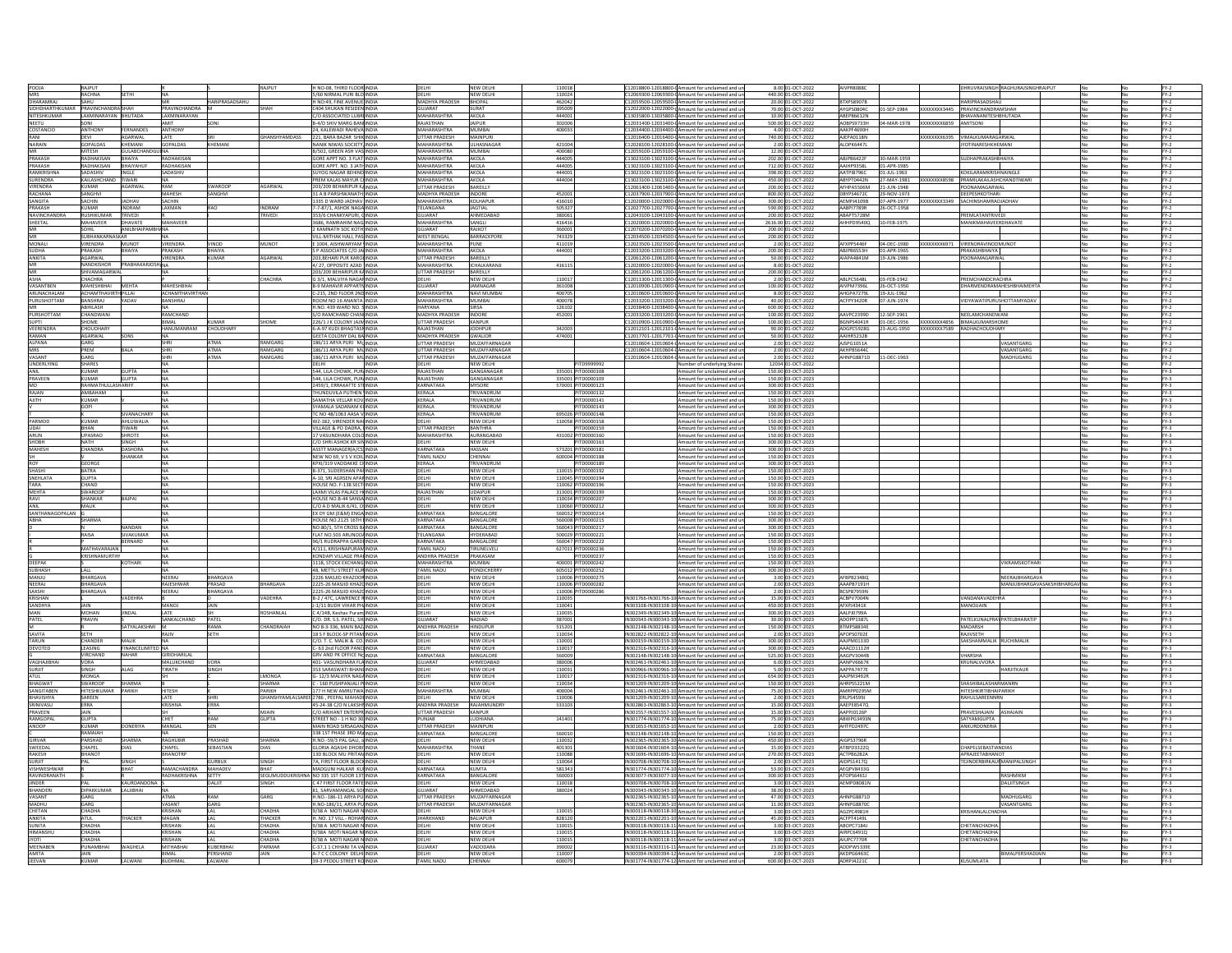| POOJA                              | RAJPUT                                                |                                      |                                     |                      |                     | H NO-08, THIRD FLOOR INDIA                                     | DELHI                                        | <b>NEW DELH</b>                             | 110018                  |                                 |                    | C12018800-12018800-CAmount for unclaimed and ur                                                                                                          |           | 8.00 01-OCT-2022                                            | AIVPR8088C                     |                                  |                  | HRUVRAJSINGH RAGHURAJSINGHRAJPU                       |  | $FY-2$           |
|------------------------------------|-------------------------------------------------------|--------------------------------------|-------------------------------------|----------------------|---------------------|----------------------------------------------------------------|----------------------------------------------|---------------------------------------------|-------------------------|---------------------------------|--------------------|----------------------------------------------------------------------------------------------------------------------------------------------------------|-----------|-------------------------------------------------------------|--------------------------------|----------------------------------|------------------|-------------------------------------------------------|--|------------------|
|                                    | RACHNA                                                |                                      |                                     |                      |                     | 5/60 NIRMAL PURI BLOINDIA                                      | DEIHI                                        | NEW DELH                                    | 11002                   |                                 |                    | C12069300-12069300-C Amount for unclaimed and                                                                                                            |           | 440.00 01-OCT-202                                           |                                |                                  |                  |                                                       |  | $FY-2$           |
| DHARAMRAJ                          | SAHU                                                  |                                      |                                     | HARIPRASADSAHU       |                     | H NO:49. FINE AVENUE INDIA                                     | <b>MADHYA PRADESH</b>                        | <b>BHOPAL</b>                               | 46204                   |                                 |                    | C12059500-12059500-0 Amount for unclaimed and un                                                                                                         |           | 20.00 01-OCT-2022                                           | <b>BTXPS8907B</b>              |                                  |                  | HARIPRASADSHAU                                        |  | $FY-2$           |
| SIDHDHARTHKUMA                     | <b>RAVINCHANDRA SHAF</b>                              |                                      | <b>PRAVINCHANDRA</b>                |                      |                     | C404 SHUKAN RESIDEN INDIA                                      | GUJARAT<br><b>MAHARASHTRA</b>                | SURAT                                       | 39500<br>44400          |                                 |                    | C12022000-12022000-0Amount for unclaimed and ur                                                                                                          |           | 70.00 01-OCT-2022                                           | AYGPS0804C                     | 01-SEP-1984                      | XXXXXXXX3445     | PRAVINCHANDRAMSHAH                                    |  | $FY-2$           |
| NITESHKUMAR<br>NEETU               | <b>AXMINARAYAN</b><br>ONI                             | BHUTADA                              | AXMINARAYAN                         |                      |                     | C/O ASSOCIATED LUBRI INDIA<br><b>B-4/D SHIV MARG BAN INDIA</b> | RAJASTHAN                                    | AKOLA<br><b>AIPUR</b>                       | 30200                   |                                 |                    | 3035800-13035800-C Amount for unclaimed and<br>C12031400-12031400-CAmount for unclaimed and ur                                                           |           | 10.00 01-OCT-202<br>500.00 01-OCT-202                       | ABEPB6612N<br>AOBPS9733H       | 04-MAR-1978 XXXXXXX6859 AMITSONI |                  | <b>RHAVANANITESHRHLITADA</b>                          |  | $FY-2$<br>$FY-2$ |
| COSTANCIO                          | ANTHONY                                               | <b>FERNANDES</b>                     | <b>ANTHONY</b>                      |                      |                     | 24. KALEWADI RAHEVAIINDIA                                      | <b>MAHARASHTRA</b>                           | <b>MUMBAI</b>                               | 400033                  |                                 |                    | C12034400-12034400-0 Amount for unclaimed and u                                                                                                          |           | 4.00 01-OCT-202                                             | AAKPF4690H                     |                                  |                  |                                                       |  | $FY-2$           |
| RANI                               | JEVI                                                  | AGARWAL                              | LATE                                |                      | <b>IANSHYAMDASS</b> | 221, BARA BAZAR SHIKINDIA                                      | <b>JTTAR PRADESH</b>                         | <b>MAINPURI</b>                             |                         |                                 |                    | C12016400-12016400-CAmount for unclaimed and ur                                                                                                          |           | 740.00 01-OCT-2022                                          | AJEPA0118N                     |                                  | <b>OOOOOOOSS</b> | VIMALKUMARAGARWAL                                     |  | $FY-2$           |
| NARAIN                             | OPALDAS                                               | CHEMANI                              | OPALDAS                             | KHEMANI              |                     | <b>NNIK NIWAS SOCIET</b>                                       | <b>MAHARASHTRA</b>                           | LHASNAGA                                    | 42100                   |                                 | 2028100-12028100-0 | Amount for unclaimed and                                                                                                                                 |           | OCT-202                                                     | ALOPK6447L                     |                                  |                  | <b>TINARESHKHEMAN</b>                                 |  | $FY-2$           |
| <b>MR</b>                          | MITESH                                                | GULABCHAND                           |                                     |                      |                     | B/502, GREEN ASH VASIINDIA                                     | <b>MAHARASHTRA</b>                           | MUMBAI                                      | 40008                   |                                 |                    | 12059100-12059100-CAmount for unclaimed and ur                                                                                                           |           | 12.00 01-OCT-202                                            |                                |                                  |                  |                                                       |  | $FY-2$           |
| PRAKASH<br>PRAKASH                 | ADHAKISAN<br><b>ADHAKISAN</b>                         | <b>BHAIYA</b><br>RHAIVAHLIC          | RADHAKISAN<br>RADHAKISAN            |                      |                     | GORE APPT NO. 3 FLAT INDIA<br>GORE ARRT NO. 3 IATHINDIA        | <b>MAHARASHTRA</b><br><b>MAHARASHTRA</b>     | AKOLA<br>AKOLA                              | 44400<br>44400          |                                 |                    | C13023100-13023100-0 Amount for unclaimed and ur<br>13023100-13023100-0 Amount for unclaimed and u                                                       | 202.00    | 01-OCT-202<br>712.00 01-OCT-202                             | ABJPB6422F<br>AAIHDQ258I       | 30-MAR-1959<br>14.000.1085       |                  | <b>SUDHAPRAKASHBHAIYA</b>                             |  | $FY-2$<br>$FY-2$ |
| <b>RAMKRISHN</b>                   | ADASHIV                                               | INGLE                                | ADASHIV                             |                      |                     | SUYOG NAGAR BEHINDIINDIA                                       | <b>MAHARASHTRA</b>                           | AKOLA                                       | 44400                   |                                 |                    | 13023100-13023100-C Amount for unclaimed and u                                                                                                           | 398.00    | 01-OCT-202                                                  | AATPI8796C                     | $-$ JUL-1963                     |                  | <b>COKILARAMKRISHNAINGI</b>                           |  | $FY-2$           |
| SURENDRA                           | KAILASHCHAND TIWARI                                   |                                      |                                     |                      |                     | PREM KALAS MAYUR COINDIA                                       | <b>MAHARASHTRA</b>                           | AKOLA                                       | 444004                  |                                 |                    | C13023100-13023100-0Amount for unclaimed and un                                                                                                          |           | 450.00 01-OCT-202                                           | ABYPT0442N                     |                                  |                  | 7-MAY-1981 XXXXXXX8598 PRAMILAKAILASHCHANDTIWARI      |  | $FY-2$           |
| VIRENDRA                           | UMAR                                                  | AGARWAL                              | RAM                                 | SWAROOP              | AGARWAL             | 203/209 BEHARIPUR KAINDIA                                      | <b>JTTAR PRADESH</b>                         | BAREILLY                                    |                         |                                 |                    | C12061400-12061400-CAmount for unclaimed and ur                                                                                                          |           | 200.00 01-OCT-2022                                          | AFHPA5506M                     | 21-JUN-1948                      |                  | POONAMAGARWAL                                         |  | $FY-2$           |
| RACHANA                            | <b>ANGHVI</b>                                         |                                      | MAHESH                              | <b>SANGHVI</b>       |                     | <b>31 A B PARSHWANATH INDIA</b>                                | <b>MADHYA PRADESH</b>                        | <b>INDORE</b>                               | 45200                   |                                 |                    | C12037900-12037900-C Amount for unclaimed and                                                                                                            |           | 800.00 01-OCT-202                                           | DBYPS4672C                     | 9-NOV-1973                       |                  | DEEPESHKOTHARI                                        |  | $FY-2$           |
| SANGITA<br>PRAKASH                 | ACHIN                                                 | ADHAV                                | <b>ACHIN</b><br><b>AXMAN</b>        | RAO                  |                     | 1335 D WARD JADHAV INDIA<br>-7-87/1, ASHOK NA                  | MAHARASHTRA<br><b>FELANGANA</b>              | KOLHAPUR<br><b>AGTIAL</b>                   | 41601<br>5053           |                                 |                    | C12020000-12020000-0 Amount for unclaimed and un<br>12027700-12027700-0 Amount for unclai                                                                |           | 300.00 01-OCT-202<br>590.00 01-OCT-202                      | AEMPJ4109B                     | 07-APR-1977                      |                  | XXXXXXX3349 SACHINSHAMRAOJADHAV                       |  | $FY-2$<br>$FY-2$ |
| NAVINCHANE                         | <b>RUSHIKUMAR</b>                                     | <b>TRIVEDI</b>                       |                                     |                      | <b>TRIVEDI</b>      | 353/6 CHANKYAPURI, GINDIA                                      | <b>SUJARAT</b>                               | AHMEDABA                                    | 38006                   |                                 |                    | ned and ur<br>12043100-12043100-CAmount for unclaimed and u                                                                                              |           | 200.00 01-OCT-202                                           | ARAPT5728M                     | 26-OCT-1958                      |                  | PREMI ATANTRIVED                                      |  | $FY-2$           |
| SHEETAL                            | <b>AAHAVEER</b>                                       | <b>DHAVATE</b>                       | <b>MAHAVEER</b>                     |                      |                     | 3686. RAMRAHIM NAG INDIA                                       | <b>MAHARASHTRA</b>                           | SANGLI                                      | 41641                   |                                 |                    | C12020000-12020000-CAmount for unclaimed and u                                                                                                           |           | 2616.00.01-OCT-2022                                         | AHHPD9540Q                     | 0-FFR-1975                       |                  | ΜΑΝΙΚΜΑΗΑVEERDHAVATE                                  |  | $FY-2$           |
|                                    | OHIL                                                  | ANILBHAIPAMB                         |                                     |                      |                     | 2 KAMNATH SOC KOTH INDIA                                       | GUJARAT                                      | RAJKOT                                      | 360003                  |                                 |                    | C12070200-12070200-CAmount for unclaimed and ur                                                                                                          |           | 200.00 01-OCT-2022                                          |                                |                                  |                  |                                                       |  | $FY-2$           |
|                                    | <b>UBHANKARNASKAR</b>                                 |                                      |                                     |                      |                     | VILL-MITHAK HALI, PASIINDIA                                    | <b>WEST BENGAL</b>                           | <b>BARRACKPOR</b>                           | 743329                  |                                 |                    | C12034500-12034500-C Amount for unclaimed and ur                                                                                                         |           | 200.00 01-OCT-2022                                          |                                |                                  |                  |                                                       |  | $FY-2$           |
| MONALI                             | <b>IRENDRA</b>                                        | MUNOT                                | <b>JIRENDRA</b>                     | VINOD                | <b>ALINOT</b>       | F 1004 AISHWARYAM VINDIA                                       | <b>MAHARASHTRA</b>                           | PLINE                                       | 41101                   |                                 |                    | 12023500-12023500-0 Amount for unclaimed and u                                                                                                           |           | 2.00 01-0CT-202                                             | <b>AFXPP5446F</b>              | 04-DFC-1980                      |                  | XXXXXXX6971 VIRENDRAVINODMUNOT                        |  | $FY-2$           |
| <b>SUDHA</b><br>ANKITA             | <b>PRAKASH</b><br>GARWAL                              | RHAIYA                               | PRAKASH                             | BHAIYA               |                     | S P ASSOCIATES C/O JAHNDIA<br>203, BEHARI PUR KAROLINDIA       | <b>MAHARASHTRA</b><br><b>JTTAR PRADESH</b>   | AKOLA<br>AREILLY                            | 44400                   |                                 |                    | C12033200-12033200-CAmount for unclaimed and un<br>C12061200-12061200-CAmount for unclaimed and ur                                                       | 50.00 01  | 200.00 01-OCT-202<br>I-OCT-2022                             | ABJPB6553H<br><b>UAPA4841M</b> | 01-APR-1965<br>19-JUN-1986       |                  | PRAKASHBHAIYA                                         |  | $FY-2$<br>$FY-2$ |
|                                    | ANDKISHOR                                             |                                      |                                     |                      |                     | 4/27, OPPOSITE AZAD INDIA                                      | MAHARASHTRA                                  | CHALKARAM                                   | 416119                  |                                 |                    | 12020000-12020000-CAmount for unclaimed and u                                                                                                            |           | 8.00 01-OCT-2022                                            |                                |                                  |                  |                                                       |  | $FY-2$           |
| MR                                 | <b>IIVAMAGARWA</b>                                    |                                      |                                     |                      |                     | 203/209 BEHARIPUR KAINDIA                                      | <b>UTTAR PRADESH</b>                         | BAREILLY                                    |                         |                                 |                    | C12061200-12061200-0 Amount for unclaimed and u                                                                                                          |           | 200.00 01-OCT-202                                           |                                |                                  |                  |                                                       |  | $FY-2$           |
| ASHA                               | HACHRA                                                |                                      |                                     |                      | <b>HACHRA</b>       | G 3/1, MALVIYA NAGARINDIA                                      | DEIHI                                        | NEW DELH                                    | 11001                   |                                 |                    | 12011300-12011300-0 Amount for unclaimed and ur                                                                                                          |           | 2.00 01-OCT-202                                             | ABLPC5648L                     | 03-FEB-1942                      |                  | PREMCHANDCHACHRA                                      |  | $FY-2$           |
| VASANTBEN<br><b>ARLINACHALAM</b>   | <b>IAHESHBHAI</b><br><b><i>CHAMTHAVIRTHPILLAL</i></b> | <b>MEHTA</b>                         | MAHESHBHAI<br><b>ACHAMTHAVIRTHA</b> |                      |                     | <b>B-9 MAHAVIR APPARTNINDIA</b><br>C-215 2ND FLOOR 2NDINDIA    | <b>GUJARAT</b><br><b>MAHARASHTRA</b>         | AMNAGAF<br>NAVI MUMRA                       | 361008<br>40070         |                                 |                    | C12010900-12010900-0 Amount for unclaimed and ur<br>C12010600-12010600-0 Amount for unclaimed and                                                        |           | 100.00 01-OCT-2022<br>8.00 01-0CT-202                       | AIVPM7396L<br>AHGPA72791       | 26-OCT-1950<br>19-1111-1962      |                  | HARMENDRAMAHESHBHAIM                                  |  | $FY-2$           |
| PURUSHOTTAM                        | <b>BANSHRAJ</b>                                       | <b>YADAV</b>                         | BANSHRAJ                            |                      |                     | ROOM NO 16 ANANTA INDIA                                        | <b>MAHARASHTRA</b>                           | MUMBAI                                      | 40007                   |                                 |                    | 12033200-12033200-0 Amount for unclaimed and ur                                                                                                          |           | 40.00 01-OCT-202                                            | ACFPY3420R                     | 7-JUN-1974                       |                  | <b>VIDYAWATIPURUSHOTTAMYADAV</b>                      |  | $FY-2$<br>$FY-2$ |
|                                    | BHILASH                                               |                                      |                                     |                      |                     | H.NO. 439 WARD NO. SINDIA                                      | <b>HARYANA</b>                               | <b>SIRSA</b>                                | 12610                   |                                 |                    | 12038400-12038400-0 Amount for unclaimed and ur                                                                                                          |           | 600.00 01-OCT-202                                           |                                |                                  |                  |                                                       |  | $FY-2$           |
| PURSHOTTAM                         | HANDWANI                                              |                                      | RAMCHAND                            |                      |                     | S/O RAMCHAND CHAN INDIA                                        | MADHYA PRADESH                               | <b>INDORE</b>                               | 45200                   |                                 |                    | C12033200-12033200-CAmount for unclaimed and un                                                                                                          |           | 100.00 01-OCT-2022                                          | AAVPC2399D                     | 12-SEP-1961                      |                  | NEELAMCHANDWAN                                        |  | $FY-2$           |
| <b>SUPTI</b>                       | HOME                                                  |                                      | <b>IAMI</b> R                       | KUMAR                | HOME                | 226/1 J K COLONY JAJMINDIA                                     | <b>UTTAR PRADESH</b>                         | KANPLIR                                     |                         |                                 |                    | C12010900-12010900-CAmount for unclaimed and ur                                                                                                          |           | 100.00 01-OCT-202                                           | RGNPS4041R                     | 01-DFC-1956                      |                  | XXXXXXX4856 BIMALKUMARSHOME                           |  | $FY-2$           |
| VEERENDRA                          | CHOUDHARY                                             |                                      | HANUMANRAM                          | CHOUDHARY            |                     | 6-A-97 KUDI BHAGTASNINDIA                                      | RAJASTHAN                                    | <b>JODHPUR</b>                              | 342003                  |                                 |                    | C12012101-12012101-CAmount for unclaimed and ur                                                                                                          |           | 90.00 01-OCT-2022                                           | ADGPC5928G                     |                                  |                  | 23-AUG-1950 XXXXXXXX7589 RADHACHOUDHARY               |  | $FY-2$           |
| RAMAN<br>ALPANA                    | GARWAL<br>:ARG                                        |                                      |                                     | ΔΤΜΔ                 | AMGARG              | GEETA COLONY DAL BAINDI.<br>186/11 ARYA PURL MUNDIA            | MADHYA PRADESH<br><b>ITTAR PRADESH</b>       | <b>WALIOR</b><br><b>MUZAFFARNAGAR</b>       | 47400                   |                                 |                    | 2017701-12017701-CAmount for unclair<br>ned and ur<br>12010604-12010604-0 Amount for unclaimed and u                                                     |           | $OCT-202$<br>2.00 01-OCT-202                                | <b>AISPG1051A</b>              |                                  |                  | VASANTGARG                                            |  | $FY-2$<br>$FY-2$ |
| <b>MRS</b>                         | PREM                                                  |                                      | <b>SHIP</b>                         | ATMA                 | RAMGARG             | 186/11 ARYA PURI MUINDIA                                       | <b>UTTAR PRADESH</b>                         | <b>MUZAFFARNAGAR</b>                        |                         |                                 |                    | C12010604-12010604-C Amount for unclaimed and ur                                                                                                         |           | 2.00 01-OCT-2022                                            | AKHPB5644C                     |                                  |                  | VASANTGARG                                            |  | $FY-2$           |
| VASANT                             | GARG                                                  |                                      |                                     | ATMA                 | AMGARG              | 186/11 ARYA PURI MUINDIA                                       | <b>UTTAR PRADESH</b>                         | MUZAFFARNAGAF                               |                         |                                 |                    | C12010604-12010604-CAmount for unclaimed and ur                                                                                                          |           | 2.00 01-OCT-2022                                            | <b>MHNPG8871D</b>              | 11-DEC-1963                      |                  | MADHUGARG                                             |  | $FY-2$           |
| <b>UNDERLYIN</b>                   | SHARES                                                |                                      |                                     |                      |                     |                                                                |                                              | <b>NEW DELHI</b>                            |                         | 10999997                        |                    | lumber of underlying Share                                                                                                                               |           | 12034 01-OCT-202                                            |                                |                                  |                  |                                                       |  | $FY-2$           |
| ANII                               | KUMAR                                                 | <b>GUPTA</b>                         |                                     |                      |                     | 544 TILA CHOWK PURINDIA                                        | RAIASTHAN                                    | GANGANAGAR                                  |                         | 335001 PITD0000108              |                    | Amount for unclaimed and u                                                                                                                               |           | 150.00 03-OCT-2023                                          |                                |                                  |                  |                                                       |  | $FY-3$           |
| PRAVEEN                            | <b>KUMAR</b><br>ΗΜΑΤΗ                                 | <b>GUPTA</b>                         |                                     |                      |                     | 544, LILA CHOWK, PURAINDIA                                     | RAJASTHAN                                    | SANGANAGAR<br><b>AYSORE</b>                 |                         | 335001 PITD0000109              |                    | mount for unclaimed and un                                                                                                                               |           | 150.00 03-OCT-2023                                          |                                |                                  |                  |                                                       |  | $FY-3$           |
| RAJAN                              | ΔΜΒΔΗΔΜ                                               |                                      |                                     |                      |                     | 2459/1, ERRAKATTE STIINDI<br>THUNDUVILA PUTHEN UNDIA           | KARNATAKA<br><b>KERALA</b>                   | <b><i>ERIVANDRUM</i></b>                    | 57000                   | TD0000132                       |                    | mount for unclaimed and u<br>amount for unclaimed and u                                                                                                  |           | 300.00 03-OCT-202<br>150.00 03-OCT-2023                     |                                |                                  |                  |                                                       |  | $FY-3$<br>$FY-2$ |
| <b>AJITH</b>                       | KUMAR                                                 |                                      |                                     |                      |                     | SAMATHA VELLAR KOVIINDIA                                       | KERALA                                       | TRIVANDRUM                                  |                         | TD0000141                       |                    | mount for unclaimed and ur                                                                                                                               |           | 150.00 03-OCT-2023                                          |                                |                                  |                  |                                                       |  | $FY-3$           |
|                                    | iOPI                                                  |                                      |                                     |                      |                     | SYAMALA SADANAM KOINDIA                                        | KERALA                                       | <b><i>TRIVANDRUM</i></b>                    |                         | TD0000143                       |                    | mount for unclaimed and ur                                                                                                                               |           | 300.00 03-OCT-2023                                          |                                |                                  |                  |                                                       |  | $FY-3$           |
|                                    |                                                       | VANACHARY                            |                                     |                      |                     | TC NO 48/1063 AASA                                             | KERALA                                       | RIVANDRUM                                   | 69502                   | TD0000148                       |                    | mount for unclaimed and u                                                                                                                                |           | 150.00 03-OCT-2023                                          |                                |                                  |                  |                                                       |  | $FY-3$           |
| PARMOD                             | <b>CUMAR</b>                                          | MILUWALIA                            |                                     |                      |                     | WZ-182, VIRENDER NACINDIA                                      | DELHI                                        | NEW DELHI                                   |                         | 110058 PITD0000158              |                    | mount for unclaimed and u                                                                                                                                |           | 150.00 03-OCT-202                                           |                                |                                  |                  |                                                       |  | $FY-3$           |
| <b>UDAI</b><br>ARUN                | <b>BHAN</b><br>UPASRAC                                | <b>IWARI</b><br><b>SHROTE</b>        |                                     |                      |                     | VILLAGE & PO DADRA, IINDIA<br>17 VASUNDHARA COLO INDIA         | <b>UTTAR PRADESH</b><br>MAHARASHTRA          | <b>BANTHRA</b><br><b>AURANGABA</b>          | 43100                   | TD0000159<br>TD0000160          |                    | mount for unclaimed and un<br>mount for unclaimed and u                                                                                                  |           | 150.00 03-OCT-2023<br>150.00 03-OCT-2023                    |                                |                                  |                  |                                                       |  | $FY-3$<br>$FY-3$ |
| SHOBH                              | <b>HTAV</b>                                           | INGH                                 |                                     |                      |                     | C/O SHRI ASHOK KR SININDIA                                     | <b>DELHI</b>                                 | NEW DELHI                                   |                         | TD0000163                       |                    | mount for unclaimed and u                                                                                                                                |           | 300.00 03-OCT-202                                           |                                |                                  |                  |                                                       |  | $FY-3$           |
| MAHESH                             | CHANDRA                                               | <b>DASHORA</b>                       |                                     |                      |                     | ASSTT MANAGER(A/CS) INDIA                                      | KARNATAKA                                    | HASSAN                                      | 573201                  | TD0000181                       |                    | Amount for unclaimed and un                                                                                                                              |           | 300.00 03-OCT-2023                                          |                                |                                  |                  |                                                       |  | $FY-3$           |
|                                    |                                                       | ANKAR                                |                                     |                      |                     | NEW NO 69, V S V KOIL INDIA                                    | TAMIL NADU                                   | CHENNAI                                     | 600004                  | TD0000188                       |                    | mount for unclaimed and un                                                                                                                               |           | 150.00 03-OCT-2023                                          |                                |                                  |                  |                                                       |  | $FY-3$           |
|                                    | <b>SEORGE</b>                                         |                                      |                                     |                      |                     | KPXI/319 VADDAKKE CHINDIA                                      | KERALA                                       | RIVANDRUM                                   |                         | TD0000189                       |                    | nount for unclaimed and u                                                                                                                                |           | 300.00 03-OCT-202                                           |                                |                                  |                  |                                                       |  | $FY-3$           |
| SHASHI<br>SNEHLATA                 | BATRA<br><b>GUPTA</b>                                 |                                      |                                     |                      |                     | <b>B-371. SUDERSHAN PARINDIA</b><br>A-10, SRI AGRSEN APARINDIA | DELHI<br>DELHI                               | NEW DELHI<br>NEW DELH                       | 110015<br>110045        | TD0000192<br>TD0000194          |                    | Amount for unclaimed and ur<br>ount for unclaimed and un                                                                                                 |           | 150.00 03-OCT-2023<br>150.00 03-OCT-2023                    |                                |                                  |                  |                                                       |  | $FY-3$<br>$FY-3$ |
| TARA                               | CHAND                                                 |                                      |                                     |                      |                     | HOUSE NO. F-138 SECTINDIA                                      | DELHI                                        | <b>NEW DELH</b>                             | 110062                  | TD0000196                       |                    | mount for unclaimed and ur                                                                                                                               |           | 150.00 03-OCT-2023                                          |                                |                                  |                  |                                                       |  | $FY-3$           |
| <b>MEHTA</b>                       | <b>SWAROOP</b>                                        |                                      |                                     |                      |                     | <b>LAXMI VILAS PALACE HIINDIA</b>                              | <b>RAJASTHAM</b>                             | <b>UDAIPUR</b>                              | 313001                  | TD0000199                       |                    | Amount for unclaimed and                                                                                                                                 |           | 150.00 03-OCT-202                                           |                                |                                  |                  |                                                       |  | $FY-3$           |
| RAVI                               | SHANKAR                                               | <b>BAJPAI</b>                        |                                     |                      |                     | HOUSE NO.B-44 SANSAINDIA                                       | DELHI                                        | NEW DELHI                                   |                         | 110034 PITD0000207              |                    | Amount for unclaimed and un                                                                                                                              |           | 300.00 03-OCT-2023                                          |                                |                                  |                  |                                                       |  | $FY-3$           |
| ANIL                               | <b>AALIK</b>                                          |                                      |                                     |                      |                     | C/O A D MALIK 6/41, O INDIA                                    | DELHI                                        | <b>NEW DELHI</b>                            |                         | 110060 PITD0000212              |                    | mount for unclaimed and ur                                                                                                                               |           | 300.00 03-OCT-2023                                          |                                |                                  |                  |                                                       |  | $FY-3$           |
| SANTHANAGOPALAN<br>ABHA            | HARMA                                                 |                                      |                                     |                      |                     | <b>FX DY GM (F&amp;M) FNG.</b><br>HOUSE NO.2125 16TH HINDIA    | KARNATAKA<br>KARNATAKA                       | <b>BANGALORE</b><br>BANGALORE               | 56003                   | TD0000214<br>560008 PITD0000215 |                    | mount for unclaimed and<br>mount for unclaimed and u                                                                                                     | 150.0     | 03-OCT-202<br>300.00 03-OCT-2023                            |                                |                                  |                  |                                                       |  | $FY-3$<br>$FY-3$ |
|                                    |                                                       | NANDAN                               |                                     |                      |                     | NO:80/1, 5TH CROSS BAINDIA                                     | KARNATAKA                                    | BANGALORE                                   |                         | 560043 PITD0000217              |                    | Amount for unclaimed and un                                                                                                                              |           | 300.00 03-OCT-2023                                          |                                |                                  |                  |                                                       |  | $FY-3$           |
|                                    | AISA                                                  | SIVAKUMAR                            |                                     |                      |                     | FLAT NO.503 ARUNODAINDIA                                       | TELANGANA                                    | <b>IYDERABAD</b>                            |                         | 500029 PITD0000221              |                    | mount for unclaimed and ur                                                                                                                               |           | 150.00 03-OCT-2023                                          |                                |                                  |                  |                                                       |  | $FY-3$           |
|                                    |                                                       | ERNARD                               |                                     |                      |                     | 96/1 RUDRAPPA GARDEINDIA                                       | CARNATAKA                                    | ANGALORE                                    | 560047                  | TD000022                        |                    | ount for unclaimed and                                                                                                                                   | 150.00 03 | $-0CT-202$                                                  |                                |                                  |                  |                                                       |  | $FY-3$           |
|                                    | MATHAVARAJAN                                          |                                      |                                     |                      |                     | 4/111. KRISHNAPURAMINDIA                                       | <b>TAMIL NADU</b>                            | <b>IRUNELVEL</b>                            | 627011                  | TD0000236                       |                    | Amount for unclaimed and u                                                                                                                               |           | 150.00 03-OCT-2023                                          |                                |                                  |                  |                                                       |  | $FY-3$           |
| DEEPAK                             | RISHNAMURTH                                           | <b>KULHVADI</b>                      |                                     |                      |                     | KONDAPI VILLAGE PRAJINDIA<br><b>1118. STOCK EXCHANG INDIA</b>  | ANDHRA PRADESH<br><b>MAHARASHTRA</b>         | PRAKASAM<br>MUMBAL                          | 400001                  | FD0000237<br><b>TD0000242</b>   |                    | mount for unclaimed and ur                                                                                                                               |           | 150.00 03-OCT-2023<br>150.00 03-OCT-202                     |                                |                                  |                  | VIKRAMSKOTHAR                                         |  | $FY-3$<br>$FY-3$ |
| <b>SUBHASH</b>                     |                                                       |                                      |                                     |                      |                     | 48. METTU STREET KURINDIA                                      | <b>TAMIL NADU</b>                            | PONDICHERE                                  | 605012                  | TD0000252                       |                    | mount for unclaimed and un<br>Amount for unclaimed and u                                                                                                 |           | 300.00 03-OCT-202                                           |                                |                                  |                  |                                                       |  | $FY-3$           |
| MANJU                              | <b>HARGAVA</b>                                        |                                      | NEERAJ                              | BHARGAVA             |                     | 2226 MASJID KHAZOOFINDIA                                       | DELHI                                        | NEW DELHI                                   |                         | 110006 PITD0000275              |                    | mount for unclaimed and ur                                                                                                                               |           | 3.00 03-OCT-202                                             | AFBPB2348Q                     |                                  |                  | NEERAJBHARGAVA                                        |  | $FY-3$           |
| NEERAJ                             | HARGAVA                                               |                                      | RAJESHWAI                           | PRASAD               | HARGAVA             | 2225-26 MASJID KHAZCINDIA                                      | DELHI                                        | NEW DELHI                                   |                         | 110006 PITD0000282              |                    | Amount for unclaimed and ur                                                                                                                              |           | 2.00 03-OCT-2023                                            | AAAPB7191H                     |                                  |                  | IANJUBHARGAVASAKSHIBHARGAV No                         |  | $FY-3$           |
| SAKSHI                             | HARGAVA                                               |                                      | VEERAJ                              | HARGAVA              |                     | 2225-26 MASJID KHAZCINDIA                                      | DELHI                                        | <b>NEW DELH</b>                             | 110006                  | 00000286                        |                    | Amount for unclaimed and u                                                                                                                               |           | 2.00 03-OCT-202                                             | BCSPB7959N                     |                                  |                  |                                                       |  | $FY-3$           |
| KRISHAN<br>SANDHYA                 |                                                       | <b>/ADEHRA</b>                       |                                     |                      | <b>/ADEHRA</b>      | B-2 / 47C. LAWRENCE RINDIA                                     | DELHI                                        | NEW DELHI                                   | 110035                  |                                 |                    | IN301766-IN301766-10 Amount for unclaimed and un                                                                                                         |           | 15.00 03-OCT-2023                                           | ACBPV7004N                     |                                  |                  | VANDANAVADEHRA                                        |  | $FY-3$           |
| <b>MAN</b>                         | MOHAN                                                 |                                      | LOWAN<br>ATF                        | JAIN                 | SHANLA              | J-1/11 BUDH VIHAR PHIINDIA<br>C 4/14B, Keshav Puram INDIA      | DELHI<br>DELHI                               | NEW DELH<br>NEW DELH                        | 11004<br>11003          |                                 |                    | IN303108-IN303108-10 Amount for unclair<br>ned and ur<br>N302349-IN302349-10 Amount for uncla<br>med and                                                 |           | 450.00 03-OCT-202<br>300.00 03-OCT-202                      | AFXPJ4341K<br>AALPJ0799A       |                                  |                  | MANOJJAIN                                             |  | $FY-3$<br>$FY-3$ |
| PATEL                              | PRAVIN                                                |                                      | <b>ANKAI CHAND</b>                  | PATEL                |                     | C/O. DR. S.S. PATEL, SHIINDIA                                  | GUIARAT                                      | NADIAD                                      | 38700                   |                                 |                    | IN300343-IN300343-10 Amount for unclaimed and u                                                                                                          |           | 30.00 03-OCT-202                                            | ADOPP1387L                     |                                  |                  | PATELKUNALPRAVPATELBHARATIP                           |  | $FY-3$           |
|                                    |                                                       | SATYALAKSHMI                         |                                     | RAMA                 | <b>HANDRAIAH</b>    | NO 8-3-336. MAIN BAZ INDIA                                     | <b>ANDHRA PRADESH</b>                        | <b>HINDUPUR</b>                             | 515201                  |                                 |                    | IN302148-IN302148-10 Amount for unclaimed and un                                                                                                         |           | 150.00 03-OCT-2023                                          | BTMPS8834E                     |                                  |                  | MADARSH                                               |  | $FY-3$           |
| SAVITA                             | SETH                                                  |                                      | RAJIV                               | SETH                 |                     | 18 S F BLOCK-SP PITAM INDIA                                    | DELHI                                        | NEW DELHI                                   | 110034                  |                                 |                    | IN302822-IN302822-10 Amount for unclaimed and un                                                                                                         |           | 2.00 03-OCT-2023                                            | APOPS0702E                     |                                  |                  | RAJIVSETH                                             |  | $FY-3$           |
| TARUN                              | <b>HANDER</b><br>LEASING                              | <b>MALIK</b><br><b>FINANCELIMITE</b> |                                     |                      |                     | C/O. T. C. MALIK & CO. INDIA<br>C- 63 2nd FLOOR PANCHNDIA      | DELHI<br>DEIHI                               | NEW DELH<br>NEW DELH                        | 11000                   |                                 |                    | N300159-IN300159-10 Amount for unclaimed and                                                                                                             |           | 300.00 03-OCT-202<br>300.00 03-OCT-2023                     | AAJPM0133D<br>AAACD1112H       |                                  |                  | RUCHIMALIK<br>SAKSHAMMALIK                            |  | $FY-3$           |
| DEVOTED                            |                                                       |                                      |                                     |                      |                     |                                                                |                                              |                                             |                         |                                 |                    |                                                                                                                                                          |           |                                                             |                                |                                  |                  |                                                       |  | $FY-3$<br>$FY-3$ |
|                                    |                                                       |                                      |                                     |                      |                     |                                                                |                                              |                                             | 11001                   |                                 |                    | IN302316-IN302316-10 Amount for unclaimed and u                                                                                                          |           |                                                             |                                |                                  |                  |                                                       |  | $FY-3$           |
|                                    | <b>IRCHAND</b>                                        |                                      | <b>IRIDHARILAL</b>                  |                      |                     | GRV AND PK OFFICE NOINDIA                                      | KARNATAKA                                    | BANGALORE                                   | 560009                  |                                 |                    | IN302148-IN302148-10 Amount for unclaimed and ur                                                                                                         |           | 525.00 03-OCT-2023                                          | AAGPV3044B                     |                                  |                  | VHARSHA                                               |  |                  |
| <b>VAGHAJIBHA</b><br><b>SURJIT</b> | VORA<br><b>INGH</b>                                   | <b>ALAG</b>                          | MALUKCHAND<br>TIRATH                | <b>VORA</b><br>SINGH |                     | 401- VASUNDHARA FLAINDIA<br>353 SARASWATI BHANDINDIA           | GUJARAT<br>DEIHI                             | AHMEDABAL<br><b>NEW DELHI</b>               | 38000                   |                                 |                    | IN302461-IN302461-10 Amount for unclaimed and un<br>IN300966-IN300966-10 Amount for unclaimed and u                                                      |           | 6.00 03-OCT-2023<br>5.00 03-OCT-202                         | AANPV6667K<br>ΔΔΡΡΑ7477Ε       |                                  |                  | KRUNALVVORA<br><b>HARJITKAUR</b>                      |  | $FY-3$           |
| ATUL                               | MONGA                                                 |                                      |                                     |                      | LMONGA              | G-12/3 MALVIYA NAGAINDIA                                       | DELHI                                        | <b>NEW DELHI</b>                            | 11003<br>11001          |                                 |                    | IN302316-IN302316-10 Amount for unclaimed and ur                                                                                                         |           | 654.00 03-OCT-2023                                          | AAJPM3492R                     |                                  |                  |                                                       |  | $FY-3$           |
| BHAGWA <sup>-</sup>                | <b>SWAROOP</b>                                        | SHARMA                               |                                     |                      | HARMA               | C - 160 PUSHPANJALI PHNDIA                                     | DELHI                                        | NEW DELH                                    | 110034                  |                                 |                    | IN301209-IN301209-10 Amount for unclaimed and ur                                                                                                         |           | 150.00 03-OCT-2023                                          | AHRPS5221M                     |                                  |                  | SHASHIBALASHARMANRN                                   |  | $FY-3$           |
| SANGITABEN                         | <b>HITESHKLIMAR</b>                                   | PARIKH                               | HITFSH                              |                      | <b>ARIKH</b>        | 177 H NEW AMRITWAINDIA                                         | <b>MAHARASHTRA</b>                           | MUMRAL                                      | 40000                   |                                 |                    | IN302461-IN302461-10 Amount for unclaimed and r                                                                                                          |           | 75.00 03-0CT-202                                            | AMRPP0295M                     |                                  |                  | <b>HITESHKIRTIRHAIPARIKH</b>                          |  | $FY-2$           |
| BHAVISHYA                          | AREEN                                                 |                                      | <b>ATF</b>                          | <b>SHRI</b>          |                     | SHANSHYAMLALSAREE 2786 . PEEPAL MAHADBINDIA                    | DEIHI                                        | NEW DELHI                                   | 11000                   |                                 |                    | IN301209-IN301209-10 Amount for unclaimed and un                                                                                                         |           | 2.00 03-OCT-2023                                            | <b>ERLPS4599J</b>              |                                  |                  | RAHULSAREENNRM                                        |  | $FY-3$           |
| SRINIVASU                          | RRA                                                   |                                      | <b>KRISHN</b>                       | ERRA                 | MJAIN               | 45-24-38 C/O N LAKSHI INDIA<br>C/O ARIHANT ENTERPRINDIA        | ANDHRA PRADESH                               | RAJAHMUND<br>ANPUR                          | 53310                   |                                 |                    | IN302863-IN302863-10 Amount for unclaimed and u                                                                                                          |           | 15.00 03-OCT-2023                                           | AAEPE8547Q                     |                                  |                  |                                                       |  | $FY-3$           |
| PRAVEEN<br>RAMGOPAL                | <b>ATALL</b>                                          |                                      | <b>CHET</b>                         | RAM                  | <b>GUPTA</b>        | STREET NO - 1 H NO 30 INDIA                                    | <b>JTTAR PRADESH</b><br>PUNJAB               | UDHIANA                                     | 14140                   |                                 |                    | IN301557-IN301557-10 Amount for unclaimed and ur<br>IN301774-IN301774-10 Amount for unclaimed and u                                                      |           | 15.00 03-OCT-2023<br>75.00 03-OCT-202                       | AAPPJ0126P<br>ABWPG3493N       |                                  |                  | PRAVESHAJAIN ASHAJAIN<br>SATYAMGUPTA                  |  | $FY-3$<br>$FY-3$ |
| ANOOP                              | <b>KUMAR</b>                                          | <b>DONERIYA</b>                      | MANGAL                              | <b>SEN</b>           |                     | MAIN ROAD SIRSAGAN INDIA                                       | <b>UTTAR PRADESH</b>                         | MAINPURI                                    |                         |                                 |                    | IN301653-IN301653-10 Amount for unclaimed and un                                                                                                         |           | 2.00 03-OCT-2023                                            | AHTPD2497C                     |                                  |                  | ANKURDONERIA                                          |  | $FY-3$           |
|                                    | MAIA                                                  |                                      |                                     |                      |                     | 338 1ST PHASE 3RD MAINDI.                                      | CARNATAKA                                    | ANGALOR                                     | 56001                   |                                 |                    | IN302148-IN302148-10 Amount for unclaimed and ur                                                                                                         | 150.      |                                                             |                                |                                  |                  |                                                       |  | $FY-3$           |
| <b>GIRVAR</b>                      | ARSHAD                                                | HARMA                                | RAGHURIE                            | PRASHAD              | HARMA               | INO-59/3 PALGALL MINDIA                                        | DEIHI                                        | <b>IFW DELHI</b>                            | 11003                   |                                 |                    | IN302365-IN302365-10 Amount for unclaimed and u                                                                                                          |           | 450.00.03-OCT-202                                           | AIGPS3796R                     |                                  |                  |                                                       |  | $FY-3$           |
| SWEEDAL                            | <b>HAPEL</b>                                          | 2410                                 | <b>CHAPEL</b>                       | SEBASTIAN            | <b>DIAS</b>         | <b>GLORIA AGASHI DHOBI INDIA</b>                               | MAHARASHTRA                                  | HANE                                        | 40130                   |                                 |                    | IN301604-IN301604-10 Amount for unclaimed and ur                                                                                                         |           | 15.00 03-OCT-2023                                           | ATBPD3322Q                     |                                  |                  | CHAPELSEBASTIANDIAS                                   |  | $FY-3$           |
| RAKESH                             | <b>BHANOT</b>                                         |                                      | <b>HANOTRE</b>                      | <b>SURBUX</b>        | SINGH               | 13D BLOCK MU PRITAMINDIA<br>7A, FIRST FLOOR BLOCKINDIA         | DELHI<br>DELHI                               | <b>NEW DELH</b>                             | 110088<br>11006         |                                 |                    | IN301696-IN301696-10 Amount for unclaimed and ur                                                                                                         |           | 270.00 03-OCT-2023                                          | ACTPB6282A<br>AIDPS1417Q       |                                  |                  | APRAJEETABHANOT<br><b>TEJINDERBIRKAUFMANIPALSINGH</b> |  | $FY-3$<br>$FY-3$ |
| <b>SURJIT</b><br>VISHWESHWAI       |                                                       | RHAT                                 | RAMACHANDRA                         | <b>MAHADEV</b>       | RHAT                | MADGUNI HALKAR KUTINDIA                                        | KARNATAKA                                    | NEW DELHI<br>KUMTA                          | 581343                  |                                 |                    | IN300708-IN300708-10 Amount for unclaimed and un<br>IN301774-IN301774-10 Amount for unclaimed and u                                                      |           | 2.00 03-OCT-2023<br>53.00.03-007-202                        | AEOPV8433G                     |                                  |                  |                                                       |  | $FY-3$           |
| RAVINDRANATI                       |                                                       |                                      | RADHAKRISHNA                        | SETTY                | SEGUMUDDU           | NO 335 1ST FLOOR 13T INDIA                                     | KARNATAKA                                    | BANGALORE                                   | 56000                   |                                 |                    | IN303077-IN303077-10 Amount for unclaimed and ur                                                                                                         |           | 300.00 03-OCT-2023                                          | ATOPS6461J                     |                                  |                  | RASHMIKM                                              |  | $FY-3$           |
| <b>JINDER</b>                      |                                                       | AURDANDON                            |                                     | DALIT                | INGH                | C 47 FIRST FLOOR FAT                                           |                                              | NEW DELH                                    | 11001                   |                                 |                    | IN300708-IN300708-10 Amount for unclaimed and u                                                                                                          |           | 3.00 03-OCT-202                                             | <b>AEMPD8081N</b>              |                                  |                  | DALITSINGH                                            |  | $FY-3$           |
| <b>BHANDERI</b>                    | <b>HPAKKUMAR</b> IALIIRHAL                            |                                      |                                     |                      |                     | 81 SARVAMANGAL SOCINDIA                                        | <b>SUIARAT</b>                               | HMEDARA                                     | 38002                   |                                 |                    | IN300343-IN300343-10 Amount for unclaimed and u                                                                                                          |           | 38.00 03-0CT-202                                            |                                |                                  |                  |                                                       |  | $FY-3$           |
| VASANT<br>MADHU                    | GARG<br>ARG                                           |                                      | <b>ATMA</b><br>VASANT               | RAM<br>GARG          | GARG                | H.NO.-186-11 ARYA PUTINDIA<br>H.NO-186/11, ARYA PUINDIA        | <b>UTTAR PRADESH</b><br><b>UTTAR PRADESH</b> | MUZAFFARNAGAR<br><b><i>AUZAFFARNAGA</i></b> |                         |                                 |                    | IN302365-IN302365-10 Amount for unclaimed and ur<br>IN302365-IN302365-10 Amount for unclaimed and u                                                      |           | 47.00 03-OCT-2023<br>11.00 03-OCT-2023                      | AHNPG8871D<br>AHNPG8870C       |                                  |                  | MADHUGARG<br>VASANTGARG                               |  | $FY-3$           |
| CHETAN                             | HADHA                                                 |                                      | <b>ISHAN</b>                        |                      | <b>HADHA</b>        | 9/38 A MOTI NAGAR NINDIA                                       | ELHI                                         | <b>EW DELH</b>                              | 11001                   |                                 |                    | IN300118-IN300118-10 Amount for unclaimed and                                                                                                            |           | 3.00 03-OCT-202                                             | AGZPC4981H                     |                                  |                  | SHANLALCHADH                                          |  | $FY-3$<br>$FY-3$ |
| ANKITA                             | TUL                                                   | <b>HACKER</b>                        | MAGAN                               |                      | HACKER              | H. NO. 17 VILL - ROHARINDIA                                    | <b>IHARKHAND</b>                             | <b>BALIAPLIR</b>                            | 82812                   |                                 |                    | IN302201-IN302201-10 Amount for unclaimed and u                                                                                                          |           | 45.00 03-OCT-202                                            | ACFPT4149I                     |                                  |                  |                                                       |  | FY-7             |
| <b>SUNITA</b>                      | CHADHA                                                |                                      | CRISHAN                             | LAL                  | <b>HADHA</b>        | 9/38 A MOTI NAGAR NINDIA                                       | DELHI                                        | NEW DELHI                                   | 11001                   |                                 |                    | IN300118-IN300118-11 Amount for unclaimed and un                                                                                                         |           | 3.00 03-OCT-2023                                            | ABOPC7184J                     |                                  |                  | CHETANCHADHA                                          |  | $FY-3$           |
| HIMANSHU                           | HADHA                                                 |                                      | RISHAN                              |                      | <b>HADHA</b>        | 9/38A MOTI NAGAR NIINDIA                                       | DELHI                                        | NEW DELH                                    | 1100                    |                                 |                    | IN300118-IN300118-11 Amount for unclaimed and ur                                                                                                         |           | 3.00 03-OCT-202                                             | AIRPC6491Q                     |                                  |                  | <b>CHETANCHADHA</b>                                   |  | $FY-3$           |
|                                    | HADHA<br>PUNAMBHAI                                    |                                      | RISHAN<br>MITHABHA                  | KUBERBHAI            | HADHA<br>PARMAR     | 9/38 A MOTI NAGAR NINDIA<br>C-37,1 1 CHHANI TA VAINDIA         | <b>FIHI</b><br><b>GUJARAT</b>                | NEW DELH<br>VADODARA                        | 11001                   |                                 |                    | IN300118-IN300118-11 Amount for unclaimed and                                                                                                            |           | 3.00 03-OCT-202                                             | AIUPC7770R<br>ADDPW5339E       |                                  |                  | CHETANCHADH/                                          |  | $FY-3$<br>$FY-3$ |
| MEENABEN<br><b>AMITA</b><br>JEEVAN | <b>JAIN</b><br><b>CUMAR</b>                           | WAGHELA<br>ALWANI                    | BIMAL<br>BUDHMA                     | PERSHAND<br>LALWAN   | AIN                 | A-7 C C COLONY DELHI INDIA<br>39-3 PEDDU STREET KO INDIA       | DELHI<br><b>TAMIL NADU</b>                   | <b>NEW DELHI</b><br>CHENNAL                 | 39000<br>110007<br>6000 |                                 |                    | IN303116-IN303116-11 Amount for unclaimed and ur<br>IN300394-IN300394-12 Amount for unclaimed and un<br>IN301774-IN301774-12 Amount for unclaimed and un |           | 23.00 03-OCT-2023<br>2.00 03-OCT-2023<br>600.00 03-OCT-2023 | AKDPG6463C<br>ADRPJ4221        |                                  |                  | BIMALPERSHADJAIN<br><b>CUSUMLATA</b>                  |  | $FY-3$           |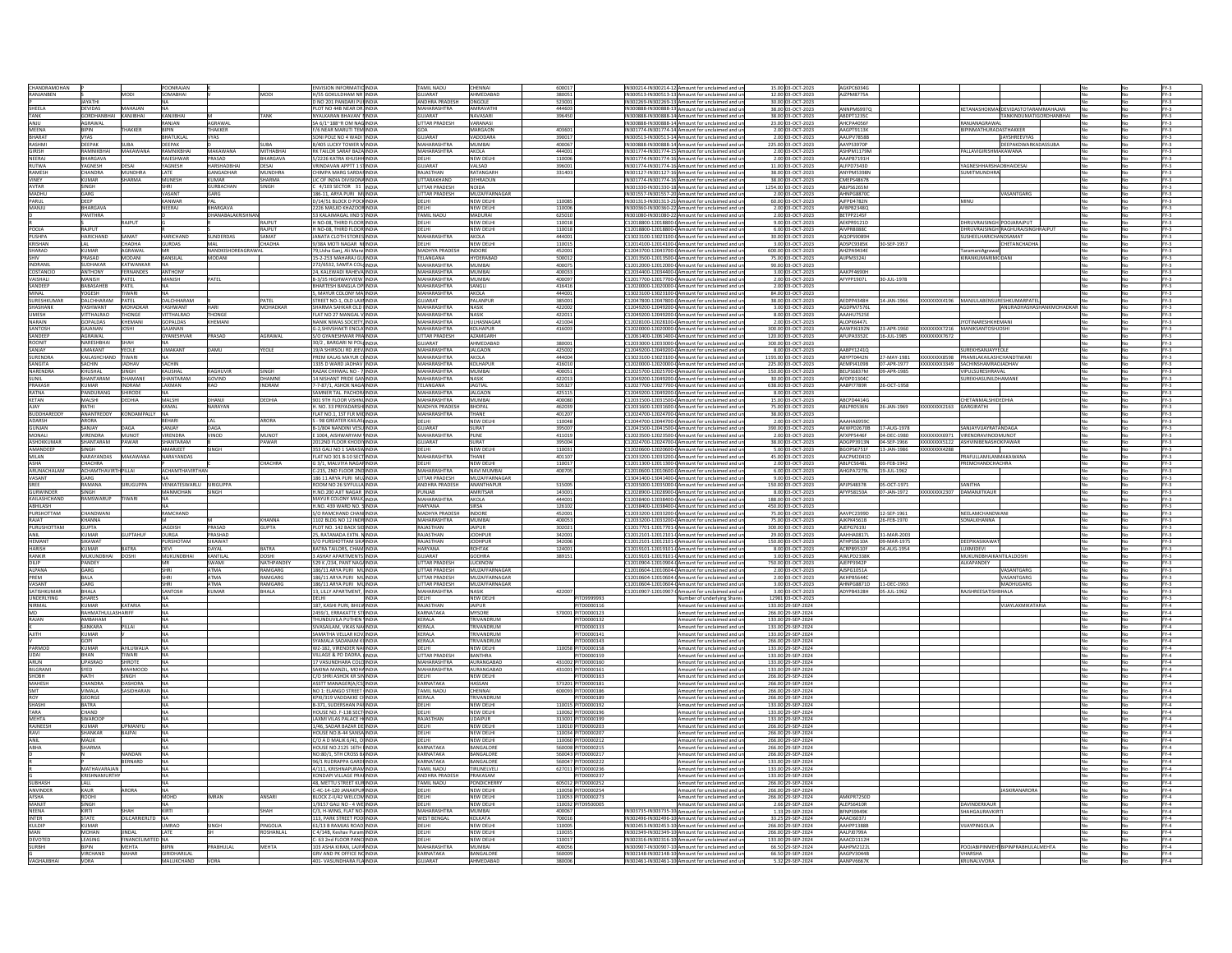| CHANDRAMOHAN                 |                          |                              | POONRAJAN                         |                     |                  | <b>INVISION INFORMATIOINDIA</b>                         | TAMIL NADL                       | CHENNA<br>600017                              |                                          | IN300214-IN300214-12 Amount for unclaimed and ur                                                     | 15.00 03-OCT-2023                      | AGKPC6034G                      |                                                     |              |                                  |                                       |                  |
|------------------------------|--------------------------|------------------------------|-----------------------------------|---------------------|------------------|---------------------------------------------------------|----------------------------------|-----------------------------------------------|------------------------------------------|------------------------------------------------------------------------------------------------------|----------------------------------------|---------------------------------|-----------------------------------------------------|--------------|----------------------------------|---------------------------------------|------------------|
| RANJANBEN                    |                          | MODI                         | SOMARHAL                          |                     | <b>MODI</b>      | 1/55 GOKULDHAM NR INDIA                                 | GUIARAT                          | AHMEDABAE<br>380051                           |                                          | IN300513-IN300513-13 Amount for unclaimed and u                                                      | 12.00 03-OCT-2023                      | AJZPM8775A                      |                                                     |              |                                  |                                       | $FY-3$           |
|                              | <b>JAYATHI</b>           |                              |                                   |                     |                  | D NO 201 PANDARI PUHNDIA                                | ANDHRA PRADESH                   | ONGOLE<br>523001                              |                                          | IN302269-IN302269-13 Amount for unclaimed and un                                                     | 30.00 03-OCT-2023                      |                                 |                                                     |              |                                  |                                       | $FY-3$           |
| SHEELA                       | DEVIDAS                  | MAHAJAN                      | <b>NA</b>                         |                     |                  | PLOT NO 44B NEAR DR. INDIA                              | <b>IAHARASHTR</b>                | 444603<br>AMRAVATH                            |                                          | IN300888-IN300888-13 Amount for unclaimed and un                                                     | 38.00 03-OCT-2023                      | <b>ANNPM6997Q</b>               |                                                     |              |                                  | TANASHOKMAI DEVIDASTOT.<br>RAMMAHAJAN | $FY-3$           |
| <b>TANK</b>                  | COPPHAN                  | KANIIRHAI                    | <b>KANIIRHA</b>                   |                     | <b>TANK</b>      | VYAI KARAN RHAVAN' NINDIA                               | <b>SUIARAT</b>                   | NAVASARI<br>396450                            |                                          | IN300888-IN300888-14 Amount for unclaimed and u                                                      | 38.00 03-0CT-2023                      | ARDPT1235C                      |                                                     |              |                                  | <b>TANKINDUMATIGORDHANRHAL</b>        | $FY-3$           |
| ANJU                         | AGRAWAL                  |                              | RANJAN                            | AGRAWAI             |                  | A 6/1~188~R OM NAGINDIA                                 | <b>TTAR PRADESH</b>              | VARANASI                                      |                                          | N300888-IN300888-14 Amount for unclaimed and ur                                                      | 23.00 03-OCT-2023                      | AHCPA4056F                      |                                                     |              | NIANAGRAWAI                      |                                       | $FY-3$           |
| MEENA                        | <b>BIPIN</b>             | <b>HAKKER</b>                | <b>BIPIN</b>                      | THAKKER             |                  | F/6 NEAR MARUTI TEM INDIA                               | 6OE                              | MARGAON<br>403601                             |                                          | IN301774-IN301774-14 Amount for unclaimed and un                                                     | 2.00 03-OCT-2023                       | AAGPT9113K                      |                                                     |              | <b>IPINMATHURADASTHAKKER</b>     |                                       | $FY-3$           |
| <b>BHARAT</b>                | <b>VYAS</b>              |                              | BHATUKLA                          | <b>YAS</b>          |                  | SONI POLE NO 4 WADI INDIA                               | <b>GUJARAT</b>                   | <b>VADODARA</b><br>390017                     |                                          | IN300513-IN300513-14 Amount for unclaimed and un                                                     | 2.00 03-OCT-2023                       | AAUPV7858B                      |                                                     |              |                                  | <b>JAYSHREEVYAS</b>                   | $FY-3$           |
| RASHMI                       | DEEPAK                   | <b>ASLE</b>                  | DEEPAK                            |                     | <b>ABLIZ</b>     | <b>VADS LUCKY TOWER MINDIA</b>                          | <b>MAHARASHTRA</b>               | MUMRAL<br>400067                              |                                          | IN300888-IN300888-14 Amount for unclaimed and ur                                                     | 225.00 03-OCT-2023                     | AAYPS3970P                      |                                                     |              |                                  | DEEPAKDWARKAD                         | $FY-3$           |
| <b>GIRISH</b>                | <b>RAMNIKBH</b>          | MAKAWANA                     | RAMNIKBH,                         | MAKAWANA            | MITHABHAI        | RK TAILOR SARAF BAZA INDIA                              | MAHARASHTRA                      | AKOLA<br>444001                               |                                          | IN301774-IN301774-15 Amount for unclaimed and ur                                                     | 2.00 03-OCT-2023                       | ASHPM1179M                      |                                                     |              | ALLAVIGIRISHMAKAWANA             |                                       | $FY-3$           |
| NEERAJ                       | <b>HARGAVA</b>           |                              | RAJESHWAI                         | PRASAD              | <b>BHARGAVA</b>  | 5/2226 KATRA KHUSHHINDIA                                | DELHI                            | <b>NEW DELHI</b><br>11000                     |                                          | IN301774-IN301774-16 Amount for unclaimed and u                                                      | 2.00 03-OCT-2023                       | AAAPB7191H                      |                                                     |              |                                  |                                       | $FY-3$           |
| <b>RUTWA</b>                 | <b>YAGNESH</b>           | <b>DESAI</b>                 | <b>YAGNESH</b>                    | HARSHADRHA          | DESAL            | INDAVAN APPTT 1 STINDIA                                 | GUIARAT                          | 396001<br>VAISAD                              |                                          | IN301774-IN301774-16 Amount for unclaimed and u                                                      |                                        | ALEPD7343D                      |                                                     |              | <b>AGNESHHARSHADRHAIDESAL</b>    |                                       | $FY-3$           |
|                              |                          |                              |                                   |                     |                  |                                                         |                                  |                                               |                                          |                                                                                                      | 11.00 03-OCT-2023                      |                                 |                                                     |              |                                  |                                       |                  |
| <b>RAMESH</b>                | CHANDRA                  | <b>MUNDHRA</b>               | <b>LATE</b>                       | GANGADHAR           | <b>MUNDHRA</b>   | <b>HIMPA MARG SARDARINDIA</b>                           | RAIASTHAN                        | <b>RATANGARK</b><br>331403                    |                                          | IN301127-IN301127-16 Amount for unclaimed and up                                                     | 38.00 03-OCT-2023                      | ANYPM5398N                      |                                                     |              | <b>UMITMUNDHRA</b>               |                                       | $FY-3$           |
| VINEY                        | <b>KUMAR</b>             | <b>HARMA</b>                 | <b>MUNESH</b>                     | KUMAR               | SHARMA           | JC OF INDIA DIVISIONAINDIA                              | <b>ITTARAKHAND</b>               | DEHRADUN                                      |                                          | IN301774-IN301774-16 Amount for unclaimed and ur                                                     | 38.00 03-OCT-2023                      | CMEPS4867B                      |                                                     |              |                                  |                                       | $FY-3$           |
| <b>AVTAR</b>                 | SINGH                    |                              |                                   | <b>GURBACHA</b>     | SINGH            | 4/103 SECTOR 31 INDIA                                   | <b>TTAR PRADESH</b>              | NOIDA                                         |                                          | IN301330-IN301330-18 Amount for unclaimed and ur                                                     | 1254.00 03-OCT-2023                    | ABJPS6265M                      |                                                     |              |                                  |                                       | $FY-3$           |
| MADHU                        | GARG                     |                              | VASANT                            | ARG                 |                  | 86-11, ARYA PURI MUINDIA                                | <b>JTTAR PRADESH</b>             | MUZAFFARNA                                    |                                          | N301557-IN301557-2<br>Amount for unclaimed and                                                       | 2.00 03-OCT-2023                       | AHNPG8870C                      |                                                     |              |                                  | <b>ASANTGARG</b>                      | $FY-3$           |
| PARUL                        | DEEP                     |                              | KANWAR                            |                     |                  | 14/51 BLOCK D POCKINDIA                                 | <b>FIHL</b>                      | NEW DELHI<br>110085                           |                                          | IN301313-IN301313-21 Amount for unclaimed and ur                                                     | 60.00 03-OCT-2023                      | AJFPD4782N                      |                                                     |              | <b>IINIL</b>                     |                                       | $FY-3$           |
| MANJU                        | <b>HARGAV</b>            |                              | NEERAJ                            | HARGAV              |                  | 226 MASJID KHAZOOF INDIJ                                |                                  | 11000<br>NEW DELH                             |                                          | ount for unclaimed and u                                                                             | 2.00 03-OCT-2023                       | AFBPB2348C                      |                                                     |              |                                  |                                       | $FY-3$           |
|                              | PAVITHRA                 |                              |                                   | <b>HANARAI AKRI</b> |                  | 3 KALAIMAGAL IIND STINDIA                               | <b>TAMIL NADLI</b>               | <b>MADURA</b><br>625010                       |                                          | IN301080-IN301080-22<br>mount for unclaimed and                                                      | 2.00 03-OCT-2023                       | RFTPP2145F                      |                                                     |              |                                  |                                       | $FY-3$           |
|                              |                          | <b>AIPLE</b>                 |                                   |                     | <b>RAJPUT</b>    | H NO-08, THIRD FLOOR INDIA                              | DELHI                            | <b>NEW DELHI</b><br>110018                    |                                          | 12018800-12018800-CAmount for unclaimed and u                                                        | 9.00 03-OCT-2023                       | AEKPR9121D                      |                                                     |              |                                  | <b>IRUVRAISINGH POOJARAJPUT</b>       | $FY-3$           |
|                              | RAJPUT                   |                              |                                   |                     | <b>RAJPUT</b>    | H NO-08. THIRD FLOOR INDIA                              | DELHI                            | <b>NEW DELHI</b><br>110018                    |                                          | C12018800-12018800-0Amount for unclaimed and un                                                      | 6.00 03-OCT-2023                       | AIVPR8088C                      |                                                     |              |                                  | HRUVRAJSINGH RAGHURAJSINGHRAJPUT      | $FY-3$           |
| POOJA                        |                          |                              |                                   |                     | SAMAT            | JANATA CLOTH STORES INDIA                               | <b>MAHARASHTRA</b>               |                                               |                                          |                                                                                                      |                                        |                                 |                                                     |              |                                  |                                       |                  |
| PUSHPA<br><b>KRISHAN</b>     | HARICHANE                | SAMAT<br><b>HADHA</b>        | <b>HARICHAND</b><br><b>GURDAS</b> | SUNDERDAS<br>MAI    | CHADHA           | AIGNIN RADAN ITOM AREVE                                 | DEIHI                            | 444001<br>AKOLA<br>NFW DFI HI<br>110015       |                                          | 13023100-13023100<br>Amount for unclaimed and un<br>12014100-12014100<br>nount for unclaimed and u   | 30.00 03-OCT-2023<br>3.00 03-0CT-2023  | AQOPS9089H<br><b>ADSPC9385K</b> | 30-SEP-1957                                         |              | USHEELHARICHANDSAMAT             | CHETANCHADH                           | $FY-3$<br>$FY-3$ |
|                              |                          |                              |                                   |                     |                  |                                                         |                                  |                                               |                                          |                                                                                                      |                                        |                                 |                                                     |              |                                  |                                       |                  |
| SHARAD                       | <b>KUMAR</b>             | AGRAWAL                      | MR                                | NANDKISHOREAGRAWAI  |                  | 79.Usha Gani, Ali Manzi NDIA                            | <b>MADHYA PRADESH</b>            | <b>INDORE</b><br>452001                       |                                          | 12043700-12043700-<br>nount for unclaimed and ur                                                     | 600.00 03-OCT-2023                     | AHZPA9434E                      |                                                     |              | aramaniAgrawal                   |                                       | $FY-3$           |
|                              | <b>RASAD</b>             |                              | <b>BANSILA</b>                    | MODAN               |                  | 15-2-253 MAHARAJ GUINDIA                                | ELANGANA                         | <b>HYDERABAI</b><br>500012                    |                                          | 12013500-12013500-<br>nount for unclaimed and ur                                                     | 75.00 03-OCT-2023                      | AUPM3324J                       |                                                     |              |                                  |                                       | $FY-3$           |
| <b>INDRANIL</b>              | SUDHAKAR                 | <b>KATWANKAR</b>             | <b>NA</b>                         |                     |                  | 272/6532, SAMTA COLOINDIA                               | <b>MAHARASHTRA</b>               | <b>MUMBAI</b><br>400075                       |                                          | C12012000-12012000-<br>mount for unclaimed and ur                                                    | 90.00 03-OCT-2023                      |                                 |                                                     |              |                                  |                                       | $FY-3$           |
| COSTANCIO                    | ΑΝΤΗΩΝΥ                  | <b>FERNANDES</b>             | <b>ANTHON</b>                     |                     |                  | 24, KALEWADI RAHEVA INDIA                               | MAHARASHTRA                      | MUMRAI<br>400033                              |                                          | 12034400-12034400<br>nount for unclaimed and u                                                       | 3.00 03-OCT-2023                       | ΔΑΚΡΕΔΕΡΟΗ                      |                                                     |              |                                  |                                       | $FY-3$           |
| VAISHALI                     | MANISH                   | PATFI                        | MANISH                            | PATFI               |                  | <b>B-3/35 HIGHWAYVIEW INDIA</b>                         | MAHARASHTRA                      | <b>MUMBAI</b><br>400097                       |                                          | C12017700-12017700-CAmount for unclaimed and ur                                                      | 2.00 03-OCT-2023                       | AFYPP1907L                      | 30-JUL-1978                                         |              |                                  |                                       | $FY-3$           |
| SANDEEP                      | BABASAHEB                | PATIL                        | <b>NA</b>                         |                     |                  | <b>HARTESH BANGLA OP INDIA</b>                          | <b>MAHARASHTRA</b>               | SANGLI<br>416416                              |                                          | 012020000-12020000<br>mount for unclaimed and ur                                                     | 2.00 03-OCT-2023                       |                                 |                                                     |              |                                  |                                       | $FY-3$           |
| <b>MINAL</b>                 | <b>CGFSH</b>             | TIWARI                       |                                   |                     |                  | MAYUR COLONY MAINDIA                                    | <b>MAHARASHTRA</b>               | <b>AKOLA</b><br>444001                        |                                          | 13023100-13023100<br>hount for uncla<br>med and                                                      | 84.00 03-OCT-2023                      |                                 |                                                     |              |                                  |                                       | $FY-3$           |
| <b>SURESHKUMA</b>            | DALCHHARAM               | PATEL                        | DALCHHARAM                        |                     | PATEL            | STREET NO-1, OLD LAXI INDIA                             | <b>UJARAT</b>                    | <b>PALANPUR</b><br>385001                     |                                          | 12047800-12047800-0A<br>mount for unclaimed and ur                                                   | 38.00 03-OCT-2023                      | AEDPP4348H                      | 14-JAN-1966 XXXXXXXX4196 MANJULABENSURESHKUMARPATEL |              |                                  |                                       | $FY-3$           |
| SHASHANK                     | <b>ASHWANT</b>           | <b>MOHADKAR</b>              | YASHWANT                          | HARI                | <b>MOHADKAR</b>  | HARMA SAHKAR OLD IINDIA                                 | <b>MAHARASHTRA</b>               | <b>NASIK</b><br>422002                        |                                          | 12049200-12049200-<br>mount for unclaimed and ur                                                     | 3.00 03-OCT-2023                       | AGDPM7576L                      |                                                     |              |                                  | ANURADHASHASHANKMOHADKAR IN           | $FY-3$           |
| <b>UMESH</b>                 | <b>ITTHALRAO</b>         | THONGE                       | VITTHALRAC                        | THONGE              |                  | LAT NO 27 MANGAL VINDIA                                 | <b>MAHARASHTRA</b>               | <b>NASIK</b><br>422011                        |                                          | 12049200-12049200<br>mount for unclaimed and ur                                                      | 8.00 03-OCT-2023                       | AAAHU7525E                      |                                                     |              |                                  |                                       | $FY-3$           |
| <b>NARAIN</b>                | OPALDAS                  | KHEMAN                       | <b>OPALDAS</b>                    | CHEMAN              |                  | <b>INIK NIWAS SOCIETY</b>                               | <b>MAHARASHTRA</b>               | <b>ILHASNAGA</b><br>421004                    |                                          | 2028100-1202810<br>ount for unclaimed and u                                                          | 2.00 03-OCT-202                        | ALOPK6447L                      |                                                     |              | <b>OTINARESHKHEMANI</b>          |                                       | $FY-3$           |
| SANTOSH                      | GAJANAN                  |                              | GAJANAN                           |                     |                  | 3-2. SHIVSHAKTI ENCLAIINDIA                             | <b>MAHARASHTRA</b>               | KOLHAPUR<br>416003                            |                                          | 12020000-12020000<br>mount for unclaimed and ur                                                      |                                        | AAWPJ6192N                      | 3-APR-1960 XXXXXXXX7216                             |              | MANIKSANTOSHJOSHI                |                                       | $FY-3$           |
|                              |                          | <b>JOSHI</b>                 |                                   | PRASAD              |                  |                                                         |                                  |                                               |                                          |                                                                                                      | 300.00 03-OCT-2023                     |                                 |                                                     |              |                                  |                                       |                  |
| SANDEEP                      | <b>AGRAWAL</b>           |                              | GYANESHVAF                        |                     | AGRAWAL          | 5/O GYANESHWAR PRAINDIA                                 | <b>ITTAR PRADESH</b>             | <b>AZAMGARI</b><br>380001                     |                                          | 12061400-12061400<br>mount for unclaimed and ur                                                      | 120.00 03-OCT-2023                     | AFUPA3352C                      | 16-JUL-1985                                         | XXXXXXXX7672 |                                  |                                       | $FY-3$           |
| <b>POONIT</b>                | <b>VADESHRHA</b>         | <b>SHAR</b>                  |                                   |                     |                  | <b>30/2 . BARGARI NI POLRINDIA</b>                      | <b>HIARAT</b>                    | <b>MALEDARAS</b>                              |                                          | 12033000-12033000<br>nount for unclaimed and                                                         | 300.00 03-OCT-2023                     |                                 |                                                     |              |                                  |                                       | $FY-3$           |
| SANJAY                       | <b>IMAKANT</b>           | YEOLE                        | <b>UMAKAN</b>                     | <b>JAMU</b>         | YEOLE            | <b>A SHIRSOLI RD JEEV INDIA</b>                         | <b>MAHARASHTRA</b>               | <b>JALGAON</b><br>425002                      |                                          | 12049200-12049200<br>nount for unclaimed and u                                                       | 8.00 03-OCT-2023                       | AABPY12410                      |                                                     |              |                                  |                                       | $FY-3$           |
| <b>SURENDRA</b>              | KAILASHCHAND TIWARI      |                              | <b>NA</b>                         |                     |                  | PREM KALAS MAYUR CHINDIA                                | MAHARASHTRA                      | AKOLA<br>444004                               |                                          | C13023100-13023100-0 Amount for unclaimed and un                                                     | 1193.00 03-OCT-2023                    | ABYPT0442N                      | 27-MAY-1981 XXXXXXX8598 PRAMILAKAILASHCHANDTIWARI   |              |                                  |                                       | $FY-3$           |
| SANGITA                      | SACHIN                   | <b>JADHA\</b>                | SACHIN                            |                     |                  | 1335 D WARD JADHAV INDIA                                | 1AHARASHTRA                      | KOLHAPUR<br>416010                            |                                          | C12020000-12020000-<br>nount for unclaimed and un                                                    | 225.00 03-OCT-2023                     | AEMPJ4109B                      | 07-APR-1977                                         | XXXXXXXX3349 | <b>SACHINSHAMRAOJADHA</b>        |                                       | $FY-3$           |
| NARENDRA                     | KHUSHAL                  | SINGH                        | KAUSHAI                           | <b>RAGHLIVIE</b>    | SINGH            | AZAK CHHWAL NO - 7 INDIA                                | <b>MAHARASHTRA</b>               | <b>MUMBAI</b><br>40005                        |                                          | 12025700-12025700<br>nount for unclaimed and                                                         | 150.00 03-OCT-202                      | BELPS6837M                      | 09-APR-1985                                         |              | PULSURESHRAVAL                   |                                       | $FY-3$           |
| SUNIL                        | HANTARAM                 | DHAMANE                      | SHANTARAM                         | GOVIND              | DHAMNE           | 4 NISHANT PRIDE GANINDIA                                | <b>MAHARASHTRA</b>               | <b>NASIK</b><br>422013                        |                                          | 12049200-12049200-<br>nount for unclaimed and ur                                                     | 30.00 03-OCT-2023                      | AFDPD1304C                      |                                                     |              | <b>UREKHASUNILDHAMANI</b>        |                                       | $FY-3$           |
| PRAKASH                      | KUMAR                    |                              | LAXMAN                            | OAF                 | <b>INDRAM</b>    | 7-87/1, ASHOK NAGA                                      | ELANGANA                         | 505327<br><b>JAGTIAL</b>                      |                                          | 12027700-12027700-<br>ount for uncla<br>imed and ur                                                  | 638.00 03-OCT-2023                     | AABPI7789R                      | 26-OCT-1958                                         |              |                                  |                                       | $FY-3$           |
| RATNA                        | <b>PANDURA</b>           | HIRODE                       | <b>NA</b>                         |                     |                  | AMNER TAL. PACHORAINDIA                                 | <b><i><u>AAHARASHTRA</u></i></b> | 425115<br><b>JALGAON</b>                      |                                          | 12049200-12049200<br>unt for unclaimed and u                                                         | 8.00 03-OCT-2023                       |                                 |                                                     |              |                                  |                                       | $FY-3$           |
|                              |                          | <b>FDHU</b>                  | <b>MALSHI</b>                     | <b>HANIL</b>        | DEDHIA           | <b>901 9TH FLOOR VISHNUINDIA</b>                        | MAHARASHTRA                      | 400080                                        |                                          |                                                                                                      |                                        | ARCPD4414G                      |                                                     |              | HETANMAI SHIDI                   |                                       | $FY-3$           |
| <b>KETAN</b>                 | MALSHI                   |                              |                                   |                     |                  |                                                         |                                  | <b>MUMBAI</b>                                 |                                          | 12031500-12031500-<br>mount for unclaimed and u                                                      | 15.00 03-OCT-2023                      |                                 |                                                     |              |                                  |                                       |                  |
| <b>AJAY</b>                  | RATHI                    |                              | KAMAL                             | NARAYAN             |                  | I. NO. 33 PRIYADARSHIINDIA                              | MADHYA PRADESH                   | <b>BHOPAL</b><br>462039                       |                                          | C12031600-12031600-0<br>mount for unclaimed and ur                                                   | 75.00 03-OCT-2023                      | ABLPR0536N                      | 26-JAN-1969 XXXXXXXX2163 GARGIRATHI                 |              |                                  |                                       | $FY-3$           |
| <b>BUDDHAREDD</b>            | <b>ANANTREDDY</b>        | <b>CONDAMPALL</b>            | <b>NA</b>                         |                     |                  | LAT NO.1, 1ST FLR MILINDIA                              | <b>MAHARASHTRA</b>               | THANE<br>401207                               |                                          | 12024700-12024700<br>mount for unclaimed and ur                                                      | 38.00 03-OCT-2023                      |                                 |                                                     |              |                                  |                                       | $FY-3$           |
| ADARSH                       |                          |                              | EHAPI                             |                     | ARORA            | 98 GREATER KAILASHINDIA                                 |                                  | NEW DELI<br>110048                            |                                          | 2044700-1204470<br>ount for unclaimed and u                                                          | 2.00 03-OCT-202                        | <b>AAAHA6959C</b>               |                                                     |              |                                  |                                       | $FY-3$           |
| GUNJAN                       | SANJAY                   | <b>AGA</b>                   | SANJAY                            | DAGA                |                  | B-1/804 NANDINI VESUINDIA                               | GUJARAT                          | SURAT<br>395007                               |                                          | 12041500-12041500<br>hount for unclaimed and u                                                       | 390.00 03-OCT-2023                     | AKWPD2670B                      | 7-AUG-1978                                          |              | <b>ANJAYVUAYRATANDAGA</b>        |                                       | $FY-3$           |
| MONALI                       | <b>/IRENDRA</b>          | MUNO <sup>-</sup>            | VIRENDRA                          | VINOD               | <b>MUNOT</b>     | 1004, AISHWARYAM VINDIA                                 | <b>MAHARASHTRA</b>               | PUNE<br>411019                                |                                          | 12023500-12023500-<br>mount for unclaimed and ur                                                     | 2.00 03-OCT-2023                       | AFXPP5446F                      | 04-DEC-1980                                         | XXXXXXXX6971 | <b>IRENDRAVINODMUNO</b>          |                                       | $FY-3$           |
| ASHOKKUMAI                   | SHANTARAM                | PAWAR                        | SHANTARAM                         |                     | PAWAR            | 2012ND FLOOR KHODININDIA                                | <b>GUJARAT</b>                   | SURAT<br>395004                               |                                          | 212024700-12024700-<br>nount for unclaimed and ur                                                    | 38.00 03-OCT-2023                      | ADGPP3913N                      | 04-SEP-1966                                         | XXXXXXXX5122 | <b>SHVINIBENASHOKPAWAR</b>       |                                       | $FY-3$           |
| AMANDEEP                     |                          |                              | MARJEET                           | <b>NGH</b>          |                  | 53 GALI NO 1 SARASWINDIA                                |                                  | NEW DELH<br>11003                             |                                          | 2020600-1202060<br>ount for unclaimed and u                                                          | 5.00 03-OCT-202                        | GOPS6751F                       | $-$ JAN $-1986$                                     |              |                                  |                                       | $FY-3$           |
| MILAN                        | VARAYANDAS               | MAKAWANA                     | NARAYANDAS                        |                     |                  | FLAT NO 301 B-10 SECTINDIA                              | <b>MAHARASHTRA</b>               | THANE<br>401107                               |                                          | 12033200-12033200<br>mount for unclaimed and ur                                                      | 45.00 03-OCT-2023                      | AACPM2041D                      |                                                     |              | RAFULLAMILANMAKAWANA             |                                       | $FY-3$           |
| ASHA                         | CHACHRA                  |                              |                                   |                     | CHACHRA          | G 3/1, MALVIYA NAGAHINDIA                               | DELHI                            | NEW DELHI<br>110017                           |                                          | C12011300-12011300-0<br>mount for unclaimed and un                                                   | 2.00 03-OCT-2023                       | ABLPC5648L                      | 03-FEB-1942                                         |              | REMCHANDCHACHRA                  |                                       | $FY-3$           |
| ARUNACHALAM                  | ΔΟΗΔΜΈΗΔΜΙ               |                              | <b>ACHAMTHAVIRTH</b>              |                     |                  | 215, 2ND FLOOR 2ND INDIA                                | <b>MAHARASHTRA</b>               | NAVI MUMRA<br>40070                           |                                          | 12010600-1201060<br>nount for unclaimed and u                                                        | 6.00 03-OCT-2023                       | AHGPA72791                      | 9-JUL-1962                                          |              |                                  |                                       | $FY-3$           |
|                              |                          |                              |                                   |                     |                  |                                                         |                                  |                                               |                                          |                                                                                                      |                                        |                                 |                                                     |              |                                  |                                       | $FY-3$           |
|                              |                          |                              |                                   |                     |                  |                                                         |                                  |                                               |                                          |                                                                                                      |                                        |                                 |                                                     |              |                                  |                                       |                  |
| VASANT                       | ARG.                     |                              |                                   |                     |                  | 86 11 ARYA PURI MUJINDIA                                | <b>ITTAR PRADESH</b>             | <b>MUZAFFARNAGA</b>                           |                                          | 13041400-13041400-<br>nount for unclaimed and u                                                      | 9.00 03-OCT-2023                       |                                 |                                                     |              |                                  |                                       |                  |
| SREE                         | RAMANA                   | <b>SIRUGUPPA</b>             | VENKATESWARLU SIRIGUPPA           |                     |                  | ROOM NO 26 SIYFULLA INDIA                               | ANDHRA PRADESH                   | ANANTHAPUR<br>515005                          |                                          | 12035000-12035000-<br>mount for unclaimed and ur                                                     | 150.00 03-OCT-2023                     | APJPS4837B                      | 05-OCT-1971                                         |              | SANITHA                          |                                       | $FY-3$           |
| <b>GURWINDER</b>             | <b>SINGH</b>             |                              | MANMOHAN                          | <b>SINGH</b>        |                  | I.NO.200 AJIT NAGAR INDIA                               | PUNJAB                           | AMRITSAR<br>143001                            |                                          | C12028900-12028900-CAmount for unclaimed and ur                                                      | 8.00 03-OCT-2023                       | AFYPS8150A                      | 07-JAN-1972                                         | XXXXXXXX2307 | AMANJITKAU                       |                                       | $FY-3$           |
| KAILASHCHANI                 | <b>RAMSWARLIP</b>        | TIMARI                       |                                   |                     |                  | <b>MAYLIR COLONY MALK INDIA</b>                         | <b>MAHARASHTRA</b>               | 444001<br>AKOLA                               |                                          | 12038400-12038400-<br>mount for unclaimed and                                                        | 188.00 03-OCT-202                      |                                 |                                                     |              |                                  |                                       | $FY-3$           |
| <b>ABHILASH</b>              |                          |                              | <b>NA</b>                         |                     |                  | H.NO. 439 WARD NO. SINDIA                               | <b>HARYANA</b>                   | 126102<br>SIRSA                               |                                          | C12038400-12038400-0 Amount for unclaimed and ur                                                     | 450.00 03-OCT-2023                     |                                 |                                                     |              |                                  |                                       | $FY-3$           |
| PURSHOTTAM                   | CHANDWANI                |                              | RAMCHAND                          |                     |                  | /O RAMCHAND CHAN INDIA                                  | MADHYA PRADESH                   | INDORE<br>452001                              |                                          | C12033200-12033200-CAmount for unclaimed and un                                                      | 75.00 03-OCT-2023                      | AAVPC2399D                      | 12-SEP-1961                                         |              | VEELAMCHANDWANI                  |                                       |                  |
| RAJAT                        | <b>HANNA</b>             |                              |                                   |                     |                  | 1102 BLDG NO 12 INDRINDIA                               | <b>AHARASHTRA</b>                | <b>MUMBA</b><br>40005                         |                                          | 2033200-1203320<br>unt for unclaimed and ur                                                          | 75.00 03-OCT-202                       | AJKPK4561B                      | 26-FEB-1970                                         |              | NALKHANNA                        |                                       | $FY-3$<br>$FY-3$ |
|                              | <b>GLIPTA</b>            |                              | <b>IAGDISE</b>                    |                     | <b>GLIPTA</b>    |                                                         | RAIASTHAN                        |                                               |                                          |                                                                                                      |                                        |                                 |                                                     |              |                                  |                                       |                  |
| PURUSHOTTA                   |                          |                              |                                   | PRASAD              |                  | <b>LOT NO. 142 BACK SIDINDIA</b>                        |                                  | 302021<br><b>JAIPUR</b>                       |                                          | 12017701-12017701<br>mount for unclaimed and                                                         | 300.00 03-OCT-2023                     | AJEPG7619J                      |                                                     |              |                                  |                                       | $FY-3$           |
|                              | KUMAR                    | <b>SUPTAHUF</b>              | <b>DURGA</b>                      | PRASHAD             |                  | 5. RATANADA EXTN. NINDIA                                | RAJASTHAN                        | <b>JODHPUR</b><br>342001                      |                                          | 12012101-12012101<br>mount for unclaimed and ur                                                      | 29.00 03-OCT-2023                      | AAHHA0817L                      | 31-MAR-2003                                         |              |                                  |                                       | $FY-3$           |
| ANIL<br>HEMANT               | SIKAWAT                  |                              | URSHOTA                           | SIKAWAT             |                  | <b>S/O PURSHOTTAM SIKAINDIA</b>                         | <b>AJASTHAN</b>                  | <b>JODHPUR</b><br>342006                      |                                          | 12012101-12012101<br>nount for unclaimed and ur                                                      | 150.00 03-OCT-2023                     | ATHPS5610A                      | 09-MAR-1975                                         |              | DEEPIKASIKAWA                    |                                       | $FY-3$           |
| <b>HARISH</b>                | <b>CUMAR</b>             | <b>BATRA</b>                 | DEVI                              | <b>JAYAL</b>        | <b>BATRA</b>     | ATRA TAILORS, CHAM INDIA                                | <b>IARYANA</b>                   | ROHTAK<br>12400                               |                                          | 12019101-1201910<br>hount for unclaimed and ur                                                       | 8.00 03-OCT-2023                       | ACRPB9510F                      | 4-AUG-1954                                          |              | <b>JXMIDEVI</b>                  |                                       | $FY-3$           |
| RANKIR                       | <b>MUKUNDRHA</b>         | DOSHI                        | <b>MUKUNDE</b>                    | KANTILAI            | DOSHI            | <b>ASHAY APARTMENTS INDIA</b>                           | TARAT                            | GODHRA<br>389151                              |                                          | 12019101-1201910<br>ount for unclaimed and u                                                         | 3.00 03-0CT-2023                       | AWIPD233RK                      |                                                     |              | <b>JUKUNDRHAIKANTILAI DOSHI</b>  |                                       | $FY-3$           |
|                              | PANDEY                   |                              | MR                                | <b>WAMI</b>         | NATHPANDEY       | 529 K /234, PANT NAGAINDIA                              | <b>TTAR PRADESH</b>              | LUCKNOW                                       |                                          | 12010904-12010904<br>ount for unclaimed and ur                                                       | 750.00 03-OCT-2023                     | AJEPP3942P                      |                                                     |              | ALKAPANDEY                       |                                       | $FY-3$           |
| <b>ALPANA</b>                | GARG                     |                              | <b>SHRI</b>                       | <b>ATMA</b>         | RAMGARG          | 186/11 ARYA PURI MUINDIA                                | <b>JTTAR PRADESH</b>             | <b>MUZAFFARNA</b>                             |                                          | 12010604-12010604<br>hount for unclaimed and u                                                       | 2.00 03-OCT-2023                       | AJSPG1051A                      |                                                     |              |                                  | ASANTGARO                             | $FY-3$           |
| PREM                         | BALA                     |                              | <b>SHRI</b>                       | ATMA                | RAMGARO          | 186/11 ARYA PURI MUINDIA                                | <b>JTTAR PRADESH</b>             | MUZAFFARNAGAR                                 |                                          | 12010604-12010604<br>mount for unclaimed and ur                                                      | 2.00 03-OCT-202                        | AKHPB5644C                      |                                                     |              |                                  | VASANTGARG                            | $FY-3$           |
| VASANT                       | GARG                     |                              | SHRI                              | ATMA                | RAMGARG          | 186/11 ARYA PURI MUINDIA                                | <b>UTTAR PRADESH</b>             | MUZAFFARNAGAR                                 |                                          | 12010604-12010604-<br>mount for unclaimed and ur                                                     | 3.00 03-OCT-2023                       | AHNPG8871D                      | $1 - DEC - 1963$                                    |              |                                  | MADHUGARG                             | $FY-3$           |
| SATISHKUMAR                  | BHALA                    |                              | SANTOSH                           | <b>KUMAR</b>        | <b>HALA</b>      | 13, LILLY APARTMENT, INDIA                              | MAHARASHTRA                      | 422007<br><b>NASIK</b>                        |                                          | 12010907-12010907<br>mount for unclaimed and un                                                      | 3.00 03-OCT-2023                       | ADYPB4328H                      | DS-JUL-1962                                         |              | <b>AISHREESATISHBHALA</b>        |                                       | $FY-3$           |
| UNDERLYING                   | SHARES                   |                              |                                   |                     |                  | INDIA                                                   | DELHI                            | <b>NEW DELH</b>                               | 09999993                                 | umber of underlying Shares                                                                           | 12981 03-OCT-2023                      |                                 |                                                     |              |                                  |                                       | $FY-3$           |
| <b>NIRMAL</b>                | KUMAR                    | KATARIA                      | <b>NA</b>                         |                     |                  | 187 KASHI PURI RHII WINDIA                              | RAIASTHAN                        | <b>IAIPUR</b>                                 | PITD0000116                              | nount for uncla<br>imed and u                                                                        | 133.00 29-SEP-2024                     |                                 |                                                     |              |                                  | <b>VIIAYI AXMIKATARI</b>              | $FY-4$           |
|                              | <b>AHMATHULL</b>         |                              |                                   |                     |                  | 2459/1, ERRAKATTE STIINDIA                              | KARNATAKA                        | MYSORE                                        | 570001 PITD0000123                       | ount for unclaimed and ur                                                                            | 266.00 29-SEP-2024                     |                                 |                                                     |              |                                  |                                       | $FY-4$           |
| RAJAN                        | AMBAHAM                  |                              |                                   |                     |                  | HUNDUVILA PUTHEN INDIA                                  | KERALA                           | TRIVANDRUM                                    | PITD0000132                              | mount for unclaimed and ur                                                                           | 133.00 29-SEP-2024                     |                                 |                                                     |              |                                  |                                       | $FY-4$           |
|                              | SANKARA                  | PILLAI                       |                                   |                     |                  | <b>SIVASAILAM, VIKAS NA INDIA</b>                       | KERALA                           | TRIVANDRUM                                    | PITD0000133                              | mount for unclaimed and ur                                                                           | 133.00 29-SEP-2024                     |                                 |                                                     |              |                                  |                                       | $FY-4$           |
| <b>AJITH</b>                 | KUMAR                    |                              |                                   |                     |                  | SAMATHA VELLAR KOVINDIA                                 | <b>KFRALA</b>                    | <b>TRIVANDRUM</b>                             | TD0000141                                |                                                                                                      | 133.00 29-SEP-2024                     |                                 |                                                     |              |                                  |                                       | $FV-4$           |
|                              | GOPI                     |                              |                                   |                     |                  | YAMALA SADANAM KOINDIA                                  | KERALA                           | TRIVANDRUM                                    | PITD0000143                              | nount for unclaimed and u<br>mount for unclaimed and ur                                              | 266.00 29-SEP-2024                     |                                 |                                                     |              |                                  |                                       | $FY-4$           |
|                              | KUMAR                    | MILUWALIA                    |                                   |                     |                  | VZ-182, VIRENDER NACINDI                                |                                  | <b>NEW DELHI</b><br>110058                    | TD0000158                                | ount for unclaimed and u                                                                             | 133.00 29-SEP-202                      |                                 |                                                     |              |                                  |                                       | $FY-4$           |
| PARMOD<br><b>UDAI</b>        | RHAN                     | <b>NWARI</b>                 |                                   |                     |                  | <b>JILLAGE &amp; PO DADRA TINDIA</b>                    | <b>UTTAR PRADESH</b>             | <b>RANTHRA</b>                                | PITD0000159                              | hount for unclaimed and u                                                                            | 133.00 29-SEP-2024                     |                                 |                                                     |              |                                  |                                       | $FY-4$           |
|                              | LIPASRAO                 | HROTE                        |                                   |                     |                  | <b>7 VASUNDHARA COLOINDIA</b>                           | MAHARASHTRA                      | <b>AURANGARAE</b>                             | 431002 PITD0000160                       |                                                                                                      |                                        |                                 |                                                     |              |                                  |                                       | $FY-4$           |
| ARUN                         |                          |                              |                                   |                     |                  |                                                         |                                  |                                               |                                          | mount for unclaimed and ur                                                                           | 133.00 29-SEP-2024                     |                                 |                                                     |              |                                  |                                       |                  |
|                              | <b>SYED</b>              | MAHMOOD                      |                                   |                     |                  | SAKINA MANZIL, MOHAINDIA                                | <b>MAHARASHTR</b>                | AURANGABA                                     | 431001 PITD0000161                       | mount for unclaimed and ur                                                                           | 133.00 29-SEP-2024                     |                                 |                                                     |              |                                  |                                       | $FY-4$           |
| BILGRAMI<br>SHOBH            |                          | <b>SINGH</b>                 |                                   |                     |                  | C/O SHRI ASHOK KR SININDIA                              | DELHI                            | NEW DELHI                                     | PITD0000163                              | mount for unclaimed and ur                                                                           | 266.00 29-SEP-2024                     |                                 |                                                     |              |                                  |                                       | $FY-4$           |
| <b>MAHESH</b>                | CHANDRA                  | DASHORA                      |                                   |                     |                  | SSTT MANAGER(A/CS)INDIA                                 | KARNATAKA                        | HASSAN                                        | 573201 PITD0000181                       | mount for unclaimed and                                                                              | 266.00 29-SEP-2024                     |                                 |                                                     |              |                                  |                                       | $FY-4$           |
| SMT                          | VIMALA                   | SASIDHARAN                   |                                   |                     |                  | NO 1: ELANGO STREET INDIA                               | <b>TAMIL NADU</b>                | CHENNAI                                       | 600093 PITD0000186                       | mount for unclaimed and ur                                                                           | 266.00 29-SEP-2024                     |                                 |                                                     |              |                                  |                                       | $FY-4$           |
|                              | GEORG                    |                              |                                   |                     |                  | (PXI/319 VADDAKKE CHINDIA                               | KERALA                           | RIVANDRU                                      | PITD0000189                              | unt for unclaimed and ur                                                                             | 266.00 29-SEP-202                      |                                 |                                                     |              |                                  |                                       | $FY-4$           |
| SHASHI                       | BATRA                    |                              |                                   |                     |                  | <b>B-371, SUDERSHAN PARINDIA</b>                        | DELHI                            | NEW DELHI                                     | 110015 PITD0000192                       | mount for unclaimed and un                                                                           | 133.00 29-SEP-2024                     |                                 |                                                     |              |                                  |                                       | $FY-4$           |
| TARA                         | <b>CHAND</b>             |                              |                                   |                     |                  | HOUSE NO. F-138 SECTIONNA                               | DELHI                            | NEW DELHI                                     | 110062 PITD0000196                       | mount for unclaimed and u                                                                            | 133.00 29-SEP-2024                     |                                 |                                                     |              |                                  |                                       | $FY-4$           |
| <b>MEHTA</b>                 | SWAROOP                  |                              | <b>NA</b>                         |                     |                  | LAXMI VILAS PALACE HIINDIA                              | RAJASTHAN                        | <b>UDAIPUR</b>                                | 313001 PITD0000199                       | mount for unclaimed and un                                                                           | 133.00 29-SEP-2024                     |                                 |                                                     |              |                                  |                                       | $FY-4$           |
|                              | <b>KUMAR</b>             |                              |                                   |                     |                  |                                                         | DELHI                            |                                               |                                          |                                                                                                      |                                        |                                 |                                                     |              |                                  |                                       | $FY-4$           |
| RAJNEESH                     | HANKAR                   | UPMANYU<br><b>BAIPAL</b>     |                                   |                     |                  | 1/46, SADAR BAZAR DE INDIA<br>HOUSE NO B-44 SANSA INDIA | DEIHI                            | NEW DELHI<br>NFW DFLHL                        | 110010 PITD0000203<br>110034 PITD0000207 | mount for unclaimed and ur<br>ount for unclaimed and u                                               | 266.00 29-SEP-2024                     |                                 |                                                     |              |                                  |                                       | $FY-4$           |
|                              |                          |                              |                                   |                     |                  |                                                         |                                  |                                               |                                          |                                                                                                      | 266.00 29-SEP-2024                     |                                 |                                                     |              |                                  |                                       |                  |
|                              | MALIK                    |                              |                                   |                     |                  | C/O A D MALIK 6/41, O INDIA                             | DELHI                            | <b>NEW DELHI</b>                              | 110060 PITD0000212                       | ount for unclaimed and ur                                                                            | 266.00 29-SEP-2024                     |                                 |                                                     |              |                                  |                                       | $FY-4$           |
|                              |                          |                              |                                   |                     |                  | HOUSE NO.2125 16TH HINDIA                               | KARNATAKA                        | BANGALOR                                      | 560008 PITD0000215                       | hount for unclaimed and ur                                                                           | 266.00 29-SEP-2024                     |                                 |                                                     |              |                                  |                                       | $FY-4$           |
|                              |                          | NANDAN                       |                                   |                     |                  | NO:80/1, STH CROSS BAINDIA                              | KARNATAKA                        | BANGALORE                                     | 560043 PITD0000217                       | mount for unclaimed and ur                                                                           | 266.00 29-SEP-2024                     |                                 |                                                     |              |                                  |                                       | $FY-4$           |
|                              |                          | RERNARD                      |                                   |                     |                  | 96/1 RUDRAPPA GARDEINDIA                                | <b>KARNATAKA</b>                 | <b>BANGALOR</b>                               | 560047 PITD0000222                       | mount for unclaimed and u                                                                            | 133.00 29-SEP-2024                     |                                 |                                                     |              |                                  |                                       | $FY-4$           |
|                              | MATHAVARAJAN             |                              |                                   |                     |                  | 4/111. KRISHNAPURAMINDIA                                | TAMIL NADU                       | TIRUNELVELI                                   | 627011 PITD0000236                       | mount for unclaimed and ur                                                                           | 133.00 29-SEP-2024                     |                                 |                                                     |              |                                  |                                       | $FY-4$           |
|                              | KRISHNAMURTH             |                              | NA                                |                     |                  | KONDAPI VILLAGE PRAJINDIA                               | ANDHRA PRADES                    | PRAKASAM                                      | PITD0000237                              | mount for unclaimed and ur                                                                           | 133.00 29-SEP-2024                     |                                 |                                                     |              |                                  |                                       | $FY-4$           |
| SURHASH                      | LALI                     |                              |                                   |                     |                  | 48 METTU STREET KURINDIA                                | <b>TAMIL NADU</b>                | <b>PONDICHERR</b>                             | 605012 PITD0000252                       | hount for unclaimed and                                                                              | 266.00 29-SEP-2024                     |                                 |                                                     |              |                                  |                                       | $FY-4$           |
| <b>ANVINDER</b>              | <b>KAUR</b>              | ARORA                        | <b>NA</b>                         |                     |                  | -4C-14-120 JANAKPURINDIA                                | DELHI                            | NEW DELHI                                     | 110058 PITD0000254                       | mount for unclaimed and ur                                                                           | 266.00 29-SEP-2024                     |                                 |                                                     |              |                                  | <b>ASKIRANARORA</b>                   | $FY-4$           |
| <b>AFSHA</b>                 | ROOHI                    |                              | MOHD                              | <b>IMRAN</b>        | ANSARI           | BLOCK Z-II/42 WELCOMINDIA                               | DELHI                            | <b>NEW DELHI</b>                              | 110053 PITD0000273                       | mount for unclaimed and ur                                                                           | 266.00 29-SEP-2024                     | AMKPR7250D                      |                                                     |              |                                  |                                       | $FY-4$           |
| MANJIT                       | SINGH                    |                              | NA                                |                     |                  |                                                         | DELHI                            |                                               |                                          |                                                                                                      |                                        |                                 |                                                     |              |                                  |                                       | $FY-4$           |
|                              |                          |                              | KIRTI                             |                     | <b>ЧАН</b>       | 1/9157 GALI NO - 4 WE INDIA<br>3. H-WING, FLAT NO       | <b>IAHARASHTE</b>                | NEW DELHI<br>MUMBAI<br>400067                 | 110032 PITD9500005                       | mount for unclaimed and ur<br>303735-IN303735-                                                       | 2.66 29-SEP-2024                       | ALEPS6410R<br>BFNPS9949K        |                                                     |              | AVINDERKAUR<br><b>AHGALIRAVE</b> |                                       | $FY-4$           |
| <b>NEENA</b><br><b>INTER</b> | <b>STATE</b>             | OILCARRIERLTD NA             |                                   |                     |                  | 13. PARK STREET PODINDIA                                | <b>WEST BENGAL</b>               | KOLKATA<br>700016                             |                                          | mount for unclaimed and<br>IN302496-IN302496-10 Amount for unclaimed and un                          | 1.33 29-SEP-202                        | AAAC16037J                      |                                                     |              |                                  |                                       | $FY-4$           |
|                              | <b>KUMAR</b>             |                              | <b>UMRAO</b>                      |                     |                  | 1/13 B RAMJAS ROAD INDIA                                | DELHI                            | <b>NEW DELHI</b>                              |                                          | IN302453-IN302453-10 A                                                                               | 33.25 29-SEP-2024                      |                                 |                                                     |              |                                  |                                       |                  |
|                              | <b>MOHAN</b>             | <b>INDA</b>                  | <b>LATE</b>                       | SINGH               | <b>INGOLIA</b>   |                                                         | <b>PETHI</b>                     | 11000<br>110035                               |                                          | mount for unclaimed and ur<br>N302349-IN302349-10                                                    | 266.00 29-SEP-202                      | AAHPP1388B<br><b>AALPIO799A</b> |                                                     |              | <b>/IJAYPINGOLIA</b>             |                                       | $FY-4$           |
| KULDIP<br>MAN                |                          |                              |                                   |                     | <b>COSHANLAL</b> | 4/14B. Keshav Purar                                     |                                  | NEW DELHI                                     |                                          | bunt for uncl                                                                                        | 266.00 29-SEP-2024                     |                                 |                                                     |              |                                  |                                       | $FY-4$           |
| DEVOTED                      | LEASING                  | <b>FINANCELIMIT</b>          | NA                                |                     |                  | - 63 2nd FLOOR PANCHNDIA                                | DELHI                            | <b>NEW DELHI</b><br>110017                    |                                          | IN302316-IN302316-10 Amount for unclaimed and u                                                      | 133.00 29-SEP-2024                     | AAACD1112H                      |                                                     |              |                                  |                                       | $FY-4$           |
| SURBHI                       | <b>RIPIN</b><br>VIRCHAND | <b>MEHTA</b><br><b>NAHAR</b> | <b>BIPIN</b><br>GIRIDHARILA       | PRABHULAL           | <b>MEHTA</b>     | 103 ASHA KIRAN, LAJPAINDIA<br>GRV AND PK OFFICE NOINDIA | <b>MAHARASHTRA</b><br>KARNATAKA  | <b>MUMBAI</b><br>400056<br>560009<br>BANGALOR |                                          | IN300907-IN300907-10 Amount for unclaimed and ur<br>IN302148-IN302148-10 Amount for unclaimed and un | 66.50 29-SEP-2024<br>66.50 29-SEP-2024 | AAHPM2122L<br>AAGPV3044B        |                                                     |              | <b>HARSHA</b>                    | POOJABIPINMEHTBIPINPRABHULALMEHTA     | $FY-4$<br>$FY-4$ |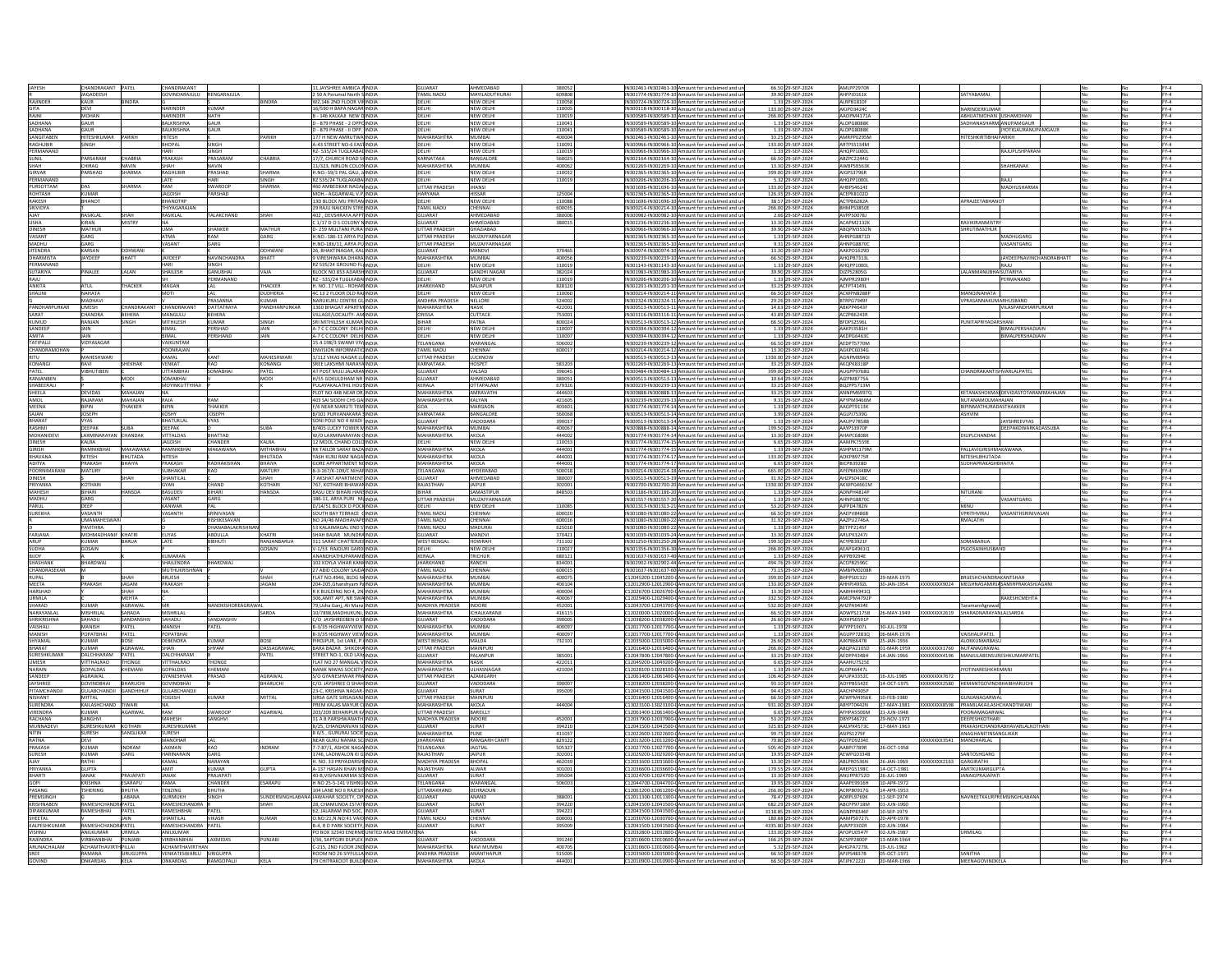| JAYESH                        | CHANDRAKANT PATEL           |                          |                                     |                           |                        | 11, JAYSHREE AMBICA PINDIA                                       |                                     |                               |                  |                                                                                                      | 66.50 29-SEP-2024                        |                                 |                                                        |                                 |                                 |                  |
|-------------------------------|-----------------------------|--------------------------|-------------------------------------|---------------------------|------------------------|------------------------------------------------------------------|-------------------------------------|-------------------------------|------------------|------------------------------------------------------------------------------------------------------|------------------------------------------|---------------------------------|--------------------------------------------------------|---------------------------------|---------------------------------|------------------|
|                               | JAGADEESH                   |                          | CHANDRAKANT<br>GOVINDARAJULU        | RENGARAJULA               |                        | 2 50 A Perumal North S INDIA                                     | <b>GUJARAT</b><br>TAMIL NADU        | AHMEDABAD<br>MAYILADUTHURA    | 380052<br>609808 | IN302461-IN302461-10 Amount for unclaimed and un<br>IN301774-IN301774-10 Amount for unclaimed and un | 39.90 29-SEP-2024                        | AMLPP2970R<br>AHFPJ0161K        |                                                        | TYABAMA                         |                                 | $FY-4$           |
| <b>RAJINDER</b>               | <b>CALIR</b>                | <b>UNDRA</b>             |                                     |                           | INDRA                  | VZ.146 ZND FLOOR VIRINDIA                                        | DEIHI                               | <b>NEW DELHI</b>              | 110058           | IN300724-IN300724-10 Amount for unclaimed and u                                                      | 1.33 29-SEP-2024                         | ALRPB1810F                      |                                                        |                                 |                                 | $FY-4$           |
| <b>GITA</b>                   | DEVI                        |                          | <b>NARINDER</b>                     | KUMAR                     |                        | 16/590 H BAPA NAGARINDIA                                         | DELHI                               | <b>NEW DELHI</b>              | 110005           | IN300118-IN300118-10 Amount for unclaimed and un                                                     | 133.00 29-SEP-2024                       | AKJPD3424C                      |                                                        | NARINDERKUMAR                   |                                 | $FY-4$           |
|                               | MOHAN                       |                          | VARINDER                            |                           |                        | - 146 KALKAJI NEW DINDIA                                         | DELHI                               | NEW DELHI                     | 110019           | IN300589-IN300589-10<br>ount for unclaimed and ur                                                    | 266.00 29-SEP-202                        | AAOPM4171A                      |                                                        | IJATMOHAN USHAMOHAN             |                                 | $FY-4$           |
| SADHANA                       | GALIR                       |                          | <b>RAI KRISHN</b>                   | GAUR                      |                        | - 879 PHASE - 2 OPPOINDIA                                        | DELHI                               | NEW DELHI                     | 110041           | IN300589-IN300589-10 Amount for uncl.                                                                | 1.33 29-SEP-2024                         | ALOPG8088K                      |                                                        | <b>ADHANASHARMLANUPAMGAUR</b>   |                                 | $FY-4$           |
| SADHANA                       | GAUR                        |                          | <b>BALKRISHN</b>                    | GAUR                      |                        | - 879 PHASE - ILOPP INDIA                                        | DEIHI                               | NFW DFI HI                    | 110041           | IN300589-IN300589-10 Amount for unclaimed and up                                                     | 1.33 29-SEP-2024                         | ALOPG8088K                      |                                                        |                                 | IYOTIGAURANUPAMGAU              | $FY-4$           |
|                               |                             |                          |                                     |                           | PARIKH                 |                                                                  |                                     |                               |                  |                                                                                                      |                                          |                                 |                                                        |                                 |                                 | $FY-4$           |
| SANGITABEN<br><b>RAGHUBIR</b> | HITESHKUMAR                 |                          | HITESH<br><b>BHOPAL</b>             | SINGH                     |                        | 177 H NEW AMRUTWA INDIA<br>4-43 STREET NO-6 EASTINDIA            | <b>MAHARASHTR</b><br>ELHI           | MUMBAI<br>NEW DELHI           | 400004           | IN302461-IN302461-10 Amount for unclaimed and ur<br>IN300966-IN300966-10 Amount for unclaimed and ur | 33.25 29-SEP-2024                        | AMRPP0295M<br>ARTPS5134M        |                                                        | <b>IITESHKIRTIBHAIPARIKH</b>    |                                 | $FY-4$           |
| PERMANANE                     | <b>SINGH</b>                |                          | HARI                                | <b>INGH</b>               |                        | RZ-535/24 TUGLKABADINDIA                                         | DELHI                               | NEW DELHI                     | 110091           | IN300966-IN300966-10 Amount for unclaimed and u                                                      | 133.00 29-SEP-2024                       | AHQPP1000L                      |                                                        |                                 | RAJUPUSHPARAI                   | $FY-4$           |
|                               |                             | <b>HARRIA</b>            |                                     |                           |                        |                                                                  |                                     |                               | 110019           |                                                                                                      | 1.33 29-SEP-2024                         |                                 |                                                        |                                 |                                 |                  |
| SUNIL                         | <b>ARSARAM</b>              |                          | PRAKASH                             | PRASARAM                  | CHABRIA                | 77, CHURCH ROAD SHINDIA                                          | <b>KARNATAKA</b><br><b>MAHARASH</b> | BANGALORE<br>MUMBA            | 560025<br>400062 | IN302164-IN302164-10 Amount for unclaimed and ur                                                     | 66.50 29-SEP-2024                        | ABZPC2244G                      |                                                        |                                 | HAHKANAK                        | $FY-4$<br>$FY-4$ |
|                               |                             |                          |                                     | AVIN                      | <b>SHARMA</b>          | 1/323, NIRLON COLONINDIA                                         |                                     |                               |                  | IN302269-IN302269-1<br>hount for unclaimed and ur                                                    | 13.30 29-SEP-2024                        | AWBPS9563K                      |                                                        |                                 |                                 |                  |
| GIRVAR                        | ARSHAD                      |                          | RAGHUB                              | PRASHAD                   |                        | I.NO.-59/3 PAL GALI, J/INDIA                                     | <b>DELHI</b>                        | NEW DELH                      | 11003            | IN302365-IN302365-1<br>mount for unclaimed and u                                                     | 399.00 29-SEP-2024                       | AIGPS3796R                      |                                                        |                                 |                                 | $FY-4$           |
| PERMANAND                     |                             |                          | <b>LATE</b>                         | <b>HARI</b>               | SINGH                  | <b>RZ 535/24 TUGLAKARA INDIA</b>                                 | FIHI                                | NEW DELHI                     | 110019           | IN300206-IN300206-10<br>Amount for unclaimed and u                                                   | 5.32 29-SEP-2024                         | AHQPP1000L                      |                                                        |                                 | <b>UIAS</b>                     | $FY-4$           |
| PURSOTTAM                     | DAS                         | <b>HARMA</b>             | RAM                                 | SWAROOP                   | SHARMA                 | 460 AMBEDKAR NAGARINDIA                                          | <b>ITTAR PRADESH</b>                | <b>JHANSI</b>                 |                  | IN301696-IN301696-10 Amount for unclaimed and ur                                                     | 133.00 29-SEP-2024                       | AHBPS4614E                      |                                                        |                                 | MADHUSHARM                      | $FY-4$           |
| ROHTASH                       | <b>KUMAR</b>                |                          | <b>JAGDISH</b>                      | ARSHAD                    |                        | MOH .- AGGARWAL V.P. INDIA                                       | <b>ARYANA</b>                       | HISSAR                        | 125004           | IN302365-IN302365-10 Amount for unclaimed and un                                                     | 126.35 29-SEP-2024                       | ACEPK8102D                      |                                                        |                                 |                                 | $FY-4$           |
| <b>RAKESH</b>                 | <b>HANOT</b>                |                          | HANOTRE                             |                           |                        | <b>3D BLOCK MU PRITAMINDIA</b>                                   | DEIHI                               | NFW DFI HI                    | 110088           | N301696-IN301696-1<br>mount for unclaimed and u                                                      | 38 57 29-SEP-2024                        | ACTPR6282A                      |                                                        | PRAIFFTARHANO                   |                                 | $FY-4$           |
| SRIVIDYA                      |                             |                          | THIYAGARAJA                         |                           |                        | <b>29 RAJU NAICKEN STRE INDIA</b>                                | <b>FAMIL NADU</b>                   | CHENNAI                       | 600035           | IN300214-IN300214-10<br>mount for unclaimed and ur                                                   | 266.00 29-SEP-2024                       | BHMPS3850E                      |                                                        |                                 |                                 | $FY-4$           |
|                               | rasiklal                    |                          | rasikla                             | ALAKCHAN                  |                        | 02, DEVSHRAYA APP                                                | UJARA <sup>-</sup>                  | AHMEDABA                      | 38000            | V300982-IN300982-<br>ount for unclaimed and u                                                        | 2.66 29-SEP-202                          | AVPPS0078J                      |                                                        |                                 |                                 | $FY-4$           |
| <b>USHA</b>                   | KIRAN                       |                          | <b>NA</b>                           |                           |                        | 1/17 D O S COLONY NINDIA                                         | <b>UJARAT</b>                       | AHMEDABAD                     | 380015           | IN302236-IN302236-10 Amount for unclaimed and un                                                     | 13.30 29-SEP-2024                        | ACAPM2132K                      |                                                        | <b>/IKIRANMIS</b>               |                                 | $FY-4$           |
| <b>DINESH</b>                 | <b>MATHUR</b>               |                          | <b>IJMA</b>                         | HANKER                    | <b>MATHUR</b>          | D-259 MULTANI PURA INDIA                                         | <b>LITTAR PRADESH</b>               | <b>GHAZIARAE</b>              |                  | IN300966-IN300966-10 Amount for unclaimed and u                                                      | 39.90 29-SEP-2024                        | ABQPM3532N                      |                                                        | RUTIMATHUR                      |                                 | $FY-4$           |
| VASANT                        | GARG                        |                          | ATMA                                | RAM                       | GARG                   | H.NO.-186-11 ARYA PULINDIA                                       | <b>JTTAR PRADESH</b>                | MUZAFFARNAGAF                 |                  | IN302365-IN302365-10 Amount for unclaimed and ur                                                     | 1.33 29-SEP-2024                         | AHNPG8871D                      |                                                        |                                 | MADHUGARG                       | $FY-4$           |
| MADHU                         | GARG                        |                          | VASANT                              | GARG                      |                        | I.NO-186/11, ARYA PU INDIA                                       | <b>JTTAR PRADESH</b>                | MUZAFFARNAC                   |                  | N302365-IN302365-1<br>mount for unclaimed and u                                                      | 9.31 29-SEP-2024                         | AHNPG88700                      |                                                        |                                 | <b>ASANTGARG</b>                | $FY-4$           |
| <b>IITENDRA</b>               | KARSAN                      |                          |                                     |                           | ODHWANI                | <b>26 RHAKTINAGAR KALINDIA</b>                                   | <b>SUIARAT</b>                      | MANDV                         | 370465           | IN300974-IN300974-10<br>mount for unclaimed and i                                                    | 13 30 29-SEP-202                         | AAKPO1629D                      |                                                        |                                 |                                 | $FV-4$           |
| DHARMISTA                     | JAYDEEP                     | <b>BHATT</b>             | JAYDEEP                             | NAVINCHANDRA              | BHATT                  | VIRESHWARA DHARA INDIA                                           | <b>MAHARASHTRA</b>                  | MUMBAI                        | 400056           | IN300239-IN300239-10 Amount for unclaimed and ur                                                     | 66.50 29-SEP-2024                        | AHQPB7313L                      |                                                        |                                 | <b>JAYDEEPNAVINCHANDRABHATT</b> | $FY-4$           |
| PERMANANE                     |                             |                          | HARI                                | <b>SINGH</b>              |                        | RZ 535/24 GROUND FLONDIA                                         | DELHI                               | NEW DELHI                     | 110019           | IN301143-IN301143-10 A<br>mount for unclaimed and ur                                                 | 1.33 29-SEP-2024                         | AHQPP1000L                      |                                                        |                                 | RAJU                            | $FY-4$           |
| <b>SUTARIYA</b>               | <b>INALEE</b>               |                          | <b>SHAILES</b>                      | GANURHA                   | UAIA                   | BLOCK NO 853 ADARSHINDIA                                         | <b>UIARAT</b>                       | <b>GANDHI NAGA</b>            | 38202            | IN301983-IN301983-1<br>nount for unclaimed and                                                       | 39.90 29-SEP-202                         | 01ZPS2805G                      |                                                        | 11031540                        | <b>ISLITARIVA</b>               | $FV-d$           |
| RAJU                          |                             |                          |                                     | PERMANAND                 |                        | 22 - 535/24 TUGLKABAIINDIA                                       | ELHI                                | NEW DELHI                     | 110019           | IN300206-IN300206-10 Amount for unclaimed and u                                                      | 1.33 29-SEP-2024                         | AJMPR2980H                      |                                                        |                                 | PERMANAND                       | $FY-4$           |
| ANKITA                        | ATUL                        | <b>HACKER</b>            | MAGAN                               |                           | THACKER                | I. NO. 17 VILL - ROHARINDIA                                      | HARKHANE                            | <b>BALIAPUR</b>               | 828120           | IN302201-IN302201-10 Amount for unclaimed and ur                                                     | 33.25 29-SEP-2024                        | ACFPT4149L                      |                                                        |                                 |                                 | $FY-4$           |
| SHALINI                       | VAHATA                      |                          |                                     |                           | UDHERIA                | 13 2 FLOOR OLD RAJINDIA                                          |                                     | NEW DELH                      | 1100             | N300214-IN300214-<br>mount for unclaimed and u                                                       | 66.50 29-SEP-202                         | ACWPN8288                       |                                                        |                                 |                                 | $FY-4$           |
|                               | <b>MADHAVI</b>              |                          |                                     | <b>RASANNA</b>            | KUMAR                  | ARUKURU CENTRE GUINDIA                                           | <b>ANDHRA PRADESE</b>               | <b>NELLORE</b>                | 524002           | N302324-IN302324-11<br>mount for unclaimed and u                                                     | 29.26.29-SEP-2024                        | RTRPG7949F                      |                                                        | PRASANNAKUMARHUSRAND            |                                 | $FY-4$           |
| PANDHARPUR                    | UMESH                       | <b>HANDRAKANT</b>        | CHANDRAKANT                         | DATTATRAYA                | PANDHARPURKA           | 360 BHAGAT APARTMINDIA                                           | MAHARASHTRA                         | <b>NASIK</b>                  | 422001           | IN300513-IN300513-11<br>mount for unclaimed and ur                                                   | 14.63 29-SEP-2024                        | ABKPP4643F                      |                                                        |                                 | VILASPANDHARPURKAR              | $FY-4$           |
| SARAT                         | <b><i>EHANDRA</i></b>       | <b>BEHERA</b>            | MANGULU                             | BEHERA                    |                        | ILLAGE/LOCALITY- AMINDIA                                         | ORISSA                              | CUTTACK                       | 75300            | IN303116-IN303116-11 Amount for unclaimed and ur                                                     | 43.89 29-SEP-2024                        | ACZPB6243R                      |                                                        |                                 |                                 | $FY-4$           |
| KUMUD                         | ANJAN                       |                          | MITHILESH                           | CUMAR                     | SINGH                  | RI MITHILESH KUMAR INDIA                                         | <b>IHAP</b>                         | PATNA                         | 80002            | N300513-IN300513-12 Amount for unclaimed and ur                                                      | 66.50 29-SEP-202                         | BFDPS2596L                      |                                                        | INITADDIVADAS                   |                                 | $FY-4$           |
| SANDEEP                       | <b>JAIN</b>                 |                          | BIMAL                               | PERSHAD                   | JAIN                   | A-7 C C COLONY DELHI INDIA                                       | DELHI                               | <b>NEW DELHI</b>              | 110007           | IN300394-IN300394-12 Amount for unclaimed and ur                                                     | 1.33 29-SEP-2024                         | AAKPJ3581H                      |                                                        |                                 | BIMALPERSHADJAIN                | $FY-4$           |
| AMITA                         | AIN                         |                          | BIMAL                               | PERSHAND                  | <b>AIN</b>             | -7 C C COLONY DELHI INDIA                                        | DELHI                               | NEW DELHI                     | 110007           | IN300394-IN300394-12 Amount for unclaimed and ur                                                     | 1.33 29-SEP-2024                         | AKDPG6463C                      |                                                        |                                 | <b>IMALPERSHADJAIN</b>          | $FY-4$           |
| TATIPALLI                     | <b>IDYASAGA</b>             |                          | VAIKUNTAM                           |                           |                        | 5.4.198/3 SWAMI VIVIINDIA                                        | TELANGAN                            | WARANGA                       | 506002           | N300239-IN300239-12<br>mount for unclaimed and u                                                     | 66.50 29-SEP-2024                        | AEDPT5770M                      |                                                        |                                 |                                 | $FY-4$           |
| CHANDRAMO                     |                             |                          | POONRAJA                            |                           |                        | INVISION INFORMATIO INDIA                                        | <b>TAMIL NADU</b>                   | CHENNAL                       | 600017           | IN300214-IN300214-12 Amount for unclaimed and u                                                      | 13.30 29-SEP-2024                        | AGKPC6034G                      |                                                        |                                 |                                 | $FY-4$           |
| <b>RITU</b>                   | MAHESHWARI                  |                          | KAMAL                               | KANT                      | MAHESHWARI             | 3/112 VIKAS NAGAR LUINDIA                                        | <b>UTTAR PRADESH</b>                | LUCKNOW                       |                  | IN300513-IN300513-13 Amount for unclaimed and un                                                     | 1330.00 29-SEP-2024                      | AGNPM8940J                      |                                                        |                                 |                                 | $FY-4$           |
|                               |                             |                          | <b>VENKAT</b>                       | RAO                       |                        |                                                                  |                                     |                               | 583203           |                                                                                                      |                                          |                                 |                                                        |                                 |                                 |                  |
| <b>KONANGI</b>                | <b>IBHUTIBEN</b>            | HEKHAF                   | <b>UTTAMBH</b>                      | <b>COMARHA</b>            | <b>KONANG</b><br>PATEL | SREE LAKSHMI NARAYA INDIA<br><b>T POST MULI JALARANINDIA</b>     | KARNATAKA<br><b>GUJARAT</b>         | HOSPET<br>VALSAD              |                  | IN302269-IN302269-13 Amount for unclaimed and ur                                                     | 33.25 29-SEP-2024<br>399.00 29-SEP-202   | AKQPK8318P                      |                                                        |                                 | APLAIDATEL                      | $FY-4$<br>$FY-4$ |
| PATEL<br>RANJANBEN            |                             |                          | SOMABHAI                            |                           | MODI                   | 1/55 GOKULDHAM NR INDIA                                          | <b>SUJARAT</b>                      | AHMEDABAB                     | 39604<br>380051  | IN300484-IN300484-13 Amount for unclaimed and<br>IN300513-IN300513-13 Amount for unclaimed and u     | 10.64 29-SEP-2024                        | AUGPP9768G<br>AJZPM8775A        |                                                        |                                 |                                 | $FY-4$           |
|                               |                             |                          |                                     |                           |                        |                                                                  |                                     | OTTAPALAN                     |                  |                                                                                                      |                                          |                                 |                                                        |                                 |                                 |                  |
| SHABEERALI                    |                             |                          | MOYINKUT                            |                           |                        | PULAYAKALATHIL HOUSINDIA                                         | KERALA                              |                               | 679326<br>44460  | IN300239-IN300239-13 Amount for unclaimed and ur                                                     | 33.25 29-SEP-202                         | BQZPP5713M                      |                                                        |                                 |                                 | $FY-4$<br>$FY-4$ |
| SHEELA                        | DEVIDAS                     | MAHAJAN                  | <b>NA</b>                           |                           |                        | <b>LOT NO 44B NEAR DR INDIA</b>                                  | <b>MAHARASHTR</b>                   | AMRAVATH                      |                  | IN300888-IN300888-13 Amount for unclaimed and u                                                      | 33.25 29-SEP-2024                        | <b>ANNPM6997Q</b>               |                                                        | <b>ETANASHOKMAHDEVIDASTOT</b>   |                                 |                  |
| AMOL                          | <b>ALARAN</b>               | MAHAIAN                  | RAJA                                | RAM                       |                        | 03 SAI SIDDHI CHS GAINDIA                                        | <b>MAHARASHTRA</b>                  | KALYAN                        | 421605           | N300239-IN300239-13 Amount for unclaimed and                                                         | 9.31 29-SEP-2024                         | APYPM9466M                      |                                                        | <b>ITANAMOI MAHAIAN</b>         |                                 | $FY-4$           |
| <b>MEENA</b>                  | <b>SIPIN</b>                | HAKKER                   | <b>BIPIN</b>                        | THAKKER                   |                        | F/6 NEAR MARUTI TEMINDIA                                         |                                     | MARGAON                       | 403601           | IN301774-IN301774-14 Amount for unclaimed and ur                                                     | 1.33 29-SEP-2024                         | AAGPT9113K                      |                                                        | PINMATHURADASTHAKKER            |                                 | $FY-4$           |
| SAJAN                         | <b>JOSEPH</b>               |                          | KOSHY                               | <b>JOSEPH</b>             |                        | 3/101 PURVANAKARA SINDIA                                         | CARNATAKA                           | BANGALOR                      | 560068           | IN300513-IN300513-14 Amount for unclaimed and ur                                                     | 3.99 29-SEP-2024                         | AGLPJ7539G                      |                                                        | <b>SHVINI</b>                   |                                 | $FY-4$           |
| <b>BHARAT</b>                 |                             |                          | <b>BHATUKL</b>                      | <b>YAS</b>                |                        | ONI POLE NO 4 WADI INDIA                                         | <b>UJARAT</b>                       | VADODARA                      | 39001            | N300513-IN300513-14<br>mount for unclaimed and ur                                                    | 1.33 29-SEP-202                          | AAUPV7858B                      |                                                        |                                 | AYSHREEVYAS                     | $FY-4$           |
| RASHMI                        | DEEPAK                      | <b>SLIRA</b>             | <b>DEEPAK</b>                       |                           | SUBA                   | <b>B/405 LUCKY TOWER MINDIA</b>                                  | <b>MAHARASHTRA</b>                  | <b>MUMBAI</b>                 | 400067           | IN300888-IN300888-14 Amount for unclaimed and ur                                                     | 199.50 29-SEP-2024                       | AAYPS3970P                      |                                                        |                                 | <b>DEEPAKDWARKADASSUBA</b>      | $FY-4$           |
| <b>MOHANIDE</b>               | AXMINA                      |                          | VITTALDA!                           | <b>SHATTAD</b>            |                        | N/O LAXMINARAYAN CINDIA                                          | <b>HARASHTRA</b>                    | AKOLA                         | 444002           | IN301774-IN301774-14 Amount for unclaimed and u                                                      | 13.30 29-SEP-2024                        | AHAPC6808K                      |                                                        | ILIPLCHANDAK                    |                                 | $FY-4$           |
| <b>DINESH</b>                 | KALRA                       |                          | JAGDISH                             | CHANDER                   | KALRA                  | 12 MOOL CHAND COLOINDIA                                          | DELHI                               | NEW DELH                      | 110033           | IN301774-IN301774-15 Amount for unclaimed and ur                                                     | 6.65 29-SEP-2024                         | AAMPK7559E                      |                                                        |                                 |                                 | $FY-4$           |
| GIRISH                        | <b>AMNIKB</b>               | <b>AAKAWANA</b>          | <b>RAMNIKBI</b>                     | MAKAWAN                   | MITHARH                | <b>K TAILOR SARAF BAZA INDIA</b>                                 | MAHARASHTR                          | AKOLA                         | 44400            | IN301774-IN301774-15 Amount for unclaimed and                                                        | 1.33 29-SEP-202                          | ASHPM1179M                      |                                                        | <b>NI AVIGIRISHMAI</b>          |                                 | $FY-4$           |
| BHAVANA                       | NITESH                      | BHUTADA                  | NITESH                              |                           | <b>BHUTADA</b>         | YASH KUNJ RAM NAGA INDIA                                         | <b>MAHARASHTRA</b>                  | AKOLA                         | 444001           | IN301774-IN301774-17 Amount for unclaimed and un                                                     | 133.00 29-SEP-2024                       | AOKPB9775R                      |                                                        | NITESHLBHUTADA                  |                                 | $FY-4$           |
| ADITYA                        | <b>PRAKASH</b>              |                          | PRAKASH                             | <b>ADHAKISHAI</b>         | BHAIYA                 | GORE APPARTMENT NOINDIA                                          | <b>MAHARASHTR</b>                   | AKOLA                         | 444001           | IN301774-IN301774-17 Amount for unclaimed and ur                                                     | 6.65 29-SEP-2024                         | BICPB3928D                      |                                                        | <b>JDHAPRAKASI</b>              |                                 | $FY-4$           |
| <b>POORNIMARA</b>             | MATURY                      |                          | SURHAKAR                            | RAO                       | <b>MATLIRY</b>         | 3-3-167/K-109/C NIHARINDIA                                       | TELANGANA                           | HYDERARA                      | 500018           | IN300214-IN300214-18 Amount for unclaimed and                                                        | 665.00 29-SEP-2024                       | AYFPM634RM                      |                                                        |                                 |                                 | $FY-4$           |
| <b>DINESH</b>                 |                             |                          | SHANTILAL                           |                           | SHAH                   | AKSHAT APARTMENT INDIA                                           | <b>UJARAT</b>                       | AHMEDABAD                     | 380007           | IN300513-IN300513-19 Amount for unclaimed and u                                                      | 31.92 29-SEP-2024                        | AHZPS0418C                      |                                                        |                                 |                                 | $FY-4$           |
| PRIYANKA                      | KOTHARI                     |                          | GYAN                                | CHAND                     | KOTHARI                | 767, KOTHARI BHAWANINDIA                                         | RAJASTHAN                           | <b>JAIPUR</b>                 | 302001           | IN302700-IN302700-20 Amount for unclaimed and un                                                     | 1330.00 29-SEP-2024                      | AKWPG4661M                      |                                                        |                                 |                                 | $FY-4$           |
| MAHESH                        | <b>SIHARI</b>               |                          | <b>BASUDEV</b>                      | <b>SIHARI</b>             | <b>ANSDA</b>           | BASU DEV BIHARI HANSINDIA                                        | <b>IHAR</b>                         | SAMASTIPUR                    | 848503           | IN301186-IN301186-20 Amount for unclaimed and ur                                                     | 1.33 29-SEP-2024                         | ADNPH4814P                      |                                                        | TURANI                          |                                 | $FY-4$           |
| MADHU                         | <b>SARG</b>                 |                          | VASANT                              | <b>ARG</b>                |                        | 186-11, ARYA PURI MUINDIA                                        | <b>JTTAR PRADES</b>                 | MUZAFFARNAC                   |                  | N301557-IN301557-20 Amount for unclaimed and u                                                       | 1.33 29-SEP-2024                         | AHNPG8870C                      |                                                        |                                 | ASANTGARG                       | $FY-4$           |
| PARUL                         | DEEP                        |                          | <b>KANWAR</b>                       |                           |                        | D/14/51 BLOCK D POCKINDIA                                        | ELHI                                | NEW DELHI                     | 110085           | IN301313-IN301313-21 Amount for unclaimed and ur                                                     | 53.20 29-SEP-2024                        | AJFPD4782N                      |                                                        | <b>MINIT</b>                    |                                 | $FY-4$           |
| <b>SUREKHA</b>                | VASANTH                     |                          | VASANTH                             | SRINIVASAN                |                        | SOUTH BAY TERRACE GINDIA                                         | <b>TAMIL NADU</b>                   | CHENNAI                       | 600020           | IN301080-IN301080-22 Amount for unclaimed and ur                                                     | 66.50 29-SEP-2024                        | AAEPV8486B                      |                                                        | RITHVIRAJ                       | VASANTHSRINIVASA                | $FY-4$           |
|                               | <b>IMAMAHESWA</b>           |                          |                                     | RISHIKESAVAN              |                        | ΝΟ 24/46 ΜΑΠΗΑΛΑΡΡΙΝΠΙΑ                                          | <b>TAMIL NADU</b>                   | CHENNAI                       | 600016           | IN301080-IN301080-22 Amount for unclaimed and                                                        | 31.92 29-SEP-2024                        | AAZPU2746A                      |                                                        | RMALATHI                        |                                 | $FY-4$           |
|                               | <b>AVITHRA</b>              |                          |                                     | <b>HANARAI AKRIS</b>      |                        | 53 KALAIMAGAL IIND STINDIA                                       | <b>TAMIL NADU</b>                   | <b>MADURAL</b>                | 625010           | IN301080-IN301080-22 Amount for unclaimed and u                                                      | 1.33 29-SEP-2024                         | BETPP2145F                      |                                                        |                                 |                                 | $FY-4$           |
| FARJANA                       | <b>MOHMADHANIF KHATRI</b>   |                          | ELIYAS                              | ABDULLA                   | KHATRI                 | HAH BAJAR MUNDRAINDIA                                            | <b>UJARAT</b>                       | MANDVI                        | 370421           | IN301039-IN301039-24 Amount for unclaimed and ur                                                     | 13.30 29-SEP-2024                        | ARUPK3247J                      |                                                        |                                 |                                 | $FY-4$           |
|                               | <b>CUMAR</b>                |                          |                                     |                           |                        |                                                                  | WEST BENGA                          |                               | 711102           |                                                                                                      |                                          |                                 |                                                        | <b>DMABARUA</b>                 |                                 | $FY-4$           |
|                               |                             |                          |                                     |                           |                        |                                                                  |                                     |                               |                  |                                                                                                      |                                          |                                 |                                                        |                                 |                                 | $FY-4$           |
| ARUP                          |                             |                          | LATE                                | IBHUT                     | LANJANBARU             | 311 SARAT CHATTERJEEINDIA                                        |                                     | <b>HOWRAH</b>                 |                  | IN301250-IN301250-28 Amount for unclaimed and un                                                     | 199.50 29-SEP-2024                       | ACYPB3921F                      |                                                        |                                 |                                 |                  |
| <b>SUDHA</b>                  | OSAIN                       |                          |                                     |                           | <b>MIA2O</b>           | 1/53 RAJOURI GARDIINDIA                                          | ELHI                                | NEW DELHI                     | 110027           | IN301356-IN301356-30 Amount for unclaimed and u                                                      | 266.00 29-SEP-2024                       | AEAPG4961Q                      |                                                        |                                 |                                 |                  |
| <b>BIIOY</b>                  |                             |                          | <b>KUMARAN</b>                      |                           |                        | <b>NANDHATHUPARAMEINDIA</b>                                      | <b>KERALA</b>                       | TRICHUR                       | 680121           | IN301637-IN301637-40 Amount for unclaimed and ur                                                     | 1.33 29-SEP-2024                         | AIFPB9294E                      |                                                        |                                 |                                 | $FY-4$           |
|                               |                             |                          | SHAILENDI<br>MUTHUKRISI             | <b>HARDWA</b>             |                        | <b>2 KOYLA VIHAR KANKINDI</b><br><b>7 ABID COLONY SAIDAINDIA</b> | <b>TAMIL NADLI</b>                  | RANCHI                        | 83400            | ed and u<br>IN301637-IN301637-60 A                                                                   | 494.76 29-SEP-202                        | <b>ACCPB25960</b><br>AMRPM0208R |                                                        |                                 |                                 | $FY-4$           |
| <b>CHANDRASEKA</b>            |                             |                          |                                     |                           |                        |                                                                  |                                     | CHENNAL                       | 600015           | mount for unclaimed and                                                                              | 73.15 29-SEP-2024                        |                                 |                                                        |                                 |                                 | $FY-4$           |
| <b>RUPAL</b>                  |                             | нан                      | <b>BRUESH</b>                       |                           | <b>SHAH</b>            | FLAT NO.4946, BLDG NINDIA                                        | <b>MAHARASHTRA</b>                  | MUMRAL                        | 400075           | 12045200-12045200-0 Amount for unclaimed and ur                                                      | 399.00 29-SEP-2024                       | BHPPS0132J                      | 9-MAR-1975                                             | <b>RUESHCHANDRAKANTSHAH</b>     |                                 | $FY-4$           |
| MEETA                         | PRAKASH                     | <b>JAGANI</b>            | PRAKASH                             |                           | <b>JAGANI</b>          | 204-205, Ghanshyam PaINDIA                                       | MAHARASHTRA                         | MUMBAI                        | 400104           | C12012900-12012900-CAmount for unclaimed and un                                                      | 133.00 29-SEP-2024                       | AHHPJ4992L                      | 30-JAN-1954 XXXXXXX9024 MEGHNASAMIRJASAMIRPRAKASHJAGAN |                                 |                                 | $FY-4$           |
| <b>HARSHAD</b>                |                             | SHAH                     |                                     |                           |                        | R K BUILDING NO 4, 2N INDIA                                      | <b>MAHARASHTRA</b>                  | <b>MUMBAI</b>                 | 400004           | C12026700-12026700-0<br>Amount for unclaimed and un                                                  | 13.30 29-SEP-2024                        | AABHH4941Q                      |                                                        |                                 |                                 | $FY-4$           |
| URMILA                        |                             | <b>MEHTA</b>             |                                     |                           |                        | 306 AMIT APT NR SWAINDIA                                         | <b>MAHARASHTRA</b>                  | MUMRAL                        | 400067           | 12029400-12029400<br>mount for unclaimed and u                                                       | 332.50 29-SEP-2024                       | AMCPM4792P                      |                                                        |                                 | RAKESHCMEHTA                    | FVA              |
| SHARAD                        | KUMAR                       | AGRAWAL                  | MR                                  | <b>JANDKISHOREAGRAWAI</b> |                        | 79, Usha Ganj, Ali Manz INDIA                                    | <b>MADHYA PRADESH</b>               | INDORE                        | 452001           | 212043700-12043700-<br>mount for unclaimed and ur                                                    | 532.00 29-SEP-2024                       | AHZPA9434E                      |                                                        | aramaniAgrawa                   |                                 | $FY-4$           |
| NARAYANLA                     |                             | ARADA                    |                                     |                           |                        | /7898, MADHUKUNJ, INDIA                                          | AHARASHTR                           | ICHALKARA                     | 416115           | 2020000-1202000<br>hount for unclaimed and u                                                         | 66.50 29-SEP-202                         | ADWPS2175B                      | <b>MAY-1949</b>                                        |                                 |                                 | $FY-4$           |
| SHRIKRISHNA                   | SAHADU                      | SANDANSHI                | SAHADU                              | SANDANSHIN                |                        | O JAYSHREEBEN O SHINDIA                                          | TARAT                               | <b>VADODARA</b>               | 390005           | 12038200-12038200<br>nount for unclaimed and u                                                       | 26.60 29-SEP-2024                        | AOHPS0591P                      |                                                        |                                 |                                 | $FY-4$           |
| <b>VAISHALL</b>               | MANISH                      | <b>PATFI</b>             | MANISH                              | PATFI                     |                        | <b>B-3/35 HIGHWAYVIEW INDIA</b>                                  | <b>MAHARASHTRA</b>                  | MUMRAL                        | 400097           | 12012200-12012200<br>mount for unclaimed and ur                                                      | 1.33 29-SEP-2024                         | AFYPP1907L                      | 0-1111-1978                                            |                                 |                                 | $FY-4$           |
| MANISH                        | OPATBHA                     | PATEL                    | <b>ОРАТВНА</b>                      |                           |                        | B-3/35 HIGHWAY VIEWINDIA                                         | <b>IAHARASHTRA</b>                  | MUMBAI                        | 400097           | 12017700-12017700<br>mount for unclaimed and ur                                                      | 1.33 29-SEP-2024                         | AGUPP7283Q                      | 06-MAR-1976                                            | <b>ISHALIPATEL</b>              |                                 | $FY-4$           |
| AMAL                          |                             | BOSE                     | <b>DEBENDRA</b>                     | <b>CUMAR</b>              |                        | <b>IROJPUR, 1st LANE, P. INDIA</b>                               | <b>NEST BENGAL</b>                  | MALDA                         | 732101           | 12035000-12035000<br>nount for unclaimed and ur                                                      | 26.60 29-SEP-2024                        | <b>AJKPB6647B</b>               | 25-JAN-1936                                            | LOKKUMARBASI                    |                                 | $FY-4$           |
| RHARAT                        | KUMAR                       | <b>AGRAWA</b>            | SHAN                                | MAYH                      | DASSAGRAWAL            | BARA BAZAR SHIKOHAINDIA                                          | <b>UTTAR PRADES</b>                 | <b>MAINPLIR</b>               |                  | 12016400-12016400<br>nount for unclaimed and u                                                       | 266.00 29-SEP-2024                       | AROPA2105D                      | 01-MAR-1959 XXXXXXXX1760                               | NUTANAGRAWA                     |                                 | $FY-4$           |
| SURESHKUMA                    | DALCHHARAM                  | PATEL                    | DALCHHARAM                          |                           | PATEL                  | TREET NO-1, OLD LAXI INDIA                                       | <b>UJARAT</b>                       | PALANPUR                      | 385001           | 12047800-12047800-0<br>mount for unclaimed and ur                                                    | 33.25 29-SEP-2024                        | AEDPP4348H                      | 14-JAN-1966<br>XXXXXXXX4196                            | MANJULABENSURESHKUMARPAT        |                                 | $FY-4$           |
| <b>UMESH</b>                  | <b>ITTHALRAO</b>            | THONGE                   | VITTHALRAO                          | THONGE                    |                        | LAT NO 27 MANGAL VINDIA                                          | <b>MAHARASHTR</b>                   | NASIK                         | 422011           | 12049200-12049200<br>nount for unclaimed and ur                                                      | 6.65 29-SEP-2024                         | AAAHU7525E                      |                                                        |                                 |                                 | $FY-4$           |
| <b>NARAIN</b>                 | <b>GOPALDAS</b>             |                          | SOPALDAS                            | KHEMAN                    |                        | <b>JANIK NIWAS SOCIETY, INDIA</b>                                | <b>MAHARASHTRA</b>                  | JLHASNAGA                     | 42100            | 12028100-1202810<br>mount for unclaimed and ur                                                       | 1.33 29-SEP-2024                         | ALOPK6447L                      |                                                        |                                 |                                 | $FY-4$           |
| SANDEEP                       | AGRAWAL                     |                          | <b>SYANESHVAR</b>                   | PRASAD                    | AGRAWAL                | /O GYANESHWAR PRAINDIA                                           | <b>JTTAR PRADESH</b>                | <b>AZAMGARH</b>               |                  | 12061400-12061400-<br>mount for unclaimed and ur                                                     | 106.40 29-SEP-2024                       | AFUPA3352C                      | XXXXXXXX7672<br>6-JUL-1985                             |                                 |                                 | $FY-4$           |
| <b>JAYSHREE</b>               | GOVINDBHAI                  | BHARUCHI                 | <b>GOVINDBHAI</b>                   |                           | HARUCHI                | /O. JAYSHREE O SHAH INDIA                                        | <b>GUJARAT</b>                      | VADODARA                      | 390007           | 212038200-12038200-0<br>mount for unclaimed and un                                                   | 93.10 29-SEP-2024                        | AOYPB5542E                      | 14-OCT-1975<br>XXXXXXXX2580                            | <b>IEMANTGOVINDBHAIBHARUCHI</b> |                                 | $FY-4$           |
| PITAMCHAND                    | ULABCHANDJI                 |                          | SULABCHANDJI                        |                           |                        | -C, KRISHNA NAGAR-INDIA                                          | <b>HARAT</b>                        | SURAT                         | 39500            | 12041500-1204150<br>ount for unclaimed and u                                                         | 94.43 29-SEP-202                         | <b>AACHP4905P</b>               |                                                        |                                 |                                 | $FY-4$           |
| <b>NISHANT</b>                | <b>ITTAL</b>                |                          | <b>OGESH</b>                        | <b>IMAAP</b>              | <b>AITTAI</b>          | <b>JRSA GATE SIRSAGANT INDIA</b>                                 | <b>ITTAR PRADESH</b>                | <b>MAINPUR</b>                |                  | 12016400-12016400<br>ount for unclaimed and u                                                        | 66.50 29-SEP-2024                        | AFWPM4956K                      | 1-FFR-1980                                             | NIANAGARWA                      |                                 | $FY-4$           |
| <b>SURENDRA</b>               | KAILASHCHAND                | TIWARI                   | <b>NA</b>                           |                           |                        | PREM KALAS MAYUR CONDIA                                          | MAHARASHTRA                         | AKOLA                         | 444004           | 13023100-13023100-0<br>mount for unclaimed and ur                                                    | 931.00 29-SEP-2024                       | ABYPT0442N                      | 27-MAY-1981<br>XXXXXXXX8598                            | PRAMILAKAILASHCHANDTIWARI       |                                 | $FY-4$           |
| <b>VIRENDRA</b>               | KUMAR                       | AGARWAI                  | RAM                                 | <b>SWAROOP</b>            | AGARWAL                | 203/209 BEHARIPUR KAINDIA                                        | UTTAR PRADESH                       | BAREILLY                      |                  | C12061400-12061400-0<br>mount for unclaimed and ur                                                   | 6.65 29-SEP-202                          | AFHPA5506M                      | 21-JUN-1948                                            | OONAMAGARWAL                    |                                 | $FY-4$           |
| RACHANA                       | <b>NAGHUT</b>               |                          | MAHESH                              | <b>ANGHVI</b>             |                        | 11 A B PARSHWANATH INDIA                                         | <b>JADHVA PRADESK</b>               | INDORF                        | 452001           | 12037900-12037900<br>nount for unclaimed and                                                         | 53.20 29-SEP-202                         | DRYPS4672C                      | 29-NOV-1973                                            | FFPFSHKOTHAR                    |                                 | $FY-4$           |
| MUNNADEVI                     | <b>SURESHKUMAR KOTHARI</b>  |                          | SURESHKUMAR                         |                           |                        | B/25. CHANDANVAN SCINDIA                                         | <b>SUJARAT</b>                      | SURAT                         | 394210           | C12041500-12041500-0<br>mount for unclaimed and ur                                                   | 325.85 29-SEP-2024                       | AAUPK4573C                      | 17-MAY-1963                                            |                                 | PRAKASHCHANDRABHAVARLALKOTHAR   | $FY-4$           |
| NITIN                         | <b>SURESH</b>               | <b>SANGLIKAR</b>         | <b>SURESH</b>                       |                           |                        | <b>B 6/5, GURURAJ SOCIE INDIA</b>                                | MAHARASHTRA                         | PUNE                          | 411037           | C12022600-12022600-CAmount for unclaimed and un                                                      | 99.75 29-SEP-2024                        | ASIPS1279F                      |                                                        | MAGHANITINSANGLIKAR             |                                 | $FY-4$           |
| RATNA                         |                             |                          | ΔΝΟΗΔ                               |                           |                        | NEAR GURU NANAK SCHNDIA                                          | <b>ADVHAND</b>                      | <b>RAMGARH O</b>              | 829122           | 12013200-12013200<br>unt for unclaimed and u                                                         | 79.80 29-SEP-2024                        | AGTPD9234F                      |                                                        | MANOHARLAL                      |                                 | $FY-4$           |
| PRAKASH                       | <b>KUMAR</b>                | INDRAM                   | LAXMAN                              | <b>RAO</b>                | NDRAM                  | 7-7-87/1, ASHOK NAGA INDIA                                       | <b>TELANGANA</b>                    | <b>JAGTIAL</b>                | 505327           | 12027700-12027700<br>nount for unclaimed and u                                                       | 505.40 29-SEP-2024                       | AABPI7789R                      | $OCT-1958$                                             |                                 |                                 | $FY-4$           |
| <b>SURESH</b>                 | <b>KUMAR</b>                | GARG                     | HARINARAIN                          | GARG                      |                        | 746. LADIWALON KI GINDIA                                         | RAJASTHAN                           | <b>JAIPUR</b>                 | 302001           | 12029200-12029200-0<br>mount for unclaimed and ur                                                    | 19.95 29-SEP-2024                        | AEWPG0334B                      |                                                        | ANTOSHGARG                      |                                 | $FY-4$           |
| AJAY                          | RATHI                       |                          | CAMAL                               | VARAYAN                   |                        | I. NO. 33 PRIYADARSHI INDIA                                      | <b>MADHYA PRADE</b>                 | <b>BHOPAL</b>                 | 462039           | 12031600-12031600<br>nount for unclaimed and ur                                                      | 13.30 29-SEP-2024                        | ABLPR0536N                      | -JAN-1969<br>XXXXXXXX2163                              | GARGIRATHI                      |                                 | $FY-4$           |
|                               | <b>SLIPTA</b>               |                          | <b>AMIT</b>                         | <b>CLIMAR</b>             |                        | 137 HASAN KHAN MEINDIA                                           | <b>AJASTHAN</b>                     | LWAR                          | 30100            | 2036600-1203660<br>ount for unclaimed and u                                                          | 179.55 29-SEP-20                         | AREPG5198C                      | $-OCT-198$                                             | <b>AITKLIMAND GI</b>            |                                 | $FY-4$           |
| PRIYANKA<br>BHARTI            | <b>JANAK</b>                | PRAJAPATI                | <b>JANAK</b>                        | PRAJAPATI                 |                        | 40-B, VISHVAKARMA SCINDIA                                        | <b>UJARAT</b>                       | SURAT                         | 395004           | 12024700-12024700<br>nount for unclaimed and ur                                                      | 13.30 29-SEP-202                         | ANUPP8752D                      | 26-JUL-1969                                            | ANAKIPRAJAPAT                   |                                 | $FY-4$           |
|                               | <b>CRISHNA</b>              | <b>ESARAPL</b>           | RAMA                                | CHANDER                   | <b>ESARAPU</b>         | H NO 25-5-141 VISHNU INDIA                                       | <b>ELANGANA</b>                     | WARANGA                       | 506003           | 12044700-12044700<br>hount for unclaimed and ur                                                      | 19.95 29-SEP-202                         | AAAPE9916H                      | 10-APR-1972                                            |                                 |                                 | $FY-4$           |
| PASANG                        | <b>SHERING</b>              | BHUTIA                   | TENZING                             | RHIITIA                   |                        | 104 LANE NO 6 RAJESH INDIA                                       | <b>ITTARAKHAN</b>                   | DEHRADUN                      |                  | 12061200-12061200<br>bunt for unclaimed and u                                                        | 266.00 29-SEP-2024                       | ACRPB0917G                      | 14-APR-1953                                            |                                 |                                 | $FY-4$           |
| PREMSINGH                     |                             | LABANA                   | SURMUKE                             | SINGH                     | UNDERSINGHL            | AWAHAR SOCIETY, OPINDIA                                          | <b>UIARAT</b>                       | ANAND                         | 38800            | 2011300-12011300<br>hount for unclaimed and u                                                        | 78.47 29-SEP-2024                        | ADRPL9769K                      | 1-SEP-1974                                             | AVNEETKAURPREMSINGHLABAI        |                                 | $FY-4$           |
| <b>KRISHNABEN</b>             | RAMESHCHANDR, PATEL         |                          | RAMESHCHANDRA                       |                           |                        | 28. CHAMUNDA ESTATIINDIA                                         | <b>UJARAT</b>                       | SURAT                         | 394220           | 12041500-12041500-<br>mount for unclaimed and un                                                     | 682.29 29-SEP-2024                       | ABCPP9718M                      | 01-JUN-1960                                            |                                 |                                 | $FY-4$           |
| DIPAKKUMAR                    | AMESHBHAI                   | PATEL                    | RAMESHBHA                           | PATEL                     |                        | 52, JALARAM IND SOC, INDIA                                       | <b>GUJARAT</b>                      | SURAT                         | 394221           | C12041500-12041500-<br>mount for unclaimed and un                                                    | 3118.85 29-SEP-2024                      | AGNPP8346F                      | 10-SEP-1979                                            |                                 |                                 | $FY-4$           |
| SHEETAL                       |                             | <b>TAIN</b>              | SHANTILAL                           | <b>VIKASH</b>             | <b>CLIMAG</b>          | 0.NO:21,N.NO:41 VAID INDIA                                       | TAMIL NADL                          | CHENNAL                       | 600001           | 12030700-1203070<br>nount for unclaimed and                                                          |                                          | AAMPS0727L                      | 20-APR-1978                                            |                                 |                                 | $FY-4$           |
| KALPESHKUMAR                  | RAMESHCHANDR, PATEL         |                          | RAMESHCHANDRA PATEL                 |                           |                        | <b>B-4. R D PARK SOCIETY, INDIA</b>                              | GUJARAT                             | SURAT                         | 395009           | C12041500-12041500-<br>nount for unclaimed and ur                                                    | 180.88 29-SEP-202<br>4335.80 29-SEP-2024 | AJAPP3302R                      | 02-JUN-1984                                            |                                 |                                 | $FY-4$           |
| VISHNU                        | <b>INILKUMAR</b>            | URMILA                   | ANILKUMAR                           |                           |                        | O BOX 32343 ENERMEUNITED ARAB EMIRAT                             |                                     |                               |                  | 212032800-12032800-0<br>nount for unclaimed and ur                                                   | 133.00 29-SEP-2024                       | AFOPU0547F                      | 02-JUN-1987                                            | <b>JRMILAG</b>                  |                                 | $FY-4$           |
| RAJENDRA                      |                             | PUNJABI                  | VIRBHANBHAI                         | LAXMIDAS                  |                        |                                                                  | UJARA <sup>-</sup>                  |                               | 391240           | mount for unclaimed and ur                                                                           |                                          | ACSPP2800P                      | 13-MAR-1964                                            |                                 |                                 | $FY-4$           |
| ARUNACHALA                    | <b>ACHAMTHAVIRTH PILLAI</b> |                          | <b>ACHAMTHAVIRTHAN</b>              |                           |                        | /36, SAPTGIRI DUPLEX INDIA<br>215, 2ND FLOOR 2ND INDIA           | <b>MAHARASHTRA</b>                  | <b>VADODARA</b><br>NAVI MUMBA | 400705           | C12010600-12010600-<br>12010600-12010600                                                             | 166.25 29-SEP-2024                       | AHGPA7279L                      | 19-JUL-1962                                            |                                 |                                 | $FY-4$           |
| SREE<br>GOVIND                | RAMANA                      | SIRUGUPPA<br><b>KFIA</b> | VENKATESWARLU SIRIGUPPA<br>ONKARDAS | RAMGOPAL                  |                        | ROOM NO 26 SIYFULLA INDIA                                        | ANDHRA PRADESH                      | ANANTHAPUR<br><b>AKOLA</b>    | 515005           | nount for unclaimed and<br>C12035000-12035000-0 Amount for unclaimed and un                          | 5.32 29-SEP-202<br>66.50 29-SEP-2024     | APJPS4837B 05-OCT-1971          | 20-MAR-1966                                            | ANITHA                          |                                 | $FY-4$           |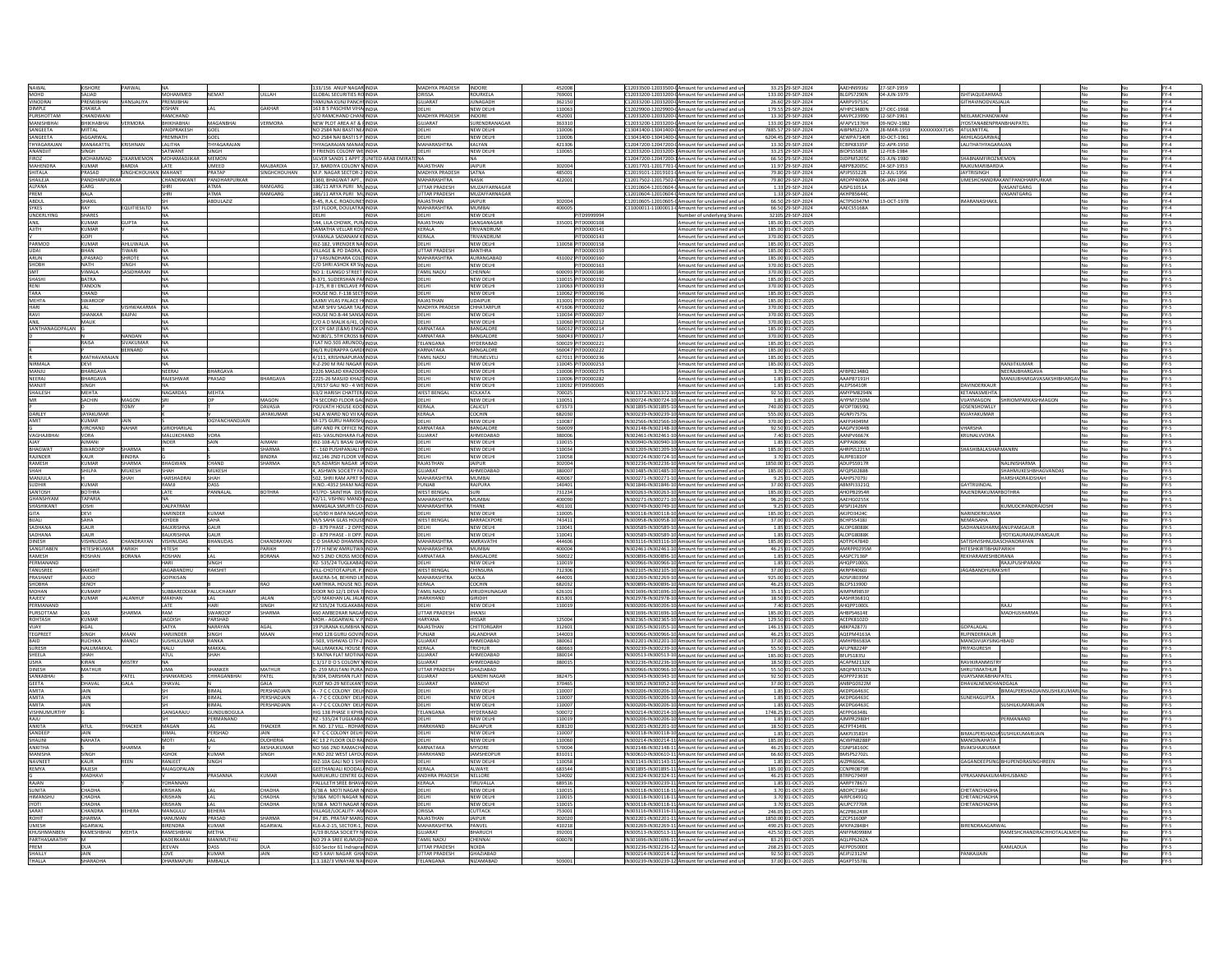| NAWAL                   | <b>CISHORE</b>          |                     |                      |                   |                                  | 133/156 ANUP NAGAR INDIA                                 |                         | <b>MADHYA PRADE</b>                          | <b>INDORE</b>                | 452008             | C12033500-12033500-CAmount for unclaimed and u                                                      | 33.25 29-SEP-202                        | AAEHN9936J               | 27-SEP-1959              |                               |                                        |                  |
|-------------------------|-------------------------|---------------------|----------------------|-------------------|----------------------------------|----------------------------------------------------------|-------------------------|----------------------------------------------|------------------------------|--------------------|-----------------------------------------------------------------------------------------------------|-----------------------------------------|--------------------------|--------------------------|-------------------------------|----------------------------------------|------------------|
| MOHD                    | GALLAD                  |                     | MOHAMMED             | NFMAT             | <b>UILLAH</b>                    | <b>GLOBAL SECURITIES ROINDIA</b>                         |                         | ORISSA                                       | ROURKELA                     | 769001             | C12033200-12033200-CAmount for unclaimed and un                                                     | 133.00 29-SEP-2024                      | BLGPS7290N               | 04-JUN-1979              | <b>SHTIAOLIFAHMAD</b>         |                                        | $FY-4$           |
| VINODRAI                | <b>REMJIBHAI</b>        | ANSJALIYA           | PREMJIBHAI           |                   |                                  | YAMUNA KUNJ PANCHI INDIA                                 |                         | <b>GUJARAT</b>                               | JUNAGADH                     | 362150             | C12033200-12033200-0 Amount for unclaimed and un                                                    | 26.60 29-SEP-2024                       | AARPV9753C               |                          | <b>GITHAVINODVASJALI/</b>     |                                        | $FY-4$           |
| DIMPLE                  | CHAWLA                  |                     | <b>CISHAN</b>        |                   |                                  | 163 B 5 PASCHIM VIHA INDIA                               |                         | DELHI                                        | NEW DELHI                    | 110063             | C12029900-12029900-CAmount for unclaimed and un                                                     | 179.55 29-SEP-2024                      | AFHPC3480N               | $-$ DEC $-1968$          |                               |                                        | $FY-4$           |
| PLIRSHOTTAM             | <b><i>CHANDWANI</i></b> |                     | <b>RAMCHAND</b>      |                   |                                  | S/O RAMCHAND CHANIINDIA                                  |                         | MADHYA PRADESH                               | <b>INDORF</b>                | 452001             | C12033200-12033200-0 Amount for unclaimed and u                                                     | 13 30 29-SEP-2024                       | GPPF2399D                | -SFP-1961                | NEELAMCHANDWANI               |                                        | $FY-4$           |
| MANISHBHAI              | <b>IIKHABHAI</b>        | RMORA               | <b>BHIKHABHAI</b>    | <b>AGANBHA</b>    | VERMORA                          | NEW PLOT AREA AT & FINDIA                                |                         | GUJARAT                                      | <b>URENDRANAGAI</b>          | 363310             | 12033200-12033200-CAmount for unclaimed and un                                                      | 133.00 29-SEP-2024                      | AFAPV1376H               | 9-NOV-1982               | <b>OSTANABENPRANBHAIPATEL</b> |                                        | $FY-4$           |
| SANGEETA                | <b>MITTAL</b>           |                     | VAIDPRAKESH          |                   |                                  | NO 2584 NAI BASTI NEAINDIA                               |                         | DELHI                                        |                              | 110006             |                                                                                                     | 7885.57 29-SEP-2024                     |                          | 28-MAR-1959 XXXXXXXX7145 | ATULMITTAL                    |                                        | $FY-4$           |
| SANGEETA                | AGGARWA                 |                     | PREMNATH             | GOEL              |                                  | NO 2584 NAI BASTI S P INDIA                              |                         |                                              | NEW DELHI<br><b>NEW DELH</b> | 110006             | C13041400-13041400-CAmount for unclaimed and un<br>C13041400-13041400-CAmount for unclaimed and un  | 6204.45 29-SEP-202                      | AIBPM5227A<br>AEWPA7140R | 30-OCT-1961              | AKHILAGGARWA                  |                                        | $FY-4$           |
| THYAGARAIAN             | MANAKATTII              |                     | <b>LALITHA</b>       | <b>HYAGARAIAN</b> |                                  | THYAGARAIAN MANAKINDIA                                   |                         | MAHARASHTRA                                  | KAI YAN                      | 421306             |                                                                                                     |                                         | <b>FCRPKR335P</b>        | 02-APR-1950              | <b>JALITHATHYAGARAIA</b>      |                                        | $FY-4$           |
|                         |                         | HNAN                |                      |                   |                                  |                                                          |                         |                                              |                              |                    | C12047200-12047200-0 Amount for unclaimed and ur                                                    | 13.30 29-SEP-2024                       |                          |                          |                               |                                        |                  |
| ANANDJIT                | INGH                    |                     | SATWANT              | <b>SINGH</b>      |                                  | 9 FRIENDS COLONY WEINDIA                                 |                         | DELHI                                        | NEW DELHI                    | 110065             | C12033200-12033200-1Amount for unclaimed and un                                                     | 33.25 29-SEP-2024                       | BIOPS5581B               | 12-FEB-1984              |                               |                                        | $FY-4$           |
|                         | <b>IOHAMM</b>           | ARMEMON             | <b>MOHAMADJIKA</b>   | MEMON             |                                  | SILVER SANDS 1 APPT.                                     | <b>JNITED ARAB EMIR</b> |                                              |                              |                    | C12047200-12047200-1Amount for unclaimed and u                                                      | 66.50 29-SEP-202                        | DJDPM52050               | $-JUN-1980$              | HABNAMFIROZMEMON              |                                        | $FY-4$           |
| <b>MAHFNDRA</b>         | <b>CLIMAR</b>           | <b>SPDIA</b>        | <b>LATE</b>          | <b>IMFFD</b>      | <b>MALBARDIA</b>                 | 17 BARDIYA COLONY NINDIA                                 |                         | RAIASTHAN                                    | <b>IAIPUR</b>                | 302004             | C12017201-12017701-0 Amount for unclaimed and u                                                     | 11.97 29-SEP-2024                       | ARPPR2005C               | 24-SEP-1953              | <b>AIKUMARIRARDIA</b>         |                                        | FVA              |
| SHITALA                 | PRASAD                  | SINGHCHOUHAN MAHANT |                      | PRATAP            | <b>SINGHCHOUHAN</b>              | M.P. NAGAR SECTOR-2 INDIA                                |                         | MADHYA PRADESH                               | SATNA                        | 485001             | C12019101-12019101-CAmount for unclaimed and un                                                     | 79.80 29-SEP-2024                       | APJPS5522B               | 12-JUL-1956              | <b>JAYTRISINGH</b>            |                                        | $FY-4$           |
| SHAILEJA                | ANDHARPUI               |                     | HANDRAKAN            | ANDHARPURK        |                                  | 1360, BHAGWAT APT., IINDIA                               |                         | MAHARASHTRA                                  | <b>NASIK</b>                 | 422001             | C12017502-12017502-CAmount for unclaimed and un                                                     | 79.80 29-SEP-2024                       | AROPP4006A               | 06-JAN-1948              |                               | <b>IMESHCHANDRAKANTPANDHARPURKAI</b>   | $FY-4$           |
| ALPANA                  |                         |                     |                      | TMA               | LAMGARO                          | 186/11 ARYA PURI MUINDIA                                 |                         | <b>UTTAR PRADESH</b>                         | MUZAFFARNAGA                 |                    | 12010604-12010604-CAmount for unclaimed and u                                                       | 1.33 29-SEP-202                         | <b>NSPG1051A</b>         |                          |                               | VASANTGARG                             | $FY-4$           |
| PRFM                    | BALA                    |                     | SHRI                 | <b>ATMA</b>       | RAMGARG                          | 186/11 ARYA PURI MUINDIA                                 |                         | <b>LITTAR PRADESH</b>                        | MUZAFFARNAGAR                |                    | C12010604-12010604-C Amount for unclaimed and u                                                     | 1.33 29-SEP-2024                        | AKHPB5644C               |                          |                               | VASANTGARG                             | $FY-4$           |
| ABDUL                   | SHAKIL                  |                     |                      | <b>ABDULAZIZ</b>  |                                  | B-45, R.A.C. ROADLINESINDIA                              |                         | RAJASTHAN                                    | <b>JAIPUR</b>                | 302004             | C12010605-12010605-CAmount for unclaimed and un                                                     | 66.50 29-SEP-2024                       | ACTPS0347M               | 13-OCT-1978              | <b>IMARANASHAKIL</b>          |                                        | $FY-4$           |
| <b>SYKES</b>            | ٧Δ۶                     | JITIESILTD          |                      |                   |                                  | 1ST FLOOR, DOULATRA INDIA                                |                         | <b>MAHARASHTR</b>                            | MUMRAI                       | 400005             | C11000011-11000011-CAmount for unclaimed and u                                                      | 66.50 29-SEP-2024                       | AAECS5168A               |                          |                               |                                        | $FY-4$           |
| UNDERLYING              | <b>SHARFS</b>           |                     |                      |                   |                                  | DELHI.                                                   | <b>INDIA</b>            | DEIHI                                        | NEW DELHI                    | DITD000000/        | Number of underlying Shares                                                                         | 32105 29-SEP-2024                       |                          |                          |                               |                                        | $FY-4$           |
|                         |                         |                     |                      |                   |                                  |                                                          |                         |                                              |                              |                    |                                                                                                     |                                         |                          |                          |                               |                                        |                  |
| ANIL                    | KUMAR                   | UPTA                |                      |                   |                                  | 544. LILA CHOWK, PURINDIA                                |                         | RAJASTHAN                                    | GANGANAGAP                   | 335001 PITD0000108 | Imount for unclaimed and u                                                                          | 185.00 01-OCT-2029                      |                          |                          |                               |                                        | FY-5             |
| <b>AJITH</b>            | KUMAR                   |                     |                      |                   |                                  | SAMATHA VELLAR KOV INDIA                                 |                         | KERALA                                       | TRIVANDRUM                   | PITD0000141        | Amount for unclaimed and un                                                                         | 185.00 01-OCT-2025                      |                          |                          |                               |                                        | FY-5             |
|                         | <b>GOPI</b>             |                     |                      |                   |                                  | SYAMALA SADANAM KUNDIA                                   |                         | KERALA                                       | TRIVANDRUM                   | PITD0000143        | ount for unclaimed and un                                                                           | 370.00 01-OCT-2025                      |                          |                          |                               |                                        | FY-5             |
| PARMOD                  | KUMAR                   | ALLAWLI IH          |                      |                   |                                  | W7-182 VIRENDER NAUNDIA                                  |                         | DEIHL                                        | NFW DFI HI                   | 110058 PITD0000158 | tount for unclaimed and u                                                                           | 185.00.01-007-2025                      |                          |                          |                               |                                        | FY-5             |
|                         | <b>SHAN</b>             | WARI                |                      |                   |                                  | VILLAGE & PO DADRA,                                      | <b>INDIA</b>            | <b>UTTAR PRADESH</b>                         | BANTHRA                      | PITD0000159        | bunt for unclaimed and un                                                                           | 185.00 01-OCT-202                       |                          |                          |                               |                                        | FY-5             |
| ARUN                    | UPASRAC                 | ROTE                |                      |                   |                                  | 17 VASUNDHARA CO                                         | INDIA                   | <b>MAHARASHTRA</b>                           | <b>AURANGABA</b>             | 431002 PITD000016  | ount for unclaimed and un                                                                           | 185.00 01-OCT-202                       |                          |                          |                               |                                        | FY-5             |
| SHOBH                   | NATH                    | <b>NGH</b>          |                      |                   |                                  | C/O SHRI ASHOK KR SININDIA                               |                         | DEIHI                                        | <b>NEW DELHI</b>             | PITD0000163        | mount for unclaimed and u                                                                           | 370.00 01-OCT-2025                      |                          |                          |                               |                                        | FY-5             |
| SMT                     | VIMALA                  | SASIDHARAN          |                      |                   |                                  | NO 1: ELANGO STREET INDIA                                |                         | TAMIL NADU                                   | CHENNAI                      | 600093 PITD0000186 | Amount for unclaimed and un                                                                         | 370.00 01-OCT-2025                      |                          |                          |                               |                                        | FY-5             |
| SHASHI                  | <b>BATRA</b>            |                     |                      |                   |                                  | B-371, SUDERSHAN PARINDIA                                |                         | DELHI                                        | NEW DELHI                    | 110015 PITD0000192 | Amount for unclaimed and un                                                                         | 185.00 01-OCT-2025                      |                          |                          |                               |                                        | FY-5             |
|                         | <b>TANDON</b>           |                     |                      |                   |                                  | -175, R B I ENCLAVE PAINDIA                              |                         | DELHI                                        | <b>VEW DELH</b>              | 110063 PITD0000193 | ount for unclaimed and u                                                                            | 370.00 01-OCT-202                       |                          |                          |                               |                                        | FY-5             |
| TARA                    | CHAND                   |                     |                      |                   |                                  | HOUSE NO. F-138 SECTIONDIA                               |                         | <b>DETHI</b>                                 | NFW DFI HI                   | 110062 PITD0000196 | Amount for unclaimed and u                                                                          | 185.00.01-007-2025                      |                          |                          |                               |                                        | FY-5             |
|                         |                         |                     |                      |                   |                                  |                                                          |                         |                                              |                              |                    |                                                                                                     |                                         |                          |                          |                               |                                        |                  |
| <b>MEHTA</b>            | <b>SWAROOP</b>          |                     |                      |                   |                                  | LAXMI VILAS PALACE HIINDIA                               |                         | RAJASTHAN                                    | UDAIPUR                      | 313001 PITD0000199 | hount for unclaimed and un                                                                          | 185.00 01-OCT-2025                      |                          |                          |                               |                                        | FY-5             |
|                         |                         | SHWAKARMA NA        |                      |                   |                                  | NEAR SHIV SAGAR TALAINDIA                                |                         | <b>MADHYA PRADESH</b>                        | CHHATARPU                    | 471606 PITD0000202 | Amount for unclaimed and ur                                                                         | 370.00 01-OCT-2025                      |                          |                          |                               |                                        | FY-5             |
|                         | <b>HANKAR</b>           |                     |                      |                   |                                  | HOUSE NO.B-44 SANS                                       |                         | DELHI                                        | EW DELH                      | 110034 PITD000020  | ount for unclaimed and u                                                                            | 370.00 01-OCT-202                       |                          |                          |                               |                                        | FY-5             |
| ANIL<br>SANTHANAGOPALAN | MALIK                   |                     |                      |                   |                                  | C/O A D MALIK 6/41, O INDIA                              |                         | DELHI                                        | NEW DELHI                    | 110060 PITD0000212 | mount for unclaimed and u                                                                           | 370.00 01-OCT-2025                      |                          |                          |                               |                                        | FY-5             |
|                         |                         |                     |                      |                   |                                  | EX DY GM (E&M) ENGAINDIA                                 |                         | KARNATAKA                                    | BANGALORE                    | 560032 PITD0000214 | Amount for unclaimed and un                                                                         | 185.00 01-OCT-2025                      |                          |                          |                               |                                        | FY-5             |
|                         |                         | ANDAN               |                      |                   |                                  | NO:80/1, STH CROSS B                                     | <b>AINDIA</b>           | <b>KARNATAKA</b>                             | ANGALOR                      | 560043 PITD0000217 | hount for unclaimed and u                                                                           | 370.00 01-OCT-202                       |                          |                          |                               |                                        | FY-5             |
|                         | RAISA                   | VAKUMAR             |                      |                   |                                  | ELAT NO 503 ARLINODAINDIA                                |                         | <b><i>FELANGANA</i></b>                      | <b>IYDERARAD</b>             | 500029 PITD0000221 | nount for unclaimed and u                                                                           | 185.00.01-OCT-2025                      |                          |                          |                               |                                        | FY-5             |
|                         |                         | ERNARD              |                      |                   |                                  | 96/1 RUDRAPPA GARDEINDIA                                 |                         | KARNATAKA                                    | BANGALORE                    | 560047 PITD0000222 | Amount for unclaimed and un                                                                         | 185.00 01-OCT-2029                      |                          |                          |                               |                                        | FY-5             |
|                         | <b>MATHAVARAJA</b>      |                     |                      |                   |                                  | 4/111, KRISHNAPURAMINDIA                                 |                         | <b>TAMIL NADU</b>                            | TIRUNELVELI                  | 627011 PITD0000236 | Amount for unclaimed and un                                                                         | 185.00 01-OCT-2025                      |                          |                          |                               |                                        | FY-5             |
| NIRMALA                 |                         |                     |                      |                   |                                  | R-Z-290 M RAJ NAGAR INDIA                                |                         | DEIHI                                        | NFW DFI H                    | 110045 PITD0000253 | mount for unclaimed and u                                                                           | 185.00 01-OCT-202                       |                          |                          |                               | <b>BANJITKI IMAR</b>                   | FY-5             |
| MANJU                   | BHARGAVA                |                     | NEERAJ               | BHARGAVA          |                                  | 2226 MASJID KHAZOOFINDIA                                 |                         | DELHI                                        | NEW DELHI                    | 110006 PITD0000275 |                                                                                                     | 3.70 01-OCT-2025                        | AFBPB2348Q               |                          |                               | NEERAJBHARGAVA                         | $FY-5$           |
|                         |                         |                     |                      |                   |                                  |                                                          |                         |                                              |                              |                    | Amount for unclaimed and ur                                                                         |                                         |                          |                          |                               |                                        | FY-5             |
| NEERAJ<br><b>MANIIT</b> | <b>BHARGAVA</b>         |                     | RAJESHWAR            | PRASAD            | <b>SHARGAVA</b>                  | 2225-26 MASJID KHAZCINDIA                                |                         | DELHI                                        | NEW DELHI                    | 110006 PITD0000282 | Amount for unclaimed and un                                                                         | 1.85 01-OCT-2025                        | AAAPB7191H               |                          |                               | MANJUBHARGAVASAKSHIBHARGAV No          |                  |
|                         |                         |                     |                      |                   |                                  | 1/9157 GALL NO - 4 WE INDIA                              |                         |                                              | NEW DELH                     | 110032 PITD950000  | ount for unclaimed and ur                                                                           | 1.85 01-OCT-202                         | ALEPS6410R               |                          |                               |                                        | FY-5             |
| <b>SHAILESH</b>         | <b>MFHTA</b>            |                     | NAGARDA              | <b>MFHTA</b>      |                                  | 63/2 HARISH CHATTERIINDIA                                |                         | WEST RENGA                                   | ΚΟΙΚΑΤΑ                      | 700025             | IN301372-IN301372-10 Amount for unclaimed and un                                                    | 92.50 01-OCT-2025                       | AMYPM8294N               |                          | ΚΕΤΑΝΑSΜΕΗΤΑ                  |                                        | FY-5             |
|                         | SACHIN                  | MAGON               |                      |                   | MAGON                            | 74 SECOND FLOOR GACINDIA                                 |                         | DELHI                                        | <b>NEW DELHI</b>             | 110051             | IN300724-IN300724-10 Amount for unclaimed and un                                                    | 1.85 01-OCT-2025                        | AIYPM7150M               |                          |                               | <b>VUAYMAGON SHRIOMPARKASHMAGON</b>    | $FY-5$           |
|                         |                         | OMY                 |                      |                   | DAVASIA                          | POUVATH HOUSE KOOLINDIA                                  |                         | KERALA                                       | CALICUT                      | 673573             | IN301895-IN301895-10 Amount for unclaimed and un                                                    | 740.00 01-OCT-2025                      | AFDPT0659Q               |                          | <b>JOSENSHOWLLY</b>           |                                        | FY-5             |
| DARLEY                  | AYAKUMAR                |                     |                      |                   | VAKUMAL                          | 342 A WARD NO VII KAHNDIA                                |                         | KERALA                                       | <b>COCHIN</b>                | 68203              | IN300239-IN300239-10 Amount for unclaimed and u                                                     | 555.00 01-OCT-202                       | AGNPJ7575L               |                          | VIAYAKUMAR                    |                                        | FY-5             |
| AMIT                    | <b>UMAR</b>             |                     |                      | GYANCHANDJAIN     |                                  | M-175 GURU HARKISH                                       | <b>AINDIA</b>           | DELHI                                        | NEW DELH                     | 110087             | IN302566-IN302566-10 Amount for unclaimed and u                                                     | 370.00 01-OCT-202                       | AAFPJ4049M               |                          |                               |                                        | FY-5             |
|                         | VIRCHAND                | NAHAR               | GIRIDHARILAL         |                   |                                  | GRV AND PK OFFICE NOINDIA                                |                         | <b>KARNATAKA</b>                             | BANGALORI                    | 560009             | IN302148-IN302148-10 Amount for unclaimed and un                                                    | 92.50 01-OCT-2029                       | AAGPV3044B               |                          | /HARSHA                       |                                        | $FY-S$           |
| <b>VAGHAJIBH</b>        | VORA                    |                     | MALUKCHAND           | /OR/              |                                  | 401- VASUNDHARA FLAINDIA                                 |                         | GUJARAT                                      | AHMEDABAI                    | 380006             | IN302461-IN302461-10 Amount for unclaimed and u                                                     | 7.40 01-OCT-202                         | AANPV6667K               |                          | <b>KRUNALVVORA</b>            |                                        | $FY-5$           |
|                         | <b>IMANI</b>            |                     | NDER                 |                   | <b>IMANI</b>                     | WZ-108-A/1 BASAI DARINDIA                                |                         | DELHI                                        | <b>NEW DELH</b>              | 110015             | IN300940-IN300940-10 Amount for unclaimed and u                                                     | 1.85 01-OCT-202                         | AJPPA0606E               |                          |                               |                                        | FY-5             |
| <b>BHAGWAT</b>          | SWAROOP                 | <b>HARMA</b>        |                      |                   | HARMA                            | -160 PUSHPANJALI PIINDIA                                 |                         | DELHI                                        | NEW DELHI                    |                    |                                                                                                     | 185.00 01-OCT-2029                      | AHRPS5221M               |                          | SHASHIBALASHARMANRN           |                                        | FY-5             |
|                         |                         |                     |                      |                   |                                  |                                                          |                         |                                              |                              | 110034             | IN301209-IN301209-10 Amount for unclaimed and ur                                                    |                                         |                          |                          |                               |                                        | $FY-5$           |
| RAJINDER                | KAUR<br>KUMAR           | INDRA<br>HARMA      | RHAGWAN              | <b>HAND</b>       | BINDRA<br><b>ANGAH</b>           | WZ,146 2ND FLOOR VIRINDIA                                |                         | DELHI<br>RAIASTHAN                           | NEW DELHI                    | 110058             | IN300724-IN300724-10 Amount for unclaimed and un                                                    | 3.70 01-OCT-2029                        | ALRPB1810F               |                          |                               | <b>NALINICHAPMA</b>                    |                  |
| RAMESH                  |                         |                     |                      |                   |                                  | <b>B/S ADARSH NAGAR JAINDIA</b>                          |                         |                                              | <b>JAIPUR</b>                | 302004             | IN302236-IN302236-10 Amount for unclaimed and u                                                     | 1850.00 01-OCT-2025                     | ADUPS5917R               |                          |                               |                                        | $FY-5$           |
| SHAH                    | SHILPA                  | MUKESH              | SHAH                 | MUKESH            |                                  | 4. ASHWIN SOCIETY FATINDIA                               |                         | <b>GUJARAT</b>                               | AHMEDABAD                    | 380007             | IN301485-IN301485-10 Amount for unclaimed and u                                                     | 185.00 01-OCT-2025                      | AFOPS0288B               |                          |                               | SHAHMUKESHBHAGVANDAS                   | $FY-5$           |
|                         |                         |                     |                      |                   |                                  |                                                          |                         |                                              |                              |                    |                                                                                                     |                                         |                          |                          |                               |                                        |                  |
| MANJULA                 |                         |                     | HARSHADRA            | SHAH              |                                  | 502, SHRI RAM APRT 94INDIA                               |                         | <b>MAHARASHTR</b>                            | MUMBAI                       | 400067             | IN300271-IN300271-10 Amount for unclaimed and un                                                    | 9.25 01-OCT-202                         | <b>AAHPS7079J</b>        |                          |                               | <b>IARSHADRAIDSHA</b>                  | FY-5             |
| <b>SUDHIR</b>           | <b>KUMAR</b>            |                     |                      | DASS              |                                  | H.NO.-4352 SHAM NAGINDIA                                 |                         | PUNJAB                                       |                              |                    | IN301846-IN301846-10 Amount for unclaimed and un                                                    | 37.00 01-OCT-2025                       |                          |                          | <b>GAYTRUINDAL</b>            |                                        |                  |
|                         | <b>BOTHRA</b>           |                     | RAMJI<br><b>LATE</b> | <b>DANNALAL</b>   |                                  |                                                          |                         |                                              | RAJPURA<br><b>CLIDI</b>      | 140401             |                                                                                                     |                                         | <b>ABMPJ3321Q</b>        |                          | <b>PAIENDRAKLIMARE</b>        |                                        | $FY-5$<br>$FY-5$ |
| SANTOSH                 |                         |                     |                      |                   |                                  | AT/PO- SAINTHIA DISTINDIA                                |                         | <b>WEST BENGA</b>                            |                              | 731234             | IN300263-IN300263-10 Amount for unclaimed and u                                                     | 185.00 01-OCT-202                       | AHOPB2954R               |                          |                               |                                        |                  |
| GHANSHYAM               | <b>TAPARIA</b>          |                     |                      |                   |                                  | K2/11. VISHNU MANDIHNDIA                                 |                         | <b>MAHARASHTRA</b>                           | <b>MUMBAI</b>                | 400090             | IN300271-IN300271-10 Amount for unclaimed and un                                                    | 96.20 01-OCT-2029                       | AAEHG0255K               |                          |                               |                                        | FY-5             |
| SHASHIKANT              | <b>IOSHI</b>            |                     | DALPATRAM            |                   |                                  | MANGALA SMURTI CO-INDIA                                  |                         | <b>MAHARASHTRA</b>                           | THANE                        | 401101             | IN300749-IN300749-10 Amount for unclaimed and un                                                    | 9.25 01-OCT-2025                        | AFSPJ1426N               |                          |                               | <b>KUMUDCHANDRAJOSH</b>                | FY-5             |
|                         | <b>FVI</b>              |                     | NARINDER             | KUMAR             |                                  | 16/590 H BAPA NAGAR INDIA                                |                         | DEIHI                                        | VEW DELH                     | 110005             | IN300118-IN300118-10 Amount for uncla                                                               | 185.00 01-OCT-202                       | AKJPD3424C               |                          | VARINDERKUMAF                 |                                        | $FY - 5$         |
| BIJALI                  | AHA                     |                     | <b>JOYDEB</b>        | <b>AHA</b>        |                                  | M/S SAHA GLAS HOUSEINDIA                                 |                         | <b>WEST BENGAL</b>                           | BARRACKPOR                   | 743411             | IN300958-IN300958-10 Amount for unclaimed and ur                                                    | 37.00 01-OCT-2025                       | BCHPS5418J               |                          | NEMAISAHA                     |                                        | $FY-5$           |
| SADHANA                 | GAUR                    |                     | <b>BALKRISHNA</b>    | GAUR              |                                  | D - 879 PHASE - 2 OPPOINDIA                              |                         | DELHI                                        | NEW DELHI                    | 110041             | IN300589-IN300589-10 Amount for unclaimed and un                                                    | 1.85 01-OCT-2025                        | ALOPG8088K               |                          |                               | <b>SADHANASHARM ANUPAMGAUR</b>         | $FY-5$           |
| SADHANA                 | <b>GAUR</b>             |                     | BALKRISHNA           | GAUR              |                                  | - 879 PHASE - II OPP. INDIA                              |                         | DELHI                                        | NEW DELHI                    | 110041             | IN300589-IN300589-10 Amount for unclaimed and un                                                    | 1.85 01-OCT-2025                        | ALOPG8088K               |                          |                               | <b>JYOTIGAURANUPAMGAUF</b>             | FY-5             |
| DINESH                  | SHNUDAS                 | HANDRAYAN           | <b>/ISHNUDAS</b>     | HANUD/            | <b>HANDRAYAN</b>                 | <b>SHARAD DHAMMI</b>                                     |                         | <b>MAHARASHTR.</b>                           | AMRAVATH                     | 444606             | IN303116-IN303116-10 Amount for unclaimed and u                                                     | 185.00 01-OCT-202                       | ADTPC4784D               |                          |                               | <b>TISHVISHNUDASCHANDRAYAN</b>         | FY-5             |
| SANGITABEN              | HITESHKUMAR             | PARIKH              | HITESH               |                   | ARIKH                            | 177 H NEW AMRUTWAINDIA                                   |                         | <b>MAHARASHTRA</b>                           | MUMBAI                       | 400004             | IN302461-IN302461-10 Amount for unclaimed and ur                                                    | 46.25 01-OCT-2029                       | AMRPP0295M               |                          | HITESHKIRTIBHAIPARIKH         |                                        | FY-5             |
| RAMESH                  | <b>ROSHAN</b>           | BORANA              |                      |                   | BORANA                           | NO 5 2ND CROSS MODUNDIA                                  |                         | KARNATAKA                                    | BANGALORE                    | 560022             | IN300896-IN300896-10 Amount for unclaimed and un                                                    | 1.85 01-OCT-2029                        |                          |                          | REKHARAMESHBORANA             |                                        | $FY-5$           |
| DEPMANAN                |                         |                     | ROSHAN<br>HARI       | <b>INGH</b>       |                                  | <b>R7-535/24 TUGI KARAFINDIA</b>                         |                         | <b>DETHI</b>                                 | NEW DELH                     | 110019             |                                                                                                     | 1.85 01-OCT-2025                        | AASPC7136P<br>AHOPP1000L |                          |                               | RAILIPLISHP                            | $FY-5$           |
| TANUSREE                | RAKSHIT                 |                     | <b>JAGABANDHL</b>    | RAKSHIT           |                                  | VILL-CHOTOTAJPUR, P. INDIA                               |                         | <b>WEST BENGA</b>                            | CHINSURA                     | 712306             | IN300966-IN300966-10 Amount for unclaimed and u<br>IN302105-IN302105-10 Amount for unclaimed and u  | 37.00 01-OCT-2025                       | AKRPR4060J               |                          | <b>AGARANDHUPAKSHIT</b>       |                                        | $FY-5$           |
|                         |                         |                     |                      |                   |                                  |                                                          |                         |                                              |                              |                    |                                                                                                     |                                         |                          |                          |                               |                                        |                  |
| PRASHANT                | <b>OOLAL</b>            |                     | GOPIKISAN            |                   |                                  | BASERA-54, BEHIND LR INDIA                               |                         | <b>MAHARASHTRA</b>                           | AKOLA                        | 444001             | IN302269-IN302269-10 Amount for unclaimed and un                                                    | 925.00 01-OCT-2025                      | ADSPJ8039M               |                          |                               |                                        | FY-5             |
| SHOBHA                  | SENOY<br><b>KIIMARD</b> |                     | SURRAPEDDIAR         | <b>PALLICHAM</b>  | RAO                              | KARTHIKA, HOUSE NO. INDIA                                |                         | KERALA                                       | COCHIN                       | 682032             | IN300896-IN300896-10 Amount for unclaimed and un                                                    | 46.25 01-OCT-2025                       | BLCPS1390D<br>AIMPMORS2E |                          |                               |                                        | $FY-5$           |
| <b>MOHAN</b>            |                         |                     |                      |                   |                                  | DOOR NO 12/1 DEVA TIINDIA                                |                         | <b>TAMIL NADU</b>                            | VIRUDHUNA                    | 626101             | IN301696-IN301696-10 Amount for unclaimed and u                                                     | 35.15 01-OCT-202                        |                          |                          |                               |                                        | FY-5             |
| RAJEEV                  | KUMAR                   | ALANHUF             | <b>MAKHAN</b>        |                   | <b>JALAN</b>                     | S/O MAKHAN LAL JALAHNDIA                                 |                         | <b>JHARKHAND</b>                             | <b>GIRIDIH</b>               | 815301             | IN302978-IN302978-10 Amount for unclaimed and un                                                    | 18.50 01-OCT-2025                       | AASHR3681Q               |                          |                               |                                        | FY-5             |
| PERMANANE               |                         |                     | LATE                 |                   | <b>SINGH</b>                     | RZ 535/24 TUGLAKABA INDIA                                |                         | DELHI                                        | NEW DELHI                    | 110019             | IN300206-IN300206-10 Amount for unclaimed and un                                                    | 7.40 01-OCT-2025                        | AHQPP1000L               |                          |                               | RAJU                                   | FY-5             |
| <b>PURSOTTAM</b>        | DAS                     |                     | <b>RAM</b>           | <b>SWAROOF</b>    | HARMA                            | <b>460 AMBEDKAR NAGARINDIA</b>                           |                         | <b>UTTAR PRADES</b>                          | <b>JHANSI</b>                |                    | IN301696-IN301696-10 Amount for unclaimed and ur                                                    | 185.00 01-OCT-2025                      | AHBPS4614E               |                          |                               | MADHU                                  | FY-5             |
| ROHTASH                 | KUMAR                   |                     | <b>JAGDISH</b>       | <b>ARSHAD</b>     |                                  | MOH.- AGGARWAL V.P. INDIA                                |                         | <b>HARYANA</b>                               | <b>RA22H</b>                 | 125004             | IN302365-IN302365-10 Amount for unclaimed and ur                                                    | 129.50 01-OCT-202                       | ACEPK8102D               |                          |                               |                                        | FY-5             |
| VIIAY                   | AGAL                    |                     | SATYA                | <b>NARAYAN</b>    | AGAL                             | 19 PURANA KUMBHA NINDIA                                  |                         | RAJASTHAN                                    | CHITTORGARH                  | 312601             | IN301055-IN301055-10 Amount for unclaimed and un                                                    | 146.15 01-OCT-2025                      | ABKPA2877J               |                          | GOPALAGAL                     |                                        | $FY-5$           |
| <b>TEGPREET</b>         | SINGH                   |                     | <b>HARJINDER</b>     | SINGH             | MAAN                             | HNO 128 GURU GOVIN INDIA                                 |                         | PUNJAB                                       | <b>JALANDHAR</b>             | 144003             | IN300966-IN300966-10 Amount for unclaimed and un                                                    | 46.25 01-OCT-2029                       | AQEPM4163A               |                          | UPINDERKAUR                   |                                        | FY-5             |
|                         | UCHIKA                  |                     | USHILKUM             | RANKA             |                                  | -503, VISHWAS CITY-                                      | <b>NDIA</b>             | <b>GUJARAT</b>                               | HMEDABAI                     | 380061             | IN302201-IN302201-10 Amount for unclaimed and u                                                     | 37.00 01-OCT-20                         | AMHPB6583A               |                          | ANOJVIJAYSII                  |                                        | FY-5             |
| <b>SURESH</b>           | NALUMAKKA               |                     | NALU                 | MAKKAL            |                                  | NALUMAKKAL HOUSE FINDIA                                  |                         | KERALA                                       | TRICHUR                      | 680663             | IN300239-IN300239-10 Amount for unclaimed and u                                                     | 55.50 01-OCT-2025                       | AFLPN8224P               |                          | PRIYASURESH                   |                                        | $FY-5$           |
| SHEELA                  | <b>HAH</b>              |                     | ATUL                 | HAH               |                                  | 5 RATNA FLAT MOTINA INDIA                                |                         | GUJARAT                                      | AHMEDABAE                    | 380014             | IN300513-IN300513-10 Amount for unclaimed and un                                                    | 185.00 01-OCT-2025                      | BFLPS1835J               |                          |                               |                                        | $FY-5$           |
| <b>USHA</b>             | KIRAN                   |                     |                      |                   |                                  | C 1/17 D O S COLONY NINDIA                               |                         | GUJARAT                                      | <b>HMEDABAD</b>              | 380015             | IN302236-IN302236-10 Amount for unclaimed and ur                                                    | 18.50 01-OCT-2025                       | ACAPM2132K               |                          | <b>AVIKIRANMISTR</b>          |                                        | FY-5             |
| DINESH                  | MATHUR                  |                     | <b>JMA</b>           | <b>HANKER</b>     | MATHUR                           | - 259 MULTANI PUR                                        |                         | <b>UTTAR PRADE</b>                           | HAZIABAD                     |                    | IN300966-IN300966-10 Amount for unclaimed and u                                                     | 55.50 01-OCT-20                         | ABQPM3532N               |                          | HRUTIMATHUR                   |                                        |                  |
| SANKABHA                |                         | PATE                | SHANKARDAS           | <b>HHAGANBHA</b>  | PATEL                            | <b>B/304, DARSHAN FLAT IINDIA</b>                        |                         | <b>GUJARAT</b>                               | <b>SANDHI NAGAR</b>          | 382475             | IN300343-IN300343-10 Amount for unclaimed and un                                                    | 92.50 01-OCT-202                        | AOPPP2361E               |                          | VUAYSANKABHAIPATE             |                                        | FY-5<br>$FY-5$   |
| <b>GEETA</b>            | DHAVAL                  | <b>GALA</b>         | <b>DHAVAL</b>        |                   | GALA                             | PLOT NO-29 NEELKANT INDIA                                |                         | <b>GUJARAT</b>                               | MANDVI                       | 370465             | IN303052-IN303052-10 Amount for unclaimed and un                                                    | 37.00 01-OCT-2025                       | ANBPG0322M               |                          | DHAVALNEMCHANDGALA            |                                        |                  |
| <b>AMITA</b>            | <b>IAIN</b>             |                     |                      | <b>BIMAL</b>      | <b><i><u>DEDSHADIAIN</u></i></b> | 4-7 C COLONY DELHINDIA                                   |                         | DEIHI                                        | NFW DFI HI                   |                    | IN300206-IN300206-10 Amount for uncla                                                               |                                         | AKDRG6463C               |                          |                               | <b>BIMALPERSHADIAINSLISHILKLIMARIN</b> | $FY-5$           |
|                         |                         |                     |                      |                   |                                  |                                                          |                         |                                              |                              | 110007             |                                                                                                     | 1.85 01-OCT-2025                        |                          |                          |                               |                                        | FY-5             |
| <b>AMITA</b>            | IAIN                    |                     |                      | <b>IMAL</b>       | PERSHADJAIN                      | -7 C C COLONY DELHINDIA                                  |                         | DELHI                                        | NEW DELHI                    | 110007             | IN300206-IN300206-10 Amount for unclaimed and ur                                                    | 1.85 01-OCT-2025                        | AKDPG6463C               |                          | UNEHAGUPTA                    |                                        | $FY-5$           |
| AMITA                   | <b>JAIN</b>             |                     |                      | <b>BIMAL</b>      | PERSHADJAIN                      | A - 7 C C COLONY DELHINDIA                               |                         | DELHI                                        | NEW DELHI                    | 110007             | IN300206-IN300206-10 Amount for unclaimed and un                                                    | 1.85 01-OCT-2025                        | AKDPG6463C               |                          |                               | SUSHILKUMARIJAIN                       | $FY-5$           |
| VISHNUMURTHY            |                         |                     | GANGARAJI            | GUNDUBOGULA       |                                  | HIG 138 PHASE II KPHB INDIA                              |                         | <b>TELANGANA</b>                             | HYDERABAD                    | 500072             | IN300214-IN300214-10 Amount for unclaimed and un                                                    | 1748.25 01-OCT-2025                     | AEPPG6348L               |                          |                               |                                        | FY-5             |
| RAJU                    |                         |                     |                      | FRMANAND          |                                  | RZ - 535/24 TUGLKABA INDIA                               |                         | DELHI                                        | <b>NEW DELH</b>              | 110019             | IN300206-IN300206-10 Amount for unclaimed and u                                                     | 1.85 01-OCT-202                         | AIMPR2980H               |                          |                               | <b>ERMANAND</b>                        | $FY-5$           |
| ANKITA                  | ATUL                    | THACKER             | MAGAN                |                   | THACKER                          | H. NO. 17 VILL - ROHARINDIA                              |                         | <b>JHARKHAND</b>                             | BALIAPUR                     | 828120             | IN302201-IN302201-10 Amount for unclaimed and un                                                    | 18.50 01-OCT-2025                       | ACFPT4149L               |                          |                               |                                        | FY-5             |
| SANDEEP                 | IAIN                    |                     | BIMAL                | PERSHAD           | JAIN                             | A 7 C C COLONY DELHI INDIA                               |                         | DELHI                                        | NEW DELHI                    | 110007             | IN300118-IN300118-10 Amount for unclaimed and un                                                    | 1.85 01-OCT-2025                        | AAKPJ3581H               |                          |                               | IMALPERSHADJASUSHILKUMARIJAII          | $FY-5$           |
| SHALINI                 | ΝΑΗΔΤΑ                  |                     | MOTI                 |                   | <b>OUDHERIA</b>                  | 4C 13 2 FLOOR OLD RAJINDIA                               |                         | DELHI                                        | NEW DELH                     | 110060             | IN300214-IN300214-11 Amount for unclaimed and ur                                                    | 185.00 01-OCT-2025                      | ACWPN8288P               |                          | <b>MANOINAHATA</b>            |                                        | $FY-S$           |
| <b>ANKITHA</b>          |                         |                     |                      |                   | AKSHAJKUMAR                      | NO 566 2ND RAMACHAINDIA                                  |                         | <b>KARNATAKA</b>                             | MYSORE                       | 570004             | IN302148-IN302148-11 Amount for unclaimed and un                                                    | 46.25 01-OCT-2025                       | CGNPS8160C               |                          | BVAKSHAJKUMAF                 |                                        | $FY-5$           |
| <b>MANISHA</b>          | SINGH                   |                     | <b>ASHOK</b>         | <b>KUMAR</b>      | SINGH                            | H.NO 202 WEST LAYOU INDIA                                |                         | <b>JHARKHAND</b>                             | JAMSHEDPUI                   | 831011             | IN300610-IN300610-11 Amount for unclaimed and un                                                    | 66.60 01-OCT-2025                       | BMSPS2702L               |                          |                               |                                        | FY-5             |
|                         |                         |                     |                      | <b>SINGH</b>      |                                  |                                                          |                         | DELHI                                        |                              |                    |                                                                                                     |                                         |                          |                          |                               |                                        |                  |
| NAVNEET                 | KAUR                    |                     | RANJEET              |                   |                                  | WZ-10A GALI NO 1 SHININDIA<br><b>EETHANJALI KOOD</b>     |                         |                                              | NEW DELHI                    | 110058             | IN301143-IN301143-11 Amount for unclaimed and un                                                    | 1.85 01-OCT-2025                        | AIZPR6064L               |                          |                               | GAGANDEEPSING BHUPENDRASINGHREEN       | FY-5             |
| REMYA                   | RAJESH                  |                     | RAJAGOPAL            |                   |                                  |                                                          |                         | KERALA                                       | LWAYE                        | 683544             | IN301895-IN301895-11 Amount for unclaimed and u                                                     | 185.00 01-OCT-20                        | CCNPR0879R               |                          |                               |                                        | FY-5             |
|                         | <b>MADHAVI</b>          |                     |                      | <b>RASANNA</b>    | KUMAR                            | NARUKURU CENTRE GUINDIA                                  |                         | <b>ANDHRA PRADES</b>                         | NELLORE                      | 524002             | IN302324-IN302324-11 Amount for unclaimed and ur                                                    | 46.25 01-OCT-2029                       | BTRPG7949F               |                          | VPRASANNAKUMARHUSBAND         |                                        | $FY-5$           |
| RAJAN                   |                         |                     | OHANNAN              |                   |                                  | ALLILETH SREE BHAVAINDIA                                 |                         | KERALA                                       | RUVALLA                      | 689516             | IN300239-IN300239-11 Amount for unclaimed and un                                                    | 1.85 01-OCT-2025                        | <b>AARPY7867J</b>        |                          |                               |                                        | FY-5             |
| <b>SUNITA</b>           | <b>HADHA</b>            |                     | KRISHAN              |                   | CHADHA                           | 9/38 A MOTLNAGAR NUNDIA                                  |                         | DELHI                                        | NEW DELH                     | 110019             | IN300118-IN300118-11 Amount for uncla<br>med and u                                                  | 3.70 01-OCT-2025                        | ABOPC7184J               |                          | <b>CHETANCHADHA</b>           |                                        | EY-5             |
| HIMANSHL                | HADHA                   |                     | KRISHAN              |                   | CHADHA                           | 9/38A MOTI NAGAR NIINDIA                                 |                         | DELHI                                        | <b>NEW DELH</b>              | 110015             | IN300118-IN300118-11 Amount for unclaimed and u                                                     | 3.70 01-OCT-202                         | AIRPC6491Q               |                          | <b>HETANCHADHA</b>            |                                        | FY-5             |
| <b>IYOTI</b>            | <b>HADHA</b>            |                     | KRISHAN              |                   | CHADHA                           | 9/38 A MOTI NAGAR NINDIA                                 |                         | DELHI                                        | NEW DELHI                    | 110015             | IN300118-IN300118-11 Amount for unclaimed and un                                                    | 3.70 01-OCT-2025                        | AIUPC7770R               |                          | <b>CHETANCHADHA</b>           |                                        | $FY-5$           |
| SARAT                   | <b>HANDRA</b>           |                     | MANGULU              | BEHERA            |                                  | VILLAGE/LOCALITY- AMINDIA                                |                         | ORISSA                                       | CUTTACK                      | 753001             | IN303116-IN303116-11 Amount for unclaimed and un                                                    | 246.05 01-OCT-202                       | ACZPB6243R               |                          |                               |                                        | FY-5             |
| ROHIT                   | HARMA                   |                     | <b>HANLIMAI</b>      | PRASAD            | SHARMA                           | 94 / 85, PRATAP MARG INDIA                               |                         | RAIASTHAN                                    | <b>JAIPUR</b>                | 302020             | IN302201-IN302201-11 Amount for unclaimed and u                                                     | 1850.00 01-OCT-202                      | CZCPS1600P               |                          |                               |                                        | FY-5             |
| <b>UMESH</b>            | AGARWAL                 |                     | BIRENDRA             | <b>KUMAR</b>      | AGARWAL                          | KL6-A-2-15, SECTOR-1, INDIA                              |                         | <b>MAHARASHTRA</b>                           | PANVEL                       | 410218             | IN302269-IN302269-11 Amount for unclaimed and ur                                                    | 490.25 01-OCT-2025                      | AFKPA2848H               |                          | <b>BIRENDRAAGARWAL</b>        |                                        | $FY-5$           |
| KHUSHMANBEN             | RAMESHBHA               |                     | <b>AMESHBHA</b>      | <b>METHA</b>      |                                  | A/19 BUSSA SOCIETY N INDIA                               |                         | <b>GUJARAT</b>                               | BHARUCH                      | 392001             | IN300513-IN300513-11 Amount for unclaimed and un                                                    | 425.50 01-OCT-2025                      | ANFPM0998M               |                          |                               | <b>RAMESHCHANDRACHHOTALALMEH N</b>     | $FY-5$           |
| PARTHASARATH            |                         |                     | KADERKARA            | MANIMUT           |                                  |                                                          |                         | <b>TAMIL NADU</b>                            | CHENNAI                      |                    |                                                                                                     |                                         |                          |                          |                               |                                        | $FY-5$           |
| <b>RFM</b>              | <b>ALK</b>              |                     | JEEVAN               |                   |                                  | NO 29 A SREE KUMUDHINDIA                                 |                         |                                              | NOIDA                        | 600078             | IN301696-IN301696-11 Amount for unclaimed and un                                                    | 83.25 01-OCT-2025                       | AQLPP6262A               |                          |                               | CAMLADUA                               | $FY-5$           |
| SHAILLY<br>THAILA       | <b>IAIN</b>             |                     | LOVE                 | <b>KUMAR</b>      |                                  | 610 Sector 61 IndraprasINDIA<br>KD 5 KAVI NAGAR GHAINDIA |                         | <b>UTTAR PRADESH</b><br><b>UTTAR PRADESH</b> | GHAZIABAD                    |                    | IN302236-IN302236-12 Amount for unclaimed and u<br>IN300214-IN300214-12 Amount for unclaimed and un | 268.25 01-OCT-2029<br>92.50 01-OCT-2025 | AEPPD5000E<br>AEJPJ2312M |                          | PANKAJJAIN                    |                                        | $FY-5$           |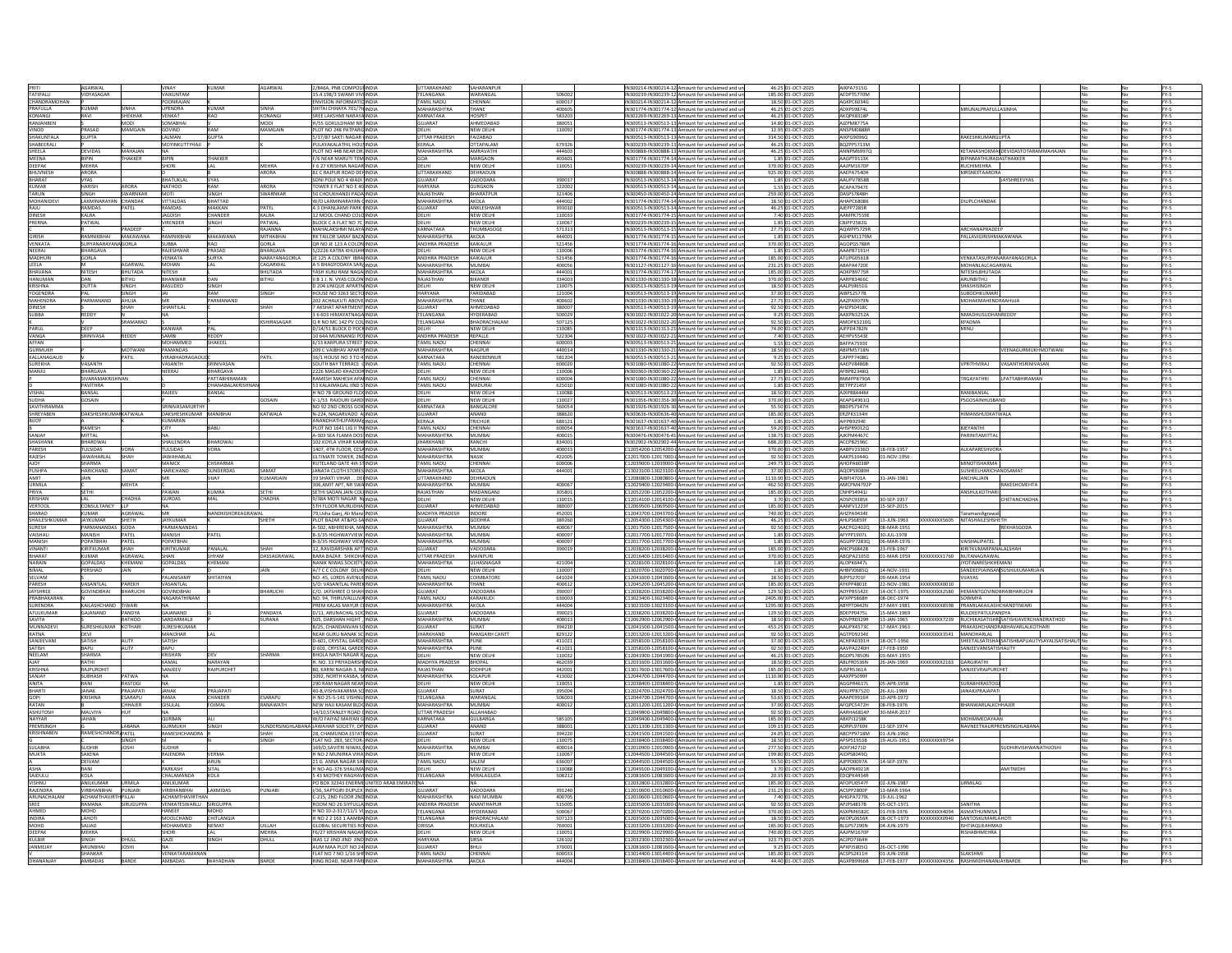|                              | GARWAL                                 |                           |                                 |                          |                               | 2/846A, PNB COMPOUTINDIA                                 |                                          | <b>UTTARAKHAND</b>                           | SAHARANPUL          |                  |                                                                                                    |                                         |                          |                                      |                         |                                                |                                          |                |
|------------------------------|----------------------------------------|---------------------------|---------------------------------|--------------------------|-------------------------------|----------------------------------------------------------|------------------------------------------|----------------------------------------------|---------------------|------------------|----------------------------------------------------------------------------------------------------|-----------------------------------------|--------------------------|--------------------------------------|-------------------------|------------------------------------------------|------------------------------------------|----------------|
| TATIPALLI                    | <b>/IDYASAGAR</b>                      |                           | VINAY<br>VAIKUNTAM              | KUMAR                    | AGARWAI                       | 15.4.198/3 SWAMI VIVIINDIA                               |                                          | TELANGANA                                    | WARANGA             | 506002           | IN300214-IN300214-12 Amount for unclaimed and un                                                   | 46.25 01-OCT-2025                       | AIKPA7315G<br>AEDPT5770M |                                      |                         |                                                |                                          | FY-5           |
| CHANDRAMOHAN                 |                                        |                           | POONRAJAN                       |                          |                               | ENVISION INFORMATIONNDIA                                 |                                          | TAMIL NADU                                   | CHENNAL             | 600017           | IN300239-IN300239-12 Amount for unclaimed and<br>IN300214-IN300214-12 Amount for unclaimed and un  | 185.00 01-OCT-202                       | AGKPC6034G               |                                      |                         |                                                |                                          | $FY-5$         |
|                              |                                        |                           |                                 |                          |                               |                                                          |                                          |                                              |                     |                  |                                                                                                    | 18.50 01-OCT-2025                       |                          |                                      |                         |                                                |                                          |                |
| PRAFULLA                     | KUMAR                                  |                           | UPENDRA                         | CUMAR                    | SINHA                         | SHITAI CHHAYA 701/7tHINDIA                               |                                          | <b>MAHARASHTRA</b>                           | THANE               | 400605           | IN301774-IN301774-12 Amount for unclaimed and un                                                   | 46.25 01-OCT-2025                       | ADXPS9874L               |                                      |                         | <b><i>MRUNALPRAFULLASINHA</i></b>              |                                          | FY-5           |
| CONANGI                      |                                        | <b>HEKHAR</b>             | VENKAT                          |                          | KONANGI                       | SREE LAKSHMI NARAY                                       |                                          | KARNATAKA                                    | <b>OSPET</b>        | 58320            | IN302269-IN302269-13 Amount for unclaimed and u                                                    | 46.25 01-OCT-202                        | AKOPK8318P               |                                      |                         |                                                |                                          | FY-5           |
| RANJANBEN                    |                                        | <b>ICON</b>               | SOMABHA                         |                          | <b>MODI</b>                   | H/55 GOKULDHAM NR INDIA                                  |                                          | GUJARAT                                      | HMEDABAE            | 380051           | IN300513-IN300513-13 Amount for unclaimed and un                                                   | 14.80 01-OCT-2025                       | AJZPM8775A               |                                      |                         |                                                |                                          | $FY-5$         |
| VINOD                        | PRASAD                                 | MAMGAIN                   | <b>GOVIND</b>                   | RAM                      | MAMGAIN                       | PLOT NO 248 PATPARG INDIA                                |                                          | DELHI                                        | NEW DELHI           | 110092           | IN301774-IN301774-13 Amount for unclaimed and ur                                                   | 12.95 01-OCT-2025                       | ANSPM0888R               |                                      |                         |                                                |                                          | $FY-5$         |
| SHAKUNTALA                   | <b>GUPTA</b>                           |                           | ALMAN                           | <b>GUPTA</b>             |                               | 5/17/87 SAKTI NAGAR (INDIA                               |                                          | <b>UTTAR PRADES</b>                          | FAIZABAD            |                  | IN300513-IN300513-13 Amount for unclaimed and ur                                                   | 314.50 01-OCT-2025                      | AIKPG9096Q               |                                      |                         | RAKESHKUMARGUPTA                               |                                          | $FY-5$         |
| SHABEERAL                    |                                        |                           | <b>AOYINKI</b>                  |                          |                               | ULAYAKALATHIL HOL                                        |                                          | KERALA                                       | ΤΤΑΡΑΙ ΑΝ           | 679326           | IN300239-IN300239-13 Amount for unclaimed and ur                                                   | 46.25 01-OCT-202                        | BQZPP5713M               |                                      |                         |                                                |                                          | FY-5           |
| SHEELA                       | DEVIDAS                                | <b>AHAJAN</b>             | NΑ                              |                          |                               | PLOT NO 44B NEAR DR. INDIA                               |                                          | <b>MAHARASHTR</b>                            | AMRAVATHI           | 444603           | IN300888-IN300888-13 Amount for unclaimed and un                                                   | 46.25 01-OCT-2029                       | ANNPM6997Q               |                                      |                         |                                                | KETANASHOKMAHDEVIDASTOTARAMMAHAJAN       | FY-5           |
| MEENA                        | <b>SIPIN</b>                           | HAKKER                    | <b>BIPIN</b>                    | HAKKER                   |                               | F/6 NEAR MARUTI TEM INDIA                                |                                          | <b>GOA</b>                                   | MARGAON             | 403601           | IN301774-IN301774-14 Amount for unclaimed and un                                                   | 1.85 01-OCT-2029                        | AAGPT9113K               |                                      |                         | <b>IPINMATHURADASTHAKKER</b>                   |                                          | $FY-5$         |
| <b>DEEPAK</b>                | <b>MEHRA</b>                           |                           | SHORI                           |                          | <b>MEHRA</b>                  | <b>E 6.27 KRISHNA NAGARINDIA</b>                         |                                          | DELHI                                        | NEW DELH            | 110051           | IN300239-IN300239-14 Amount for unclaimed and un                                                   | 370.00 01-OCT-2025                      | <b>AAIPM1670P</b>        |                                      |                         | RUCHIMEHRA                                     |                                          | $FY-5$         |
| <b>BHUVNESH</b>              | ARORA                                  |                           |                                 |                          | ARORA                         | <b>B1 C RAJPUR ROAD DEHINDIA</b>                         |                                          | <b>UTTARAKHAM</b>                            | EHRADUN             |                  | IN300888-IN300888-14 Amount for unclaimed and u                                                    | 925.00 01-OCT-2025                      | AAEPA7540H               |                                      |                         | <b>MRSNEETAAROR</b>                            |                                          | FY-5           |
| BHARAT                       | <b>VYAS</b>                            |                           | BHATUKLAL                       | VYAS                     |                               | SONI POLE NO 4 WADI IINDIA                               |                                          | <b>GUJARAT</b>                               | VADODARA            | 390017           | IN300513-IN300513-14 Amount for unclaimed and un                                                   | 1.85 01-OCT-2025                        | AAUPV7858B               |                                      |                         |                                                | JAYSHREEVYAS                             | $FY-5$         |
| KUMAR                        | <b>HARISH</b>                          | <b>ARORA</b>              | NATHOO                          | RAM                      | <b>ARORA</b>                  | TOWER E FLAT NO E 40 INDIA                               |                                          | <b>HARYANA</b>                               | GURGAON             | 122002           | IN300513-IN300513-14 Amount for unclaimed and un                                                   | 5.55 01-OCT-2025                        | ACAPA7947E               |                                      |                         |                                                |                                          | FY-5           |
| TARUN                        | <b>SINGH</b>                           | <b><i>CIALADNIKAD</i></b> | MOTI                            | <b>HOMIZ</b>             | CIA/ADNIKAE                   | 50 CHOUKHANDI PADA INDIA                                 |                                          | <b><i><u><u><b>PAIASTHAN</b></u></u></i></b> | <b>BHARATRIL</b>    | 321406           | IN300450-IN300450-14 Amount for unclaimed and u                                                    | 259.00 01-OCT-2025                      | DASPS7R48H               |                                      |                         |                                                |                                          | FY-5           |
| MOHANIDEV                    | LAXMINARAYAN                           | CHANDAK                   | <b>VITTALDAS</b>                | BHATTAD                  |                               | W/O LAXMINARAYAN CINDIA                                  |                                          | <b>MAHARASHTRA</b>                           | AKOLA               | 444002           | IN301774-IN301774-14 Amount for unclaimed and ur                                                   | 18.50 01-OCT-2025                       | AHAPC6808K               |                                      |                         | <b>JILIPLCHANDAK</b>                           |                                          | $FY-5$         |
| RAJU                         | <b>AMDAS</b>                           | PATEI                     | RAMDAS                          | MAKKAN                   | PATEL                         | A 3 DHANLAXMI PARK (INDIA                                |                                          | <b>GUJARAT</b>                               | <b>ANKLESHWA</b>    | 393010           | IN300513-IN300513-14 Amount for unclaimed and un                                                   | 46.25 01-OCT-2025                       | AJEPP7285R               |                                      |                         |                                                |                                          | FY-5           |
| DINESH                       | KALRA                                  |                           | AGDISH                          | <b>HANDER</b>            | KALRA                         | 12 MOOL CHAND COL                                        | INDIA                                    | DELHI                                        | NEW DELHI           | 11003            | IN301774-IN301774-15 Amount for unclaimed and un                                                   | 7.40 01-OCT-202                         | AAMPK7559E               |                                      |                         |                                                |                                          | FY-5           |
| PRERNA                       | PATWAL                                 |                           | <b>IRENDER</b>                  | INGH                     | PATWAL                        | <b>BLOCK C A FLAT NO 7C</b>                              | INDIA                                    | DELHI                                        | NEW DELHI           | 110067           | IN300239-IN300239-15 Amount for unclaimed and u                                                    |                                         |                          |                                      |                         |                                                |                                          | FY-5           |
|                              |                                        | PRADEEP                   |                                 |                          | RAJANNA                       | MAHALAKSHMI NILAYAINDIA                                  |                                          | KARNATAKA                                    | THUMBASOG           | 571313           | IN300513-IN300513-15 Amount for unclaimed and ur                                                   | 1.85 01-OCT-202<br>27.75 01-OCT-2025    | CBJPP2582G<br>AQWPP5729R |                                      |                         | ARCHANAPRADEEP                                 |                                          | $FY-5$         |
|                              | <b>AMNIKBHAI</b>                       |                           |                                 |                          |                               |                                                          |                                          | <b>MAHARASHTRA</b>                           |                     | 444001           |                                                                                                    |                                         |                          |                                      |                         |                                                |                                          | FY-5           |
| GIRISH<br>VENKATA            | <b>URYANARAYAN</b>                     | MAKAWANA                  | RAMNIKBH<br>UBBA                | <b>MAKAWANA</b>          | MITHABHA<br><b>GORLA</b>      | RK TAILOR SARAF BAZAINDIA                                |                                          | <b>ANDHRA PRADES</b>                         | AKOLA<br>KAIKALUR   |                  | IN301774-IN301774-15 Amount for unclaimed and un                                                   | 1.85 01-OCT-202                         | ASHPM1179M<br>AGOPG578BR |                                      |                         | ALLAVIGIRISHMAKAWANA                           |                                          | FY-5           |
|                              |                                        |                           |                                 |                          |                               | QR NO JE 123 A COLOR                                     |                                          |                                              |                     | 521456           | IN301774-IN301774-16 Amount for unclaimed and u                                                    | 370.00 01-OCT-202                       |                          |                                      |                         |                                                |                                          |                |
| NEERAJ                       | <b>HARGAVA</b>                         |                           | RAJESHWAI                       | PRASAD                   | <b>BHARGAVA</b>               | 5/2226 KATRA KHUSHHINDIA                                 |                                          | DELHI                                        | <b>NEW DELHI</b>    | 110006           | IN301774-IN301774-16 Amount for unclaimed and ur                                                   | 1.85 01-OCT-2025                        | AAAPB7191H               |                                      |                         |                                                |                                          | $FY-5$         |
| MADHURI                      | <b>GORLA</b>                           |                           | VENKATA                         | <b>JURYA</b>             | VARAYANAGORL                  | JE 125 A COLONY IBRAINDIA                                |                                          | <b>ANDHRA PRADESH</b>                        | KAIKALUR            | 521456           | IN301774-IN301774-16 Amount for unclaimed and ur                                                   | 185.00 01-OCT-2025                      | ATUPG0561B               |                                      |                         | /ENKATASURYANARAYANAGORLA                      |                                          | $FY-5$         |
| LEELA                        |                                        | GARWAL                    | MOHAN                           |                          | CAGARWAL                      | A 5 BHAGYODAYA SARCINDIA                                 |                                          | <b>MAHARASHTRA</b>                           | MUMBAI              | 400056           | IN301127-IN301127-16 Amount for unclaimed and ur                                                   | 231.25 01-OCT-2025                      | ABAPA4720E               |                                      |                         | MOHANLALCAGARWAI                               |                                          | FY-5           |
| BHAVANA                      | <b>IITESH</b>                          | <b>IUTADA</b>             | VITESH                          |                          | <b>HUTADA</b>                 | ASH KUNJ RAM NAG                                         |                                          | <b>MAHARASHTRA</b>                           |                     | 44400            | IN301774-IN301774-17 Amount for unclaimed and ur                                                   | 185.00 01-OCT-202                       | AOKPB9775R               |                                      |                         | <b>ITESHLBHUTAD</b>                            |                                          | FY-5           |
| HANUMAN                      | <b>DAN</b>                             | <b>ITHU</b>               | <b>BHANWAR</b>                  |                          | <b>BITHU</b>                  | II B 1 J. N. VYAS COLONINDIA                             |                                          | RAJASTHAN                                    | <b>BIKANER</b>      | 334003           | IN301330-IN301330-18 Amount for unclaimed and ur                                                   | 370.00 01-OCT-2029                      | AARPB3466C               |                                      |                         | ARUNBITHU                                      |                                          | $FY-5$         |
| KRISHNA                      | <b>DUTTA</b>                           | SINGH                     | <b>BASUDEO</b>                  | SINGH                    |                               | D 204 UNIQUE APARTMINDIA                                 |                                          | DELHI                                        | NEW DELHI           | 110075           | IN300513-IN300513-19 Amount for unclaimed and un                                                   | 18.50 01-OCT-2025                       | AALPS9651G               |                                      |                         | SHASHISINGH                                    |                                          | FY-5           |
| YOGENDRA                     |                                        | SINGH                     |                                 | <b>DAM</b>               | <b>SINGH</b>                  | HOUSE NO 3263 SECTO INDIA                                |                                          | HARYANA                                      | FARIDABAD           | 121004           | IN300513-IN300513-19 Amount for uncla                                                              | 37.00 01-OCT-202                        | AIBPS2577B               |                                      |                         | SLIRODHKLIMAR                                  |                                          | $FN-5$         |
| <b>MAHENDRA</b>              | ARMANAM                                | ALUH                      |                                 | ARMANANI                 |                               | 202 ACHALKUTI ABOVE                                      | <b>INDIA</b>                             | <b>MAHARASHTR</b>                            | THANE               | 400602           | IN301330-IN301330-19 Amount for unclaimed and u                                                    | 27.75 01-OCT-202                        | AAZPA9079N               |                                      |                         | <b>MOHAKMAHENDR</b>                            |                                          | $FY-5$         |
| DINESH                       |                                        | HAH                       | SHANTILAL                       |                          | SHAH                          | 7 AKSHAT APARTMENT INDIA                                 |                                          | <b>GUJARAT</b>                               | AHMEDABAD           | 380007           | IN300513-IN300513-19 Amount for unclaimed and un                                                   | 92.50 01-OCT-2025                       | AHZPS0418C               |                                      |                         |                                                |                                          | FY-5           |
| SUBBA                        | <b>REDDY</b>                           |                           |                                 |                          |                               | 3 6 603 HIMAYATNAGA INDIA                                |                                          | TELANGANA                                    | HYDERABAD           | 500029           | IN301022-IN301022-20 Amount for unclaimed and un                                                   | 9.25 01-OCT-202                         | AAXPN3252A               |                                      |                         | NMADHUSUDHANREDDY                              |                                          | FY-5           |
|                              |                                        | <b>PAMARAO</b>            |                                 |                          | <b>SHIPASAGAR</b>             | QRNO MC 142 PV CO                                        | INDIA                                    | TELANGANA                                    | HADRACHALA          | 507125           | IN301022-IN301022-20 Amount for unclaimed and u                                                    | 92.50 01-OCT-202                        | AMOPK3210G               |                                      |                         | KPADMA                                         |                                          | EY-5           |
| PARUL                        | DEEP                                   |                           | KANWAR                          |                          |                               | D/14/51 BLOCK D POCKINDIA                                |                                          | DELHI                                        | NEW DELHI           | 110085           | IN301313-IN301313-21 Amount for unclaimed and un                                                   | 74.00 01-OCT-2025                       | AJFPD4782N               |                                      |                         | MINU                                           |                                          | $FY-5$         |
| VANGA                        | RINIVASA                               | EDDY:                     | SAMBI                           | REDDY                    |                               | 10 64A MUNNANGI POJINDIA                                 |                                          | <b>ANDHRA PRADESH</b>                        | REPALLE             | 522304           | IN301022-IN301022-21 Amount for unclaimed and un                                                   | 7.40 01-OCT-2025                        | AEHPV5543E               |                                      |                         |                                                |                                          | FY-5           |
| AFFAN                        |                                        |                           | MOHAMME                         | SHAKEEI                  |                               | 6/13 KARPURA STREET INDIA                                |                                          | <b>TAMIL NADU</b>                            | CHENNAL             | 600003           | IN300513-IN300513-21 Amount for unclaimed and ur                                                   | 5.55 01-OCT-2025                        | BAFPA7593E               |                                      |                         |                                                |                                          | FY-5           |
| <b>GURMUKH</b>               |                                        |                           | <b>PAMANDAS</b>                 |                          |                               | 209 C VAIBHAV APARTNINDIA                                |                                          | <b>MAHARASHTR</b>                            | NAGPUR              | 440014           | IN301330-IN301330-21 Amount for unclaimed and u                                                    | 18.50 01-OCT-2025                       | ABIPM5718N               |                                      |                         |                                                | <b>IDMINBM</b>                           | FY-5           |
| KALLANAGAUD                  |                                        | PATII                     | VIRABHADRAGAC                   |                          | PATII                         | 36/1 HOUSE NO 3 TO 4 INDIA                               |                                          | KARNATAKA                                    | RANEBENNUF          | 581204           | IN300513-IN300513-21 Amount for unclaimed and un                                                   | 9.25 01-OCT-2025                        | CAPPP7408G               |                                      |                         |                                                |                                          | $FY-5$         |
| <b>SUREKHA</b>               | <b>ASANTH</b>                          |                           | VASANTH                         | <b>RINIVASAN</b>         |                               | SOUTH BAY TERRACE GINDIA                                 |                                          | <b>TAMIL NADU</b>                            | CHENNAI             | 600020           | IN301080-IN301080-22 Amount for unclaimed and un                                                   | 92.50 01-OCT-2025                       | AAEPV8486B               |                                      |                         | /PRITHVIRAJ                                    | VASANTHSRINIVASAI                        | FY-5           |
| ULIAN                        | <b>HARGAVA</b>                         |                           | VEERAJ                          | <b>IARGAVA</b>           |                               | 226 MASJID KHAZO                                         |                                          |                                              | <b>VEW DELH</b>     | 11000            | IN300360-IN300360-22 Amount for unclaimed and ur                                                   | 1.85 01-OCT-202                         | AFBPB2348Q               |                                      |                         |                                                |                                          | FY-5           |
|                              | <b>IVARAMAKRI</b>                      |                           |                                 | <b>ATTABHIRAMAN</b>      |                               | RAMESH MAHESH APALINDIA                                  |                                          | <b>TAMIL NADU</b>                            | CHENNAI             | 600004           | IN301080-IN301080-22 Amount for unclaimed and u                                                    | 27.75 01-OCT-2025                       | BNMPP8790A               |                                      |                         |                                                | RGAYATHRI LPATTABHIRAMAI                 | $FY-5$         |
|                              | PAVITHRA                               |                           |                                 | <b>HANABALAKRIS</b>      |                               | 53 KALAIMAGAL IIND 9                                     | INDIA                                    | <b>TAMIL NADU</b>                            | MADURA              | 625010           | IN301080-IN301080-22 Amount for unclaimed and ur                                                   | 1.85 01-OCT-2025                        | BETPP2145F               |                                      |                         |                                                |                                          | $FY-5$         |
| VISHAL                       | BANSAL                                 |                           | RAJEEV                          | BANSAL                   |                               | H NO 7B GROUND FLOOINDIA                                 |                                          | DELHI                                        | NEW DELH            | 110088           | IN300513-IN300513-23 Amount for unclaimed and u                                                    | 18.50 01-OCT-2025                       | AJXPB8444M               |                                      |                         | :ANIBANSAL                                     |                                          | $FY-5$         |
| SUDHA                        | OSAIN                                  |                           |                                 |                          |                               | V-1/53 RAJOURI GARDIINDIA                                |                                          | DELHI                                        | NEW DELH            | 110027           | IN301356-IN301356-30 Amount for unclaimed and ur                                                   | 370.00 01-OCT-202                       | AEAPG4961Q               |                                      |                         | SGOSAINHUSE                                    |                                          | FY-5           |
| SAVITHRAMMA                  |                                        |                           | SRINIVASAMURTH                  |                          |                               | NO 92 2ND CROSS GOK INDIA                                |                                          | KARNATAKA                                    | BANGALORE           | 560054           | IN301926-IN301926-30 Amount for unclaimed and ur                                                   | 55.50 01-OCT-202                        | BBDPS7547H               |                                      |                         |                                                |                                          | FY-5           |
| SHREYABEN                    | <b>AKSHESHKUMAFKATWALA</b>             |                           | DAKSHESHKUMAR                   |                          | CATWALA                       | N-224, NAGARVADO A INDIA                                 |                                          | GUJARAT                                      | ANAND               | 388620           | IN300636-IN300636-40 Amount for unclaimed and un                                                   | 185.00 01-OCT-2025                      | ERZPK3134H               |                                      |                         | MANSHUDKATWAL/                                 |                                          | $FY-5$         |
|                              |                                        |                           | <b>KLIMARAN</b>                 |                          |                               | <b>MANDHATHLIPARAMEINDIA</b>                             |                                          | <b>KERALA</b>                                | TRICHLIR            | 680121           | IN301637-IN301637-40 Amount for unclaimed and u                                                    | 1.85 01-OCT-202                         | AIFPB9294E               |                                      |                         |                                                |                                          | FY-5           |
|                              | RAMESH                                 |                           | CITY                            | ABIL                     |                               | PLOT NO 1641 LIG II TNINDIA                              |                                          | <b>TAMIL NADU</b>                            | CHENNAL             | 600054           | IN301637-IN301637-40 Amount for unclaimed and u                                                    | 59.20 01-OCT-2025                       | AHSPR9012Q               |                                      |                         | BJEYANTHI                                      |                                          | $FY-5$         |
| SANJAY                       | <b>MITTAL</b>                          |                           |                                 |                          |                               | A-303 SEA FLAMA DOSTINDIA                                |                                          | <b>MAHARASHTRA</b>                           | MUMBAI              | 400015           | IN300476-IN300476-41 Amount for unclaimed and un                                                   | 138.75 01-OCT-2025                      | AJKPM4467C               |                                      |                         | <b>ARINITAMITTA</b>                            |                                          | $FY-5$         |
| SHASHANK                     | <b>HARDWAJ</b>                         |                           | SHAILENDRA                      | BHARDWAJ                 |                               | 102 KOYLA VIHAR KANHINDIA                                |                                          | <b>JHARKHAND</b>                             | RANCHI              | 834001           | IN302902-IN302902-44 Amount for unclaimed and un                                                   | 688.20 01-OCT-2025                      | ACCPB2596C               |                                      |                         |                                                |                                          | FY-5           |
| PARESH                       | <b>ULSIDAS</b>                         |                           | <b>PAQIP III</b>                | 10R                      |                               | 1407, 4TH FLOOR, CESAINDIA                               |                                          | <b>MAHARASHTR</b>                            | <b>MUMBAL</b>       | 40001            | C12054200-12054200-CAmount for unclaimed and u                                                     | 370.00 01-OCT-202                       | AABPV2336D               | R-FFR-1957                           |                         | <b>ALKARARESHVOL</b>                           |                                          | EV-5           |
| RAJESH                       | <b>AWAHARLAL</b>                       | <b><i><u>НАН</u></i></b>  | <b>JAWAHARLAL</b>               |                          |                               | ULTIMATE TOWER, 2NDINDIA                                 |                                          | <b>MAHARASHTRA</b>                           | <b>NASIK</b>        | 422005           | C12017000-12017000-CAmount for unclaimed and un                                                    | 92.50 01-OCT-202                        | AAKPS1044G               | 01-NOV-1956                          |                         |                                                |                                          | FY-5           |
| <b>AJOY</b>                  | <b>HARMA</b>                           |                           | MANICK                          | HSHARMA                  |                               | RUTELAND GATE 4th STINDIA                                |                                          | <b>TAMIL NADU</b>                            | CHENNAI             | 600006           | C12039000-12039000-0Amount for unclaimed and un                                                    | 249.75 01-OCT-2025                      | AHOPA6038P               |                                      |                         | <b>AINOTISHARMA</b>                            |                                          | FY-5           |
| PUSHPA                       | ARICHAND                               |                           | ARICHAND                        | <b>SUNDERDAS</b>         | SAMA?                         | <b>JANATA CLOTH STOP</b>                                 |                                          | <b>MAHARASHTR</b>                            | AKOLA               | 44400            | 13023100-13023100-0A<br>mount for unclaimed and u                                                  | 37.00 01-OCT-20                         | AQOPS9089H               |                                      |                         | <b>USHEELHARICH</b>                            |                                          | FY-5           |
|                              | AIN                                    |                           |                                 | <b>HAV</b>               | KUMARJAIN                     | 39 SHAKTI VIHAR DENINDIA                                 |                                          | UTTARAKHAND                                  | DEHRADUN            |                  | C12080800-12080800-C Amount for unclaimed and un                                                   | 1110.00 01-OCT-2025                     | AIBPJ4701A               | $-$ JAN $-1981$                      |                         | ANCHALIAIN                                     |                                          | $FY-5$         |
| URMILA                       |                                        | MEHTA                     |                                 |                          |                               | 306.AMIT APT. NR SWAINDIA                                |                                          | <b>MAHARASHTRA</b>                           | MUMBAI              | 400067           | C12029400-12029400-CAmount for unclaimed and un                                                    | 462.50 01-OCT-2025                      | AMCPM4792P               |                                      |                         |                                                | RAKESHCMEHTA                             | $FY-5$         |
| PRIYA                        | ETHI                                   |                           |                                 | CUMRA                    | SETHI                         | SETHI SADAN, JAIN COLUNDIA                               |                                          | RAJASTHAN                                    | MADANGAN.           | 305801           |                                                                                                    |                                         |                          |                                      |                         | MSHULKOTHAR                                    |                                          | FY-5           |
| <b>KRISHAN</b>               |                                        |                           | <b>PAWAN</b><br>SURDA           |                          |                               | /38A MOTI NAGAR                                          |                                          |                                              | <b>VEW DELH</b>     | 110015           | C12052200-12052200-CAmount for unclaimed and ur<br>12014100-12014100-CAmount for unclaimed and ur  | 185.00 01-OCT-2025<br>3.70 01-OCT-202   | CNHPS4941J<br>ADSPC9385K | $-55P - 1957$                        |                         |                                                | <b>IETANCHADI</b>                        | FY-5           |
| VERTOOL                      | CONSULTANCY                            | 1P                        |                                 |                          |                               | <b>STH FLOOR MURLIDHAIINDIA</b>                          |                                          | <b>GUJARAT</b>                               | AHMEDABAD           | 380007           |                                                                                                    |                                         | AANFV1223F               |                                      |                         |                                                |                                          | FY-5           |
|                              | KUMAR                                  | AGRAWAL                   |                                 | <b>NANDKISHOREAGRAWA</b> |                               |                                                          |                                          | <b>MADHYA PRADESH</b>                        |                     |                  | C12069500-12069500-C Amount for unclaimed and un                                                   | 185.00 01-OCT-2025                      |                          | 5-SEP-2015                           |                         |                                                |                                          | $FY-5$         |
| SHARAD<br><b>SHAILESHKUI</b> | ΙΔΥΚΗΜΑΡ                               | SHFTH                     | <b>JAYKUMA</b>                  |                          |                               | 79,Usha Ganj, Ali Manz INDIA<br>PLOT BAZAR AT&PO-SAINDIA |                                          | GUIARAT                                      | INDORE<br>SODHRA    | 452001<br>389260 | C12043700-12043700-CAmount for unclaimed and un<br>C12054300-12054300-CAmount for unclaimed and un | 740.00 01-OCT-2025<br>46.25 01-OCT-2025 | AHZPA9434E<br>AHLPS6859F | JUN-1963                             | XXXXXXXX5605            | aramaniAgrawal<br>NITASHAILESHSHET             |                                          | $FY-5$         |
|                              | <b>ARMANAND</b>                        |                           | <b>PARMANANDA</b>               |                          |                               |                                                          |                                          | <b>MAHARASHTR</b>                            | MUMBAI              |                  |                                                                                                    |                                         |                          |                                      |                         |                                                |                                          |                |
| SURESH<br>VAISHALI           | MANISH                                 | DDA<br><b>ATFI</b>        | MANISH                          | ATEL                     |                               | -502, ABHIREKHA, MAINDIA<br>B-3/35 HIGHWAYVIEW INDIA     |                                          | <b>MAHARASHTRA</b>                           | MUMBAI              | 400067<br>400097 | 12017500-12017500-CAmount for unclaimed and u                                                      | 92.50 01-OCT-202                        | AACPG2402Q<br>AFYPP1907L | 8-MAR-1951<br>30-JUL-1978            |                         |                                                |                                          | FY-5<br>$FY-5$ |
|                              |                                        |                           |                                 |                          |                               |                                                          |                                          |                                              |                     |                  | C12017700-12017700-0 Amount for unclaimed and ur                                                   | 1.85 01-OCT-2025                        |                          |                                      |                         |                                                |                                          |                |
| MANISH<br>VINANTI            | <b>РОРАТВНА</b><br><b>CIDITY LIMAD</b> | PATEL<br>снан             | POPATBHA<br><b>KIDITKI IMAG</b> | <b>PANALAI</b>           |                               | B-3/35 HIGHWAY VIEW INDIA<br>12 RAVIDARSHAN APT INDIA    |                                          | MAHARASHTRA<br><b>GUIARAT</b>                | MUMBAI<br>VADODARA  | 400097           | C12017700-12017700-0 Amount for unclaimed and un                                                   | 1.85 01-OCT-2029                        | AGUPP7283Q<br>ANCPS6842B | 06-MAR-1976<br>23-FFR-1967           |                         | <b>AISHALIPATEL</b><br><b>IDITKI IMADDANAI</b> |                                          | FY-5<br>FY-5   |
|                              |                                        |                           |                                 |                          |                               |                                                          |                                          |                                              |                     | 390019           | C12038200-12038200-CAmount for unclaimed and u                                                     | 185.00 01-OCT-2025                      |                          |                                      |                         |                                                |                                          |                |
| <b>BHARAT</b>                | KUMAR                                  | AGRAWAL                   | SHAN                            | SHYAM                    | DASSAGRAWAL                   | BARA BAZAR SHIKOHAINDIA                                  |                                          | <b>UTTAR PRADESH</b>                         | MAINPURI            |                  | C12016400-12016400-CAmount for unclaimed and ur                                                    | 370.00 01-OCT-2025                      | ABOPA2105D               | 01-MAR-1959 XXXXXXXX1760             |                         | NUTANAGRAWAL                                   |                                          | $FY-5$         |
| NARAIN                       | <b>GOPALDAS</b>                        | KHEMANI                   | GOPALDAS                        | KHEMAN                   |                               | NANIK NIWAS SOCIETY INDIA                                |                                          | <b>MAHARASHTRA</b>                           | <b>JLHASNAG</b>     | 421004           | C12028100-12028100-0 Amount for unclaimed and un                                                   | 1.85 01-OCT-202                         | ALOPK6447L               |                                      |                         | <b>TINARESHKHEM</b>                            |                                          | $FY-5$         |
| BIMAL                        | ERSHAD                                 |                           |                                 |                          |                               | A/7 C C COLONY DELHI INDIA                               |                                          | DELHI                                        | VEW DELH            | 11000            | C13020700-13020700-CAmount for unclaimed and un                                                    | 1.85 01-OCT-202                         | AHBPJ0685Q               | NOV-1931                             |                         | ANDEEPJAINSANS                                 |                                          | FY-5           |
| SELVAM                       |                                        |                           | <b>PALANISAMY</b>               | SHITAIVAN                |                               | NO. 45, LORDS AVENUEINDIA                                |                                          | <b>TAMIL NADU</b>                            | COIMBATOR           | 641024           | C12041600-12041600-CAmount for unclaimed and u                                                     | 18.50 01-OCT-202                        | BJPPS2701F               | 09-MAR-1954                          |                         | VIJAYAS                                        |                                          | FY-5           |
| PARESH                       | VASANTLAL                              | PAREKH                    | VASANTLAL                       |                          |                               | S/O: VASANTLAL PARENINDIA                                |                                          | <b>MAHARASHTRA</b>                           | THANE               | 400612           | C12045200-12045200-CAmount for unclaimed and un                                                    | 185.00 01-OCT-2025                      | AYKPP4801E               | 22-NOV-1981 XXXXXXXXX0010            |                         |                                                |                                          | $FY-5$         |
| <b>JAYSHREE</b>              | <b>OVINDBHAI</b>                       | <b>HARUCHI</b>            | GOVINDBHAI                      |                          | <b>HARUCHI</b>                | C/O. JAYSHREE O SHAH INDIA                               |                                          | GUJARAT                                      | VADODARA            | 390007           | C12038200-12038200-CAmount for unclaimed and un                                                    | 129.50 01-OCT-2025                      | AOYPB5542E               | 4-OCT-1975                           | XXXXXXXX2580            | <b>HEMANTGOVINDB</b>                           | AIBHARUCHI                               | FY-5           |
| PRABHAKARA                   |                                        |                           | <b>NAGARATHINAM</b>             |                          |                               | NO. 94. THIRUVALLUV                                      |                                          | <b>TAMIL NADU</b>                            | KARAIKUD            | 630003           | 13023400-13023400-CAmount for unclaimed and u                                                      | 2405.00 01-OCT-202                      | AFXPP5868H               | $-$ DEC $-1974$                      |                         |                                                |                                          | FY-5           |
| SURENDRA                     | KAILASHCHAND                           | <b>MARI</b>               |                                 |                          |                               | PREM KALAS MAYUR CHINDIA                                 |                                          | <b>MAHARASHTRA</b>                           | AKOLA               | 444004           | C13023100-13023100-CAmount for unclaimed and u                                                     | 1295.00 01-OCT-2025                     | ABYPT0442N               | 27-MAY-1981                          | <b>YYYYYYYYSSQR</b>     | PRAMILAKAILASHCHANDTIWARI                      |                                          | $FY-5$         |
| ATULKUMAR                    | <b>GAJANAND</b>                        | PANDYA                    | GAJANAND                        |                          | PANDAYA                       | D/11, ARUNACHAL SOCINDIA                                 |                                          | <b>GUJARAT</b>                               | VADODARA            | 390023           | C12038200-12038200-CAmount for unclaimed and un                                                    | 129.50 01-OCT-2025                      | BDEPP0475L               | 15-MAY-1969                          |                         | KULDEEPATULPANDYA                              |                                          | $FY-5$         |
| SAVITA                       |                                        | THOD                      | SARDARMALJI                     |                          | <b>SURANA</b>                 | 505, DARSHAN HIGHT                                       | <b>INDIA</b>                             | <b>MAHARASHTRA</b>                           | MUMBAI              | 400013           | C12062900-12062900-CAmount for unclaimed and ur                                                    | 18.50 01-OCT-2025                       | ADVPR0329R               | 3-JAN-1965                           | :XXXXXXX7239            |                                                | RUCHIKASATISHR SATISHJAVERCHANDRATHOD    | FY-5           |
| MUNNADEV                     | <b>JRESHKU</b>                         | THARI                     | SURESHKUMAR                     |                          |                               | B/25, CHANDANVAN                                         |                                          | SUJARAT                                      | <b>HRAT</b>         | 39421            | 12041500-12041500-<br>CAmount for unclaimed and u                                                  | 453.25 01-OCT-202                       | AAUPK4573C               | MAY-1963                             |                         |                                                | RAKASHCHANDRABHAVARLALKOTHAF             | FY-5           |
| RATNA                        | EVI                                    |                           | MANOHAR                         |                          |                               | NEAR GURU NANAK SCIINDIA                                 |                                          | <b>HARKHAND</b>                              | <b>RAMGARH CANT</b> | 829122           | C12013200-12013200-CAmount for unclaimed and ur                                                    | 92.50 01-OCT-202                        | AGTPD9234E               |                                      | KXXXXXXX3541 MANOHARLAL |                                                |                                          | $FY-5$         |
| SANJEEVAN                    | SATISH                                 |                           | SATISH                          |                          |                               | D-601, CRYSTAL GARDEINDIA                                |                                          | <b>MAHARASHTRA</b>                           | PUNE                | 411021           | C12058100-12058100-CAmount for unclaimed and un                                                    | 37.00 01-OCT-2025                       | ACHPA0391H               | B-OCT-1956                           |                         |                                                | SHEETALSATISHALSATISHBAPUAUTYSAYALISATI: | FY-5           |
| SATISH                       | 3APU                                   |                           | RAPLI                           |                          |                               | D 601. CRYSTAL GARD                                      | <b>INDIA</b>                             | <b>MAHARASHTRA</b>                           | PUNE                | 41102            | 12058100-12058100-0<br>mount for unclaimed and u                                                   | 92.50 01-OCT-202                        | AAVPA2240H               | -FEB-1950                            |                         | ANJEEVANISATISHAUTY                            |                                          | FY-5           |
| <b>NFFLAM</b>                |                                        |                           | KRISHAN                         |                          |                               | HOLA NATH NAGAR RIINDIA                                  |                                          | DEIHI                                        | NFW DFI H           | 110032           |                                                                                                    |                                         |                          | 3-MAY-1955                           |                         |                                                |                                          | FY-5           |
|                              | HARMA                                  |                           |                                 |                          |                               |                                                          |                                          |                                              |                     |                  | 12041900-12041900-0 Amount for unclaimed and u                                                     | 46.25 01-OCT-202                        | BGDPS7850N               |                                      |                         |                                                |                                          | FY-5           |
| <b>AJAY</b>                  | RATHI                                  |                           | KAMAL                           | NARAYAN                  |                               | H. NO. 33 PRIYADARSHIINDIA                               |                                          | <b>MADHYA PRADESH</b>                        | BHOPAL              | 462039           | C12031600-12031600-C Amount for unclaimed and un                                                   | 18.50 01-OCT-2029                       | ABLPR0536N               | 26-JAN-1969 XXXXXXXX2163 GARGIRATHI  |                         |                                                |                                          | $FY-5$         |
| <b>KRISHNA</b>               | <b>AJPUROHIT</b>                       |                           | SANJEEV                         | RAJPUROHIT               |                               | 80, KARNI NAGAR-3, NEINDIA                               |                                          | RAJASTHAN                                    | <b>JODHPUR</b>      | 342001           | C13017600-13017600-CAmount for unclaimed and un                                                    | 185.00 01-OCT-2025                      | AJSPR5361A               |                                      |                         | ANJEEVRAJPURO                                  |                                          | FY-5           |
| SANJAY                       | HZAHALIZ                               | <b>ATMA</b>               |                                 |                          |                               | 1092, NORTH KASBA, SHNDIA                                |                                          | <b>MAHARASHTRA</b>                           | SOLAPUR             | 413002           | 212044700-12044700-CAmount for unclaimed and u                                                     | 1110.00 01-OCT-202                      | AAYPPS000E               |                                      |                         |                                                |                                          |                |
| ANITA                        | RANI                                   | RASTOGI                   | <b>NA</b>                       |                          |                               | 290 RAM NAGAR NEAR INDIA                                 |                                          | DELHI                                        | NEW DELHI           | 110051           | C12038400-12038400-CAmount for unclaimed and un                                                    | 1.85 01-OCT-202                         | AGGPR4617L               | 05-APR-1958                          |                         | <b>SURABHIRASTOGI</b>                          |                                          | FY-5           |
| BHARTI                       | IANAK                                  | PRAJAPATI                 | <b>JANAK</b>                    | PRAJAPATI                |                               | 40-B, VISHVAKARMA SCINDIA                                |                                          | <b>GUJARAT</b>                               | SURAT               | 395004           | C12024700-12024700-CAmount for unclaimed and un                                                    | 18.50 01-OCT-2025                       | ANUPP8752D               | 26-JUL-1969                          |                         | <b>JANAKJPRAJAPATI</b>                         |                                          | FY-5           |
|                              |                                        |                           | RAMA                            | HANDER                   |                               | H NO 25-5-141 VISHNU INDI.                               |                                          | TELANGAN                                     | MARANG              | 50600            | C12044700-12044700-CAmount for unclaimed and ur                                                    | 53.65 01-OCT-202                        | AAAPE9916H               | -APR-1972                            |                         |                                                |                                          | FY-5           |
| RATAN                        |                                        | HHAIER                    | GISULAL                         | FOJMAL                   | <b><i><u>PANAWATH</u></i></b> | NEW HAJI KASAM BLDCINDIA                                 |                                          | <b>MAHARASHTRA</b>                           | MUMBAI              | 400012           | C12011200-12011200-CAmount for unclaimed and u                                                     | 37.00 01-OCT-202                        | AFQPC5472H               | 08-FEB-1976                          |                         | WWARLALKCHHAJE                                 |                                          | FY-5           |
| <b>ASHUTOSH</b>              | MALVIYA                                |                           |                                 |                          |                               | 14/10.STANLEY ROAD CINDIA                                |                                          | <b>UTTAR PRADESH</b>                         | ALLAHABAD           |                  | C12049800-12049800-CAmount for unclaimed and un                                                    | 92.50 01-OCT-202                        | AARHA6814P               | 30-MAR-2017                          |                         |                                                |                                          | FY-5           |
| NAYYAR                       | AHAN                                   |                           | QURBAN                          |                          |                               | W/O FAIYAZ MAIYAN GINDIA                                 |                                          | KARNATAKA                                    | <b>GULBARGA</b>     | 585105           | C12049400-12049400-CAmount for unclaimed and un                                                    | 185.00 01-OCT-2025                      | ABXPJ1258K               |                                      |                         | <b><i>AOHMMEDAYAAN</i></b>                     |                                          | FY-5           |
| PREMSINGH                    |                                        | ABANA                     | SURMUKH                         | <b>SINGH</b>             | <b>SUNDERSINGH</b>            | AWAHAR SOCIETY, O                                        |                                          | <b>GUJARAT</b>                               | ANAND               | 38800            | C12011300-12011300-CAmount for unclaimed and u                                                     | 109.15 01-OCT-202                       | ADRPL9769K               | $-$ SEP $-1974$                      |                         | <b>IAVNEETKAURPREMS</b>                        |                                          | FY-5           |
| KRISHNABEN                   | AMESHCHANDE                            | PATEL                     | RAMESHCHANDRA                   |                          |                               | 28. CHAMUNDA ESTATIINDIA                                 |                                          | GUJARAT                                      | SURAT               | 394220           | C12041500-12041500-0 Amount for uncla<br>imed and u                                                | 24.05 01-OCT-2025                       | ABCPP9718M               | 01-JUN-1960                          |                         |                                                |                                          | FY-5           |
|                              |                                        |                           |                                 |                          |                               | FLAT NO. 283, SECTOR-INDIA                               |                                          | DELHI                                        | <b>NEW DELH</b>     | 110075           | C12038400-12038400-CAmount for unclaimed and un                                                    | 18.50 01-OCT-202                        | APSPS1953B               | 19-AUG-1951 XXXXXXXX9754             |                         |                                                |                                          | $FY-5$         |
| SULABHA                      | <b>SUDHIR</b>                          |                           | <b>SUDHIR</b>                   |                          |                               | 169/D, SAVITRI NIWAS, CINDIA                             |                                          | <b>MAHARASHTR</b>                            | MUMBAI              | 400014           | C12010900-12010900-C Amount for unclaimed and u                                                    | 277.50 01-OCT-202                       | ADIPJ4271D               |                                      |                         |                                                |                                          | $FY-5$         |
| MUKTA                        | AXENA                                  |                           | <b>AIFNDRA</b>                  | /ERMA                    |                               | H NO 2 MUNIRKA VIH/                                      |                                          | DELHI                                        | NEW DELH            | 110067           | 12044500-12044500-CAmount for unclaimed and u                                                      | 199.80 01-OCT-202                       | AIDPS8049C               |                                      |                         |                                                |                                          | FY-5           |
|                              | DEIVAM                                 |                           |                                 | ARUN                     |                               | 21 G ANNA NAGAR SAHINDIA                                 |                                          | <b>TAMIL NADU</b>                            | SALEM               | 636007           | C12044500-12044500-0 Amount for unclaimed and ur                                                   | 55.50 01-OCT-2025                       | AJPPD0097A               | 4-SEP-1976                           |                         |                                                |                                          | FY-5           |
| ASHA                         | INAS                                   |                           | <b>ARKASH</b>                   | SITAL                    |                               | H NO-AG-376 SHALIMAINDIA                                 |                                          | DELHI                                        | NEW DELHI           | 110088           | C12049100-12049100-0 Amount for unclaimed and un                                                   | 3.70 01-OCT-2025                        | AAOPR4921R               |                                      |                         |                                                | MITNIDH                                  | $FY-5$         |
| SAIDULU                      | KOLA                                   |                           | <b>CHALAMANDA</b>               | KOLA                     |                               | <b>5 43 MOTHEY RAGHAVIINDI</b>                           |                                          | <b>TELANGANA</b>                             | MIRALAGUI           | 508212           | C12081600-12081600-CAmount for unclaimed and ur                                                    | 20.35 01-OCT-202                        | EDQPK4434R               |                                      |                         |                                                |                                          | FY-5           |
| VISHNU                       | ANILKUMAR                              | LIDAAU A                  | <b>ANILKUMAR</b>                |                          |                               |                                                          | PO BOX 32343 ENERMBUNITED ARAB EMIRATENA |                                              | <b>NA</b>           |                  | C12032800-12032800-CAmount for unclaimed and u                                                     | 185.00 01-OCT-2025                      | AFOPU0547F               | $-111M - 1087$                       |                         | URMILAG                                        |                                          | $FY-5$         |
| RAJENDRA                     | RBHANBHAI                              | <b>UNJABI</b>             | <b>IRBHANBHAI</b>               | LAXMIDAS                 | UNJAB                         | /36, SAPTGIRI DUPLEX INDIA                               |                                          | GUJARAT                                      | <b>VADODARA</b>     | 391240           | C12010600-12010600-0 Amount for unclaimed and un                                                   | 231.25 01-OCT-202                       | ACSPP2800P               | 3-MAR-1964                           |                         |                                                |                                          | $FY-5$         |
| ARUNACHALA                   | <b>ACHAMTHAVIRT</b>                    | PILLAI                    | <b>ACHAMTHAVIRT</b>             |                          |                               | C-215, 2ND FLOOR 2NDINDIA                                |                                          | <b>MAHARASHTF</b>                            | NAVI MUMBA          | 400705           | C12010600-12010600-CAmount for unclaimed and un                                                    | 7.40 01-OCT-202                         | AHGPA7279L               | 19-JUL-1962                          |                         |                                                |                                          | FY-5           |
|                              | <b>DAMANA</b>                          |                           | <b>VENKATESWARLL</b>            | <b>SIDIGUDDI</b>         |                               | ROOM NO 26 SIYFULL                                       |                                          | ANDHRA PRADE                                 | <b>ANANTHADLI</b>   | 515005           | 212035000-12035000-0 Amount for uncla<br>imed and                                                  | 92.50 01-OCT-202                        | APIPS4837B               | $-007 - 1971$                        |                         | <b>ANITHA</b>                                  |                                          | EV-5           |
| AHMED                        | MOHD                                   |                           | HANEEF                          | <b>MOHD</b>              |                               | H NO 10-2-317/11/1 VI, INDIA                             |                                          | TELANGANA                                    | <b>IYDERABAD</b>    | 500067           | C12070200-12070200-CAmount for unclaimed and un                                                    | 370.00 01-OCT-2025                      | ASXPM6582C               | 01-FEB-1976 XXXXXXX4094 ASMATHUNNISA |                         |                                                |                                          | $FY-5$         |
| <b>INDIRA</b>                | LAHOTI                                 |                           | MOOLCHAND                       | CHITLANGIA               |                               | H NO 2 2 163 1 AAMBA INDIA                               |                                          | <b>TELANGANA</b>                             | HADRACHALA          | 507123           | C12035000-12035000-CAmount for unclaimed and un                                                    | 18.50 01-OCT-2025                       | AKOPL0656R               | 08-OCT-1973                          |                         | XXXXXXXX0940 SANTOSKUMARLAHO                   |                                          | $FY-S$         |
|                              | <b>AJJAD</b>                           |                           | <b>MOHAMMED</b>                 | <b>NEMAT</b>             | UILLAN                        | <b>GLOBAL SECURITIES R</b>                               |                                          | ORISSA                                       | OURKELA             | 76900            | 12033200-12033200                                                                                  | 185.00 01-OCT-202                       | BLGPS7290N               | -JUN-1979                            |                         | HTIAQUEAHMA                                    |                                          | FY-5           |
| <b>DEFPAK</b>                | MFHRA                                  |                           | <b>HORI</b>                     |                          | <b>MFHRA</b>                  | <b>F6/27 KRISHAN NAGAR INDIA</b>                         |                                          | DEIHI                                        | NEW DELHI           | 110051           | C12029900-12029900-0Amount for unclaimed and u                                                     | 740.00 01-OCT-2025                      | <b>AAIPM1670P</b>        |                                      |                         | HARHMEHRA                                      |                                          | $FY - 5$       |
| <b>KULBIR</b>                | SINGH                                  |                           | GAZE                            | SINGH                    | DHULL                         | IKAS 12 JIND JIND JIND INDIA                             |                                          | <b>HARYANA</b>                               | SIRSA               | 126102           | C12032300-12032300-CAmount for unclaimed and un                                                    | 323.75 01-OCT-2025                      | ACJPD7364H               |                                      |                         |                                                |                                          | FY-5           |
| JANMEJAY                     | ARUNBHAI                               |                           |                                 |                          |                               | AUM MAA PLOT NO 24 INDIA                                 |                                          | <b>GUJARAT</b>                               | BHUJ                | 370001           | C12081600-12081600-0 Amount for unclaimed and ur                                                   | 9.25 01-OCT-2025                        | APXPJ5805Q               | 26-OCT-1990                          |                         |                                                |                                          | $FY-S$         |
|                              | <b>HANKAR</b>                          |                           | VENKATARAM                      |                          |                               | FLAT NO 7 NO 1/16 SHF INDIA                              |                                          | <b>TAMIL NADU</b>                            | CHENNAI             | 600033           | 13014400-13014400-CAmount for unclaimed and ur                                                     | 185.00 01-OCT-2025                      | ACSPS2411H               | 1-JUN-1958                           |                         | LAKSHMI                                        |                                          |                |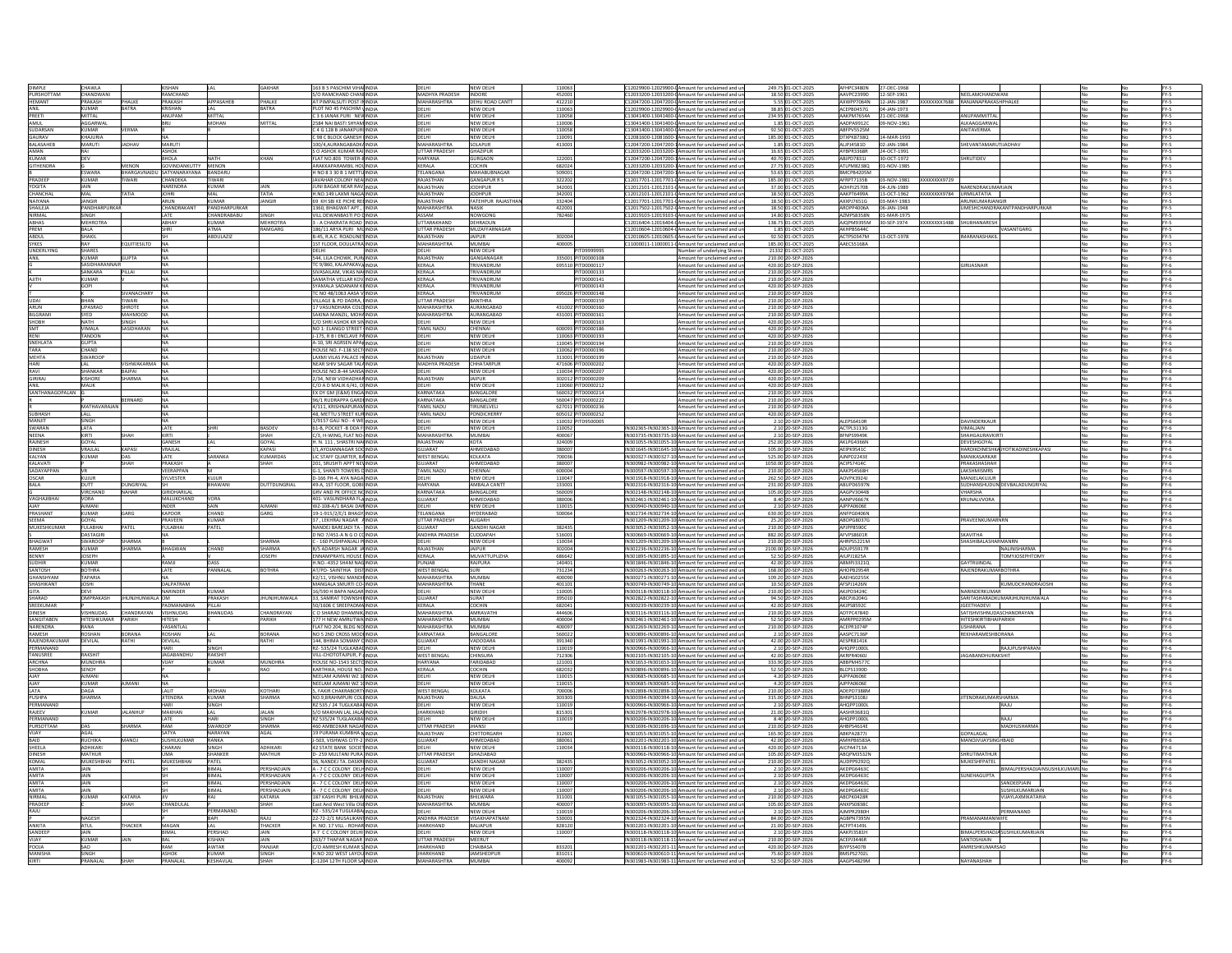| <b>DIMPLE</b>          | CHAWLA                  |                    | KISHAN                        |                          | <b>GAKHAR</b>       | 163 B 5 PASCHIM VIHAIINDIA                             |              | DELHI                                 | <b>NEW DELHI</b>                  | 110063           |                                          | C12029900-12029900-CAmount for unclaimed and u                                                    | 249.75 01-OCT-202                       | AFHPC3480N               | 27-DEC-1968                                       |                                      |                                    | FY-5        |
|------------------------|-------------------------|--------------------|-------------------------------|--------------------------|---------------------|--------------------------------------------------------|--------------|---------------------------------------|-----------------------------------|------------------|------------------------------------------|---------------------------------------------------------------------------------------------------|-----------------------------------------|--------------------------|---------------------------------------------------|--------------------------------------|------------------------------------|-------------|
| PURSHOTTAM             | CHANDWANI               |                    | RAMCHAND                      |                          |                     | S/O RAMCHAND CHAN INDIA                                |              | <b>MADHYA PRADESH</b>                 | INDORE                            | 452001           |                                          | C12033200-12033200-0 Amount for unclaimed and ur                                                  | 18.50 01-OCT-2025                       | AAVPC2399D 12-SEP-1961   | <b><i>VEELAMCHANDWANI</i></b>                     |                                      |                                    | FY-5        |
| <b>HEMANT</b>          | PRAKASH                 | <b>HALKE</b>       | PRAKASH                       | <b>IPPASAHEB</b>         | PHALKE              | AT PIMPALSUTI POST ININDIA                             |              | <b>MAHARASHTRA</b>                    | DEHU ROAD CANT                    | 412210           |                                          | C12047200-12047200-0<br>mount for unclaimed and ur                                                | 5.55 01-OCT-2025                        | AXWPP7064N 12-JAN-1987   | 0000007688<br>VJANAPRAKAS                         |                                      |                                    | FY-5        |
|                        | KUMAR                   | <b>ATRA</b>        | KRISHAN                       |                          | <b>RATRA</b>        | PLOT NO 45 PASCHIM VINDIA                              |              | DELHI                                 | NEW DELH                          | 110063           |                                          | 12029900-1202990<br>ount for unclaimed and                                                        | 38.85 01-OCT-2025                       | ACEPB0457G               | 04-JAN-1973                                       |                                      |                                    | FY-5        |
| PREETI                 | MITTAL                  |                    | ANUPAM                        | MITTAL                   |                     | C36JANAK PURI NEWINDIA                                 |              | DELHI                                 | NEW DELHI                         | 110058           |                                          | C13041400-13041400-<br>nount for unclaimed and u                                                  | 234.95 01-OCT-2025                      | AAKPM7654A               | 21-DEC-1968<br>NUPAMMITTA                         |                                      |                                    | $FY-5$      |
| AMUL                   | AGGARWA                 |                    |                               | <b>MOHAN</b>             | <b>AITTAL</b>       | 2584 NAI BASTI SHYAM INDIA                             |              | DELHI                                 | NEW DELHI                         | 110006           |                                          | C13041400-13041400-<br>mount for unclaimed and u                                                  | 1.85 01-OCT-202                         | AADPA9912C               | <b>LKAAGGARWA</b><br>09-NOV-1961                  |                                      |                                    | FY-5        |
| SUDARSAN               | KUMAR                   |                    |                               |                          |                     | C 4 G 128 B JANAKPURI INDIA                            |              | DELHI                                 | <b>NEW DELHI</b>                  | 110058           |                                          | C13041400-13041400-0<br>mount for unclaimed and ur                                                | 92.50 01-OCT-2025                       | ABFPV5525M               | NITAVERMA                                         |                                      |                                    | FY-5        |
| GAURAV                 | KHAILIRIA               |                    |                               |                          |                     | C 98 C BLOCK GANESH IINDIA                             |              | DELHI                                 | NEW DELHI                         | 110091           |                                          | 12081600-12081600<br>nount for unclaimed and                                                      | 185.00 01-OCT-202                       | DTXPK8738Q               | 14-MAR-1993                                       |                                      |                                    | FY-5        |
| BALASAHEB              | <b>MARUTI</b>           | <b>IDHAV</b>       | MARUTI                        |                          |                     | 100/4.AURANGABADKAINDIA                                |              | <b>MAHARASHTRA</b>                    | SOLAPUR                           | 413001           |                                          | 12047200-12047200-1<br>Amount for unclaimed and u                                                 | 1.85 01-OCT-2025                        | <b>AUPJ4581D</b>         | 02-JAN-1984<br><b>HEVANTAMARUTUADHAV</b>          |                                      |                                    | FY-5        |
|                        |                         |                    | ASHOK                         |                          |                     | S O ASHOK KUMAR RAI INDIA                              |              | <b>UTTAR PRADES</b>                   |                                   |                  |                                          |                                                                                                   |                                         |                          |                                                   |                                      |                                    | FY-5        |
| AMAN<br>KUMAR          | RAI<br><b>DFV</b>       |                    | <b>AIOHR</b>                  | <b>NATH</b>              | KHAN                | FLAT NO 803 TOWER-SINDIA                               |              | HARYANA                               | <b>GHAZIPUR</b><br><b>URGAON</b>  | 122001           |                                          | 012033200-12033200<br>mount for unclaimed and u<br>12047200-12047200<br>nount for unclaimed and   | 16.65 01-OCT-2025<br>40.70 01-0CT-202   | AYBPR3368R<br>ARIPD7831L | 24-OCT-1991<br><b>HRUTIDEV</b><br>30-OCT-1972     |                                      |                                    | FY-5        |
| <b>GITHENDRA</b>       |                         | <b>IFNON</b>       | GOVINDANKUTTY                 | <b>MENON</b>             |                     | ARAKKAPARAMBIL HOLINDIA                                |              | KERALA                                | COCHIN                            | 682024           |                                          | 12033200-12033200-3<br>Amount for unclaimed and u                                                 | 27.75 01-OCT-2025                       | <b>ATLPM82380</b>        | 01-NOV-1985                                       |                                      |                                    | $FY-5$      |
|                        |                         |                    |                               |                          |                     |                                                        |              |                                       |                                   |                  |                                          |                                                                                                   |                                         |                          |                                                   |                                      |                                    |             |
|                        | ESWARA                  |                    | ARGAVNAIDU SATYANARAYANA      | BANDARU                  |                     | H NO 8 3 30 B 1 METTL                                  | INDIA        | TELANGANA                             | MAHABUBNAGA                       | 509001           |                                          | 12047200-12047200-<br>mount for unclaimed and u                                                   | 53.65 01-OCT-202                        | BMCPB4205M               |                                                   |                                      |                                    | FY-5        |
| PRADEEP                | KUMAR                   |                    | <b><i>CHANDEKA</i></b>        | TIWARI                   |                     | JAVAHAR COLONY NEALINDIA                               |              | RAJASTHAN                             | <b>GANGAPUR RS</b>                | 322202           |                                          | 12017701-1201770<br>mount for unclaimed and u                                                     | 185.00 01-OCT-2029                      | AFRPT7135B               | 03-NOV-1981<br>0000009729                         |                                      |                                    | FY-5        |
| YOGITA                 | <b>AIN</b>              |                    | VARENDRA                      | KUMAR                    |                     | JUNI BAGAR NEAR RAV                                    | NDIA         | RAJASTHAN                             | <b>ODHPUR</b>                     | 34200            |                                          | 2012101-1201210<br>nount for unclaimed and                                                        | 37.00 01-OCT-202                        | AOHPJ2570B               | 04-JUN-1989<br>RENDRAKLIMARIA                     |                                      |                                    | $FY-S$      |
| CHANCHAL               | MAL                     | ΤΑΤΙΑ              | <b>OHRI</b>                   | MAL                      | ΤΑΤΙΑ               | H.NO.149 LAXMI NAGA INDIA                              |              | RAJASTHAN                             | <b>JODHPUR</b>                    | 342001           |                                          | C12012101-12012101-<br>mount for unclaimed and un                                                 | 18.50 01-OCT-2025                       | AAKPT6499A               | 13-OCT-1962<br>XXXXXXXX9784<br><b>URMILATATIA</b> |                                      |                                    | FY-5        |
| NAIYANA                |                         |                    | ARUN                          | KUMAR                    | JANGIR              | 69 KH SBI KE PICHE REEINDIA                            |              | RAJASTHAM                             | <b>FATEHPUR RAJA</b>              | 332404           |                                          | 12017701-1201770<br>ount for unclaimed and u                                                      | 18.50 01-OCT-20                         |                          | 03-MAY-1983                                       |                                      |                                    | FY-5        |
| <b>SHAILEIA</b>        | <b>ANDHARPLI</b>        |                    | <b>HANDRAKA</b>               | ΡΑΝΩΗΔΡΡΗΡΚΑΙ            |                     | 1360 RHAGWAT APT                                       | <b>INDIA</b> | <b>MAHARASHTRA</b>                    | NASIK                             | 422001           |                                          | 12017502-12017502<br>ount for uncl.<br>med and                                                    | 18.50 01-OCT-2025                       | AROPP4006A               | 06-IAN-1948<br><b>IMESHCHANDRAKANTPAND</b>        |                                      |                                    | $FY-5$      |
| NIRMAL                 | SINGH                   |                    | LATE                          | <b>HANDRABABU</b>        | <b>SINGH</b>        | VILL DEWANBASTI PO DINDIA                              |              | ASSAM                                 | NOWGONG                           | 782460           |                                          | 12019103-12019103<br>nount for unclaimed and u                                                    | 14.80 01-OCT-2025                       | AZMPS8358N 01-MAR-1975   |                                                   |                                      |                                    | FY-5        |
| ABHAS                  | <b>MEHROTRA</b>         |                    | ABHAY                         | <b>KUMAR</b>             | MEHROTRA            | 3 - A CHAKRATA ROAD INDIA                              |              | <b>UTTARAKHAND</b>                    | DEHRADUN                          |                  |                                          | C12016404-12016404-CAmount for unclaimed and ur                                                   | 138.75 01-OCT-2025                      | AIQPM9395M 30-SEP-1974   | XXXXXXXX1488<br>SHUBHANARESH                      |                                      |                                    | FY-5        |
| PREM                   | <b>BALA</b>             |                    |                               | <b>AMT</b>               | AMGARG              | 186/11 ARYA PURI MUINDIA                               |              | <b>UTTAR PRADESH</b>                  | MUZAFFARNA                        |                  |                                          | C12010604-12010604-0 Amount for unclaimed and ur                                                  | 1.85 01-OCT-2025                        | AKHPB5644C               |                                                   | <b>ASANTGARG</b>                     |                                    | FY-5        |
| ARDIII                 | SHAKIL                  |                    |                               | BDULAZIZ                 |                     | <b>B-45 RAC ROADUNESINDIA</b>                          |              | RAIASTHAN                             | AIPUR                             | 302004           |                                          | 12010605-12010605<br>mount for unclaimed and                                                      | 92.50 01-OCT-202                        | ACTPS0347M               | 13-OCT-1978<br><b><i>ARANASHAKI</i></b>           |                                      |                                    | FY-5        |
|                        |                         |                    |                               |                          |                     |                                                        |              |                                       |                                   |                  |                                          |                                                                                                   |                                         |                          |                                                   |                                      |                                    |             |
| SYKES                  | YAS                     | UITIESILTD         |                               |                          |                     | 1ST FLOOR, DOULATRAINDIA                               |              | <b>MAHARASHTRA</b>                    | <b>MUMBAI</b>                     | 400005           |                                          | 11000011-11000011-0<br>mount for unclaimed and u                                                  | 185.00 01-OCT-2025                      | AAECS5168A               |                                                   |                                      |                                    | FY-5        |
| UNDERLYIN              | <b>SHARES</b>           |                    |                               |                          |                     |                                                        |              | DELHI                                 | <b>IEW DEL</b>                    |                  |                                          | iber of underlying Shar                                                                           | 21332 01-OCT-202                        |                          |                                                   |                                      |                                    | FY-5        |
|                        | KUMAR                   | SUPTA              |                               |                          |                     | 544. LILA CHOWK, PURINDIA                              |              | <b>RAIASTHAN</b>                      | GANGANAGAE                        |                  | 335001 PITD0000108                       | ount for unclaimed and                                                                            | 210.00 20-SEP-2026                      |                          |                                                   |                                      |                                    | $FY-6$      |
|                        | SASIDHARAN              |                    |                               |                          |                     | ΤΓ 9/860 ΚΑΙ ΑΡΑΚΑΥΔΙΝΟΙΑ                              |              | <b>KERALA</b>                         | <b>TRIVANDRUM</b>                 |                  | 695510 PITD0000117                       | nount for unclaimed and u                                                                         | 420.00 20-SEP-2026                      |                          | RIJASNAIR                                         |                                      |                                    | $FY-6$      |
|                        | SANKARA                 | PILLAI             |                               |                          |                     | SIVASAILAM, VIKAS NA INDIA                             |              | KERALA                                | TRIVANDRUM                        |                  | PITD0000133                              | nount for unclaimed and u                                                                         | 210.00 20-SEP-2026                      |                          |                                                   |                                      |                                    | FY-6        |
|                        | CUMAR                   |                    |                               |                          |                     | SAMATHA VELLAR KOV INDIA                               |              | KERALA                                | <b><i>TRIVANDRUM</i></b>          |                  | ITD0000141                               | ount for unclaimed and u                                                                          | 210.00 20-SEP-2026                      |                          |                                                   |                                      |                                    | $FY-6$      |
|                        | GOPI                    |                    |                               |                          |                     | SYAMALA SADANAM K                                      | <b>INDIA</b> | KERALA                                | TRIVANDRUM                        |                  | PITD0000143                              | nount for unclaimed and                                                                           | 420.00 20-SEP-202                       |                          |                                                   |                                      |                                    | $FY-6$      |
|                        |                         | <b>SIVANACHARY</b> |                               |                          |                     | TC NO 48/1063 AASA VIINDIA                             |              | KERALA                                | TRIVANDRUM                        |                  | 695026 PITD0000148                       | mount for unclaimed and ur                                                                        | 210.00 20-SEP-2026                      |                          |                                                   |                                      |                                    | $FY-6$      |
|                        | 3HAN                    |                    |                               |                          |                     | VILLAGE & PO DADRA,                                    | INDIA        | <b>UTTAR PRADES</b>                   | BANTHRA                           |                  | PITD0000159                              | nount for unclaimed and                                                                           | 210.00 20-SEP-202                       |                          |                                                   |                                      |                                    | $FY-6$      |
|                        | UPASRAC                 | <b>SHROTE</b>      |                               |                          |                     | 17 VASUNDHARA COLOINDIA                                |              | <b>MAHARASHTRA</b>                    | AURANGABA                         |                  | 431002 PITD0000160                       | ount for unclaimed and                                                                            | 210.00 20-SEP-2026                      |                          |                                                   |                                      |                                    | $FY-6$      |
| BILGRAMI               | SYED                    | <b>AHMOOD</b>      |                               |                          |                     | SAKINA MANZIL, MOHAINDIA                               |              | <b>MAHARASHTRA</b>                    | AURANGABAD                        |                  | 431001 PITD0000161                       | mount for unclaimed and u                                                                         | 210.00 20-SEP-202                       |                          |                                                   |                                      |                                    | $FY-6$      |
| SHOBH                  | NATH                    | <b>SINGH</b>       |                               |                          |                     | C/O SHRI ASHOK KR SININDIA                             |              | DELHI                                 | NEW DELHI                         |                  | PITD0000163                              | mount for unclaimed and ur                                                                        | 420.00 20-SEP-2026                      |                          |                                                   |                                      |                                    | FY-6        |
|                        | VIMALA                  | ASIDHARAI          |                               |                          |                     | NO 1: ELANGO STREET IINDIA                             |              |                                       |                                   |                  |                                          |                                                                                                   | 420.00 20-SEP-202                       |                          |                                                   |                                      |                                    | $FY-6$      |
| RFNI                   | <b>TANDON</b>           |                    |                               |                          |                     | I-175 R B I FNCLAVE PAINDIA                            |              | TAMIL NADU<br><b>DETHI</b>            | CHENNAI<br>NFW DFI HI             |                  | 600093 PITD0000186<br>110063 PITD0000193 | mount for unclaimed and u<br>nount for unclaimed and                                              | 420.00.20-SFP-2020                      |                          |                                                   |                                      |                                    | $FY-6$      |
|                        | <b>GUPTA</b>            |                    |                               |                          |                     |                                                        |              |                                       |                                   |                  |                                          |                                                                                                   |                                         |                          |                                                   |                                      |                                    |             |
| SNEHLATA               |                         |                    |                               |                          |                     | A-10. SRI AGRSEN APARINDIA                             |              | DELHI                                 | NEW DELHI                         |                  | 110045 PITD0000194                       | ount for unclaimed and u                                                                          | 210.00 20-SEP-2026                      |                          |                                                   |                                      |                                    | $FY-6$      |
| TARA                   | CHAND                   |                    |                               |                          |                     | HOUSE NO. F-138 SECT INDIA                             |              | DELHI                                 | <b>NEW DELHI</b>                  |                  | 110062 PITD0000196                       | mount for unclaimed and ur                                                                        | 210.00 20-SEP-2026                      |                          |                                                   |                                      |                                    | FY-6        |
| <b>MEHTA</b>           | <b>SWAROOP</b>          |                    |                               |                          |                     | LAXMI VILAS PALACE HIINDIA                             |              | RAJASTHAN                             | <b>UDAIPUR</b>                    |                  | 313001 PITD0000199                       | mount for unclaimed and ur                                                                        | 210.00 20-SEP-2026                      |                          |                                                   |                                      |                                    | $FY-6$      |
| HARI                   |                         | HWAKARMA NA        |                               |                          |                     | NEAR SHIV SAGAR TALAINDIA                              |              | <b>MADHYA PRADESH</b>                 | CHHATARPUR                        |                  | 471606 PITD0000202                       | nount for unclaimed and u                                                                         | 420.00 20-SEP-2026                      |                          |                                                   |                                      |                                    | $FY-6$      |
| RAVI                   | SHANKAR                 | BAJPAI             | <b>NA</b>                     |                          |                     | HOUSE NO.B-44 SANSA INDIA                              |              | DELHI                                 | <b>NEW DELHI</b>                  |                  | 110034 PITD0000207                       | mount for unclaimed and ur                                                                        | 420.00 20-SEP-2026                      |                          |                                                   |                                      |                                    | FY-6        |
| GIRIRAJ                | <b>CISHORE</b>          | SHARMA             |                               |                          |                     | 2/34, NEW VIDHADH                                      | INDIA        | RAJASTHAN                             | <b>AIPUR</b>                      |                  | 302012 PITD0000209                       | ount for unclaimed and                                                                            | 420.00 20-SEP-202                       |                          |                                                   |                                      |                                    | $FY-6$      |
|                        | MAI IK                  |                    |                               |                          |                     | $C/O$ A D MALIK $6/41$ O INDIA                         |              | <b>DELHI</b>                          | NFW DFI H                         |                  | 110060 PITD0000212                       | hount for unclaimed and                                                                           | 420.00 20-SEP-2026                      |                          |                                                   |                                      |                                    | $FY-6$      |
| SANTHANAGOPAL          |                         |                    |                               |                          |                     | EX DY GM (E&M) ENGAINDIA                               |              | <b>KARNATAKA</b>                      | BANGALORE                         |                  | 560032 PITD0000214                       | nount for unclaimed and u                                                                         | 210.00 20-SEP-2026                      |                          |                                                   |                                      |                                    | $FY-6$      |
|                        |                         |                    |                               |                          |                     | 96/1 RUDRAPPA GARDEINDIA                               |              | KARNATAKA                             | BANGALORE                         |                  | 560047 PITD0000222                       | mount for unclaimed and ur                                                                        | 210.00 20-SEP-2026                      |                          |                                                   |                                      |                                    | $FY-6$      |
|                        | MATHAVARA               |                    |                               |                          |                     | 4/111, KRISHNAPURAI                                    |              | <b>TAMIL NADU</b>                     | TIRUNELVEL                        |                  | 627011 PITD0000236                       | ount for unclaimed and u                                                                          | 210.00 20-SEP-2026                      |                          |                                                   |                                      |                                    | $FY-6$      |
| <b>SUBHASH</b>         | LALL                    |                    |                               |                          |                     | <b>48 METTU STREET KURINDIA</b>                        |              | <b>TAMIL NADU</b>                     | <b>PONDICHERR</b>                 |                  | 605012 PITD0000252                       | mount for unclaimed and                                                                           | 420.00 20-SEP-202                       |                          |                                                   |                                      |                                    | $FY-6$      |
|                        |                         |                    |                               |                          |                     |                                                        |              |                                       |                                   |                  |                                          |                                                                                                   |                                         |                          |                                                   |                                      |                                    |             |
| MANJIT                 | SINGH                   |                    |                               |                          |                     | 1/9157 GALI NO - 4 WE INDIA                            |              | DELHI                                 | NEW DELHI                         |                  | 110032 PITD9500005                       | mount for unclaimed and u                                                                         | 2.10 20-SEP-2026                        | ALEPS6410R               | <b>NVINDERKAUR</b>                                |                                      |                                    | $FY-6$      |
| SWARAN                 | LATA                    |                    | LATE                          |                          | BASDEV              | 61-B, POCKET - B DDA I                                 |              | DELHI                                 | NEW DELH                          | 110052           |                                          | 302365-IN302365<br>mount for unclaimed and $\iota$                                                | 2.10 20-SEP-202                         | ACTPL3113G               | MALJAIN                                           |                                      |                                    | $FY-6$      |
| <b>NEENA</b>           | KIRTI                   |                    | KIRTI                         |                          | <b>СНАН</b>         | <b>C/3 H-WING FIAT NO</b>                              | <b>INDIA</b> | <b>MAHARASHTRA</b>                    | MUMRAL                            | 400067           |                                          | N303735-IN303735-10 A<br>mount for unclaimed and                                                  | 2.10 20-SEP-2026                        | <b>RENPS9949K</b>        | HAHGALIRAVKIR                                     |                                      |                                    | $FY-6$      |
| RAJNESH                | GOYAL                   |                    | GANESH                        |                          | GOYAL               | H. N. 111, SHASTRI NA INDIA                            |              | RAIASTHAN                             | KOTA                              | 324009           |                                          | N301055-IN301055-10 Amount for unclaimed and                                                      | 252.00 20-SEP-2026                      | AKI PG4366N              | <b>EVESHGOYAL</b>                                 |                                      |                                    | FY-6        |
| <b>DINESH</b>          | VRAJLAL                 | KAPAS              | VRAJLAL                       |                          | <b>KAPASI</b>       | I/1,AYOJANNAGAR SOCINDIA                               |              | <b>GUJARAT</b>                        | AHMEDABAE                         | 380007           |                                          | IN301645-IN301645-10 Amount for unclaimed and ur                                                  | 105.00 20-SEP-2026                      | AEIPK9541C               |                                                   | ARDIKDINESHKAJYOTIKADINESHKAPASI     |                                    | FY-6        |
| KALYAN                 | <b>UMAR</b>             |                    | LATE                          | ARANKA                   | KUMARDAS            | LIC STAFF QUARTER, BAINDIA                             |              | <b>WEST BENGAL</b>                    | KOLKATA                           | 700036           |                                          | IN300327-IN300327-10 Amount for unclaimed and ur                                                  | 525.00 20-SEP-2026                      | AINPD2243E               | IANIKASARKAR                                      |                                      |                                    | $FY-6$      |
| <b>KALAVATI</b>        |                         | HAH                | PRAKASH                       |                          | <b>HAH</b>          | 201 SRUSHTLAPPT NEVINDIA                               |              | GUIARAT                               | AHMEDABAD                         | 380007           |                                          | N300982-IN300982-10 Amount for unclaimed and                                                      | 1050.00 20-SEP-202                      | ACIPS7414C               | RAKASHASHAH                                       |                                      |                                    | $FY-6$      |
| SADAYAPPAN             |                         |                    | VEERAPPAN                     |                          |                     | G-1, SHANTI TOWERS CINDIA                              |              | <b>TAMIL NADU</b>                     | CHENNAI                           | 600004           |                                          | IN300597-IN300597-10 Amount for unclaimed and ur                                                  | 210.00 20-SEP-2026                      | AAKPS4568H               | AKSHMISMRS                                        |                                      |                                    | $FY-6$      |
| OSCAR                  |                         |                    | YLVESTER                      |                          |                     | D-166 PH-4, AYA NAG                                    |              | delhi                                 | <b>IEW DELH</b>                   | 11004            |                                          | N301918-IN301918-1<br>nount for unclaimed and                                                     | 262.50 20-SEP-202                       | AOVPK3924J               | ANJELAKUJUR                                       |                                      |                                    | $FY-6$      |
| BALA                   | DUTT                    | <b>DUNGRIYA</b>    |                               | <b>HAWAM</b>             |                     | 49-A, 1ST FLOOR, GOBILINDIA                            |              | <b>HARYANA</b>                        | AMBALA CAN                        | 133001           |                                          | IN302316-IN302316-10 Amount for unclaimed and u                                                   |                                         | ABUPD6597M               |                                                   |                                      |                                    | $FY-6$      |
|                        | VIRCHAND                | <b>AHAP</b>        | <b>GIRIDHARILAI</b>           |                          |                     | GRV AND PK OFFICE NOINDIA                              |              | KARNATAKA                             | <b>BANGALORE</b>                  | 560009           |                                          | IN302148-IN302148-10 Amount for unclaimed and                                                     | 231.00 20-SEP-2026<br>105.00 20-SEP-202 | AAGPV3044B               | <b>JDHANSHUDUN</b><br><b>AH2RAH</b>               |                                      |                                    | $FY-6$      |
|                        |                         |                    |                               |                          |                     |                                                        |              |                                       |                                   |                  |                                          |                                                                                                   |                                         |                          |                                                   |                                      |                                    |             |
| <b>VAGHAJIBHA</b>      | VORA                    |                    | MALUKCHAND                    | VORA                     |                     | 401- VASUNDHARA FLAINDIA                               |              | GUJARAT                               | AHMEDABAE                         | 380006           |                                          | IN302461-IN302461-10 Amount for unclaimed and ur                                                  | 8.40 20-SEP-2026                        | AANPV6667K               | RUNALVVORA                                        |                                      |                                    | $FY-6$      |
|                        | NAMA                    |                    | INDER                         | SAIN                     | <b>AJMANI</b>       | WZ-108-A/1 BASAI DARINDIA                              |              | DELHI                                 | <b>NEW DELHI</b>                  | 110015           |                                          | IN300940-IN300940-10 Amount for unclaimed and ur                                                  | 2.10 20-SEP-2026                        | AJPPA0606E               |                                                   |                                      |                                    | $FY-6$      |
| PRASHANT               | KUMAR                   |                    | KAPOOR                        | CHAND                    | <b>GARG</b>         | 19-1-915/2/F/1 RHAGYUNDIA                              |              | <b>TFI ANGANA</b>                     | HYDERARAD                         | 500064           |                                          | IN302734-IN302734-10 Amount for unclaimed and r                                                   | 630.00 20-SEP-2026                      | ANFPG0406N               |                                                   |                                      |                                    | $FY-6$      |
| <b>SEEMA</b>           | GOYAL                   |                    | PRAVEEN                       | <b>KUMAR</b>             |                     | 37, LEKHRAJ NAGAR AINDIA                               |              | <b>UTTAR PRADESH</b>                  | <b>ALIGARH</b>                    |                  |                                          | IN301209-IN301209-10 Amount for unclaimed and u                                                   | 25.20 20-SEP-2026                       | ABOPG8037G               | RAVEENKUMAR                                       |                                      |                                    | $FY-6$      |
| MUKESHKUM.             | <b>FULABHA</b>          |                    | FULABHA                       | PATEL                    |                     | NANDEJ BAREJADI TA -                                   | <b>INDIA</b> | <b>GUJARAT</b>                        | GANDHI NAGA                       | 382435           |                                          | IN303052-IN303052-10 Amount for unclaimed and ur                                                  | 210.00 20-SEP-2026                      | APJPP8590C               |                                                   |                                      |                                    | FY-6        |
|                        | <b>ASTAGIRI</b>         |                    |                               |                          |                     | D NO 7/451-A N G O C                                   | <b>INDIA</b> | <b>ANDHRA PRAD</b>                    | CUDDAPAH                          | 516001           |                                          | IN300669-IN300669-10<br>mount for uncla<br>imed and                                               | 882.00 20-SEP-202                       | AFVPS8601R               | KAVITHA                                           |                                      |                                    | $FY-6$      |
| RHAGWAT                | <b>SWAROOP</b>          | HARMA              |                               |                          | HARMA               | C - 160 PUSHPANJALI PIINDIA                            |              | DEIHI                                 | NEW DELHI                         | 110034           |                                          | IN301209-IN301209-10 Amount for unclaimed and u                                                   | 210.00 20-SEP-2026                      | AHRPS5221M               | HASHIRAI ASHARMANRN                               |                                      |                                    | $FY-6$      |
| RAMESH                 | KUMAR                   | <b>IARMA</b>       | BHAGWA                        | CHAND                    | HARMA               | B/S ADARSH NAGAR JAINDIA                               |              | RAJASTHAN                             | IAIPUR                            | 302004           |                                          | IN302236-IN302236-10 Amount for unclaimed and ur                                                  | 2100.00 20-SEP-2026                     | ADUPS5917R               |                                                   | NALINISHARMA                         |                                    | $FY-6$      |
| BENNY                  | <b>OSEPH</b>            |                    |                               |                          | SEPH                | ENNAMPRAYIL HOUSE                                      |              | KERALA                                | MUVATTUPUZI                       | 68664            |                                          | 4301895-IN301895-<br>mount for unclaimed and                                                      | 52.50 20-SEP-202                        | AIUPJ1825A               |                                                   | <b>TOMYJOSEPHT</b>                   |                                    | $FY-6$      |
| <b>SUDHIR</b>          | <b>CLIMAR</b>           |                    | RAMIL                         | <b>72A0</b>              |                     | H NO-4352 SHAM NAGINDIA                                |              | PUNJAR                                | <b>RAIPURA</b>                    | 140401           |                                          | IN301846-IN301846-10 Amount for unclaimed and i                                                   | 42.00 20-SEP-202                        | ARMPI33210               | <b>AYTRUINDAL</b>                                 |                                      |                                    | $FY - F$    |
| SANTOSH                | BOTHRA                  |                    | LATE                          | PANNALAL                 | <b>ROTHRA</b>       | AT/PO- SAINTHIA DISTINDIA                              |              | <b>WEST BENGA</b>                     | <b>SURI</b>                       | 731234           |                                          | IN300263-IN300263-10 Amount for unclaimed and ur                                                  | 168.00 20-SEP-2026                      | AHOPB2954R               | <b>AJENDRAKUMARBOTHR</b>                          |                                      |                                    | $FY-6$      |
|                        |                         |                    |                               |                          |                     |                                                        |              |                                       |                                   |                  |                                          |                                                                                                   |                                         |                          |                                                   |                                      |                                    |             |
| GHANSHYAM<br>SHASHIKAN | TAPARIA<br>OSHI         |                    | DALPATRAN                     |                          |                     | K2/11, VISHNU MANDIHINDIA<br>MANGALA SMURTI CO-INDIA   |              | <b>MAHARASHTRA</b><br>MAHARASHT       | <b>MUMBAI</b>                     | 400090           |                                          | IN300271-IN300271-10 Amount for unclaimed and u                                                   | 109.20 20-SEP-2026                      | AAEHG0255K<br>AFSPJ1426N |                                                   | KUMUDCHANDRAJOSI                     |                                    | $FY-6$      |
|                        |                         |                    |                               |                          |                     |                                                        |              |                                       |                                   | 401101           |                                          | IN300749-IN300749-10 Amount for unclaimed and u                                                   | 10.50 20-SEP-2026                       |                          |                                                   |                                      |                                    | $FY-6$      |
| <b>GITA</b>            | <b>DEVI</b>             |                    | NARINDER                      | KUMAR                    |                     | 16/590 H BAPA NAGAR INDIA                              |              | DELHI                                 | NEW DELHI                         | 110005           |                                          | IN300118-IN300118-10 Amount for unclaimed and                                                     | 210.00 20-SEP-2026                      | AKJPD3424C               | <b>ARINDERKLIMAR</b>                              |                                      |                                    | $FY-6$      |
| SHARAD                 | <b>DMPRAKASH</b>        | HUNJHUNWALA OM     |                               | PRAKASH                  | <b>JHUNJHUNWALA</b> | 33, SAMRAT TOWNSHIPINDIA                               |              | <b>GUJARAT</b>                        | SURAT                             | 395010           |                                          | IN302822-IN302822-10 Amount for unclaimed and ur                                                  | 94.50 20-SEP-2026                       | ABCPJ6204G               |                                                   | <b>SARITASHARADKUMARJHUNJHUNWALA</b> |                                    | FY-6        |
| SREEKUMAR              |                         |                    | <b>ADMANABI</b>               | PILLAI                   |                     | 50/1606 C SREEPADMAINDIA                               |              | KERALA                                | COCHIN                            | 682041           |                                          | N300239-IN300239-10<br>mount for unclaimed and u                                                  | 42.00 20-SEP-2026<br>210.00 20-SEP-2026 | <b>AKJPS85920</b>        | EETHADEVI                                         |                                      |                                    | $FY-6$      |
| <b>DINESH</b>          | <b>ISHNITOAS</b>        | <b>NDRAVAN</b>     | VISHNUDAS                     | HANLIDA                  | <b>HANDRAYAN</b>    | <b>CO SHARAD DHAMNIK INDIA</b>                         |              | <b>MAHARASHTR</b>                     | <b>AMRAVATH</b>                   | 444606           |                                          | IN303116-IN303116-10 Amount for unclaimed and                                                     |                                         | ADTPC4784D               |                                                   | <b>ATISHVISHNUDASCHANDRAYAN</b>      |                                    | $FY-6$      |
| SANGITABEN             | HITESHKUMAR             | PARIKH             | HITESH                        |                          | ARIKH               | 177 H NEW AMRUTWAINDIA                                 |              | <b>MAHARASHTRA</b>                    | <b>MUMBAI</b>                     | 400004           |                                          | IN302461-IN302461-10 Amount for unclaimed and u                                                   | 52.50 20-SEP-2026                       | AMRPP0295M               | <b>ITESHKIRTIBHAIPARIKH</b>                       |                                      |                                    | $FY-6$      |
| NARENDRA               | RANA                    |                    | VASANTLA                      |                          |                     | FLAT NO 204, BLDG NO INDIA                             |              | <b>MAHARASHTRA</b>                    | MUMBAI                            | 400097           |                                          | IN302269-IN302269-10 Amount for unclaimed and ur                                                  | 210.00 20-SEP-2026                      | ACEPR1074P               | <b>JSHARANA</b>                                   |                                      |                                    | $FY-6$      |
| <b>RAMESH</b>          | <b>ROSHAN</b>           | ORANA              | <b>ROSHAN</b>                 |                          | BORANA              | NO 5 2ND CROSS MODI INDIA                              |              | KARNATAKA                             | BANGALOR                          | 560022           |                                          | IN300896-IN300896-10 Amount for unclaimed and u                                                   | 2.10 20-SEP-2026                        | AASPC7136P               | REKHARAMES                                        |                                      |                                    | $FY-6$      |
| <b>RAIFNDRAKUMAR</b>   | DEVILAL                 |                    | DEVILAL                       |                          | RATHI               | 144 BHIMA SOMANY CINDIA                                |              | GUIARAT                               | VADODARA                          | 391340           |                                          | IN301991-IN301991-10 Amount for unclaimed and u                                                   | 42.00 20-SEP-2026                       | AFSPRR141K               |                                                   |                                      |                                    | <b>FY-6</b> |
| <b>ERMANAND</b>        |                         |                    | <b>HARI</b>                   | SINGH                    |                     | RZ-535/24 TUGLKABADINDIA                               |              | DELHI                                 | NEW DELHI                         | 110019           |                                          | IN300966-IN300966-10 Amount for unclaimed and u                                                   | 2.10 20-SEP-2026                        | AHQPP1000L               |                                                   | RAJUPUSHPARAN                        |                                    | $FY-6$      |
| TANUSREE               | RAKSHIT                 |                    | <b>JAGABAI</b>                | RAKSHIT                  |                     | VILL-CHOTOTAJPUR, P. INDIA                             |              | WEST BENGA                            | CHINSURA                          | 712306           |                                          | IN302105-IN302105-<br>nount for unclaimed and                                                     | 42.00 20-SEP-202                        | AKRPR4060J               |                                                   |                                      |                                    | $FY-6$      |
| ARCHNA                 | MUNDHRA                 |                    | VAIN                          | KUMAR                    | <b>MUNDHRA</b>      | HOUSE NO-1543 SECTOINDIA                               |              | HAPYANA                               | FARIDARAE                         | 121001           |                                          | IN301653-IN301653-10 Amount for unclaimed and                                                     | 333.90 20-SEP-2026                      | ARRPM4577C               |                                                   |                                      |                                    | $FY-6$      |
| SHOBHA                 | SENOY                   |                    |                               |                          | RAO                 | KARTHIKA, HOUSE NO, INDIA                              |              | KERALA                                | COCHIN                            | 682032           |                                          | IN300896-IN300896-10 Amount for unclaimed and u                                                   | 52.50 20-SEP-2026                       | BLCPS1390D               |                                                   |                                      |                                    | FY-6        |
| AJAY                   | <b>UMANI</b>            |                    |                               |                          |                     | NEELAM AJMANI WZ 10INDIA                               |              | DELHI                                 | NEW DELHI                         | 110015           |                                          | IN300685-IN300685-10 Amount for unclaimed and u                                                   | 4.20 20-SEP-2026                        | AJPPA0606E               |                                                   |                                      |                                    | $FY-6$      |
|                        | CUMAR                   |                    |                               |                          |                     | NEELAM AJMANI WZ 10INDIA                               |              |                                       | NEW DELH                          | 110015           |                                          | N300685-IN300685-10 Amount for unclaimed and                                                      | 4.20 20-SEP-2026                        | AJPPA0606E               |                                                   |                                      |                                    | $FY-6$      |
| <b>ATA</b>             | DAGA                    |                    | LALIT.                        | <b>MOHAN</b>             | KOTHARL             | <b>5 FAKIR CHAKRABORTYINDIA</b>                        |              | WEST RENGA                            | KOLKATA                           | 700006           |                                          | IN302898-IN302898-10 Amount for unclaimed and                                                     | 210.00 20-SEP-2026                      | ADEPD7388M               |                                                   |                                      |                                    | FY-6        |
|                        |                         |                    |                               |                          |                     |                                                        |              |                                       |                                   |                  |                                          |                                                                                                   |                                         |                          |                                                   |                                      |                                    |             |
| PUSHPA                 | <b>HARMA</b>            |                    | <b>JITENDRA</b>               | <b>KUMAR</b>             | SHARMA              | NO.9, BRAHMPURI COLONDIA                               |              | RAJASTHAN                             | DAUSA                             | 303303           |                                          | IN300394-IN300394-10 Amount for unclaimed and ur                                                  | 315.00 20-SEP-2026                      | <b>BHNPS3108J</b>        | <b>TENDRAKUMARSHARMA</b>                          |                                      |                                    | $FY-6$      |
| PERMANANE              |                         |                    | HARI                          | SINGH                    |                     | RZ 535 / 24 TUGLKABAI INDIA                            |              | DELHI                                 | <b>NEW DELH</b>                   | 110019           |                                          | IN300966-IN300966-10 Amount for unclaimed and u                                                   | 2.10 20-SEP-2026                        | AHQPP1000L               |                                                   | RAJU                                 |                                    | $FY-6$      |
| RAJEEV                 | <b>CLIMAR</b>           |                    | MAKHAI                        |                          | JALAN               | S/O MAKHAN LAL JAL                                     |              | HARKHANI                              |                                   | 81530            |                                          | IN302978-IN302978-1<br>Amount for unclaimed and                                                   | 21.00 20-SEP-202                        | AASHR3681Q               |                                                   |                                      |                                    | $FY-6$      |
| PERMANAND              |                         |                    | LATE                          | HARI                     | <b>SINGH</b>        | RZ 535/24 TUGLAKABAIINDIA                              |              | DELHI                                 | NEW DELHI                         | 110019           |                                          | IN300206-IN300206-10 Amount for unclaimed and u                                                   | 8.40 20-SEP-2026                        | AHQPP1000L               |                                                   | RAJU                                 |                                    | $FY-6$      |
| PURSOTTAM              | DAS                     |                    | RAM                           | SWAROOP                  | SHARMA              | 460 AMBEDKAR NAGARINDIA                                |              | <b>UTTAR PRADES!</b>                  | <b>JHANSI</b>                     |                  |                                          | IN301696-IN301696-10 Amount for unclaimed and ur                                                  | 210.00 20-SEP-2026                      | AHBPS4614E               |                                                   | MADHUSHARM                           |                                    | $FY-6$      |
|                        |                         |                    | SATYA                         | NARAYAN                  |                     | 19 PURANA KUMBHA NINDIA                                |              | RAJASTHAN                             | CHITTORGA                         | 312601           |                                          | N301055-IN301055-<br>nount for unclaimed and                                                      | 165.90 20-SEP-202                       | ABKPA2877J               | <b>DPALAGAL</b>                                   |                                      |                                    | $FY-6$      |
| <b>BAID</b>            |                         |                    | SLISHILKLII                   | RANKA                    |                     | <b>I-503 VISHWAS CITY-</b>                             | <b>NDIA</b>  | <b>SUIARAT</b>                        | <b>HMFDARAF</b>                   | 380061           |                                          | N302201-IN302201-10<br>mount for unclaimed and                                                    | 42.00 20-SEP-2026                       | <b>AMHPR6583A</b>        | <b>ANOIVIIAVSI</b>                                |                                      |                                    | $FY-6$      |
| SHEELA                 | RUCHIKA                 |                    |                               |                          |                     |                                                        |              |                                       | <b>NEW DELHI</b>                  | 110034           |                                          |                                                                                                   |                                         |                          |                                                   |                                      |                                    |             |
|                        | ADHIKARI                |                    | CHARAN                        | SINGH                    | <b>ADHIKARI</b>     |                                                        |              | DELHI                                 |                                   |                  |                                          | IN300118-IN300118-10<br>mount for unclaimed and u                                                 | 420.00 20-SEP-2026                      | AICPA4713A               |                                                   |                                      |                                    | $FY-6$      |
|                        |                         |                    |                               |                          |                     | <b>42 STATE BANK SOCIETINDIA</b>                       |              |                                       |                                   |                  |                                          |                                                                                                   |                                         |                          |                                                   |                                      |                                    |             |
| <b>DINESH</b>          | MATHUR                  |                    | <b>UMA</b><br><b>MUKESHRI</b> | SHANKER                  | MATHUR              | D-259 MULTANI PURA INDIA                               |              | <b>UTTAR PRADESH</b>                  | GHAZIABAD                         |                  |                                          | IN300966-IN300966-10 Amount for unclaimed and ur                                                  | 105.00 20-SEP-2026                      | ABQPM3532N               | <b>IRUTIMATHUR</b>                                |                                      |                                    | $FY-6$      |
| KOMAL                  | MUKESHBHA               |                    |                               | PATEL                    |                     | <b>36. NANDEJ TA, DASKRONDIA</b>                       |              | GUJARAT                               | <b>GANDHI NAGA</b>                | 382435           |                                          | IN303052-IN303052-10 Amount for unclaimed and u                                                   | 210.00 20-SEP-202                       | AUDPP9292C               | <b>MUKESHFPATEL</b>                               |                                      |                                    | $FY-6$      |
| AMITA                  | <b>JAIN</b>             |                    |                               | <b>BIMAL</b>             | PERSHADJAIN         | A - 7 C C COLONY DELHINDIA                             |              | DELHI                                 | NEW DELHI                         | 110007           |                                          | IN300206-IN300206-10 Amount for unclaimed and u                                                   | 2.10 20-SEP-2026                        | AKDPG6463C               |                                                   |                                      | <b>MALPERSHADJAINSUSHILKUMARUN</b> | FY-6        |
| AMITA                  | AIN                     |                    |                               | BIMAL                    | PERSHADJAIN         | A - 7 C C COLONY DELHINDIA                             |              | DELHI                                 | NEW DELHI                         | 110007           |                                          | IN300206-IN300206-10 Amount for unclaimed and u                                                   | 2.10 20-SEP-2026                        | AKDPG6463C               | <b>JNEHAGUPTA</b>                                 |                                      |                                    | $FY-6$      |
| AMITA                  |                         |                    |                               | BIMAL                    | PERSHADJAIN         | - 7 C C COLONY DEL                                     |              | DELHI                                 | NEW DELH                          | 11000            |                                          | N300206-IN300206-1<br>nount for unclaimed and                                                     | 2.10 20-SEP-202                         | AKDPG64630               |                                                   | ANDEEPJAIN                           |                                    | $FY-6$      |
| AMITA                  | <b>JAIN</b>             |                    |                               | <b>RIMAL</b>             | PERSHADIAIN         | <b>A-ZCCCOLONY DELHINDIA</b>                           |              | <b>DETHI</b>                          | NFW DFI H                         | 110007           |                                          | IN300206-IN300206-10 Amount for unclaimed and u                                                   | 2.10 20-SEP-2026                        | <b>AKDPG6463C</b>        |                                                   | USHILKUMARII                         |                                    | $FY-6$      |
| <b>NIRMAL</b>          | KUMAR                   | KATARIA            |                               | RAI                      | KATARIA             | 187 KASHI PURI BHILWINDIA                              |              | RAJASTHAN                             | <b>BHILWARA</b>                   | 311001           |                                          | IN301055-IN301055-10 Amount for unclaimed and ur                                                  | 210.00 20-SEP-2026                      | ABCPK0428R               |                                                   | <b>VUAYLAXMIKATARIA</b>              |                                    | FY-6        |
| PRADEEP                |                         |                    | <b>HANDULA</b>                |                          | HAH                 | East And West Villa Old INDIA                          |              | <b>MAHARASHTRA</b>                    | MUMBAI                            | 400007           |                                          | IN300095-IN300095-10 Amount for unclaimed and u                                                   | 105.00 20-SEP-2026                      | ANXPS0838C               |                                                   |                                      |                                    | $FY-6$      |
|                        |                         |                    |                               | FRMANAN                  |                     | RZ - 535/24 TUGLKABA                                   |              | DELHI                                 | NEW DELH                          | 11001            |                                          | IN300206-IN300206-1<br>mount for unclaimed and                                                    |                                         |                          |                                                   | PERMANAND                            |                                    | $FY-6$      |
|                        | NAGESH                  |                    |                               | <b>LADI</b>              |                     | 22-72-2/1 MUSALIKANTINDIA                              |              | <b>ANDHRA PRADESH</b>                 | VISAKHAPATNAM                     | 530001           |                                          | IN302324-IN302324-10 Amount for unclaimed and                                                     | 2.10 20-SEP-202                         | AJMPR2980H<br>AGBPN7395N | RAMANAMANIWIFE                                    |                                      |                                    | $FY-6$      |
|                        | ATUL                    | HACKER             | MAGAN                         | LAL                      |                     | H. NO. 17 VILL - ROHARINDIA                            |              | <b>JHARKHAND</b>                      | BALIAPUR                          | 828120           |                                          | IN302201-IN302201-10 Amount for unclaimed and ur                                                  | 84.00 20-SEP-2026<br>21.00 20-SEP-2026  | ACFPT4149L               |                                                   |                                      |                                    | FY-6        |
| ANKITA                 |                         |                    | <b>RIMAI</b>                  |                          | THACKER             |                                                        |              |                                       |                                   |                  |                                          |                                                                                                   |                                         |                          |                                                   |                                      |                                    |             |
| SANDEEP                | IAIN                    |                    |                               | PERSHAD<br><b>TCHAN</b>  |                     | A 7 C C COLONY DELHI INDIA                             | <b>INDIA</b> | DELHI                                 | NEW DELH                          | 11000            |                                          | IN300118-IN300118-10 A<br>mount for unclaimed and                                                 | 2.10 20-SEP-202                         | AAKPJ3581H               | <b>MALPERSHADJA</b>                               | <b>JUSHILKUMA</b>                    |                                    | $FY-6$      |
|                        | KUMAR                   |                    |                               |                          |                     | 263/7 THAPAR NAGAR                                     |              | <b>ITTAR PRADES</b>                   | MEERUT                            |                  |                                          | N300118-IN300118-11 Amount for unclaimed and                                                      | 210.00 20-SEP-202                       | ACEPJ3446R               | ANTOSHJAIN                                        |                                      |                                    | $FY - E$    |
| <b>POOJA</b>           | SAO                     |                    | <b>RAM</b>                    | <b>AWTAR</b>             | PANJIAR             | C/O AMRESH KUMAR SINDIA                                |              | <b>HARKHAND</b>                       | CHAIBASA                          | 83320            |                                          | IN302201-IN302201-11 Amount for unclaimed and u                                                   | 420.00 20-SEP-2026                      | BJYPS5407B               | MRESHKUMARSAC                                     |                                      |                                    | $FY-6$      |
| MANISHA                | SINGH<br><b>PRANALA</b> |                    | ASHOK                         | <b>KUMAR</b><br>KESHAVLA | SINGH               | H.NO 202 WEST LAYOU INDIA<br>C-1204 12TH FLOOR SAINDIA |              | <b>JHARKHAND</b><br><b>MAHARASHTR</b> | <b>JAMSHEDPUF</b><br><b>MUMRA</b> | 831011<br>400092 |                                          | IN300610-IN300610-11 Amount for unclaimed and ur<br>IN301983-IN301983-11 Amount for unclaimed and | 75.60 20-SEP-2026<br>52.50 20-SEP-202   | BMSPS2702L<br>AAGPS4829N | HAH2ANAYA                                         |                                      |                                    | FY-6        |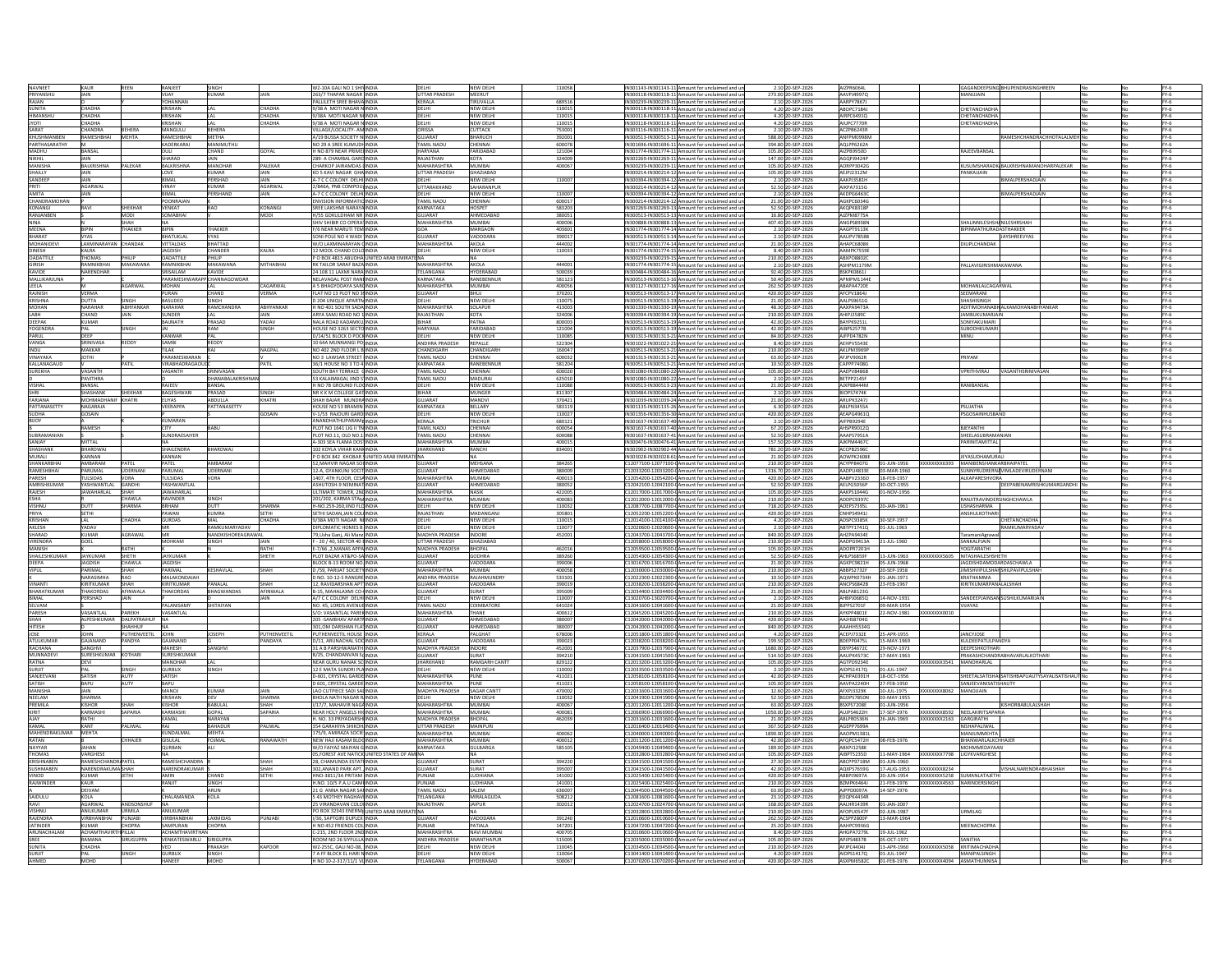|                                 | <b>KAUR</b>                   |                              | RANJEET                          | SINGH                       |                       | WZ-10A GALI NO 1 SHIVINDIA                                    |                                               | <b>NEW DELHI</b>                    | 110058           |                                       | IN301143-IN301143-11 Amount for unclaimed and ur                                                     | 2.10 20-SEP-2026                         | AIZPR6064L                                                    |                         | GAGANDEEPSING BHUPENDRASINGHREE                 |                    |
|---------------------------------|-------------------------------|------------------------------|----------------------------------|-----------------------------|-----------------------|---------------------------------------------------------------|-----------------------------------------------|-------------------------------------|------------------|---------------------------------------|------------------------------------------------------------------------------------------------------|------------------------------------------|---------------------------------------------------------------|-------------------------|-------------------------------------------------|--------------------|
| NAVNEET<br>PRIYANSHI            | <b>IAIN</b>                   |                              | VIJAY                            | <b>KUMAR</b>                |                       | 263/7 THAPAR NAGAR INDIA                                      | <b>UTTAR PRADES</b>                           | MEERUT                              |                  |                                       | IN300118-IN300118-11 Amount for unclaimed and                                                        | 273.00 20-SEP-2020                       | AAVPJ4997Q                                                    |                         | MANUJAIN                                        | FY-6               |
| RAJAN                           |                               |                              | YOHANNAN                         |                             |                       | PALLILETH SREE BHAVAINDIA                                     | KERALA                                        | TIRUVALLA                           | 689516           |                                       | IN300239-IN300239-11 Amount for unclaimed and ur                                                     | 2.10 20-SEP-2026                         | AARPY7867J                                                    |                         |                                                 | FY-6               |
| <b>SUNITA</b>                   | CHADHA                        |                              | <b>KRISHAN</b>                   |                             | CHADHA                | 9/38 A MOTI NAGAR NINDIA                                      | DELHI                                         | <b>NEW DELHI</b>                    | 110015           |                                       | IN300118-IN300118-11 Amount for unclaimed and ur                                                     | 4.20 20-SEP-2026                         | ABOPC7184J                                                    |                         | CHETANCHADHA                                    | $FY-6$             |
| HIMANSHL                        | CHADHA                        |                              | <b>KRISHAN</b>                   |                             | CHADHA                | <b>1/38A MOTI NAGAR NEINDIA</b>                               |                                               | <b>NEW DELH</b>                     | 11001            |                                       | IN300118-IN300118-11 Amount for unclaimed and u                                                      | 4.20 20-SEP-2020                         | AIRPC6491Q                                                    |                         | CHETANCHADHA                                    | $FY - E$           |
| <b>IYOTI</b>                    | <b>HADHA</b>                  |                              | <b>KRISHAN</b>                   |                             | <b>HADHA</b>          | 9/38 A MOTI NAGAR NINDIA                                      | ELHI                                          | <b>NEW DELHI</b>                    | 110019           |                                       | IN300118-IN300118-11 Amount for unclaimed and u                                                      | 4.20 20-SEP-2026                         | AIUPC7770R                                                    |                         | <b>CHETANCHADHA</b>                             | $FY-6$             |
| SARAT                           | CHANDRA                       | <b>RFHFRA</b>                | MANGULL                          | <b>BEHERA</b>               |                       | VILLAGE/LOCALITY- AMINDIA                                     | ORISSA                                        | CUTTACK                             | 753001           |                                       | IN303116-IN303116-11 Amount for unclaimed and u                                                      | 2.10 20-SEP-2026                         | ACZPB6243R                                                    |                         |                                                 | FY-6               |
| KHUSHMANBEN<br>PARTHASARATI     | RAMESHBHAI                    | MEHTA                        | RAMESHBHAI<br>KADERKARA          | METHA<br>MANIMUT            |                       | A/19 BUSSA SOCIETY N INDIA<br><b>VO 29 A SREE KUMLIDH</b>     | <b>UJARAT</b><br>MIL NAD                      | BHARUCH<br>CHENNAI                  | 392001           |                                       | IN300513-IN300513-11 Amount for unclaimed and un                                                     | 588.00 20-SEP-2026<br>394.80 20-SEP-202  | ANFPM0998M                                                    |                         | <b>IAMESHCHANDRACHHOTALALMEHIN</b>              | $FY-6$             |
| MADHU                           | BANSAL                        |                              | DULI                             | CHAND                       | <b>OYAL</b>           | H NO 879 NEAR PRIMERINDIA                                     | HARYANA                                       | FARIDABAD                           | 600078<br>121004 |                                       | IN301696-IN301696-11 Amount for unclaimed and u<br>IN301774-IN301774-11 Amount for unclaimed and ur  | 105.00 20-SEP-2026                       | AQLPP6262A<br>AIZPB9950D                                      |                         | RAJEEVBANSAL                                    | $FY-6$<br>$FY-6$   |
| NIKHIL                          |                               |                              | SHARAD                           | <b>JAIN</b>                 |                       | 289- A CHAMBAL GARDINDIA                                      | <b>AJASTHAN</b>                               | KOTA                                | 324009           |                                       | IN302269-IN302269-11 Amount for unclaimed and ur                                                     | 147.00 20-SEP-2026                       | AGQPJ9424P                                                    |                         |                                                 | $FY-6$             |
| <b>MANISHA</b>                  | <b>BALKPICHN</b>              |                              | <b>BALKRISH</b>                  | <b>MANOHAE</b>              | PALEKAR               | CHARKOR IAIRAMDAS BINDIA                                      | <b>AHARASHTP</b>                              | <b>MUMBAL</b>                       | 400067           | IN300239-IN300239-11 Amount for uncla | ned and u                                                                                            | 105.00 20-SEP-2026                       | AOPPP3043G                                                    |                         | ISLIMSHARADK RALKRISHNAMAN/QHARRALEKAR          | $FY-6$             |
| SHAILLY                         | JAIN                          |                              | LOVE                             | KUMAR                       |                       | KD 5 KAVI NAGAR GHAINDIA                                      | <b>ITTAR PRADES</b>                           | <b>GHAZIABAD</b>                    |                  |                                       | IN300214-IN300214-12 Amount for unclaimed and u                                                      | 105.00 20-SEP-2020                       | AEJPJ2312M                                                    |                         | PANKAJJAIN                                      | $FY-6$             |
| SANDEEP                         | <b>IAIN</b>                   |                              | <b>BIMAL</b>                     | PERSHAD                     | <b>JAIN</b>           | A-7 C C COLONY DELHI INDIA                                    | <b>FIHI</b>                                   | <b>NEW DELHI</b>                    | 110007           |                                       | IN300394-IN300394-12 Amount for unclaimed and un                                                     | 2.10 20-SEP-2026                         | AAKPJ3581H                                                    |                         | BIMALPERSHADJAIN                                | $FY-6$             |
|                                 | AGARWAL                       |                              | VINAY                            | <b>KUMAR</b>                | AGARWA                | 2/846A, PNB COMPOUNDIA                                        | <b>ITTARAKHAN</b>                             | SAHARANPU                           |                  |                                       | IN300214-IN300214-12 Amount for unclaimed and un                                                     | 52.50 20-SEP-2026                        | AIKPA7315G                                                    |                         |                                                 | $FY-6$             |
| AMITA                           | <b>AIN</b>                    |                              | <b>BIMAL</b>                     | PERSHAND                    | <b>AIN</b>            | A-7 C C COLONY DELHI INDIA                                    |                                               | NEW DELHI                           | 110007           |                                       | IN300394-IN300394-12 Amount for unclaimed and                                                        | 2.10 20-SEP-2020                         | AKDPG6463C                                                    |                         | <b>RIMAI PERSHADIA</b>                          | $FY - E$           |
| CHANDRAMOHAN                    |                               |                              | POONRAJAM                        |                             |                       | ENVISION INFORMATIONNDIA                                      | AMIL NADU                                     | CHENNAL                             | 600017           |                                       | IN300214-IN300214-12 Amount for unclaimed and u                                                      | 21.00 20-SEP-2026                        | AGKPC6034G                                                    |                         |                                                 | $FY-6$             |
|                                 |                               | SHEKHA                       | <b>VENKA</b><br>SOMABHA          | ٥A۶                         | KONANGI               | SREE LAKSHMI NARAYA INDIA                                     | ARNATAKA<br><b>SUJARAT</b>                    | HOSPET<br>AHMEDABA                  | 583203           |                                       | IN302269-IN302269-13 Amount for unclaimed and ur                                                     | 52.50 20-SEP-202                         | AKQPK8318P                                                    |                         |                                                 | FY-6               |
| <b>RANJANBEN</b><br><b>NINA</b> |                               | <b>MODI</b><br><b>SHAH</b>   | <b>NA</b>                        |                             | MODI                  | H/55 GOKULDHAM NR INDIA<br>SHIV SHIRIR CO OPERATINDIA         | <b>MAHARASHTRA</b>                            | MUMRAL                              | 380051<br>400006 |                                       | IN300513-IN300513-13 Amount for unclaimed and un                                                     | 16.80 20-SEP-2026                        | AJZPM8775A<br>ANGPS8938N                                      |                         | HAI INNII FSHSHANII FSHRSHAH                    | $FY-6$<br>$FY-6$   |
| <b>MEENA</b>                    |                               | THAKKER                      | <b>BIPIN</b>                     | THAKKER                     |                       | F/6 NEAR MARUTI TEMIINDIA                                     |                                               | MARGAON                             | 403601           |                                       | IN300888-IN300888-13 Amount for unclaimed and u<br>IN301774-IN301774-14 Amount for unclaimed and u   | 407.40 20-SEP-2026<br>2.10 20-SEP-2026   | AAGPT9113K                                                    |                         | BIPINMATHURADASTHAKKER                          | FY-6               |
| BHARAT                          | VYAS                          |                              | BHATUKLAL                        | VYAS                        |                       | SONI POLE NO 4 WADI INDIA                                     | <b>UJARAT</b>                                 | VADODARA                            | 390017           |                                       | IN300513-IN300513-14 Amount for unclaimed and ur                                                     | 2.10 20-SEP-2026                         | AAUPV7858B                                                    |                         | JAYSHREEVYA                                     | $FY-6$             |
| MOHANIDEV                       | <b>LAXMINARAYAN</b>           | CHANDAK                      | VITTAI DAS                       | RHATTAD                     |                       | W/O LAXMINARAYAN CINDIA                                       | <b>AHARASHTRA</b>                             | AKOLA.                              | 444002           |                                       | IN301774-IN301774-14 Amount for unclaimed and u                                                      | 21.00 20-SEP-2026                        | AHAPC6808K                                                    |                         | <b>DILIPI CHANDAK</b>                           | $FY - E$           |
| <b>DINESH</b>                   | KALRA                         |                              | <b>IAGDISH</b>                   | CHANDER                     | KALRA                 | 12 MOOL CHAND COLOINDIA                                       | -е н                                          | <b>NEW DELHI</b>                    | 110033           |                                       | IN301774-IN301774-15 Amount for unclaimed and ur                                                     | 8.40 20-SEP-2026                         | AAMPK7559E                                                    |                         |                                                 | $FY-6$             |
| OADATTILE                       | <b>HOMAS</b>                  |                              | OADATTILI                        |                             |                       | O BOX 4815 ABUDHA UNITED ARAB I                               |                                               |                                     |                  |                                       | IN300239-IN300239-15 Amount for unclaimed and ur                                                     | 210.00 20-SEP-2026                       | ABXPO88020                                                    |                         |                                                 | $FY-6$             |
| GIRISH                          | AMNIKBHA                      |                              | <b>RAMNIKBH/</b>                 | <b>MAKAWAN</b>              |                       | RK TAILOR SARAF BAZA INDIA                                    | HARASHT                                       | AKOLA                               | 444001           |                                       | IN301774-IN301774-15 Amount for unclaimed and ur                                                     | 2.10 20-SEP-2026                         | ASHPM1179N                                                    |                         | PALLAVIGIRISHMAKAWANA                           | $FY-6$             |
| KAVIDE                          | NARENDHAR                     |                              | SRISAILAM                        | KAVIDE                      |                       | 24 108 11 LAXMI NARA INDIA                                    | ELANGANA                                      | <b>HYDERABAD</b>                    | 500039           |                                       | IN300484-IN300484-16 Amount for unclaimed and u                                                      | 92.40 20-SEP-2020                        | BSKPK0861J                                                    |                         |                                                 | $FY-6$             |
| MALLIKARJUN                     |                               |                              |                                  | PARAMESHWARAPP CHANNAGOWDAI |                       | NELAVAGAL POST RANEINDIA                                      | <b>CARNATAKA</b>                              | RANEBENNUR                          | 581123           |                                       | IN300513-IN300513-16 Amount for unclaimed and un                                                     | 50.40 20-SEP-2026                        | APMPM1144E                                                    |                         |                                                 | FY-6               |
| LEELA                           |                               | AGARWAI                      | MOHAN                            | LAL                         | CAGARWAL              | A 5 BHAGYODAYA SARCINDIA                                      | AHARASHTI                                     | MUMBAI                              | 400056           |                                       | IN301127-IN301127-16 Amount for unclaimed and ur                                                     | 262.50 20-SEP-2020                       | ABAPA4720E                                                    |                         | MOHANLALCAGARW/                                 | $FY-6$             |
| <b>RAINISH</b>                  | <b>VFRMA</b>                  |                              | PURAN                            | <b>CHAND</b>                | VFRMA                 | FLAT NO 13 PLOT NO 34 NDIA                                    | <b>SUIARAT</b>                                | чш                                  | 370201           |                                       | IN300513-IN300513-17 Amount for unclaimed and u                                                      | 420.00 20-SEP-2026                       | AFCPV1864L                                                    |                         | SEEMARANI                                       | $FY-6$             |
| <b>KRISHNA</b>                  | DUTTA                         |                              | <b>BASUDEO</b>                   | <b>SINGH</b>                |                       | D 204 UNIQUE APARTMINDIA                                      | FIHI                                          | <b>NEW DELHI</b>                    | 110075           |                                       | IN300513-IN300513-19 Amount for unclaimed and un                                                     | 21.00 20-SEP-2026                        | AALPS9651G                                                    |                         | SHASHISINGH                                     | $FY-6$             |
| MOHAN<br>LABH                   | NARAHAR<br>CHAND              | ABHYANKAF                    | NARAHAR<br>SUNDER                | RAMCHANDF<br>LAL            | ABHYANKAF             | H NO 401 SOUTH SADA INDIA<br>ARYA SAMJ ROAD NO 1 INDIA        | MAHARASHTRJ<br>RAJASTHAN                      | SOLAPUR                             | 413003<br>324006 |                                       | IN301330-IN301330-19 Amount for unclaimed and ur<br>IN300394-IN300394-19 Amount for unclaimed and ur | 48.30 20-SEP-2026<br>210.00 20-SEP-2026  | AAXPA9473A<br>AHIPJ2589C                                      |                         | ADITIMOHANABHALKAMOHANABHYANKAF<br>JAMBUKUMARJ. | $FY-6$<br>$FY-6$   |
| DEEPAK                          | KUMAR                         |                              | BAUNATH                          | PRASAD                      | VADAV                 | NALA ROAD KADAMKUUNDIA                                        | HAR                                           | PATNA                               | 800003           |                                       | IN300513-IN300513-19 Amount for unclaimed and u                                                      | 42.00 20-SEP-2026                        | BAYPK9251L                                                    |                         | SONIYAKUMARI                                    | $FY-6$             |
| YOGENDRA                        | PAL                           |                              |                                  | RAM                         | <b>SINGH</b>          | HOUSE NO 3263 SECTO INDIA                                     | <b>ARYANA</b>                                 | FARIDABAI                           | 121004           |                                       | IN300513-IN300513-19 Amount for unclaimed and u                                                      | 42.00 20-SEP-2026                        | AIBPS2577B                                                    |                         | SUBODHKUMAR                                     | $FY-6$             |
| PARUL                           | DEEP                          |                              | KANWA                            |                             |                       | D/14/51 BLOCK D POCKINDIA                                     |                                               | <b>NEW DELH</b>                     | 11008            |                                       | IN301313-IN301313-21 Amount for unclaimed and u                                                      | 84.00 20-SEP-202                         | AJFPD4782N                                                    |                         | AINU                                            | $FY-6$             |
| VANGA                           | SRINIVASA                     |                              | <b>SAMRI</b>                     | REDDY                       |                       | 10 644 MUNNANGI POUNDIA                                       | NDHRA PRADESH                                 | REPALLE                             | 522304           |                                       | IN301022-IN301022-21 Amount for unclaimed and un                                                     | 8.40 20-SEP-2026                         | AFHPV5543F                                                    |                         |                                                 | $FY - E$           |
| <b>INDU</b>                     | MAKKAR                        |                              | <b>TILAK</b>                     | RAJ                         | NAGPAL                | NO 402 2ND FLOOR L B INDIA                                    | HANDIGARH                                     | CHANDIGAR                           | 160047           |                                       | IN300513-IN300513-21 Amount for unclaimed and ur                                                     | 210.00 20-SEP-2026                       | AKLPM3969P                                                    |                         |                                                 | FY-6               |
| VINAYAKA                        | <b>IHTOL</b>                  |                              | PARAMESWARAI                     |                             |                       | NO 3 LAWSAR STREET INDIA                                      | <b>FAMIL NADU</b>                             | CHENNAI                             | 600032           |                                       | IN301313-IN301313-21 Amount for unclaimed and ur                                                     | 63.00 20-SEP-2026                        | AFJPV9062R                                                    |                         | PRIYAM                                          | $FY-6$             |
| KALLANAGA                       |                               |                              | VIRABHADR                        |                             |                       | 36/1 HOUSE NO 3 TO 4 INDIA                                    | ARNATAKA                                      | RANEBENNI                           | 581204           |                                       | IN300513-IN300513-21 Amount for unclaimed and u                                                      | 10.50 20-SEP-2020                        | CAPPP7408G                                                    |                         |                                                 | $FY-6$             |
| SUREKHA                         | VASANTH                       |                              | <b>HTMA2AV</b>                   | <b>RINIVASAN</b>            |                       | SOUTH BAY TERRACE GINDIA                                      | <b>TAMIL NADU</b>                             | CHENNAI                             | 600020           |                                       | IN301080-IN301080-22 Amount for unclaimed and u                                                      | 105.00 20-SEP-2026                       | AAEPV8486B                                                    |                         | VPRITHVIRAL<br>VASANTHSRINIVASAN                | $FY-6$             |
|                                 | PAVITHRA                      |                              |                                  | DHANABALAKRISI              |                       | 53 KALAIMAGAL IIND STINDIA                                    | <b>TAMIL NADU</b>                             | MADURAI                             | 625010           |                                       | IN301080-IN301080-22 Amount for unclaimed and ur                                                     | 2.10 20-SEP-2026                         | BETPP2145F                                                    |                         |                                                 | FY-6               |
| VISHAL                          | RANSAI<br>SHASHANK            |                              | <b>RAIFFY</b><br><b>BAGESHWA</b> | <b>AZMAS</b><br>PRASAD      |                       | H NO 7R GROUND FLOUNDIA<br>NR K K M COLLEGE GATINDIA          | <b>IHAR</b>                                   | <b>NEW DELH</b><br><b>MUNGER</b>    | 110088<br>811307 |                                       | IN300513-IN300513-23 Amount for unclaimed and u<br>IN300484-IN300484-24 Amount for unclaimed and u   | 21.00 20-SEP-2026<br>2.10 20-SEP-2026    | <b>AIXPRR444M</b><br>RIOPS7474K                               |                         | ANIBANSAL                                       | FY-6               |
| SHRI                            |                               |                              |                                  |                             |                       |                                                               |                                               |                                     |                  |                                       |                                                                                                      |                                          |                                                               |                         |                                                 | $FY-6$             |
| FARJANA                         | MOHMADHANIF KHATRI            |                              | ELIYAS                           | ABDULLA                     | KHATRI                | SHAH BAJAR MUNDRAINDIA                                        | <b>SUJARAT</b>                                | MANDVI                              | 370421           |                                       | IN301039-IN301039-24 Amount for unclaimed and ur                                                     | 21.00 20-SEP-2026                        | ARUPK3247J                                                    |                         |                                                 | $FY-6$             |
| PATTANASET<br><b>SUDHA</b>      | NAGARAJA<br><b>GOSAIN</b>     |                              | VEERAPPA                         | PATTANASETT                 | <b>COSAIN</b>         | HOUSE NO 53 BRAMIN INDIA<br>V-1/53 RAJOURI GARDIINDIA         | KARNATAKA<br>DELHI                            | BELLARY<br><b>NEW DELH</b>          | 583119<br>110027 |                                       | IN301135-IN301135-26 Amount for unclaimed and ur<br>IN301356-IN301356-30 Amount for unclaimed and ur | 6.30 20-SEP-2026<br>420.00 20-SEP-2020   | ABLPN3455A<br>AEAPG4961Q                                      |                         | PSUJATHA<br>PSGOSAINHLI                         | $FY-6$<br>$FY-6$   |
| BIJOY                           |                               |                              | KUMARAN                          |                             |                       | ANANDHATHUPARAMEINDIA                                         | KERALA                                        | TRICHUR                             | 680121           |                                       | IN301637-IN301637-40 Amount for unclaimed and un                                                     | 2.10 20-SEP-2026                         | AIFPB9294E                                                    |                         |                                                 | $FY-6$             |
|                                 | RAMESH                        |                              | CITY                             | BABU                        |                       | PLOT NO 1641 LIG II TNINDIA                                   | <b>FAMIL NADU</b>                             | CHENNAI                             | 600054           |                                       | IN301637-IN301637-40 Amount for unclaimed and ur                                                     | 67.20 20-SEP-2026                        | AHSPR9012Q                                                    |                         | BJEYANTHI                                       | $FY-6$             |
| SUBRAMANI                       |                               |                              | SUNDRAESAIYER                    |                             |                       | PLOT NO.11, OLD NO.1 INDIA                                    | AMIL NADU                                     | CHENNAL                             | 60008            |                                       | IN301637-IN301637-41 Amount for unclaimed and ur                                                     | 52.50 20-SEP-202                         | AAAPS7951A                                                    |                         | SHEELASUBR                                      | $FY-6$             |
| SANJAY                          | MITTAL                        |                              |                                  |                             |                       | A-303 SEA FLAMA DOSTINDIA                                     | <b>AAHARASHTRA</b>                            | MUMRAL                              | 400019           |                                       | IN300476-IN300476-41 Amount for unclaimed and u                                                      | 157.50 20-SEP-2020                       | AIKPMAA67C                                                    |                         | PARINITAMITTAL                                  | $FY-6$             |
| <b>SHASHANK</b>                 | BHARDWAI                      |                              | SHAILENDRA                       | BHARDWAJ                    |                       | 102 KOYLA VIHAR KANNINDIA                                     | HARKHAND                                      | RANCHI                              | 834001           |                                       | IN302902-IN302902-44 Amount for unclaimed and ur                                                     | 781.20 20-SEP-2026                       | ACCPB2596C                                                    |                         |                                                 | FY-6               |
| MURALI                          | ANNAN                         |                              | KANNAN                           |                             |                       | P O BOX 842 KHOBAR SUNITED ARAB EMIR                          |                                               |                                     |                  |                                       | IN303028-IN303028-61 Amount for unclaimed and ur                                                     | 21.00 20-SEP-2026                        | AOWPK2608E                                                    |                         | JEYASUDHAMURALI                                 | $FY-6$             |
| <b>SHANKARBHA</b>               | AMRARAM                       | <b>DATE</b>                  |                                  | MARARAM                     |                       | 2, MAHVIR NAGAR SOCINDIA                                      | <b>HARAT</b>                                  | MEHSANA                             | 384265           |                                       | 12077100-12077100-CAmount for unclaimed and u                                                        | 210.00 20-SEP-202                        | ACYPP8407G<br><b>JUN-1956</b>                                 | YYYYYYYK303             | MANIBENSHANKARBHAIPATEI                         | $FY-6$             |
| RAMESHBHA                       | PARUMAL                       | <b>UDERNANI</b>              | PARUMAL                          | <b>UDERNANI</b>             |                       | 12-A. GYANKUNJ SOCITINDIA                                     | <b>UJARAT</b>                                 | AHMEDABAB                           | 380009           |                                       | C12033200-12033200-CAmount for unclaimed and u                                                       | 1316.70 20-SEP-2026                      | AADPU4833E<br>3-MAR-1960                                      |                         | <b>SUNNYRUDRERNAVIMLADEVIRUDERNANI</b>          | $FY-6$             |
| PARESH                          | ULSIDAS                       | VORA                         | TULSIDAS                         | VORA                        |                       | 1407, 4TH FLOOR, CESAINDIA                                    | <b>AHARASHTRA</b>                             | MUMBAI                              | 400013           |                                       | C12054200-12054200-0Amount for unclaimed and ur                                                      | 420.00 20-SEP-2026                       | AABPV2336D<br>18-FEB-1957                                     |                         | <b>ALKAPARESHVORA</b>                           | $FY-6$             |
| <b>AMRISHKUM</b>                | YASHWANTLAL<br><b>AWAHARL</b> | <b>GANDHI</b>                | YASHWANTLAI                      |                             |                       | ASHUTOSH-9 NEMINATINDIA                                       | <b>UJARAT</b>                                 | AHMEDABA                            | 380052           |                                       | C12042100-12042100-CAmount for unclaimed and ur                                                      | 52.50 20-SEP-2026                        | AELPG5056P<br>0-OCT-1955                                      |                         | DEEPABENAMRISHKUMARGANDHI NG                    | $FY-6$             |
|                                 |                               |                              |                                  |                             |                       |                                                               |                                               |                                     |                  |                                       |                                                                                                      |                                          |                                                               |                         |                                                 |                    |
| RAJESH                          |                               |                              | <b>JAWAHARLA</b>                 |                             |                       | <b>JLTIMATE TOWER, 2N</b><br><b>HINDIA</b>                    | AHARASHTR                                     | <b>NASIK</b>                        | 42200            |                                       | 12017000-12017000-0 Amount for unclaimed and u                                                       | 105.00 20-SEP-202                        | AAKPS1044G<br>NOV-1956                                        |                         |                                                 | $FY-6$             |
| <b>ESHA</b>                     |                               | CHAWLA                       | <b>RAVINDER</b>                  | <b>SINGH</b>                |                       | 201/202. KARMA STAMINDIA                                      | <b>MAHARASHTRA</b>                            | <b>MUMBAI</b>                       | 400083           |                                       | C12012000-12012000-CAmount for unclaimed and ur                                                      | 210.00 20-SEP-2026                       | ADDPC9397C                                                    |                         | RANJITRAVINDERSINGHCHAWLA                       | $FY - E$           |
| VISHNU                          | <b>DUTT</b>                   | <b>SHARMA</b>                | <b>BRHAM</b>                     | DUTT                        | SHARMA                | H-NO.259-260,IIND FLCINDIA                                    | DELHI                                         | <b>NEW DELHI</b>                    | 110032           |                                       | C12087700-12087700-0 Amount for unclaimed and ur                                                     | 718.20 20-SEP-2026                       | AOEPS7395L<br>-JAN-1961                                       |                         | <b>USHASHARMA</b>                               | $FY-6$             |
| PRIYA                           | SETHI                         |                              | PAWAN                            | <b>KUMRA</b>                | SETHI                 | SETHI SADAN JAIN COLUNDIA                                     | <b>ALASTHAN</b>                               | MADANGAN                            | 305801           | C12052200-12052200-CAmount for uncla  |                                                                                                      | 420.00 20-SEP-2020                       | CNHDC40411                                                    |                         | ANSHULKOTHAP                                    | $FY-6$             |
| <b>KRISHAN</b>                  |                               |                              | <b>GURDAS</b>                    |                             | <b>HADHA</b>          | 1/38A MOTI NAGAR NIINDIA                                      | тнг                                           | <b>NEW DELHI</b>                    | 110019           |                                       | C12014100-12014100-0 Amount for unclaimed and u                                                      | 4.20 20-SEP-2026                         | -SEP-1957<br>ADSPC9385K                                       |                         | HETANCHADH                                      | $FY - E$           |
| AKLESH                          | YADAV                         |                              | MR                               | RAMKUMARYADAV               |                       | DIPLOMATIC HOMES B INDIA                                      | FI HI                                         | NEW DELHI                           | 110077           |                                       | C12020600-12020600-0 Amount for unclaimed and ur                                                     | 2.10 20-SEP-2026                         | ABTPY1741Q<br>1-JUL-1963                                      |                         | RAMKUMARYADAV                                   | $FY-6$             |
| SHARAD                          | KUMAR<br>GOEL                 | AGRAWAL                      | MR<br>MOHKAM                     | NANDKISHOREAGRAWAI<br>SINGH | <b>JAIN</b>           | 79,Usha Ganj, Ali ManziINDIA                                  | <b>ADHYA PRADESH</b>                          | INDORE                              | 452001           |                                       | C12043700-12043700-0 Amount for unclaimed and ur                                                     | 840.00 20-SEP-2026                       | AHZPA9434E<br>$-UL-1960$                                      |                         | TaramaniAgrawa<br><b>SANKALPJAIN</b>            | $FY-6$             |
| <b>VIRENDRA</b><br>MANISH       |                               | RATHI                        |                                  |                             | RATHI                 | F - 20 / 40, SECTOR 40 BINDIA<br>E-7/66 .2. MANAS APPAINDIA   | <b>ITTAR PRADESH</b><br>MADHYA PRADESH        | GHAZIABAL<br><b>BHOPAL</b>          | 462016           |                                       | C12058000-12058000-CAmount for unclaimed and u<br>C12059500-12059500-0 Amount for unclaimed and un   | 210.00 20-SEP-202<br>105.00 20-SEP-2026  | AADPG9413A<br>ADOPR7201H                                      |                         | YOGITARATHI                                     | $FY-6$<br>$FY-6$   |
| SHAILESHKUMA                    | <b>JAYKUMAR</b>               | SHETH                        | <b>JAYKUMAR</b>                  |                             | SHETH                 | PLOT BAZAR AT&PO-SAINDIA                                      | <b>SUJARAT</b>                                | <b>GODHRA</b>                       | 389260           |                                       | C12054300-12054300-0 Amount for unclaimed and un                                                     | 52.50 20-SEP-2026                        | 3-JUN-1963<br>AHLPS6859F                                      |                         | XXXXXXXX5605 NITASHAILESHSHET                   | $FY-6$             |
| <b>DEEPA</b>                    | <b>AGDISH</b>                 | CHAWL                        | <b>JAGDISH</b>                   |                             |                       | BLOCK B-13 ROOM NO. INDIA                                     | <b>HIARAT</b>                                 | VADODARA                            | 390006           |                                       | C13016700-13016700-CAmount for unclaimed and ur                                                      | 21.00 20-SEP-2020                        | ACKDC0271H<br>5-JUN-1968                                      |                         | <b>AGDISHDAMODARDASO</b><br><b>HAWLA</b>        | $FY-6$             |
| <b>VIPUL</b>                    | PARIMAL                       | <b>SHAH</b>                  | PARIMAL                          | KESHAVLAL                   | <b>SHAH</b>           | D /59, PARIJAT SOCIETY INDIA                                  | <b>MAHARASHTRA</b>                            | <b>MUMBAI</b>                       | 400058           |                                       | C12030000-12030000-0 Amount for unclaimed and u                                                      | 210.00 20-SEP-2026                       | ABBPS2732F<br>20-SEP-1958                                     |                         | <b>JIMISHVIPULSHAHSHILPAVIPULSHA</b>            | $FY-6$             |
|                                 | NARASIMHA                     | RAO                          | MALAKONDAIAH                     |                             |                       | D NO. 10-12-5 RANGRE INDIA                                    | <b>INDHRA PRADESH</b>                         | RAJAHMUNDR                          | 533101           |                                       | C12022300-12022300-0 Amount for unclaimed and ur                                                     | 10.50 20-SEP-2026                        | AQWPK0734H<br>01-JAN-1971                                     |                         | KRATHAMMA                                       | FY-6               |
| VINANTI                         | KIRITKUMAR                    | SHAH                         | KIRITKUMAR                       | ANALAL                      | HAH                   | 12, RAVIDARSHAN APT INDIA                                     | <b>UJARAT</b>                                 | VADODARA                            | 390019           |                                       | C12038200-12038200-CAmount for unclaimed and ur                                                      | 210.00 20-SEP-2026                       | ANCPS6842B<br>3-FEB-1967                                      |                         | KIRITKUMARPANALALSHAH                           | $FY-6$             |
| <b>BHARATKUM</b>                | THAKORDAS                     | <b>AFINWALL</b>              | <b>THAKORDAS</b>                 | HAGWANDA <sup>4</sup>       | AFINWALA              | -15, MAHALAXMI CO-INDIA                                       | <b>JJARAT</b>                                 | SURAT                               | 39500            |                                       | 12034400-12034400-CAmount for unclaimed and                                                          | 21.00 20-SEP-202                         | ABLPA8123G                                                    |                         |                                                 | $FY - E$           |
| <b>BIMAL</b>                    | PERSHAD                       | <b>JAIN</b>                  |                                  |                             |                       | A/7 C C COLONY DELHI INDIA                                    | ΞНΙ                                           | <b>NEW DELH</b>                     | 110007           |                                       | C13020700-13020700-CAmount for unclaimed and ur                                                      | 2.10 20-SEP-2020                         | AHBPJ0685Q<br>4-NOV-1931                                      |                         | <b>SANDEEPJAINSAN SUSHILKUMARIJAIN</b>          | $FY - E$           |
| SELVAM<br>PARESH                | VASANTLAL                     | <b>PARFKH</b>                | PALANISAMY<br>VASANTLAL          | SHITAIYAN                   |                       | NO. 45. LORDS AVENUEINDIA<br>S/O: VASANTLAL PARENINDIA        | <b>AMIL NADU</b><br><b><i>JAHARASHTRA</i></b> | COIMBATOR<br>THANF                  | 641024<br>400612 |                                       | C12041600-12041600-0 Amount for unclaimed and u                                                      | 21.00 20-SEP-2026<br>210.00 20-SEP-2026  | 3JPPS2701F<br>MAR-1954<br>AYKPP4801F                          |                         | VIJAYAS                                         | $FY-6$             |
|                                 |                               | ALPESHKUMAR DALPATRAIHUF     |                                  |                             |                       | <b>205 - SAMBHAV APARTNINDIA</b>                              | <b>UJARAT</b>                                 | AHMEDABA                            |                  | C12045200-12045200-CAmount for uncl.  | imed and u                                                                                           |                                          | 2-NOV-1981 XXXXXXXX0010<br>AAIHS8704G                         |                         |                                                 | $FY-6$             |
| SHAH<br><b>HITESH</b>           |                               | <b><i><u>БНАННИЕ</u></i></b> | NA.<br><b>INA</b>                |                             |                       | 301.OM DARSHAN FLATINDIA                                      | <b>UJARAT</b>                                 | AHMEDABAD                           | 380007<br>380007 |                                       | 12042000-12042000-CAmount for unclaimed and u<br>C12042000-12042000-CAmount for unclaimed and un     | 420.00 20-SEP-2020<br>840.00 20-SEP-2026 | AAAHH5534G                                                    |                         |                                                 | $FY-6$<br>FY-6     |
| JOSE                            | <b>JOHN</b>                   | PUTHENVEETIL                 | <b>JOHN</b>                      | <b>JOSEPH</b>               | PUTHENVEETIL          | PUTHENVEETIL HOUSE INDIA                                      | (ERALA                                        | PALGHAT                             | 678006           |                                       | C12051800-12051800-0 Amount for unclaimed and ur                                                     | 4.20 20-SEP-2026                         | ACEPJ7332E                                                    |                         | <b>JANCYJOSE</b>                                |                    |
| ATULKUMAF                       | GAJANAND                      | PANDYA                       | GAIANAND                         |                             | <b>ANDAYA</b>         | D/11, ARUNACHAL SOCINDIA                                      | UIARAT                                        | <b>VADODARA</b>                     | 39002            |                                       | C12038200-12038200-C Amount for unclaimed and u                                                      | 199.50 20-SEP-202                        | -APR-1955<br>$-MAY-1969$<br>BDEPP0475L                        |                         | ULDEEPATULPANDY                                 | $FY-6$<br>$FY-6$   |
| <b>RACHANA</b>                  | SANGHVI                       |                              | <b>MAHESH</b>                    | SANGHVI                     |                       | 31 A B PARSHWANATH INDIA                                      | <b>MADHYA PRADESH</b>                         | INDORE                              | 452001           |                                       | C12037900-12037900-CAmount for unclaimed and ur                                                      | 1680.00 20-SEP-2026                      | DBYPS4672C<br>29-NOV-1973                                     |                         | <b>DEEPESHKOTHARI</b>                           | $FY-6$             |
| <b>MUNNADE</b>                  | <b>URESHKU</b>                |                              | SURESHKUMAR                      |                             |                       | B/25, CHANDANVAN SCINDIA                                      | JJARAT                                        |                                     | 394210           |                                       | C12041500-12041500-CAmount for unclaimed and ur                                                      | 514.50 20-SEP-2020                       | AAUPK4573C<br>-MAY-1963                                       |                         | RAKASHCHANDR                                    | $FY-6$             |
| RATNA                           | DEVI                          |                              | MANOHAR                          |                             |                       | NEAR GURU NANAK SCIINDIA                                      | HARKHAND                                      | <b>RAMGARH CAI</b>                  | 829122           |                                       | C12013200-12013200-0 Amount for unclaimed and ur                                                     | 105.00 20-SEP-2020                       | AGTPD9234E                                                    |                         | MANOHARLAL                                      | $FY-6$             |
| SURIIT                          |                               |                              | <b>GURBUX</b>                    | <b>SINGH</b>                |                       | 12 E MATA SUNDRI PLAINDIA                                     | <b>ETHI</b>                                   | <b>NEW DELHI</b>                    | 11000            |                                       | C12033500-12033500-CAmount for unclaimed and u                                                       | 2.10 20-SEP-2020                         | $-III - 1947$<br>AIDPS1417Q                                   |                         |                                                 | $FY-6$             |
| SANJEEVANI                      | SATISH                        | <b>ALITY</b>                 | SATISH                           |                             |                       | D-601, CRYSTAL GARDEINDIA                                     | <b>MAHARASHTRA</b>                            | PUNE                                | 411021           |                                       | C12058100-12058100-0 Amount for unclaimed and ur                                                     | 42.00 20-SEP-2026                        | ACHPA0391H<br>18-OCT-1956                                     |                         | SHEETALSATISHAUSATISHBAPUAUTYSAYALISAT          | FY-6               |
| SATISH                          | BAPU                          |                              | BAPU                             |                             |                       | D 601, CRYSTAL GARDE INDIA                                    | <b>MAHARASHTRA</b>                            | PUNE                                | 411021           |                                       | C12058100-12058100-CAmount for unclaimed and ur                                                      | 105.00 20-SEP-2026                       | AAVPA2240H<br>-FEB-1950                                       |                         | SANJEEVANISATISHA                               | $FY-6$             |
| MANISHA                         | <b>IAIN</b>                   |                              | MANOL                            | KUMAR                       |                       | LAO CUTPIECE SADI SARINDIA                                    | <b>MADHYA PRADESH</b><br>FIHI                 | SAGAR CANT                          | 470007           | C12031600-12031600-0 Amount for uncl- | med and i                                                                                            | 12.60 20-SEP-2026                        | AFXPI3329K<br>$1 - 111 - 1975$                                | Canrxxxxxxx             | MANOHAIN                                        | $FY-6$             |
| <b>NEELAM</b>                   | SHARMA                        |                              | <b>KRISHAN</b>                   | <b>DEV</b>                  | <b>SHARMA</b>         | BHOLA NATH NAGAR RIINDIA                                      |                                               | <b>NEW DELHI</b>                    | 110032           |                                       | C12041900-12041900-0Amount for unclaimed and un                                                      | 52.50 20-SEP-2026                        | BGDPS7850N<br>3-MAY-1955                                      |                         |                                                 | $FY-6$             |
| PREMILA                         | KISHOR                        |                              | <b>KISHOR</b>                    | BABULAL                     | <b>HAH</b><br>SAPARIA | I/17/7, MAHAVIR NAGAINDIA                                     | <b>MAHARASHTRA</b><br><b>AHARASHTRA</b>       | MUMBAI                              | 400067           |                                       | C12011200-12011200-0 Amount for unclaimed and u                                                      | 63.00 20-SEP-2026                        | BSXPS7208E<br>1-JUN-1956                                      |                         | <b>KISHORBABULALSHA</b>                         | $FY-6$             |
|                                 | KARMASH<br>RATHI              |                              | KARMASH<br>KAMAL                 | GOPAL<br>NARAYAN            |                       | NEAR HOLY ANGELS HIGINDIA<br>H. NO. 33 PRIYADARSHIINDIA       | ΙΔΟΗΥΔ ΡΡΑΠΕΝΗ                                | MUMBAI                              | 400081           |                                       | C12066900-12066900-CAmount for unclaimed and u                                                       | 1050.00 20-SEP-2020                      | AUJPS4622H<br>-SEP-1976<br>ABLPR0536N<br>6-JAN-1969           | XXXXXXXX8592            | NEELAKIRITSAPAR                                 | $FY-6$<br>$FY - E$ |
| <b>AJAY</b><br>KAMAL            | KANT                          | <b>ALIWAI</b>                | RAJ                              | BAHADUR                     | PALIWAL               | 354 GARAHIYA SHIKOH INDIA                                     | <b>TTAR PRADESH</b>                           | BHOPAL<br>MAINPURI                  | 462039           |                                       | C12031600-12031600-CAmount for unclaimed and u<br>C12016400-12016400-0 Amount for unclaimed and ur   | 21.00 20-SEP-2020<br>367.50 20-SEP-2026  | AGEPP7699A                                                    | XXXXXXXX2163 GARGIRATHI | NISHAPALIWAL                                    | FY-6               |
| MAHENDRAK                       | MEHTA                         |                              | <b>KUNDALMA</b>                  |                             |                       | 175/9, AMIRAZA SOC                                            | HARASHTR                                      |                                     | 400062           |                                       | C12040000-12040000-CAmount for unclaimed and ur                                                      | 1890.00 20-SEP-202                       | AAOPM1381L                                                    |                         | ANJUMMEHTA                                      | $FY - E$           |
| <b>RATAN</b>                    |                               | HAIFE                        | <b>GISHI AI</b>                  | <b>IAMIO</b>                | <b>ANAWATH</b>        | NEW HAILKASAM RLDGINDIA                                       | <b>AHARASHTRA</b>                             | MUMRAI                              | 400012           |                                       | C12011200-12011200-0 Amount for unclaimed and u                                                      | 42.00 20-SEP-2026                        | AFOPC5472H<br>R-FFR-1976                                      |                         | <b>RHANWARI AI KCHHAI</b>                       | $FY - F$           |
| NAYYAR                          | JAHAN                         |                              | QURBAN                           |                             |                       | W/O FAIYAZ MAIYAN GINDIA                                      | ARNATAKA                                      | <b>GULBARGA</b>                     | 585105           |                                       | C12049400-12049400-CAmount for unclaimed and ur                                                      | 189.00 20-SEP-2026                       | ABXPJ1258K                                                    |                         | <b>MOHMMEDAYAAN</b>                             | $FY-6$             |
| THOMAS                          | VARGHESE                      |                              |                                  |                             |                       | 05, FOREST AVE NATICK UNITED STATES OF                        |                                               |                                     |                  |                                       | C12032800-12032800-0 Amount for unclaimed and ur                                                     | 105.00 20-SEP-2026                       | AIBPT5235D<br>I-MAY-1964 XXXXXXX7798 LIGYKVARGHESE            |                         |                                                 | FY-6               |
| <b>KRISHNABE</b>                | RAMESHCHANDR PATE             |                              | <b>RAMESHCHANDRA</b>             |                             |                       | 28, CHAMUNDA ESTATI INDIA                                     | <b>UJARAT</b>                                 | <b>SURAT</b>                        | 394220           |                                       | C12041500-12041500-C Amount for unclaimed and un                                                     | 27.30 20-SEP-2026                        | ABCPP9718M<br>$1 - JUN - 1960$                                |                         |                                                 | $FY-6$             |
| <b>SUSHMABEN</b>                | NARENDRAKUMA SHAI             |                              | NARENDRAKLIMAR                   |                             |                       | 302 ANAND PARK APT INDIA                                      | TARATI                                        | SURAT                               | 395007           |                                       | C12041500-12041500-0 Amount for unclaimed and u                                                      | 42.00 20-SEP-2026                        | AQXPS7659G<br>7-AUG-1953 XXXXXXXXX234                         |                         | VISHAI NARENDRARHAISHAH                         | $FY-6$             |
| VINOD                           | KUMAR                         | <b>JETHI</b>                 | AMIN                             | CHAND                       | SETHI                 | HNO-3811/3A PRITAM INDIA                                      | <b>UNJAB</b>                                  | LUDHIANA                            | 141002           |                                       | C12025400-12025400-0 Amount for unclaimed and ur                                                     | 420.00 20-SEP-2026                       | 20-JUN-1954 XXXXXXXX5258 SUMANLATAJETH<br>ABBPJ9697A          |                         |                                                 | FY-6               |
| RAJWINDER                       | KAUR                          |                              | RANJIT                           | SINGH                       |                       | H.NO. 10/5 P.A.U CAMRINDI                                     | <b>JNJAB</b>                                  | LUDHIANA                            | 141001           |                                       | C12025400-12025400-CAmount for unclaimed and ur                                                      | 210.00 20-SEP-2020                       | BZMPK6464J<br>$-FEB-1976$                                     |                         | XXXXXXX4563 NARINDERSING                        | $FY-6$             |
|                                 | DEIVAM                        |                              |                                  | <b>ARLIN</b>                |                       | 21 G. ANNA NAGAR SARINDIA                                     | AMIL NADU                                     | SAIFM                               | 63600            |                                       | C12044500-12044500-0 Amount for unclaimed and u                                                      | 63.00 20-SEP-2026                        | AIPPD0097A<br>4-SEP-1976                                      |                         |                                                 | $FY-6$             |
| SAIDULU                         | KOLA                          |                              | CHALAMANDA                       | KOLA                        |                       | 5 43 MOTHEY RAGHAVIINDIA                                      | ELANGANA                                      | <b>MIRALAGUD/</b>                   | 508212           |                                       | C12081600-12081600-0 Amount for unclaimed and ur                                                     | 23.10 20-SEP-2026                        | EDOPK4434R                                                    |                         |                                                 | $FY-6$             |
| RAVI<br>VISHNU                  | AGARWAL                       | ANDSONSHUR<br>URMILA         | <b>NA</b>                        |                             |                       | <b>25 VIRANDAVAN COLO INDIA</b>                               | NASTHAN                                       | <b>JAIPUR</b>                       | 302012           |                                       | C12024700-12024700-0 Amount for unclaimed and u                                                      | 168.00 20-SEP-2026                       | -JAN-2007<br>AALHR1439R                                       |                         |                                                 | FY-6               |
| <b>RAIFNDRA</b>                 | ANILKUMAR<br>VIRRHANRHAL      | PUNJARI                      | ANILKUMAR<br>VIRRHANRHAI         | <b>LAXMIDAS</b>             | PLINIARI              | O BOX 32343 ENERMEUNITED ARAB E<br>1/36 SAPTGIRI DUPLEX INDIA | <b>HARAT</b>                                  | VADODARA                            | 391240           |                                       | 12032800-12032800-CAmount for unclaimed and                                                          | 210.00 20-SEP-202<br>262.50 20-SEP-2020  | <b>AFOPU0547F</b><br>-JUN-1987<br>3-MAR-1964<br>ACSPP2800P    |                         | <b>URMILAG</b>                                  | $FY-6$<br>FY-6     |
| <b>JATINDER</b>                 | KUMAR                         | CHOPRA                       | SAMPURAN                         | CHOPRA                      |                       | H NO 452 FRIENDS COL INDIA                                    | UNJAB                                         | PATIALA                             | 147201           |                                       | C12010600-12010600-CAmount for unclaimed and u<br>C12047200-12047200-CAmount for unclaimed and ur    | 25.20 20-SEP-2026                        | AAHPC9936G                                                    |                         | MEENACHOPRA                                     | $FY-6$             |
| ARUNACHAL                       | ACHAMT                        | PILLAI                       | <b>ACHAMTHAVIR</b>               |                             |                       | C-215, 2ND FLOOR 2ND INDIA                                    | <b>AHARASH</b>                                | <b>NAVI MUM</b>                     | 40070            |                                       | C12010600-12010600-CAmount for unclaimed and ur                                                      | 8.40 20-SEP-202                          | AHGPA7279L<br>JUL-1962                                        |                         |                                                 | $FY-6$             |
|                                 | <b>AMANA</b>                  |                              | VENKATESWARLL                    | SIRIGUPPA                   |                       | ROOM NO 26 SIYFULLA INDIA                                     | NDHRA PRADI                                   | <b>ANANTHAPLI</b>                   | 51500            |                                       | 12035000-12035000-CAmount for unclaimed and                                                          | 105.00 20-SEP-202                        | APJPS4837B<br>$5 - OCT - 1971$                                |                         | <b>AHTIMA</b>                                   | $FY-6$             |
| <b>SUNITA</b>                   | CHADHA                        |                              | VED                              | PRAKASH                     | KAPOOR                | WZ-255C, GALI NO-08, JINDIA                                   | ELHI                                          | <b>NEW DELHI</b>                    | 110045           |                                       | C12034500-12034500-0Amount for unclaimed and u                                                       | 210.00 20-SEP-2026                       | AFJPC4404J<br>3-APR-1960 XXXXXXXX5058 KRITIMACHADH            |                         |                                                 | $FY - E$           |
| <b>SURJIT</b><br>AHMED          | MOHD                          | <b>SINGH</b>                 | <b>GURBUX</b>                    | SINGH                       |                       | 7 A FF BLOCK EL HARI NINDIA<br>1 NO 10-2-317/11/              | DELHI<br>ELANGANA                             | <b>NEW DELHI</b><br><b>HYDERARA</b> | 110064<br>500067 |                                       | C13041400-13041400-CAmount for unclaimed and un<br>12070200-12070200-0 Amount for unclaimed and u    | 4.20 20-SEP-2026<br>420.00 20-SEP-2026   | AIDPS1417Q<br>01-JUL-1947<br><b>ASXPM65820</b><br>01-FEB-1976 | VYYYYYYVA094            | MANIPALSINGH<br><b>ASMATHUNNISA</b>             | $FY-6$             |